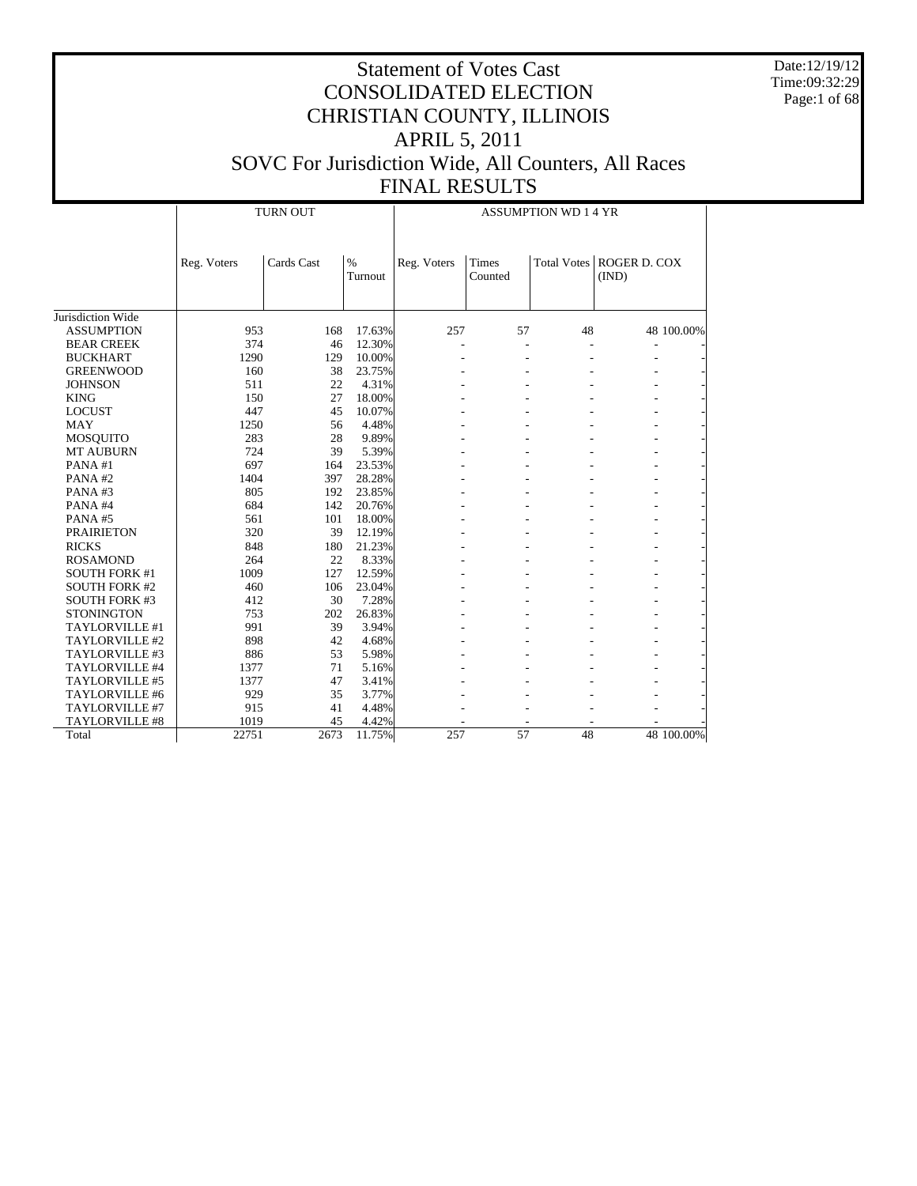Date:12/19/12 Time:09:32:29 Page:1 of 68

|                       |             | <b>TURN OUT</b> |                 | <b>ASSUMPTION WD 1 4 YR</b> |                         |    |                                     |            |  |
|-----------------------|-------------|-----------------|-----------------|-----------------------------|-------------------------|----|-------------------------------------|------------|--|
|                       | Reg. Voters | Cards Cast      | $\%$<br>Turnout | Reg. Voters                 | <b>Times</b><br>Counted |    | Total Votes   ROGER D. COX<br>(IND) |            |  |
| Jurisdiction Wide     |             |                 |                 |                             |                         |    |                                     |            |  |
| <b>ASSUMPTION</b>     | 953         | 168             | 17.63%          | 257                         | 57                      | 48 |                                     | 48 100.00% |  |
| <b>BEAR CREEK</b>     | 374         | 46              | 12.30%          | ÷,                          |                         | L, |                                     |            |  |
| <b>BUCKHART</b>       | 1290        | 129             | 10.00%          |                             |                         |    |                                     |            |  |
| <b>GREENWOOD</b>      | 160         | 38              | 23.75%          |                             |                         |    |                                     |            |  |
| <b>JOHNSON</b>        | 511         | 22              | 4.31%           |                             |                         |    |                                     |            |  |
| <b>KING</b>           | 150         | 27              | 18.00%          |                             |                         |    |                                     |            |  |
| <b>LOCUST</b>         | 447         | 45              | 10.07%          |                             |                         |    |                                     |            |  |
| <b>MAY</b>            | 1250        | 56              | 4.48%           |                             |                         |    |                                     |            |  |
| <b>MOSQUITO</b>       | 283         | 28              | 9.89%           |                             |                         |    |                                     |            |  |
| <b>MT AUBURN</b>      | 724         | 39              | 5.39%           |                             |                         |    |                                     |            |  |
| PANA#1                | 697         | 164             | 23.53%          |                             |                         |    |                                     |            |  |
| PANA#2                | 1404        | 397             | 28.28%          |                             |                         |    |                                     |            |  |
| PANA#3                | 805         | 192             | 23.85%          |                             |                         |    |                                     |            |  |
| PANA#4                | 684         | 142             | 20.76%          |                             |                         |    |                                     |            |  |
| PANA#5                | 561         | 101             | 18.00%          |                             |                         |    |                                     |            |  |
| <b>PRAIRIETON</b>     | 320         | 39              | 12.19%          |                             |                         |    |                                     |            |  |
| <b>RICKS</b>          | 848         | 180             | 21.23%          |                             |                         |    |                                     |            |  |
| <b>ROSAMOND</b>       | 264         | 22              | 8.33%           |                             |                         |    |                                     |            |  |
| <b>SOUTH FORK #1</b>  | 1009        | 127             | 12.59%          |                             |                         |    |                                     |            |  |
| <b>SOUTH FORK #2</b>  | 460         | 106             | 23.04%          |                             |                         |    |                                     |            |  |
| <b>SOUTH FORK #3</b>  | 412         | 30              | 7.28%           |                             |                         |    |                                     |            |  |
| <b>STONINGTON</b>     | 753         | 202             | 26.83%          |                             |                         |    |                                     |            |  |
| TAYLORVILLE #1        | 991         | 39              | 3.94%           |                             |                         |    |                                     |            |  |
| TAYLORVILLE #2        | 898         | 42              | 4.68%           |                             |                         |    |                                     |            |  |
| TAYLORVILLE #3        | 886         | 53              | 5.98%           |                             |                         |    |                                     |            |  |
| TAYLORVILLE #4        | 1377        | 71              | 5.16%           |                             |                         |    |                                     |            |  |
| TAYLORVILLE #5        | 1377        | 47              | 3.41%           |                             |                         |    |                                     |            |  |
| TAYLORVILLE #6        | 929         | 35              | 3.77%           |                             |                         |    |                                     |            |  |
| TAYLORVILLE #7        | 915         | 41              | 4.48%           |                             |                         |    |                                     |            |  |
| <b>TAYLORVILLE #8</b> | 1019        | 45              | 4.42%           |                             |                         |    |                                     |            |  |
| Total                 | 22751       | 2673            | 11.75%          | 257                         | 57                      | 48 |                                     | 48 100.00% |  |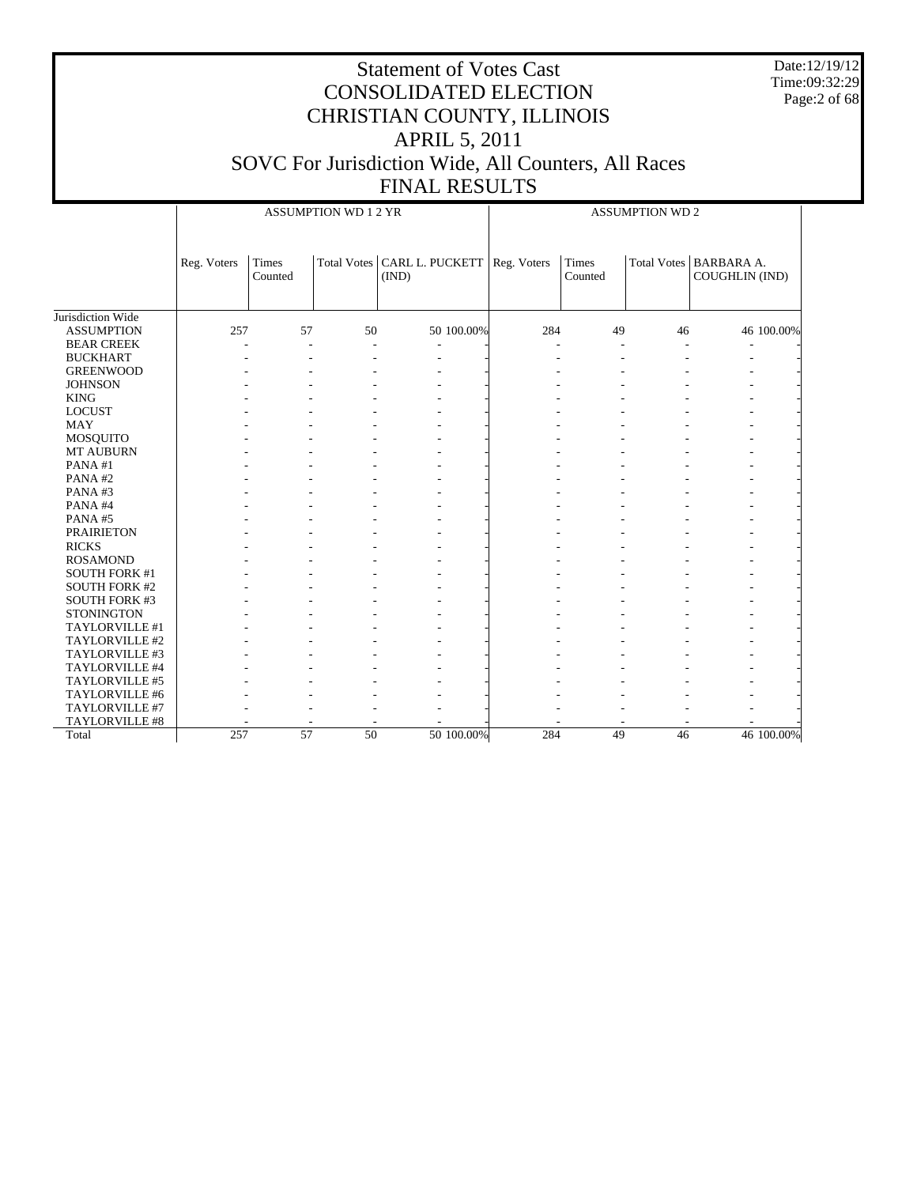Date:12/19/12 Time:09:32:29 Page:2 of 68

|                      |             |                  | <b>ASSUMPTION WD 1 2 YR</b> |                                        |             | <b>ASSUMPTION WD 2</b> |    |                                            |  |  |
|----------------------|-------------|------------------|-----------------------------|----------------------------------------|-------------|------------------------|----|--------------------------------------------|--|--|
|                      | Reg. Voters | Times<br>Counted |                             | Total Votes   CARL L. PUCKETT<br>(IND) | Reg. Voters | Times<br>Counted       |    | Total Votes   BARBARA A.<br>COUGHLIN (IND) |  |  |
| Jurisdiction Wide    |             |                  |                             |                                        |             |                        |    |                                            |  |  |
|                      |             |                  |                             |                                        |             |                        |    |                                            |  |  |
| <b>ASSUMPTION</b>    | 257         | 57               | 50                          | 50 100.00%                             | 284         | 49                     | 46 | 46 100.00%                                 |  |  |
| <b>BEAR CREEK</b>    |             | ٠                |                             |                                        |             |                        |    |                                            |  |  |
| <b>BUCKHART</b>      |             |                  |                             |                                        |             |                        |    |                                            |  |  |
| <b>GREENWOOD</b>     |             |                  |                             |                                        |             |                        |    |                                            |  |  |
| <b>JOHNSON</b>       |             |                  |                             |                                        |             |                        |    |                                            |  |  |
| <b>KING</b>          |             |                  |                             |                                        |             |                        |    |                                            |  |  |
| <b>LOCUST</b>        |             |                  |                             |                                        |             |                        |    |                                            |  |  |
| <b>MAY</b>           |             |                  |                             |                                        |             |                        |    |                                            |  |  |
| <b>MOSQUITO</b>      |             |                  |                             |                                        |             |                        |    |                                            |  |  |
| <b>MT AUBURN</b>     |             |                  |                             |                                        |             |                        |    |                                            |  |  |
| PANA#1               |             |                  |                             |                                        |             |                        |    |                                            |  |  |
| PANA#2               |             |                  |                             |                                        |             |                        |    |                                            |  |  |
| PANA#3               |             |                  |                             |                                        |             |                        |    |                                            |  |  |
| PANA#4               |             |                  |                             |                                        |             |                        |    |                                            |  |  |
| PANA#5               |             |                  |                             |                                        |             |                        |    |                                            |  |  |
| <b>PRAIRIETON</b>    |             |                  |                             |                                        |             |                        |    |                                            |  |  |
| <b>RICKS</b>         |             |                  |                             |                                        |             |                        |    |                                            |  |  |
| <b>ROSAMOND</b>      |             |                  |                             |                                        |             |                        |    |                                            |  |  |
| <b>SOUTH FORK #1</b> |             |                  |                             |                                        |             |                        |    |                                            |  |  |
| <b>SOUTH FORK #2</b> |             |                  |                             |                                        |             |                        |    |                                            |  |  |
| SOUTH FORK #3        |             |                  |                             |                                        |             |                        |    |                                            |  |  |
| <b>STONINGTON</b>    |             |                  |                             |                                        |             |                        |    |                                            |  |  |
| TAYLORVILLE #1       |             |                  |                             |                                        |             |                        |    |                                            |  |  |
| TAYLORVILLE #2       |             |                  |                             |                                        |             |                        |    |                                            |  |  |
| TAYLORVILLE #3       |             |                  |                             |                                        |             |                        |    |                                            |  |  |
| TAYLORVILLE #4       |             |                  |                             |                                        |             |                        |    |                                            |  |  |
| TAYLORVILLE #5       |             |                  |                             |                                        |             |                        |    |                                            |  |  |
| TAYLORVILLE #6       |             |                  |                             |                                        |             |                        |    |                                            |  |  |
| TAYLORVILLE #7       |             |                  |                             |                                        |             |                        |    |                                            |  |  |
| TAYLORVILLE #8       |             |                  |                             |                                        |             |                        |    |                                            |  |  |
| Total                | 257         | 57               | 50                          | 50 100.00%                             | 284         | 49                     | 46 | 46 100.00%                                 |  |  |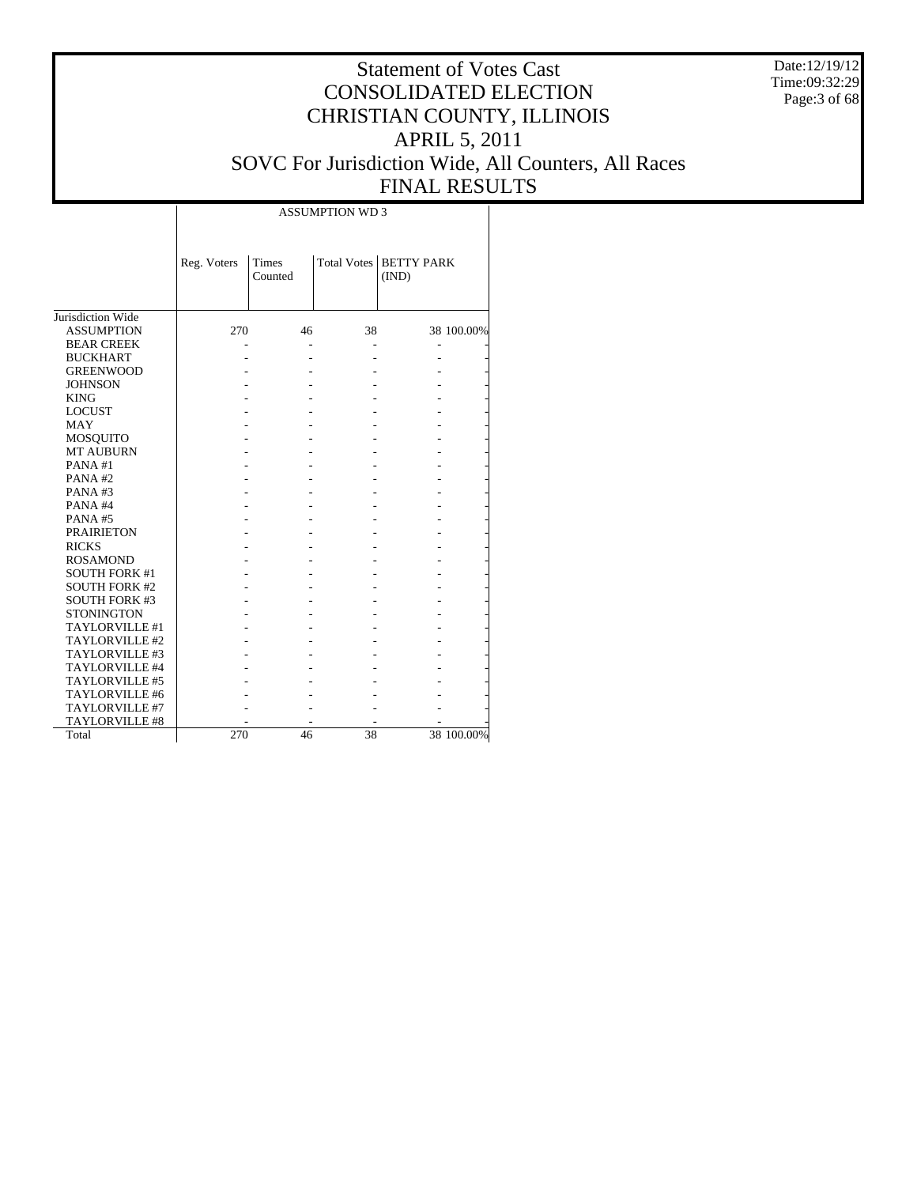Date:12/19/12 Time:09:32:29 Page:3 of 68

# Statement of Votes Cast CONSOLIDATED ELECTION CHRISTIAN COUNTY, ILLINOIS APRIL 5, 2011 SOVC For Jurisdiction Wide, All Counters, All Races FINAL RESULTS

Τ

|                      | Reg. Voters | <b>Times</b><br>Counted |    | Total Votes   BETTY PARK<br>(IND) |            |
|----------------------|-------------|-------------------------|----|-----------------------------------|------------|
| Jurisdiction Wide    |             |                         |    |                                   |            |
| <b>ASSUMPTION</b>    | 270         | 46                      | 38 |                                   | 38 100.00% |
| <b>BEAR CREEK</b>    |             |                         |    |                                   |            |
| <b>BUCKHART</b>      |             |                         |    |                                   |            |
| <b>GREENWOOD</b>     |             |                         |    |                                   |            |
| <b>JOHNSON</b>       |             |                         |    |                                   |            |
| <b>KING</b>          |             |                         |    |                                   |            |
| <b>LOCUST</b>        |             |                         |    |                                   |            |
| MAY                  |             |                         |    |                                   |            |
| <b>MOSQUITO</b>      |             |                         |    |                                   |            |
| <b>MT AUBURN</b>     |             |                         |    |                                   |            |
| PANA#1               |             |                         |    |                                   |            |
| PANA#2               |             |                         |    |                                   |            |
| PANA#3               |             |                         |    |                                   |            |
| PANA#4               |             |                         |    |                                   |            |
| PANA#5               |             |                         |    |                                   |            |
| <b>PRAIRIETON</b>    |             |                         |    |                                   |            |
| <b>RICKS</b>         |             |                         |    |                                   |            |
| <b>ROSAMOND</b>      |             |                         |    |                                   |            |
| <b>SOUTH FORK #1</b> |             |                         |    |                                   |            |
| <b>SOUTH FORK #2</b> |             |                         |    |                                   |            |
| <b>SOUTH FORK #3</b> |             |                         |    |                                   |            |
| <b>STONINGTON</b>    |             |                         |    |                                   |            |
| TAYLORVILLE #1       |             |                         |    |                                   |            |
| TAYLORVILLE #2       |             |                         |    |                                   |            |
| TAYLORVILLE #3       |             |                         |    |                                   |            |
| TAYLORVILLE #4       |             |                         |    |                                   |            |
| TAYLORVILLE #5       |             |                         |    |                                   |            |
| TAYLORVILLE #6       |             |                         |    |                                   |            |
| TAYLORVILLE #7       |             |                         |    |                                   |            |
| TAYLORVILLE #8       |             |                         |    |                                   |            |
| Total                | 270         | 46                      | 38 |                                   | 38 100.00% |

 $\overline{\phantom{a}}$ 

ASSUMPTION WD 3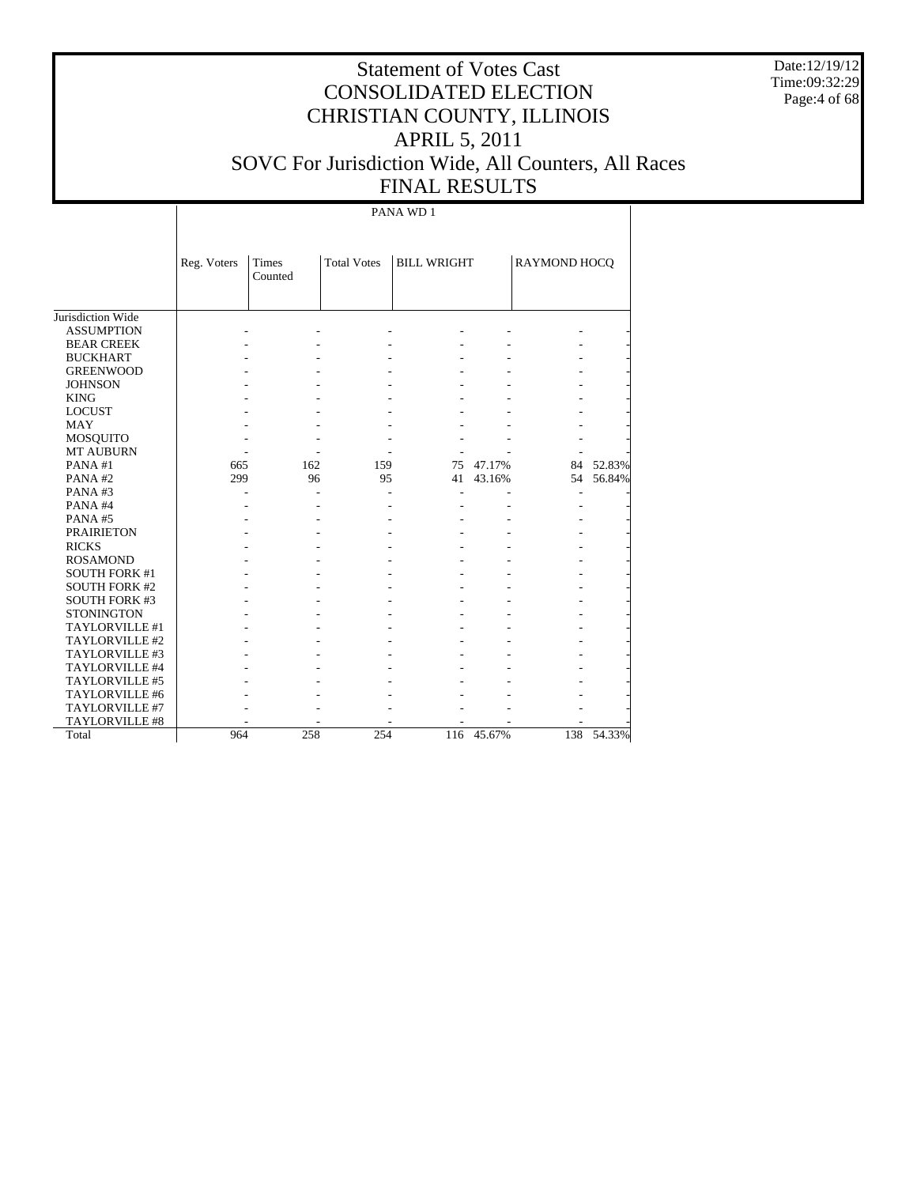Date:12/19/12 Time:09:32:29 Page:4 of 68

# Statement of Votes Cast CONSOLIDATED ELECTION CHRISTIAN COUNTY, ILLINOIS APRIL 5, 2011 SOVC For Jurisdiction Wide, All Counters, All Races FINAL RESULTS

|                      | Reg. Voters | Times<br>Counted | <b>Total Votes</b> | <b>BILL WRIGHT</b> |            | RAYMOND HOCQ |        |
|----------------------|-------------|------------------|--------------------|--------------------|------------|--------------|--------|
| Jurisdiction Wide    |             |                  |                    |                    |            |              |        |
| <b>ASSUMPTION</b>    |             |                  |                    |                    |            |              |        |
| <b>BEAR CREEK</b>    |             |                  |                    |                    |            |              |        |
| <b>BUCKHART</b>      |             |                  |                    |                    |            |              |        |
| <b>GREENWOOD</b>     |             |                  |                    |                    |            |              |        |
| <b>JOHNSON</b>       |             |                  |                    |                    |            |              |        |
| <b>KING</b>          |             |                  |                    |                    |            |              |        |
| <b>LOCUST</b>        |             |                  |                    |                    |            |              |        |
| <b>MAY</b>           |             |                  |                    |                    |            |              |        |
| <b>MOSQUITO</b>      |             |                  |                    |                    |            |              |        |
| <b>MT AUBURN</b>     |             |                  |                    |                    |            |              |        |
| PANA#1               | 665         | 162              | 159                | 75                 | 47.17%     | 84           | 52.83% |
| PANA#2               | 299         | 96               | 95                 | 41                 | 43.16%     | 54           | 56.84% |
| PANA#3               |             |                  |                    |                    |            |              |        |
| PANA#4               |             |                  |                    |                    |            |              |        |
| PANA#5               |             |                  |                    |                    |            |              |        |
| <b>PRAIRIETON</b>    |             |                  |                    |                    |            |              |        |
| <b>RICKS</b>         |             |                  |                    |                    |            |              |        |
| <b>ROSAMOND</b>      |             |                  |                    |                    |            |              |        |
| <b>SOUTH FORK #1</b> |             |                  |                    |                    |            |              |        |
| <b>SOUTH FORK #2</b> |             |                  |                    |                    |            |              |        |
| <b>SOUTH FORK #3</b> |             |                  |                    |                    |            |              |        |
| <b>STONINGTON</b>    |             |                  |                    |                    |            |              |        |
| TAYLORVILLE #1       |             |                  |                    |                    |            |              |        |
| TAYLORVILLE #2       |             |                  |                    |                    |            |              |        |
| TAYLORVILLE #3       |             |                  |                    |                    |            |              |        |
| TAYLORVILLE #4       |             |                  |                    |                    |            |              |        |
| TAYLORVILLE #5       |             |                  |                    |                    |            |              |        |
| TAYLORVILLE #6       |             |                  |                    |                    |            |              |        |
| TAYLORVILLE #7       |             |                  |                    |                    |            |              |        |
| TAYLORVILLE #8       |             |                  |                    |                    |            |              |        |
| Total                | 964         | 258              | 254                |                    | 116 45.67% | 138          | 54.33% |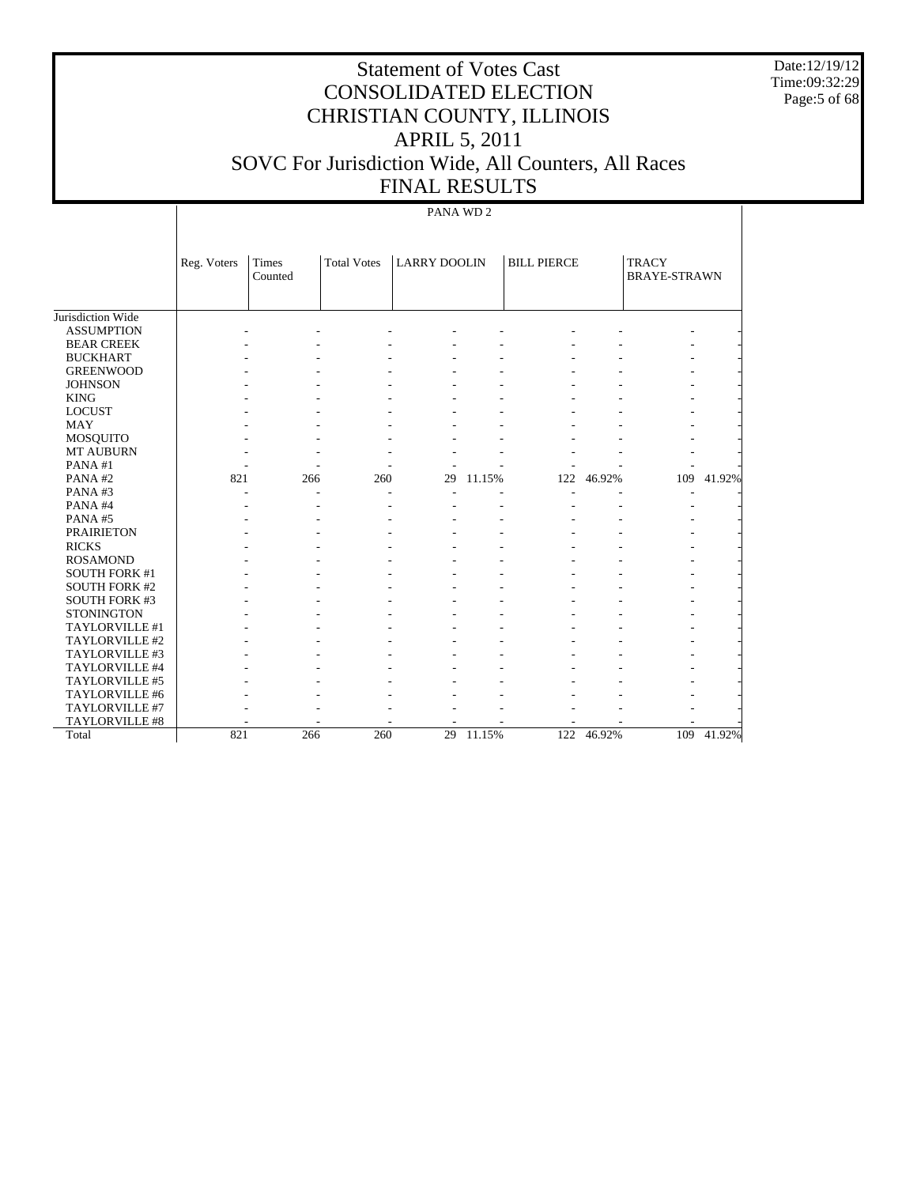Date:12/19/12 Time:09:32:29 Page:5 of 68

# Statement of Votes Cast CONSOLIDATED ELECTION CHRISTIAN COUNTY, ILLINOIS APRIL 5, 2011 SOVC For Jurisdiction Wide, All Counters, All Races FINAL RESULTS

|                      | Reg. Voters | <b>Times</b> | <b>Total Votes</b> | <b>LARRY DOOLIN</b> |        | <b>BILL PIERCE</b> |        | <b>TRACY</b>        |        |
|----------------------|-------------|--------------|--------------------|---------------------|--------|--------------------|--------|---------------------|--------|
|                      |             | Counted      |                    |                     |        |                    |        | <b>BRAYE-STRAWN</b> |        |
|                      |             |              |                    |                     |        |                    |        |                     |        |
|                      |             |              |                    |                     |        |                    |        |                     |        |
| Jurisdiction Wide    |             |              |                    |                     |        |                    |        |                     |        |
| <b>ASSUMPTION</b>    |             |              |                    |                     |        |                    |        |                     |        |
| <b>BEAR CREEK</b>    |             |              |                    |                     |        |                    |        |                     |        |
| <b>BUCKHART</b>      |             |              |                    |                     |        |                    |        |                     |        |
| <b>GREENWOOD</b>     |             |              |                    |                     |        |                    |        |                     |        |
| <b>JOHNSON</b>       |             |              |                    |                     |        |                    |        |                     |        |
| <b>KING</b>          |             |              |                    |                     |        |                    |        |                     |        |
| <b>LOCUST</b>        |             |              |                    |                     |        |                    |        |                     |        |
| <b>MAY</b>           |             |              |                    |                     |        |                    |        |                     |        |
| <b>MOSQUITO</b>      |             |              |                    |                     |        |                    |        |                     |        |
| MT AUBURN            |             |              |                    |                     |        |                    |        |                     |        |
| PANA#1               |             |              |                    |                     |        |                    |        |                     |        |
| PANA#2               | 821         | 266          | 260                | 29                  | 11.15% | 122                | 46.92% | 109                 | 41.92% |
| PANA#3               |             |              |                    |                     |        |                    |        |                     |        |
| PANA#4               |             |              |                    |                     |        |                    |        |                     |        |
| PANA#5               |             |              |                    |                     |        |                    |        |                     |        |
| <b>PRAIRIETON</b>    |             |              |                    |                     |        |                    |        |                     |        |
| <b>RICKS</b>         |             |              |                    |                     |        |                    |        |                     |        |
| <b>ROSAMOND</b>      |             |              |                    |                     |        |                    |        |                     |        |
| <b>SOUTH FORK #1</b> |             |              |                    |                     |        |                    |        |                     |        |
| <b>SOUTH FORK #2</b> |             |              |                    |                     |        |                    |        |                     |        |
| <b>SOUTH FORK #3</b> |             |              |                    |                     |        |                    |        |                     |        |
| <b>STONINGTON</b>    |             |              |                    |                     |        |                    |        |                     |        |
| TAYLORVILLE #1       |             |              |                    |                     |        |                    |        |                     |        |
| TAYLORVILLE #2       |             |              |                    |                     |        |                    |        |                     |        |
| TAYLORVILLE #3       |             |              |                    |                     |        |                    |        |                     |        |
| TAYLORVILLE #4       |             |              |                    |                     |        |                    |        |                     |        |
| TAYLORVILLE #5       |             |              |                    |                     |        |                    |        |                     |        |
| TAYLORVILLE #6       |             |              |                    |                     |        |                    |        |                     |        |
| TAYLORVILLE #7       |             |              |                    |                     |        |                    |        |                     |        |
| TAYLORVILLE #8       |             |              |                    |                     |        |                    |        |                     |        |
| Total                | 821         | 266          | 260                | 29                  | 11.15% | 122                | 46.92% | 109                 | 41.92% |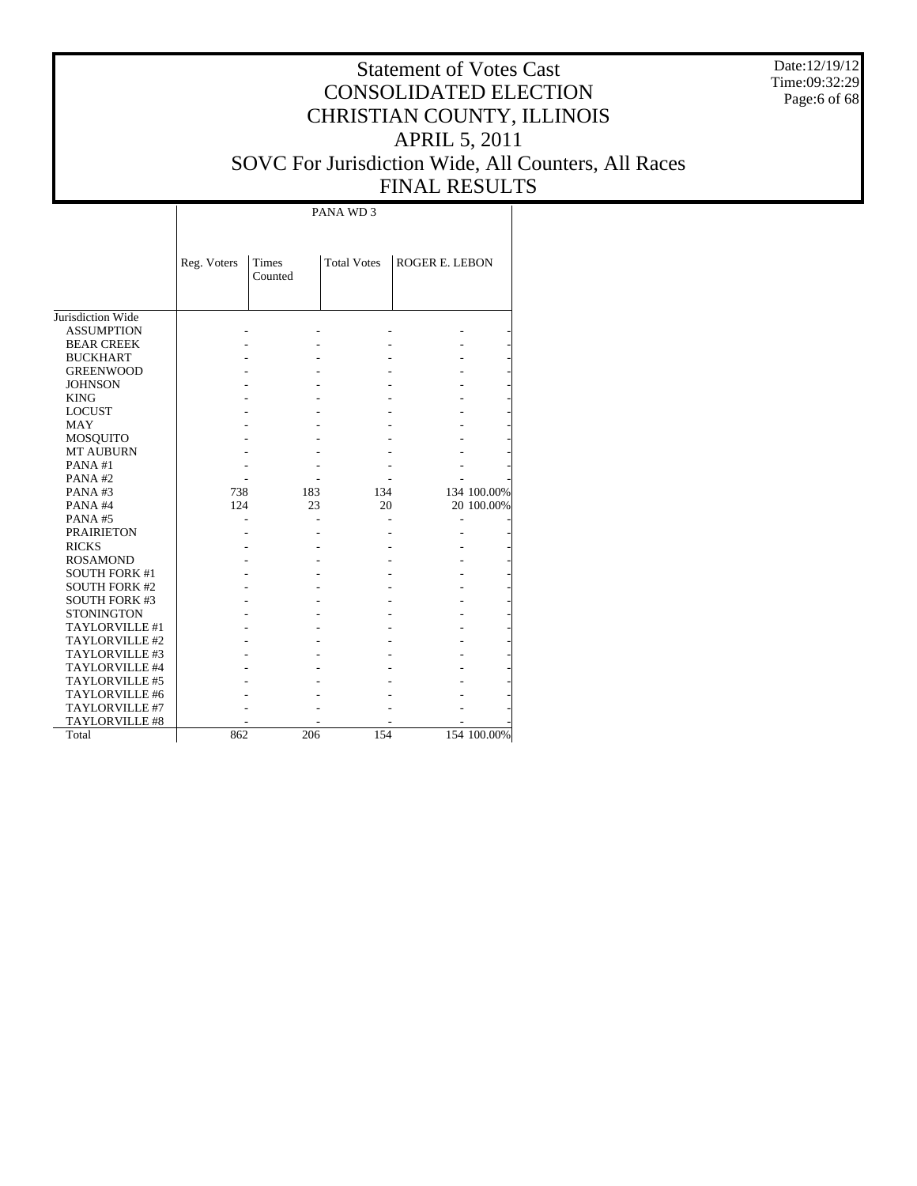Date:12/19/12 Time:09:32:29 Page:6 of 68

# Statement of Votes Cast CONSOLIDATED ELECTION CHRISTIAN COUNTY, ILLINOIS APRIL 5, 2011 SOVC For Jurisdiction Wide, All Counters, All Races FINAL RESULTS

|                      | Reg. Voters | <b>Times</b> | <b>Total Votes</b> | <b>ROGER E. LEBON</b> |             |
|----------------------|-------------|--------------|--------------------|-----------------------|-------------|
|                      |             | Counted      |                    |                       |             |
|                      |             |              |                    |                       |             |
|                      |             |              |                    |                       |             |
| Jurisdiction Wide    |             |              |                    |                       |             |
| <b>ASSUMPTION</b>    |             |              |                    |                       |             |
| <b>BEAR CREEK</b>    |             |              |                    |                       |             |
| <b>BUCKHART</b>      |             |              |                    |                       |             |
| <b>GREENWOOD</b>     |             |              |                    |                       |             |
| <b>JOHNSON</b>       |             |              |                    |                       |             |
| <b>KING</b>          |             |              |                    |                       |             |
| <b>LOCUST</b>        |             |              |                    |                       |             |
| MAY                  |             |              |                    |                       |             |
| <b>MOSQUITO</b>      |             |              |                    |                       |             |
| <b>MT AUBURN</b>     |             |              |                    |                       |             |
| PANA#1               |             |              |                    |                       |             |
| PANA#2               |             |              |                    |                       |             |
| PANA#3               | 738         | 183          | 134                |                       | 134 100.00% |
| PANA#4               | 124         | 23           | 20                 |                       | 20 100.00%  |
| PANA#5               |             |              |                    |                       |             |
| <b>PRAIRIETON</b>    |             |              |                    |                       |             |
| <b>RICKS</b>         |             |              |                    |                       |             |
| <b>ROSAMOND</b>      |             |              |                    |                       |             |
| <b>SOUTH FORK #1</b> |             |              |                    |                       |             |
| <b>SOUTH FORK #2</b> |             |              |                    |                       |             |
| <b>SOUTH FORK #3</b> |             |              |                    |                       |             |
| <b>STONINGTON</b>    |             |              |                    |                       |             |
| TAYLORVILLE #1       |             |              |                    |                       |             |
| TAYLORVILLE #2       |             |              |                    |                       |             |
| TAYLORVILLE #3       |             |              |                    |                       |             |
| TAYLORVILLE #4       |             |              |                    |                       |             |
| TAYLORVILLE #5       |             |              |                    |                       |             |
| TAYLORVILLE #6       |             |              |                    |                       |             |
| TAYLORVILLE #7       |             |              |                    |                       |             |
| TAYLORVILLE #8       |             |              |                    |                       |             |
| Total                | 862         | 206          | 154                |                       | 154 100.00% |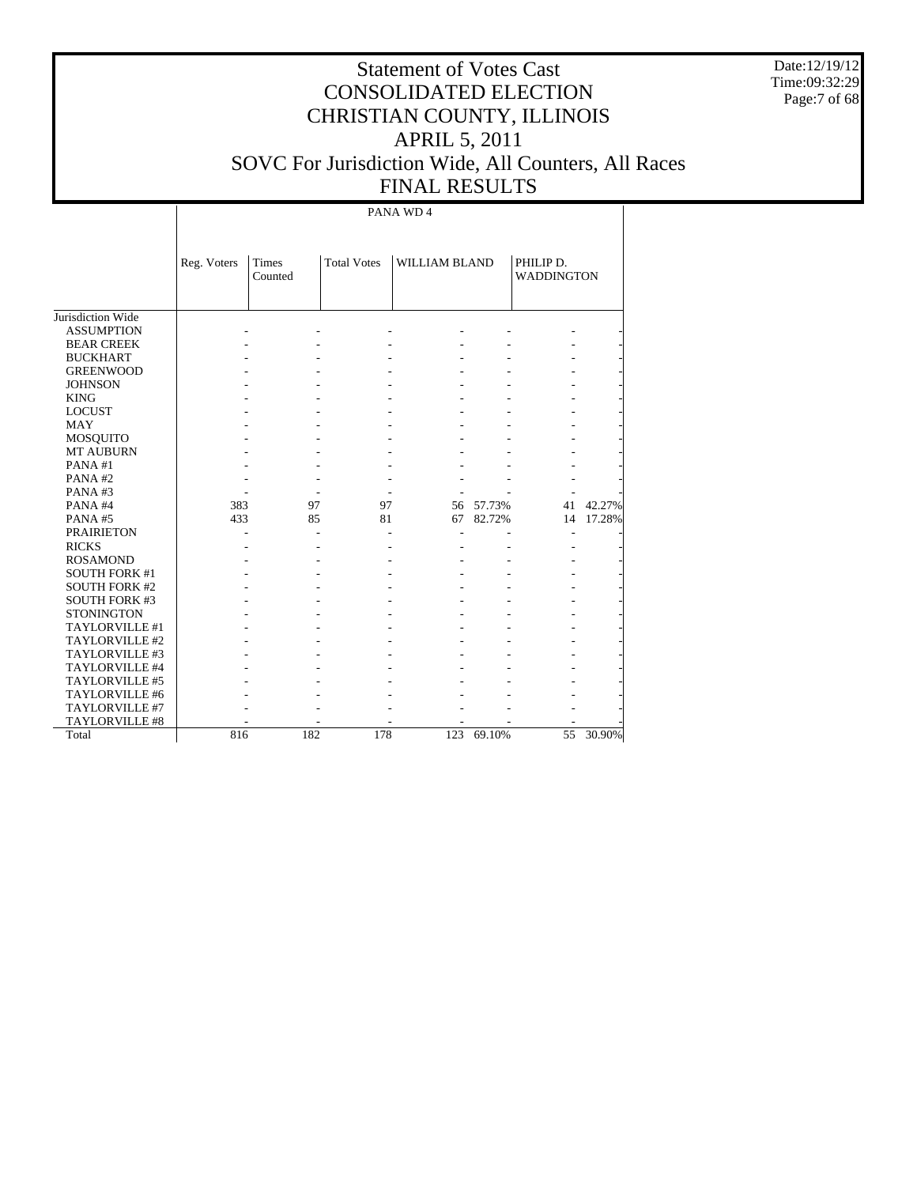Date:12/19/12 Time:09:32:29 Page:7 of 68

# Statement of Votes Cast CONSOLIDATED ELECTION CHRISTIAN COUNTY, ILLINOIS APRIL 5, 2011 SOVC For Jurisdiction Wide, All Counters, All Races FINAL RESULTS

|                      | Reg. Voters | Times<br>Counted | <b>Total Votes</b> | <b>WILLIAM BLAND</b> |        | PHILIP D.<br><b>WADDINGTON</b> |           |
|----------------------|-------------|------------------|--------------------|----------------------|--------|--------------------------------|-----------|
|                      |             |                  |                    |                      |        |                                |           |
| Jurisdiction Wide    |             |                  |                    |                      |        |                                |           |
| <b>ASSUMPTION</b>    |             |                  |                    |                      |        |                                |           |
| <b>BEAR CREEK</b>    |             |                  |                    |                      |        |                                |           |
| <b>BUCKHART</b>      |             |                  |                    |                      |        |                                |           |
| <b>GREENWOOD</b>     |             |                  |                    |                      |        |                                |           |
| <b>JOHNSON</b>       |             |                  |                    |                      |        |                                |           |
| <b>KING</b>          |             |                  |                    |                      |        |                                |           |
| <b>LOCUST</b>        |             |                  |                    |                      |        |                                |           |
| <b>MAY</b>           |             |                  |                    |                      |        |                                |           |
| MOSQUITO             |             |                  |                    |                      |        |                                |           |
| <b>MT AUBURN</b>     |             |                  |                    |                      |        |                                |           |
| PANA#1               |             |                  |                    |                      |        |                                |           |
| PANA#2               |             |                  |                    |                      |        |                                |           |
| PANA#3               |             |                  |                    |                      |        |                                |           |
| PANA#4               | 383         | 97               | 97                 | 56                   | 57.73% | 41                             | 42.27%    |
| PANA#5               | 433         | 85               | 81                 | 67                   | 82.72% | 14                             | 17.28%    |
| <b>PRAIRIETON</b>    |             |                  |                    |                      |        |                                |           |
| <b>RICKS</b>         |             |                  |                    |                      |        |                                |           |
| <b>ROSAMOND</b>      |             |                  |                    |                      |        |                                |           |
| <b>SOUTH FORK #1</b> |             |                  |                    |                      |        |                                |           |
| <b>SOUTH FORK #2</b> |             |                  |                    |                      |        |                                |           |
| <b>SOUTH FORK #3</b> |             |                  |                    |                      |        |                                |           |
| <b>STONINGTON</b>    |             |                  |                    |                      |        |                                |           |
| TAYLORVILLE #1       |             |                  |                    |                      |        |                                |           |
| TAYLORVILLE #2       |             |                  |                    |                      |        |                                |           |
| TAYLORVILLE #3       |             |                  |                    |                      |        |                                |           |
| TAYLORVILLE #4       |             |                  |                    |                      |        |                                |           |
| TAYLORVILLE #5       |             |                  |                    |                      |        |                                |           |
| TAYLORVILLE #6       |             |                  |                    |                      |        |                                |           |
| TAYLORVILLE #7       |             |                  |                    |                      |        |                                |           |
| TAYLORVILLE #8       |             |                  |                    |                      |        |                                |           |
| Total                | 816         | 182              | 178                | 123                  | 69.10% | 55                             | $30.90\%$ |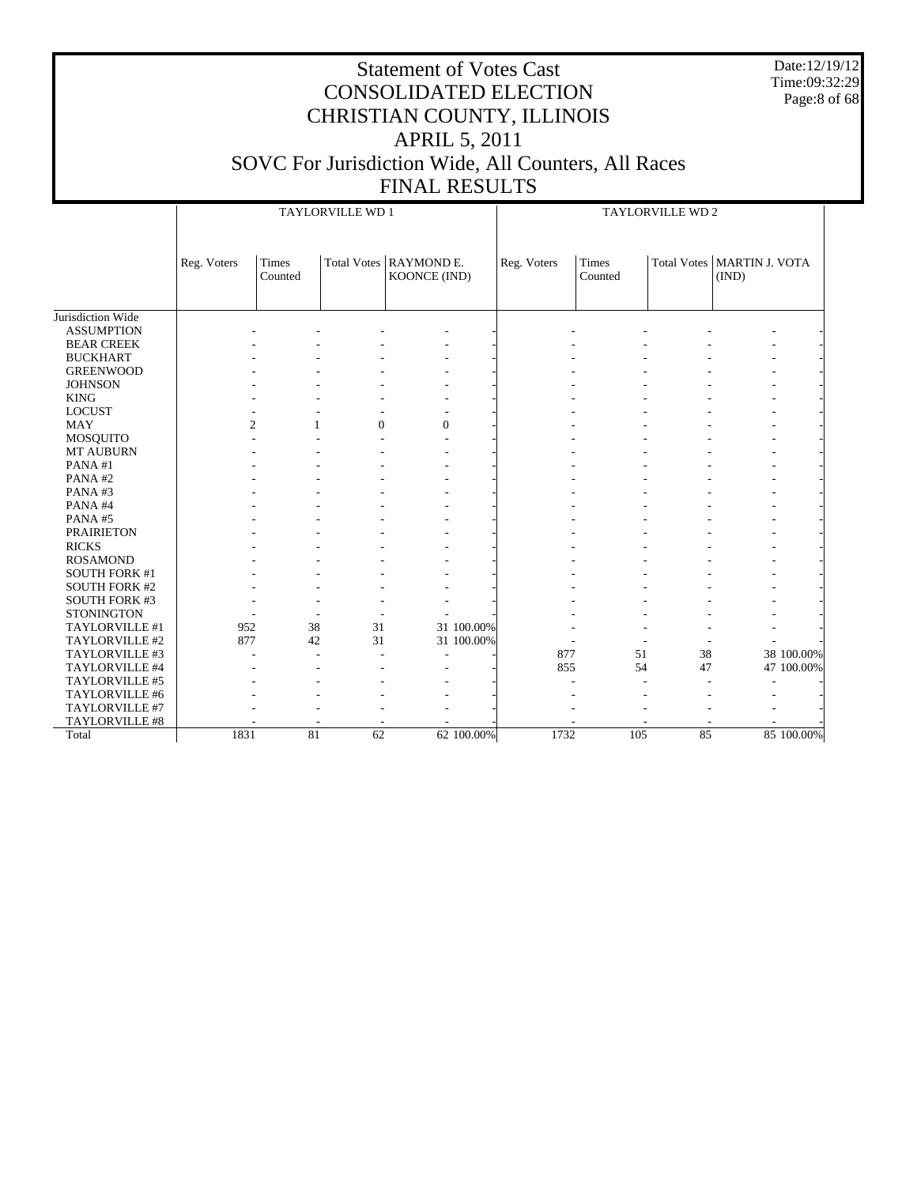Date:12/19/12 Time:09:32:29 Page:8 of 68

|                      |             | TAYLORVILLE WD 1 |                                |                                          |            |             | TAYLORVILLE WD 2 |                    |                                |            |  |
|----------------------|-------------|------------------|--------------------------------|------------------------------------------|------------|-------------|------------------|--------------------|--------------------------------|------------|--|
|                      | Reg. Voters | Times<br>Counted |                                | Total Votes   RAYMOND E.<br>KOONCE (IND) |            | Reg. Voters | Times<br>Counted | <b>Total Votes</b> | <b>MARTIN J. VOTA</b><br>(IND) |            |  |
| Jurisdiction Wide    |             |                  |                                |                                          |            |             |                  |                    |                                |            |  |
| <b>ASSUMPTION</b>    |             |                  |                                |                                          |            |             |                  |                    |                                |            |  |
| <b>BEAR CREEK</b>    |             |                  |                                |                                          |            |             |                  |                    |                                |            |  |
| <b>BUCKHART</b>      |             |                  |                                |                                          |            |             |                  |                    |                                |            |  |
| <b>GREENWOOD</b>     |             |                  |                                |                                          |            |             |                  |                    |                                |            |  |
| <b>JOHNSON</b>       |             |                  |                                |                                          |            |             |                  |                    |                                |            |  |
| <b>KING</b>          |             |                  |                                |                                          |            |             |                  |                    |                                |            |  |
| <b>LOCUST</b>        |             |                  |                                |                                          |            |             |                  |                    |                                |            |  |
| <b>MAY</b>           |             | $\overline{c}$   | $\overline{0}$<br>$\mathbf{1}$ | $\overline{0}$                           |            |             |                  |                    |                                |            |  |
|                      |             |                  |                                |                                          |            |             |                  |                    |                                |            |  |
| MOSQUITO             |             |                  |                                |                                          |            |             |                  |                    |                                |            |  |
| <b>MT AUBURN</b>     |             |                  |                                |                                          |            |             |                  |                    |                                |            |  |
| PANA#1               |             |                  |                                |                                          |            |             |                  |                    |                                |            |  |
| PANA#2               |             |                  |                                |                                          |            |             |                  |                    |                                |            |  |
| PANA#3               |             |                  |                                |                                          |            |             |                  |                    |                                |            |  |
| PANA#4               |             |                  |                                |                                          |            |             |                  |                    |                                |            |  |
| PANA#5               |             |                  |                                |                                          |            |             |                  |                    |                                |            |  |
| <b>PRAIRIETON</b>    |             |                  |                                |                                          |            |             |                  |                    |                                |            |  |
| <b>RICKS</b>         |             |                  |                                |                                          |            |             |                  |                    |                                |            |  |
| <b>ROSAMOND</b>      |             |                  |                                |                                          |            |             |                  |                    |                                |            |  |
| <b>SOUTH FORK #1</b> |             |                  |                                |                                          |            |             |                  |                    |                                |            |  |
| <b>SOUTH FORK #2</b> |             |                  |                                |                                          |            |             |                  |                    |                                |            |  |
| <b>SOUTH FORK #3</b> |             |                  |                                |                                          |            |             |                  |                    |                                |            |  |
| <b>STONINGTON</b>    |             |                  |                                |                                          |            |             |                  |                    |                                |            |  |
| TAYLORVILLE #1       | 952         |                  | 38<br>31                       |                                          | 31 100.00% |             |                  |                    |                                |            |  |
| TAYLORVILLE #2       | 877         |                  | 42<br>31                       |                                          | 31 100.00% |             |                  |                    |                                |            |  |
| TAYLORVILLE #3       |             |                  | ÷                              |                                          |            | 877         | 51               | 38                 |                                | 38 100.00% |  |
| TAYLORVILLE #4       |             |                  |                                |                                          |            | 855         | 54               | 47                 |                                | 47 100.00% |  |
| TAYLORVILLE #5       |             |                  |                                |                                          |            |             |                  |                    |                                |            |  |
| TAYLORVILLE #6       |             |                  |                                |                                          |            |             |                  |                    |                                |            |  |
| TAYLORVILLE #7       |             |                  |                                |                                          |            |             |                  |                    |                                |            |  |
| TAYLORVILLE #8       |             |                  |                                |                                          |            |             |                  |                    |                                |            |  |
| Total                | 1831        |                  | 81<br>$\overline{62}$          |                                          | 62 100.00% | 1732        | 105              | 85                 |                                | 85 100.00% |  |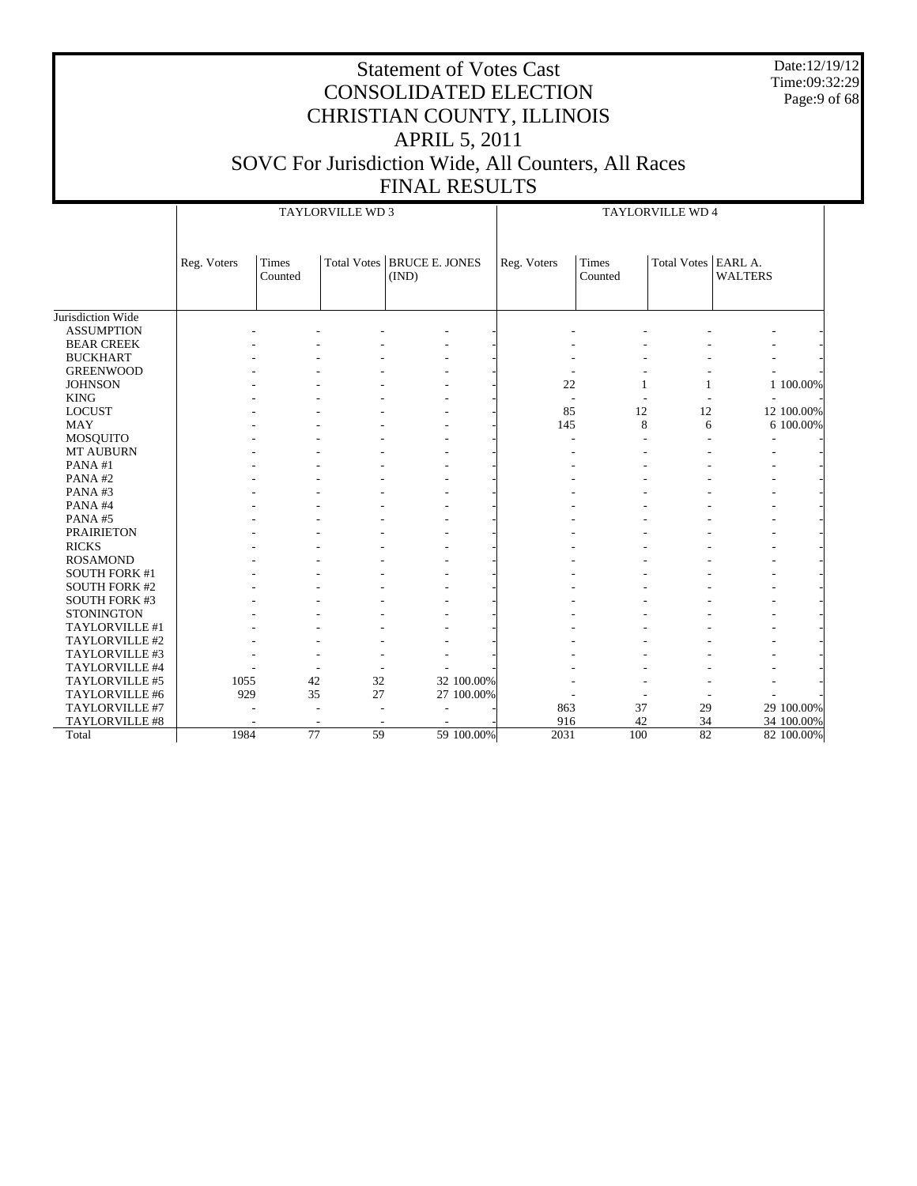Date:12/19/12 Time:09:32:29 Page:9 of 68

|                       |             |                  | TAYLORVILLE WD 3 |                                       | TAYLORVILLE WD 4 |                  |                       |                |            |
|-----------------------|-------------|------------------|------------------|---------------------------------------|------------------|------------------|-----------------------|----------------|------------|
|                       |             |                  |                  |                                       |                  |                  |                       |                |            |
|                       | Reg. Voters | Times<br>Counted |                  | Total Votes   BRUCE E. JONES<br>(IND) | Reg. Voters      | Times<br>Counted | Total Votes   EARL A. | <b>WALTERS</b> |            |
|                       |             |                  |                  |                                       |                  |                  |                       |                |            |
| Jurisdiction Wide     |             |                  |                  |                                       |                  |                  |                       |                |            |
| <b>ASSUMPTION</b>     |             |                  |                  |                                       |                  |                  |                       |                |            |
| <b>BEAR CREEK</b>     |             |                  |                  |                                       |                  |                  |                       |                |            |
| <b>BUCKHART</b>       |             |                  |                  |                                       |                  |                  |                       |                |            |
| <b>GREENWOOD</b>      |             |                  |                  |                                       |                  |                  |                       |                |            |
| <b>JOHNSON</b>        |             |                  |                  |                                       | 22               | 1                | $\mathbf{1}$          |                | 1 100.00%  |
| <b>KING</b>           |             |                  |                  |                                       |                  |                  |                       |                |            |
| <b>LOCUST</b>         |             |                  |                  |                                       | 85               | 12               | 12                    |                | 12 100.00% |
| <b>MAY</b>            |             |                  |                  |                                       | 145              | 8                | 6                     |                | 6 100.00%  |
| <b>MOSQUITO</b>       |             |                  |                  |                                       |                  |                  |                       |                |            |
| MT AUBURN             |             |                  |                  |                                       |                  |                  |                       |                |            |
| PANA#1                |             |                  |                  |                                       |                  |                  |                       |                |            |
| PANA#2                |             |                  |                  |                                       |                  |                  |                       |                |            |
| PANA#3                |             |                  |                  |                                       |                  |                  |                       |                |            |
| PANA#4                |             |                  |                  |                                       |                  |                  |                       |                |            |
| PANA#5                |             |                  |                  |                                       |                  |                  |                       |                |            |
| <b>PRAIRIETON</b>     |             |                  |                  |                                       |                  |                  |                       |                |            |
| <b>RICKS</b>          |             |                  |                  |                                       |                  |                  |                       |                |            |
| <b>ROSAMOND</b>       |             |                  |                  |                                       |                  |                  |                       |                |            |
| <b>SOUTH FORK #1</b>  |             |                  |                  |                                       |                  |                  |                       |                |            |
| <b>SOUTH FORK #2</b>  |             |                  |                  |                                       |                  |                  |                       |                |            |
| <b>SOUTH FORK #3</b>  |             |                  |                  |                                       |                  |                  |                       |                |            |
| <b>STONINGTON</b>     |             |                  |                  |                                       |                  |                  |                       |                |            |
| TAYLORVILLE #1        |             |                  |                  |                                       |                  |                  |                       |                |            |
| TAYLORVILLE #2        |             |                  |                  |                                       |                  |                  |                       |                |            |
| TAYLORVILLE #3        |             |                  |                  |                                       |                  |                  |                       |                |            |
| TAYLORVILLE #4        |             |                  |                  |                                       |                  |                  |                       |                |            |
| TAYLORVILLE #5        | 1055        | 42               | 32               | 32 100.00%                            |                  |                  |                       |                |            |
| TAYLORVILLE #6        | 929         | 35               | 27               | 27 100.00%                            |                  |                  |                       |                |            |
| TAYLORVILLE #7        |             |                  |                  |                                       | 863              | 37               | 29                    |                | 29 100.00% |
| <b>TAYLORVILLE #8</b> |             |                  |                  |                                       | 916              | 42               | 34                    |                | 34 100.00% |
| Total                 | 1984        | $\overline{77}$  | 59               | 59 100.00%                            | 2031             | 100              | 82                    |                | 82 100.00% |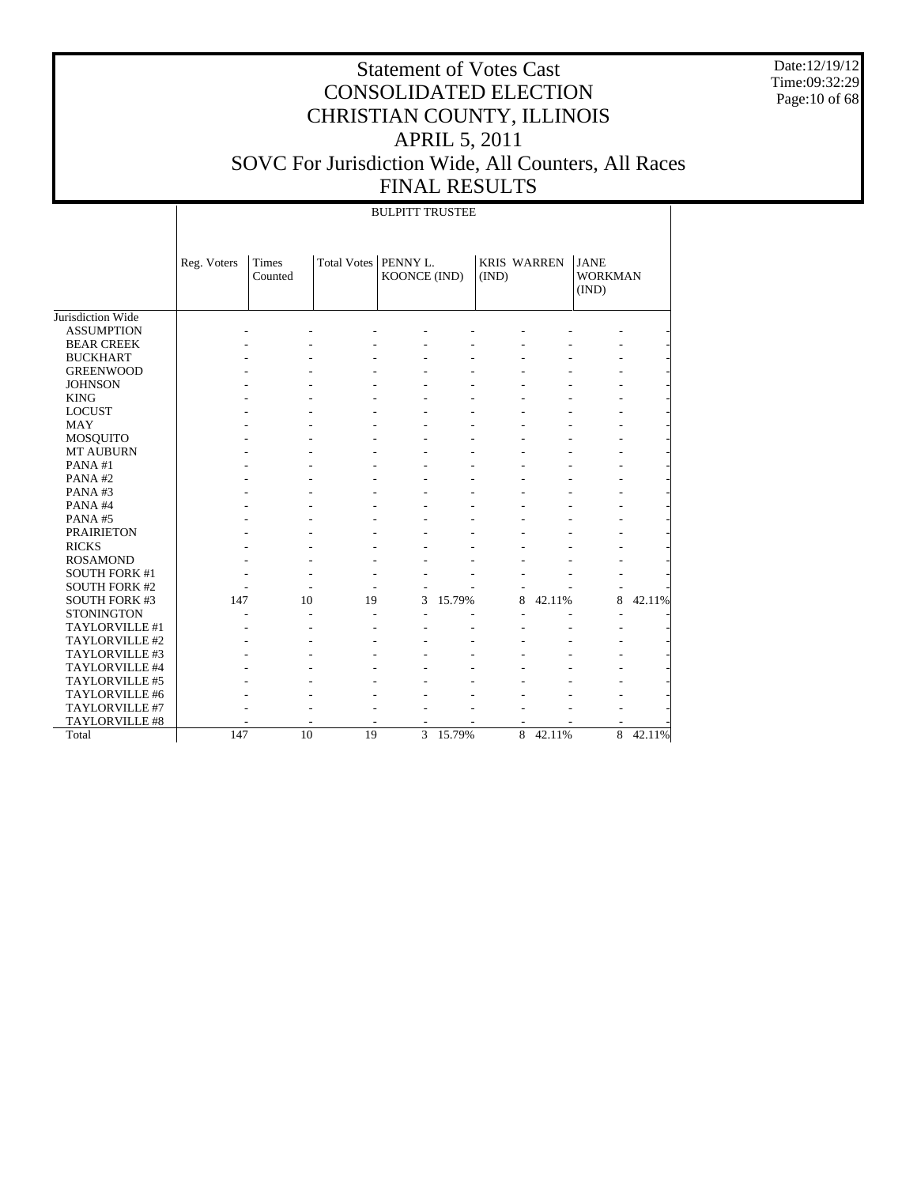Date:12/19/12 Time:09:32:29 Page:10 of 68

|                      |             |                  |                        | <b>BULPITT TRUSTEE</b> |        |                             |        |                                        |        |
|----------------------|-------------|------------------|------------------------|------------------------|--------|-----------------------------|--------|----------------------------------------|--------|
|                      | Reg. Voters | Times<br>Counted | Total Votes   PENNY L. | KOONCE (IND)           |        | <b>KRIS WARREN</b><br>(IND) |        | <b>JANE</b><br><b>WORKMAN</b><br>(IND) |        |
| Jurisdiction Wide    |             |                  |                        |                        |        |                             |        |                                        |        |
| <b>ASSUMPTION</b>    |             |                  |                        |                        |        |                             |        |                                        |        |
| <b>BEAR CREEK</b>    |             |                  |                        |                        |        |                             |        |                                        |        |
| <b>BUCKHART</b>      |             |                  |                        |                        |        |                             |        |                                        |        |
| <b>GREENWOOD</b>     |             |                  |                        |                        |        |                             |        |                                        |        |
| <b>JOHNSON</b>       |             |                  |                        |                        |        |                             |        |                                        |        |
| <b>KING</b>          |             |                  |                        |                        |        |                             |        |                                        |        |
| <b>LOCUST</b>        |             |                  |                        |                        |        |                             |        |                                        |        |
| <b>MAY</b>           |             |                  |                        |                        |        |                             |        |                                        |        |
| <b>MOSQUITO</b>      |             |                  |                        |                        |        |                             |        |                                        |        |
| <b>MT AUBURN</b>     |             |                  |                        |                        |        |                             |        |                                        |        |
| PANA#1               |             |                  |                        |                        |        |                             |        |                                        |        |
| PANA#2               |             |                  |                        |                        |        |                             |        |                                        |        |
| PANA#3               |             |                  |                        |                        |        |                             |        |                                        |        |
| PANA#4               |             |                  |                        |                        |        |                             |        |                                        |        |
| PANA#5               |             |                  |                        |                        |        |                             |        |                                        |        |
| <b>PRAIRIETON</b>    |             |                  |                        |                        |        |                             |        |                                        |        |
| <b>RICKS</b>         |             |                  |                        |                        |        |                             |        |                                        |        |
| <b>ROSAMOND</b>      |             |                  |                        |                        |        |                             |        |                                        |        |
| <b>SOUTH FORK #1</b> |             |                  |                        |                        |        |                             |        |                                        |        |
| <b>SOUTH FORK #2</b> |             |                  |                        |                        |        |                             |        |                                        |        |
| <b>SOUTH FORK #3</b> | 147         | 10               | 19                     | 3                      | 15.79% | 8                           | 42.11% | 8                                      | 42.11% |
| <b>STONINGTON</b>    |             |                  |                        |                        |        |                             |        |                                        |        |
| TAYLORVILLE #1       |             |                  |                        |                        |        |                             |        |                                        |        |
| TAYLORVILLE #2       |             |                  |                        |                        |        |                             |        |                                        |        |
| TAYLORVILLE #3       |             |                  |                        |                        |        |                             |        |                                        |        |
| TAYLORVILLE #4       |             |                  |                        |                        |        |                             |        |                                        |        |
| TAYLORVILLE #5       |             |                  |                        |                        |        |                             |        |                                        |        |
| TAYLORVILLE #6       |             |                  |                        |                        |        |                             |        |                                        |        |
| TAYLORVILLE #7       |             |                  |                        |                        |        |                             |        |                                        |        |
| TAYLORVILLE #8       |             |                  |                        |                        |        |                             |        |                                        |        |
| Total                | 147         | $\overline{10}$  | $\overline{19}$        | 3                      | 15.79% | 8                           | 42.11% | $\overline{8}$                         | 42.11% |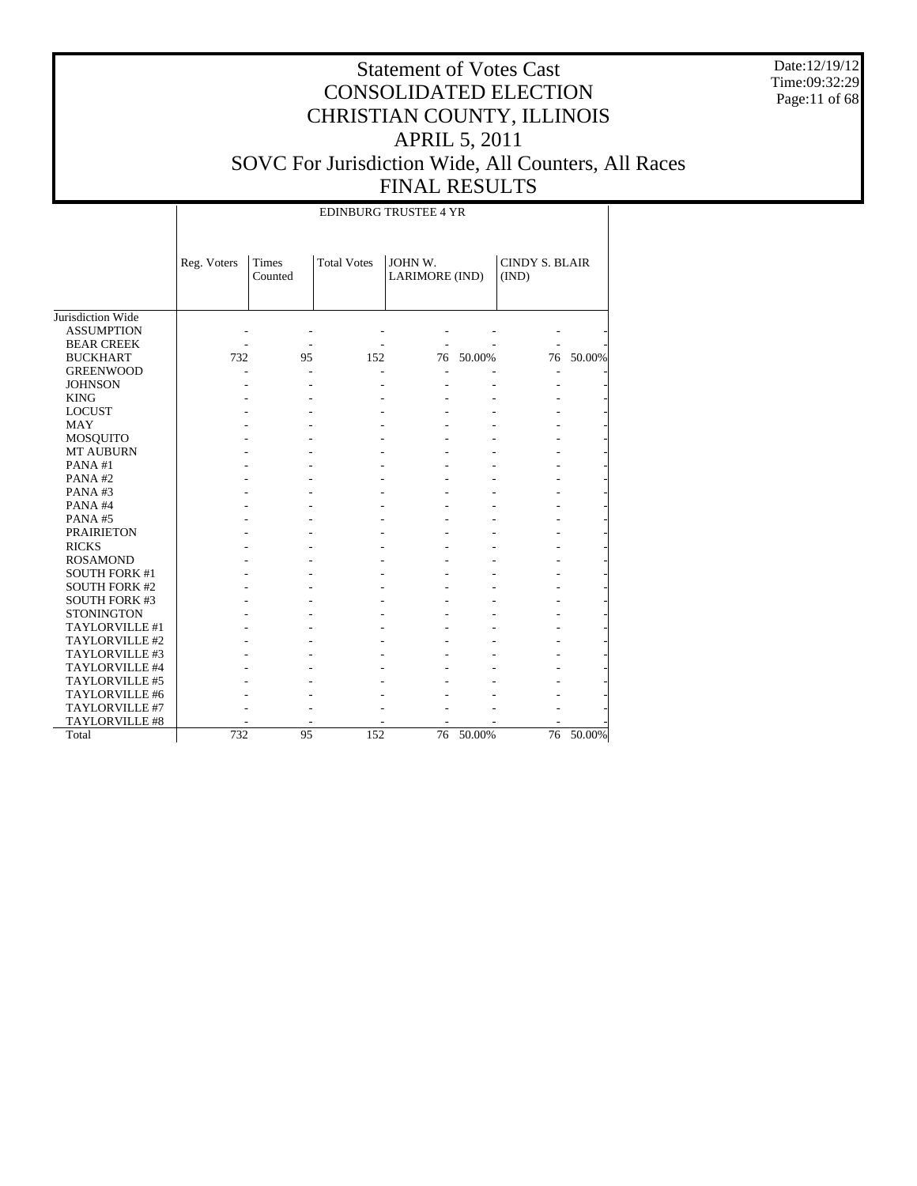Date:12/19/12 Time:09:32:29 Page:11 of 68

|                      |             |                  | <b>EDINBURG TRUSTEE 4 YR</b> |                           |        |                                |        |
|----------------------|-------------|------------------|------------------------------|---------------------------|--------|--------------------------------|--------|
|                      | Reg. Voters | Times<br>Counted | <b>Total Votes</b>           | JOHN W.<br>LARIMORE (IND) |        | <b>CINDY S. BLAIR</b><br>(IND) |        |
| Jurisdiction Wide    |             |                  |                              |                           |        |                                |        |
| <b>ASSUMPTION</b>    |             |                  |                              |                           |        |                                |        |
| <b>BEAR CREEK</b>    |             |                  |                              |                           |        |                                |        |
| <b>BUCKHART</b>      | 732         | 95               | 152                          | 76                        | 50.00% | 76                             | 50.00% |
| <b>GREENWOOD</b>     |             |                  |                              |                           |        |                                |        |
| <b>JOHNSON</b>       |             |                  |                              |                           |        |                                |        |
| <b>KING</b>          |             |                  |                              |                           |        |                                |        |
| <b>LOCUST</b>        |             |                  |                              |                           |        |                                |        |
| MAY                  |             |                  |                              |                           |        |                                |        |
| MOSQUITO             |             |                  |                              |                           |        |                                |        |
| <b>MT AUBURN</b>     |             |                  |                              |                           |        |                                |        |
| PANA#1               |             |                  |                              |                           |        |                                |        |
| PANA#2               |             |                  |                              |                           |        |                                |        |
| PANA#3               |             |                  |                              |                           |        |                                |        |
| PANA#4               |             |                  |                              |                           |        |                                |        |
| PANA#5               |             |                  |                              |                           |        |                                |        |
| <b>PRAIRIETON</b>    |             |                  |                              |                           |        |                                |        |
| <b>RICKS</b>         |             |                  |                              |                           |        |                                |        |
| <b>ROSAMOND</b>      |             |                  |                              |                           |        |                                |        |
| <b>SOUTH FORK #1</b> |             |                  |                              |                           |        |                                |        |
| <b>SOUTH FORK #2</b> |             |                  |                              |                           |        |                                |        |
| <b>SOUTH FORK #3</b> |             |                  |                              |                           |        |                                |        |
| <b>STONINGTON</b>    |             |                  |                              |                           |        |                                |        |
| TAYLORVILLE #1       |             |                  |                              |                           |        |                                |        |
| TAYLORVILLE #2       |             |                  |                              |                           |        |                                |        |
| TAYLORVILLE #3       |             |                  |                              |                           |        |                                |        |
| TAYLORVILLE #4       |             |                  |                              |                           |        |                                |        |
| TAYLORVILLE #5       |             |                  |                              |                           |        |                                |        |
| TAYLORVILLE #6       |             |                  |                              |                           |        |                                |        |
| TAYLORVILLE #7       |             |                  |                              |                           |        |                                |        |
| TAYLORVILLE #8       |             |                  |                              |                           |        |                                |        |
| Total                | 732         | 95               | 152                          | 76                        | 50.00% | 76                             | 50.00% |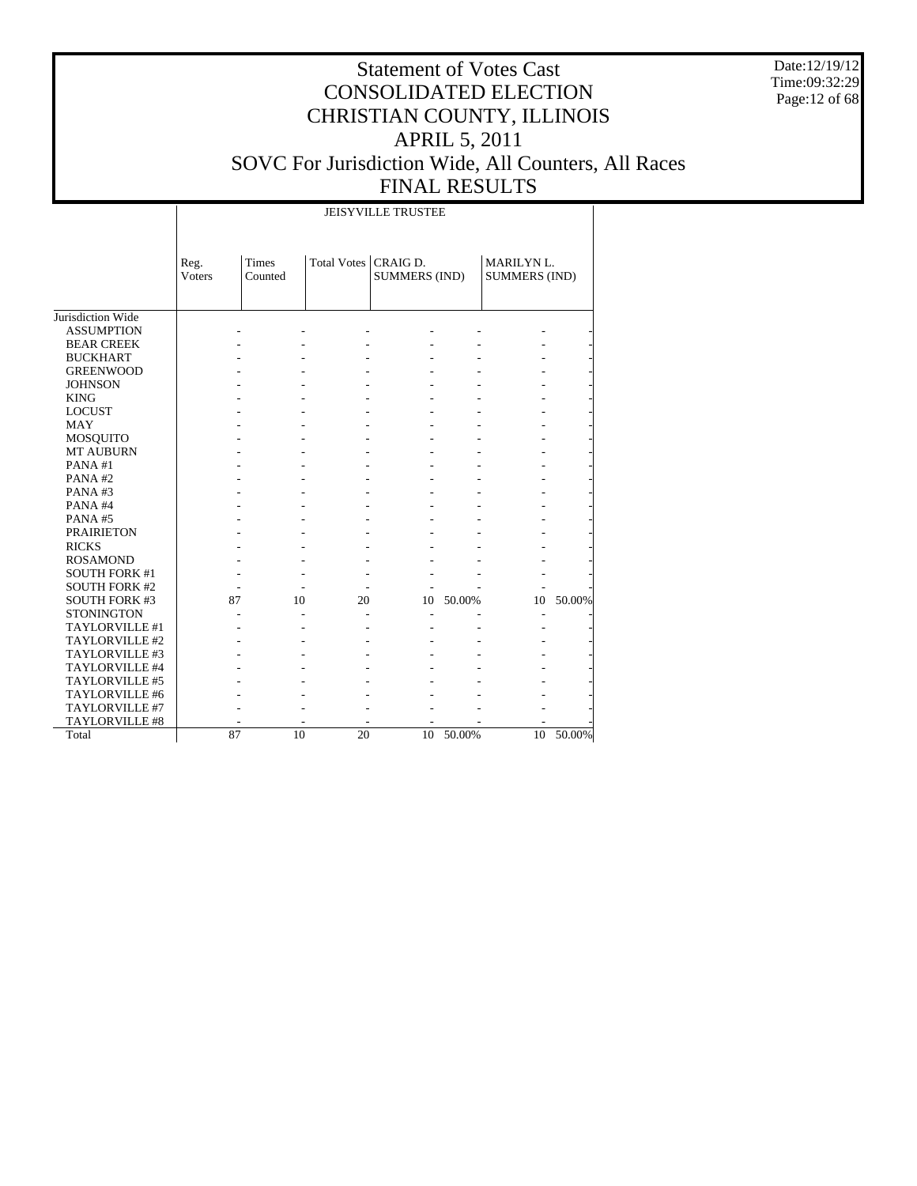Date:12/19/12 Time:09:32:29 Page:12 of 68

# Statement of Votes Cast CONSOLIDATED ELECTION CHRISTIAN COUNTY, ILLINOIS APRIL 5, 2011 SOVC For Jurisdiction Wide, All Counters, All Races FINAL RESULTS

JEISYVILLE TRUSTEE

|                      | Reg.          | <b>Times</b> | Total Votes   CRAIG D. |                      |        | MARILYN L.           |        |
|----------------------|---------------|--------------|------------------------|----------------------|--------|----------------------|--------|
|                      | <b>Voters</b> | Counted      |                        | <b>SUMMERS (IND)</b> |        | <b>SUMMERS (IND)</b> |        |
|                      |               |              |                        |                      |        |                      |        |
| Jurisdiction Wide    |               |              |                        |                      |        |                      |        |
| <b>ASSUMPTION</b>    |               |              |                        |                      |        |                      |        |
| <b>BEAR CREEK</b>    |               |              |                        |                      |        |                      |        |
| <b>BUCKHART</b>      |               |              |                        |                      |        |                      |        |
| <b>GREENWOOD</b>     |               |              |                        |                      |        |                      |        |
| <b>JOHNSON</b>       |               |              |                        |                      |        |                      |        |
| <b>KING</b>          |               |              |                        |                      |        |                      |        |
| <b>LOCUST</b>        |               |              |                        |                      |        |                      |        |
| <b>MAY</b>           |               |              |                        |                      |        |                      |        |
| MOSQUITO             |               |              |                        |                      |        |                      |        |
| <b>MT AUBURN</b>     |               |              |                        |                      |        |                      |        |
| PANA#1               |               |              |                        |                      |        |                      |        |
| PANA#2               |               |              |                        |                      |        |                      |        |
| PANA#3               |               |              |                        |                      |        |                      |        |
| PANA#4               |               |              |                        |                      |        |                      |        |
| PANA#5               |               |              |                        |                      |        |                      |        |
| <b>PRAIRIETON</b>    |               |              |                        |                      |        |                      |        |
| <b>RICKS</b>         |               |              |                        |                      |        |                      |        |
| <b>ROSAMOND</b>      |               |              |                        |                      |        |                      |        |
| <b>SOUTH FORK #1</b> |               |              |                        |                      |        |                      |        |
| <b>SOUTH FORK #2</b> |               |              |                        |                      |        |                      |        |
| <b>SOUTH FORK #3</b> | 87            | 10           | 20                     | 10                   | 50.00% | 10                   | 50.00% |
| <b>STONINGTON</b>    |               |              |                        |                      |        | L,                   |        |
| TAYLORVILLE #1       |               |              |                        |                      |        |                      |        |
| TAYLORVILLE #2       |               |              |                        |                      |        |                      |        |
| TAYLORVILLE #3       |               |              |                        |                      |        |                      |        |
| TAYLORVILLE #4       |               |              |                        |                      |        |                      |        |
| TAYLORVILLE #5       |               |              |                        |                      |        |                      |        |
| TAYLORVILLE #6       |               |              |                        |                      |        |                      |        |
| TAYLORVILLE #7       |               |              |                        |                      |        |                      |        |
| TAYLORVILLE #8       |               |              |                        |                      |        |                      |        |
| Total                | 87            | 10           | 20                     | 10                   | 50.00% | 10                   | 50.00% |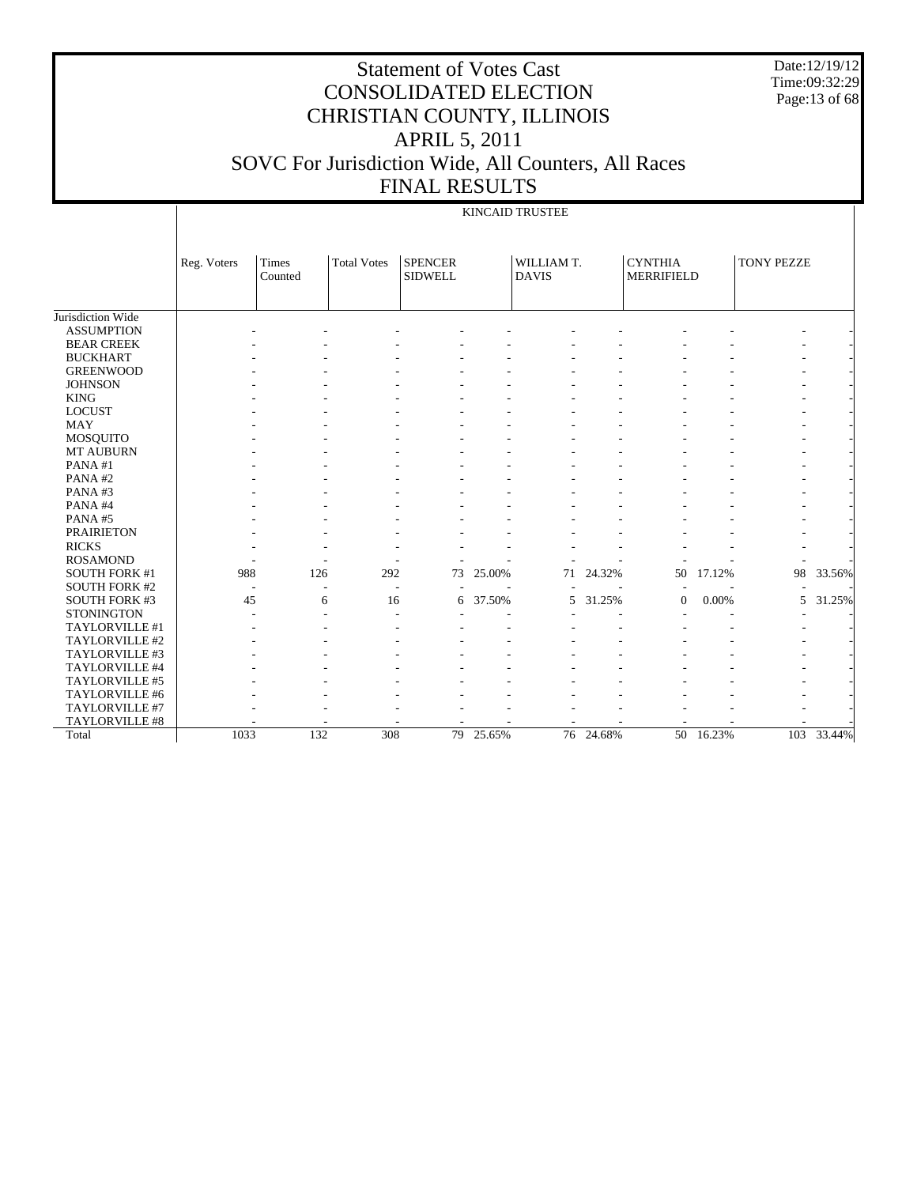Date:12/19/12 Time:09:32:29 Page:13 of 68

KINCAID TRUSTEE

|                      | Reg. Voters | Times<br>Counted | <b>Total Votes</b>       | <b>SPENCER</b><br><b>SIDWELL</b> |        | WILLIAM T.<br><b>DAVIS</b> |           | <b>CYNTHIA</b><br><b>MERRIFIELD</b> |        | <b>TONY PEZZE</b> |        |
|----------------------|-------------|------------------|--------------------------|----------------------------------|--------|----------------------------|-----------|-------------------------------------|--------|-------------------|--------|
|                      |             |                  |                          |                                  |        |                            |           |                                     |        |                   |        |
|                      |             |                  |                          |                                  |        |                            |           |                                     |        |                   |        |
| Jurisdiction Wide    |             |                  |                          |                                  |        |                            |           |                                     |        |                   |        |
| <b>ASSUMPTION</b>    |             |                  |                          |                                  |        |                            |           |                                     |        |                   |        |
| <b>BEAR CREEK</b>    |             |                  |                          |                                  |        |                            |           |                                     |        |                   |        |
| <b>BUCKHART</b>      |             |                  |                          |                                  |        |                            |           |                                     |        |                   |        |
| <b>GREENWOOD</b>     |             |                  |                          |                                  |        |                            |           |                                     |        |                   |        |
| <b>JOHNSON</b>       |             |                  |                          |                                  |        |                            |           |                                     |        |                   |        |
| <b>KING</b>          |             |                  |                          |                                  |        |                            |           |                                     |        |                   |        |
| <b>LOCUST</b>        |             |                  |                          |                                  |        |                            |           |                                     |        |                   |        |
| <b>MAY</b>           |             |                  |                          |                                  |        |                            |           |                                     |        |                   |        |
| <b>MOSQUITO</b>      |             |                  |                          |                                  |        |                            |           |                                     |        |                   |        |
| <b>MT AUBURN</b>     |             |                  |                          |                                  |        |                            |           |                                     |        |                   |        |
| PANA#1               |             |                  |                          |                                  |        |                            |           |                                     |        |                   |        |
| PANA#2               |             |                  |                          |                                  |        |                            |           |                                     |        |                   |        |
| PANA#3               |             |                  |                          |                                  |        |                            |           |                                     |        |                   |        |
| PANA#4               |             |                  |                          |                                  |        |                            |           |                                     |        |                   |        |
| PANA#5               |             |                  |                          |                                  |        |                            |           |                                     |        |                   |        |
| <b>PRAIRIETON</b>    |             |                  |                          |                                  |        |                            |           |                                     |        |                   |        |
| <b>RICKS</b>         |             |                  |                          |                                  |        |                            |           |                                     |        |                   |        |
| <b>ROSAMOND</b>      |             |                  |                          |                                  |        |                            |           |                                     |        |                   |        |
| <b>SOUTH FORK #1</b> | 988         | 126              | 292                      | 73                               | 25.00% | 71                         | 24.32%    | 50                                  | 17.12% | 98                | 33.56% |
| <b>SOUTH FORK #2</b> |             | $\overline{a}$   | $\overline{\phantom{a}}$ |                                  |        |                            |           |                                     |        |                   |        |
| SOUTH FORK #3        | 45          | 6                | 16                       | 6                                | 37.50% | 5                          | 31.25%    | $\theta$                            | 0.00%  | 5                 | 31.25% |
| <b>STONINGTON</b>    |             |                  |                          |                                  |        |                            |           |                                     |        |                   |        |
| TAYLORVILLE #1       |             |                  |                          |                                  |        |                            |           |                                     |        |                   |        |
| TAYLORVILLE #2       |             |                  |                          |                                  |        |                            |           |                                     |        |                   |        |
| TAYLORVILLE #3       |             |                  |                          |                                  |        |                            |           |                                     |        |                   |        |
| TAYLORVILLE #4       |             |                  |                          |                                  |        |                            |           |                                     |        |                   |        |
| TAYLORVILLE #5       |             |                  |                          |                                  |        |                            |           |                                     |        |                   |        |
| TAYLORVILLE #6       |             |                  |                          |                                  |        |                            |           |                                     |        |                   |        |
| TAYLORVILLE #7       |             |                  |                          |                                  |        |                            |           |                                     |        |                   |        |
| TAYLORVILLE #8       |             |                  |                          |                                  |        |                            |           |                                     |        |                   |        |
| Total                | 1033        | 132              | 308                      | 79                               | 25.65% |                            | 76 24.68% | 50                                  | 16.23% | 103               | 33.44% |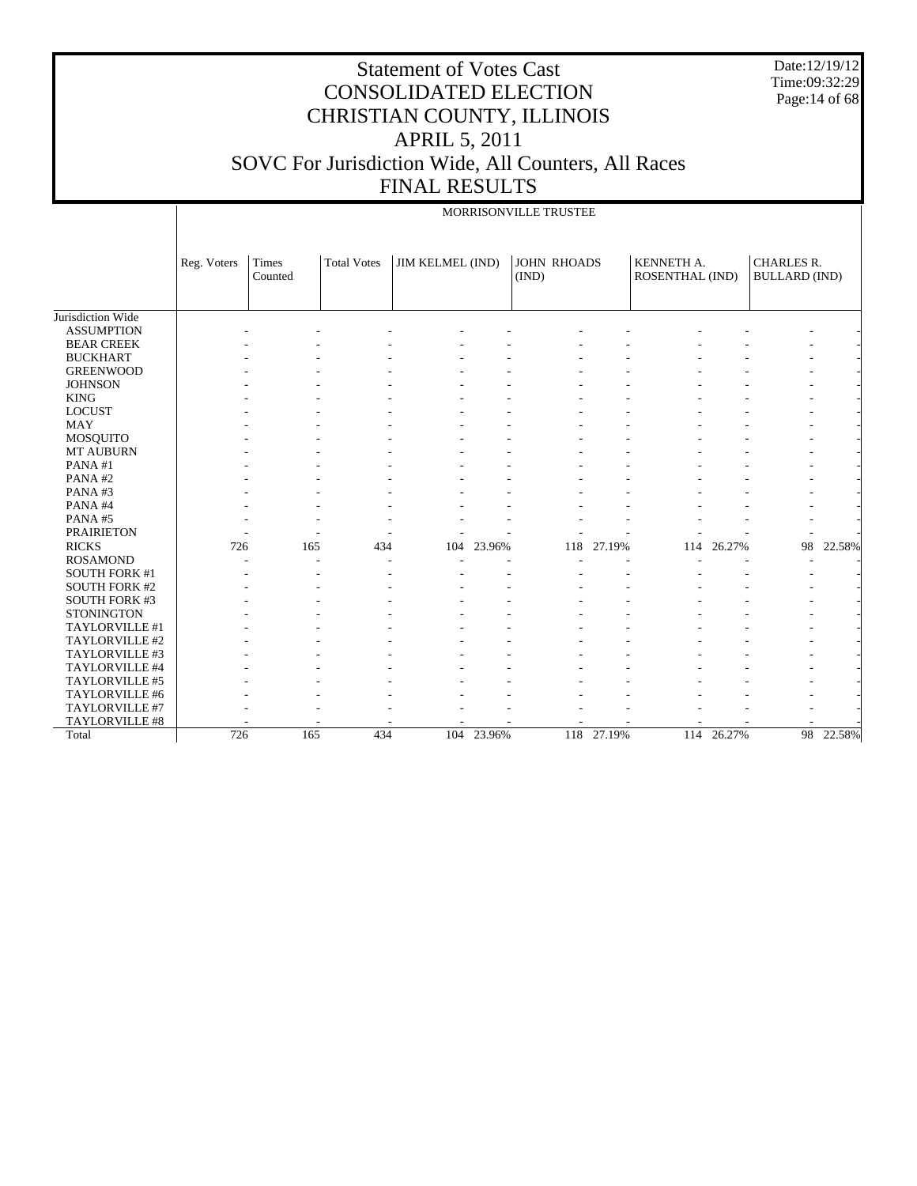Date:12/19/12 Time:09:32:29 Page: 14 of 68

# Statement of Votes Cast CONSOLIDATED ELECTION CHRISTIAN COUNTY, ILLINOIS APRIL 5, 2011 SOVC For Jurisdiction Wide, All Counters, All Races FINAL RESULTS

## MORRISONVILLE TRUSTEE

|                      | Reg. Voters | Times<br>Counted | <b>Total Votes</b> | JIM KELMEL (IND) |            | <b>JOHN RHOADS</b><br>(IND) |            | KENNETH A.<br><b>ROSENTHAL (IND)</b> |            | <b>CHARLES R.</b><br><b>BULLARD</b> (IND) |           |
|----------------------|-------------|------------------|--------------------|------------------|------------|-----------------------------|------------|--------------------------------------|------------|-------------------------------------------|-----------|
|                      |             |                  |                    |                  |            |                             |            |                                      |            |                                           |           |
| Jurisdiction Wide    |             |                  |                    |                  |            |                             |            |                                      |            |                                           |           |
| <b>ASSUMPTION</b>    |             |                  |                    |                  |            |                             |            |                                      |            |                                           |           |
| <b>BEAR CREEK</b>    |             |                  |                    |                  |            |                             |            |                                      |            |                                           |           |
| <b>BUCKHART</b>      |             |                  |                    |                  |            |                             |            |                                      |            |                                           |           |
| <b>GREENWOOD</b>     |             |                  |                    |                  |            |                             |            |                                      |            |                                           |           |
| <b>JOHNSON</b>       |             |                  |                    |                  |            |                             |            |                                      |            |                                           |           |
| <b>KING</b>          |             |                  |                    |                  |            |                             |            |                                      |            |                                           |           |
| <b>LOCUST</b>        |             |                  |                    |                  |            |                             |            |                                      |            |                                           |           |
| <b>MAY</b>           |             |                  |                    |                  |            |                             |            |                                      |            |                                           |           |
| <b>MOSQUITO</b>      |             |                  |                    |                  |            |                             |            |                                      |            |                                           |           |
| MT AUBURN            |             |                  |                    |                  |            |                             |            |                                      |            |                                           |           |
| PANA#1               |             |                  |                    |                  |            |                             |            |                                      |            |                                           |           |
| PANA#2               |             |                  |                    |                  |            |                             |            |                                      |            |                                           |           |
| PANA#3               |             |                  |                    |                  |            |                             |            |                                      |            |                                           |           |
| PANA#4               |             |                  |                    |                  |            |                             |            |                                      |            |                                           |           |
| PANA#5               |             |                  |                    |                  |            |                             |            |                                      |            |                                           |           |
| <b>PRAIRIETON</b>    |             |                  |                    |                  |            |                             |            |                                      |            |                                           |           |
| <b>RICKS</b>         | 726         | 165              | 434                | 104              | 23.96%     | 118                         | 27.19%     | 114                                  | 26.27%     | 98                                        | 22.58%    |
| <b>ROSAMOND</b>      |             |                  |                    |                  |            |                             |            |                                      |            | ۰                                         |           |
| <b>SOUTH FORK #1</b> |             |                  |                    |                  |            |                             |            |                                      |            |                                           |           |
| <b>SOUTH FORK #2</b> |             |                  |                    |                  |            |                             |            |                                      |            |                                           |           |
| SOUTH FORK #3        |             |                  |                    |                  |            |                             |            |                                      |            |                                           |           |
| <b>STONINGTON</b>    |             |                  |                    |                  |            |                             |            |                                      |            |                                           |           |
| TAYLORVILLE #1       |             |                  |                    |                  |            |                             |            |                                      |            |                                           |           |
| TAYLORVILLE #2       |             |                  |                    |                  |            |                             |            |                                      |            |                                           |           |
| TAYLORVILLE #3       |             |                  |                    |                  |            |                             |            |                                      |            |                                           |           |
| TAYLORVILLE #4       |             |                  |                    |                  |            |                             |            |                                      |            |                                           |           |
| TAYLORVILLE #5       |             |                  |                    |                  |            |                             |            |                                      |            |                                           |           |
| TAYLORVILLE #6       |             |                  |                    |                  |            |                             |            |                                      |            |                                           |           |
| TAYLORVILLE #7       |             |                  |                    |                  |            |                             |            |                                      |            |                                           |           |
| TAYLORVILLE #8       |             |                  |                    |                  |            |                             |            |                                      |            |                                           |           |
| Total                | 726         | 165              | 434                |                  | 104 23.96% |                             | 118 27.19% |                                      | 114 26.27% |                                           | 98 22.58% |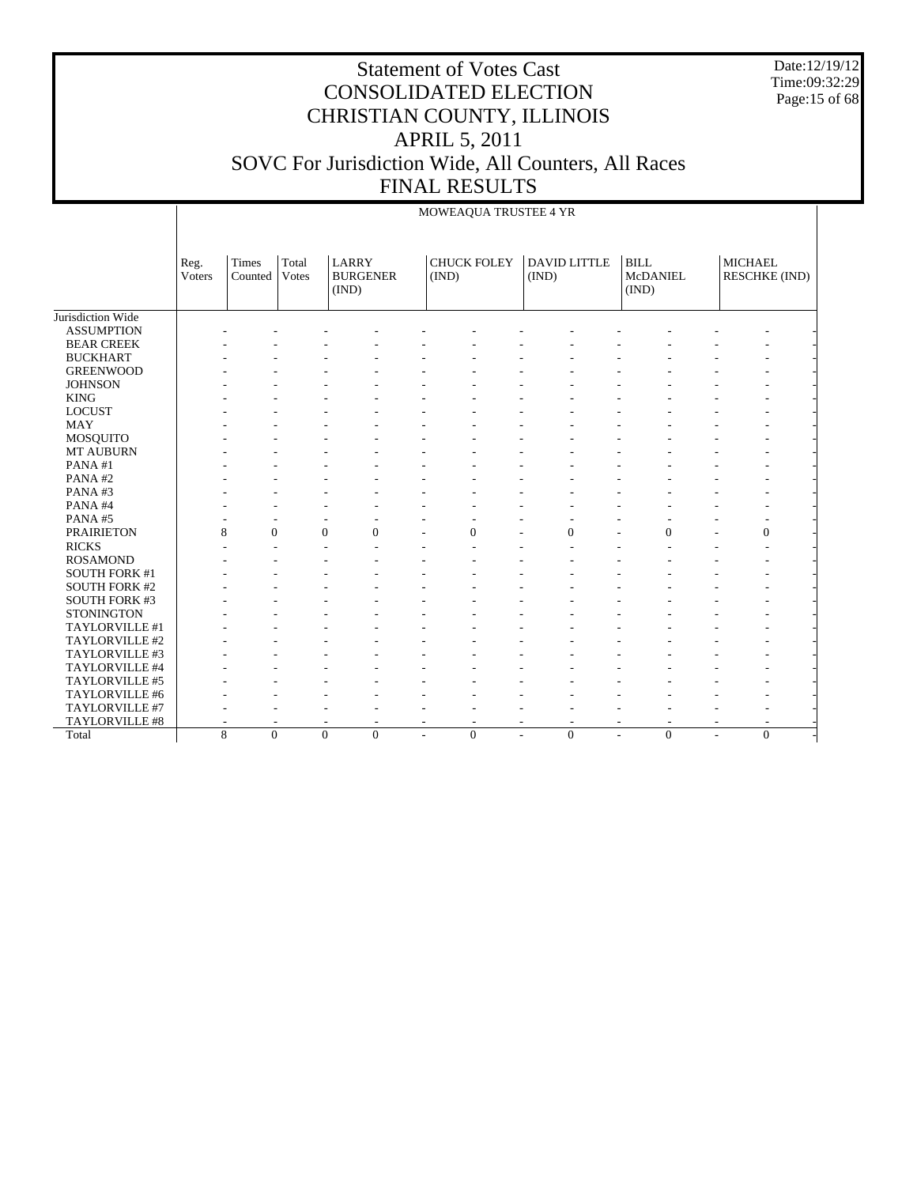Date:12/19/12 Time:09:32:29 Page:15 of 68

|                      |                       |                  |                |                                          |                          | MOWEAQUA TRUSTEE 4 YR       |                              |                           |                |                      |
|----------------------|-----------------------|------------------|----------------|------------------------------------------|--------------------------|-----------------------------|------------------------------|---------------------------|----------------|----------------------|
|                      | Reg.<br><b>Voters</b> | Times<br>Counted | Total<br>Votes | <b>LARRY</b><br><b>BURGENER</b><br>(IND) |                          | <b>CHUCK FOLEY</b><br>(IND) | <b>DAVID LITTLE</b><br>(IND) | BILL<br>McDANIEL<br>(IND) | <b>MICHAEL</b> | <b>RESCHKE (IND)</b> |
| Jurisdiction Wide    |                       |                  |                |                                          |                          |                             |                              |                           |                |                      |
| <b>ASSUMPTION</b>    |                       |                  |                |                                          |                          |                             |                              |                           |                |                      |
| <b>BEAR CREEK</b>    |                       |                  |                |                                          |                          |                             |                              |                           |                |                      |
| <b>BUCKHART</b>      |                       |                  |                |                                          |                          |                             |                              |                           |                |                      |
| <b>GREENWOOD</b>     |                       |                  |                |                                          |                          |                             |                              |                           |                |                      |
| <b>JOHNSON</b>       |                       |                  |                |                                          |                          |                             |                              |                           |                |                      |
| <b>KING</b>          |                       |                  |                |                                          |                          |                             |                              |                           |                |                      |
| <b>LOCUST</b>        |                       |                  |                |                                          |                          |                             |                              |                           |                |                      |
| <b>MAY</b>           |                       |                  |                |                                          |                          |                             |                              |                           |                |                      |
| MOSQUITO             |                       |                  |                |                                          |                          |                             |                              |                           |                |                      |
| MT AUBURN            |                       |                  |                |                                          |                          |                             |                              |                           |                |                      |
| PANA#1               |                       |                  |                |                                          |                          |                             |                              |                           |                |                      |
| PANA#2               |                       |                  |                |                                          |                          |                             |                              |                           |                |                      |
| PANA#3               |                       |                  |                |                                          |                          |                             |                              |                           |                |                      |
| PANA#4               |                       |                  |                |                                          |                          |                             |                              |                           |                |                      |
| PANA#5               |                       |                  |                | ÷,                                       |                          |                             |                              |                           |                |                      |
| <b>PRAIRIETON</b>    | 8                     | $\theta$         |                | $\overline{0}$<br>$\Omega$               |                          | $\Omega$                    | $\Omega$                     | $\Omega$                  |                | $\Omega$             |
| <b>RICKS</b>         |                       |                  |                |                                          |                          |                             |                              |                           |                |                      |
| <b>ROSAMOND</b>      |                       |                  |                |                                          |                          |                             |                              |                           |                |                      |
| <b>SOUTH FORK #1</b> |                       |                  |                |                                          |                          |                             |                              |                           |                |                      |
| <b>SOUTH FORK #2</b> |                       |                  |                |                                          |                          |                             |                              |                           |                |                      |
| <b>SOUTH FORK #3</b> |                       |                  |                |                                          |                          |                             |                              |                           |                |                      |
| <b>STONINGTON</b>    |                       |                  |                |                                          |                          |                             |                              |                           |                |                      |
| TAYLORVILLE #1       |                       |                  |                |                                          |                          |                             |                              |                           |                |                      |
| TAYLORVILLE #2       |                       |                  |                |                                          |                          |                             |                              |                           |                |                      |
| TAYLORVILLE #3       |                       |                  |                |                                          |                          |                             |                              |                           |                |                      |
| TAYLORVILLE #4       |                       |                  |                |                                          |                          |                             |                              |                           |                |                      |
| TAYLORVILLE #5       |                       |                  |                |                                          |                          |                             |                              |                           |                |                      |
| TAYLORVILLE #6       |                       |                  |                |                                          |                          |                             |                              |                           |                |                      |
| TAYLORVILLE #7       |                       |                  |                |                                          |                          |                             |                              |                           |                |                      |
| TAYLORVILLE #8       |                       |                  |                |                                          | $\overline{\phantom{a}}$ | $\overline{a}$              | $\overline{a}$               |                           |                |                      |
| Total                | 8                     | $\overline{0}$   |                | $\overline{0}$<br>$\Omega$               | L,                       | $\overline{0}$              | $\overline{0}$               | $\Omega$                  | L,             | $\theta$             |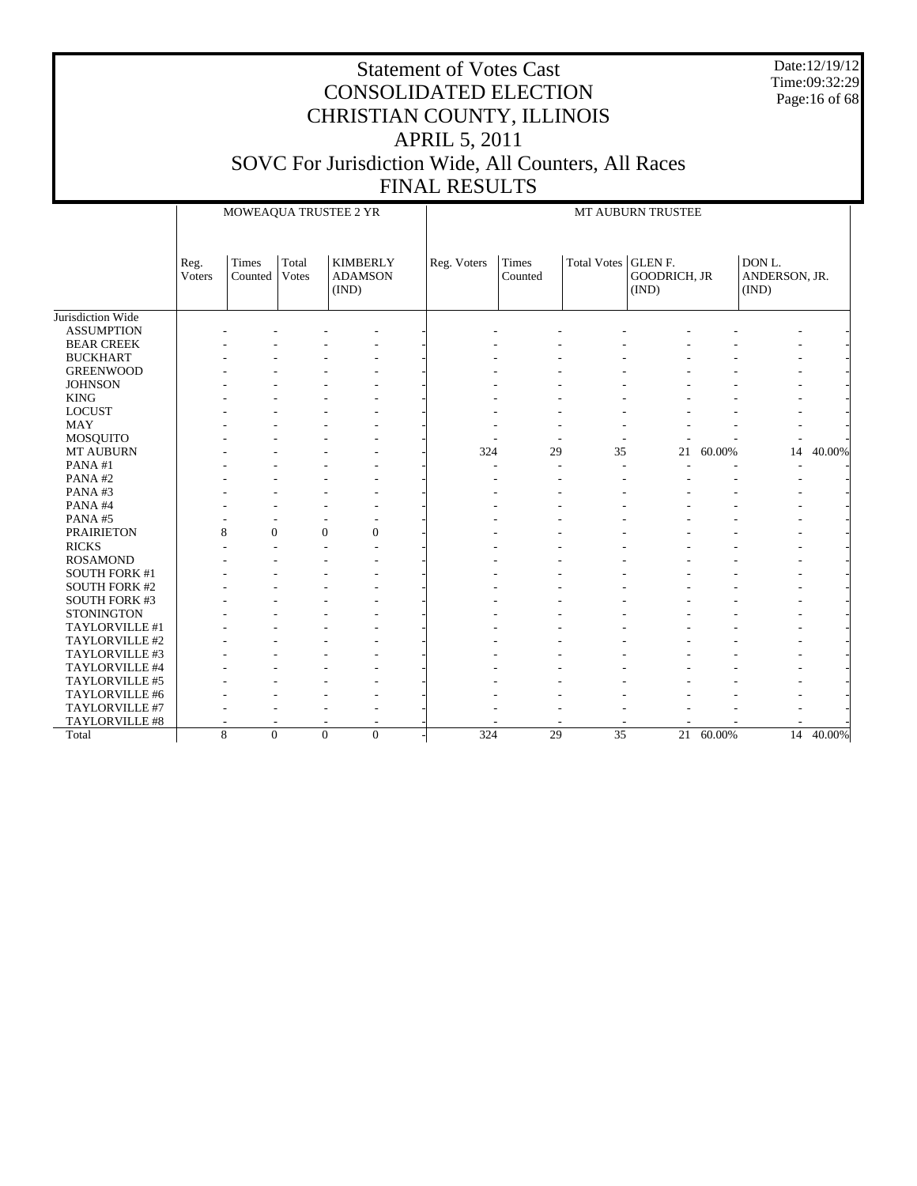Date:12/19/12 Time:09:32:29 Page:16 of 68

|                      |                | MOWEAQUA TRUSTEE 2 YR |                |                |                                   | MT AUBURN TRUSTEE |                  |                       |                              |        |                                  |        |  |
|----------------------|----------------|-----------------------|----------------|----------------|-----------------------------------|-------------------|------------------|-----------------------|------------------------------|--------|----------------------------------|--------|--|
|                      | Reg.<br>Voters | Times<br>Counted      | Total<br>Votes | (IND)          | <b>KIMBERLY</b><br><b>ADAMSON</b> | Reg. Voters       | Times<br>Counted | Total Votes   GLEN F. | <b>GOODRICH, JR</b><br>(IND) |        | DON L.<br>ANDERSON, JR.<br>(IND) |        |  |
| Jurisdiction Wide    |                |                       |                |                |                                   |                   |                  |                       |                              |        |                                  |        |  |
| <b>ASSUMPTION</b>    |                |                       |                |                |                                   |                   |                  |                       |                              |        |                                  |        |  |
| <b>BEAR CREEK</b>    |                |                       |                |                |                                   |                   |                  |                       |                              |        |                                  |        |  |
| <b>BUCKHART</b>      |                |                       |                |                |                                   |                   |                  |                       |                              |        |                                  |        |  |
| <b>GREENWOOD</b>     |                |                       |                |                |                                   |                   |                  |                       |                              |        |                                  |        |  |
| <b>JOHNSON</b>       |                |                       |                |                |                                   |                   |                  |                       |                              |        |                                  |        |  |
| <b>KING</b>          |                |                       |                |                |                                   |                   |                  |                       |                              |        |                                  |        |  |
| <b>LOCUST</b>        |                |                       |                |                |                                   |                   |                  |                       |                              |        |                                  |        |  |
| <b>MAY</b>           |                |                       |                |                |                                   |                   |                  |                       |                              |        |                                  |        |  |
| MOSQUITO             |                |                       |                |                |                                   |                   |                  |                       |                              |        |                                  |        |  |
| MT AUBURN            |                |                       |                |                |                                   | 324               | 29               | 35                    | 21                           | 60.00% | 14                               | 40.00% |  |
| PANA#1               |                |                       |                |                |                                   |                   |                  |                       |                              |        |                                  |        |  |
| PANA#2               |                |                       |                |                |                                   |                   |                  |                       |                              |        |                                  |        |  |
| PANA#3               |                |                       |                |                |                                   |                   |                  |                       |                              |        |                                  |        |  |
| PANA#4               |                |                       |                |                |                                   |                   |                  |                       |                              |        |                                  |        |  |
| PANA#5               |                |                       |                |                |                                   |                   |                  |                       |                              |        |                                  |        |  |
| <b>PRAIRIETON</b>    |                | 8<br>$\mathbf{0}$     |                | $\overline{0}$ | $\mathbf{0}$                      |                   |                  |                       |                              |        |                                  |        |  |
| <b>RICKS</b>         |                |                       |                |                |                                   |                   |                  |                       |                              |        |                                  |        |  |
| <b>ROSAMOND</b>      |                |                       |                |                |                                   |                   |                  |                       |                              |        |                                  |        |  |
| <b>SOUTH FORK #1</b> |                |                       |                |                |                                   |                   |                  |                       |                              |        |                                  |        |  |
| <b>SOUTH FORK #2</b> |                |                       |                |                |                                   |                   |                  |                       |                              |        |                                  |        |  |
| <b>SOUTH FORK #3</b> |                |                       |                |                |                                   |                   |                  |                       |                              |        |                                  |        |  |
| <b>STONINGTON</b>    |                |                       |                |                |                                   |                   |                  |                       |                              |        |                                  |        |  |
| TAYLORVILLE #1       |                |                       |                |                |                                   |                   |                  |                       |                              |        |                                  |        |  |
| TAYLORVILLE #2       |                |                       |                |                |                                   |                   |                  |                       |                              |        |                                  |        |  |
| TAYLORVILLE #3       |                |                       |                |                |                                   |                   |                  |                       |                              |        |                                  |        |  |
| TAYLORVILLE #4       |                |                       |                |                |                                   |                   |                  |                       |                              |        |                                  |        |  |
| TAYLORVILLE #5       |                |                       |                |                |                                   |                   |                  |                       |                              |        |                                  |        |  |
| TAYLORVILLE #6       |                |                       |                |                |                                   |                   |                  |                       |                              |        |                                  |        |  |
| TAYLORVILLE #7       |                |                       |                |                |                                   |                   |                  |                       |                              |        |                                  |        |  |
| TAYLORVILLE #8       |                |                       |                |                |                                   |                   |                  |                       |                              |        |                                  |        |  |
| Total                |                | 8<br>$\Omega$         |                | $\theta$       | $\Omega$                          | 324               | 29               | $\overline{35}$       | 21                           | 60.00% | $\overline{14}$                  | 40.00% |  |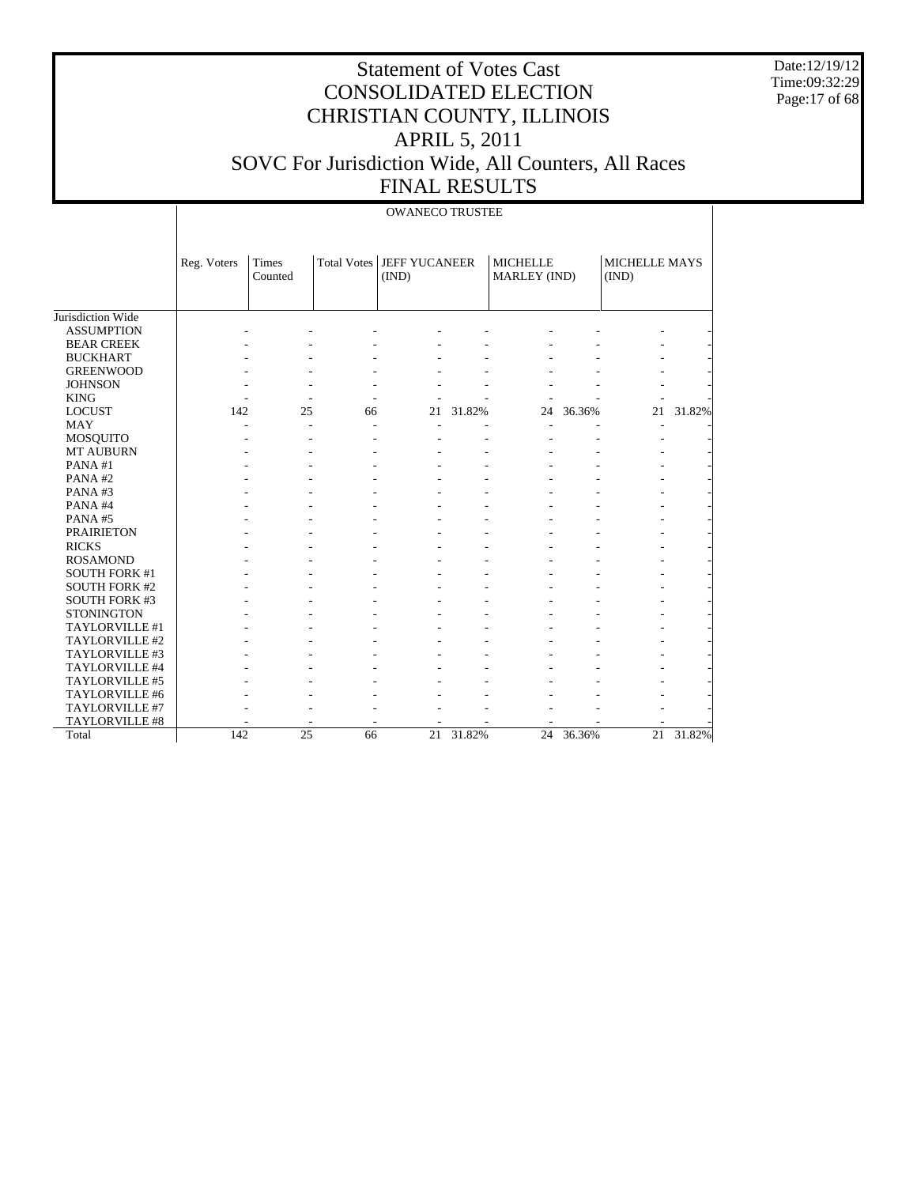Date:12/19/12 Time:09:32:29 Page:17 of 68

|                      |             | <b>OWANECO TRUSTEE</b>  |    |                                      |           |                                 |        |                        |           |  |  |  |  |  |
|----------------------|-------------|-------------------------|----|--------------------------------------|-----------|---------------------------------|--------|------------------------|-----------|--|--|--|--|--|
|                      | Reg. Voters | <b>Times</b><br>Counted |    | Total Votes   JEFF YUCANEER<br>(IND) |           | <b>MICHELLE</b><br>MARLEY (IND) |        | MICHELLE MAYS<br>(IND) |           |  |  |  |  |  |
| Jurisdiction Wide    |             |                         |    |                                      |           |                                 |        |                        |           |  |  |  |  |  |
| <b>ASSUMPTION</b>    |             |                         |    |                                      |           |                                 |        |                        |           |  |  |  |  |  |
| <b>BEAR CREEK</b>    |             |                         |    |                                      |           |                                 |        |                        |           |  |  |  |  |  |
| <b>BUCKHART</b>      |             |                         |    |                                      |           |                                 |        |                        |           |  |  |  |  |  |
| <b>GREENWOOD</b>     |             |                         |    |                                      |           |                                 |        |                        |           |  |  |  |  |  |
| <b>JOHNSON</b>       |             |                         |    |                                      |           |                                 |        |                        |           |  |  |  |  |  |
| <b>KING</b>          |             |                         |    |                                      |           |                                 |        |                        |           |  |  |  |  |  |
| <b>LOCUST</b>        | 142         | 25                      | 66 | 21                                   | 31.82%    | 24                              | 36.36% | 21                     | 31.82%    |  |  |  |  |  |
| MAY                  |             |                         |    |                                      |           |                                 |        |                        |           |  |  |  |  |  |
| <b>MOSQUITO</b>      |             |                         |    |                                      |           |                                 |        |                        |           |  |  |  |  |  |
| <b>MT AUBURN</b>     |             |                         |    |                                      |           |                                 |        |                        |           |  |  |  |  |  |
| PANA#1               |             |                         |    |                                      |           |                                 |        |                        |           |  |  |  |  |  |
| PANA#2               |             |                         |    |                                      |           |                                 |        |                        |           |  |  |  |  |  |
| PANA#3               |             |                         |    |                                      |           |                                 |        |                        |           |  |  |  |  |  |
| PANA#4               |             |                         |    |                                      |           |                                 |        |                        |           |  |  |  |  |  |
| PANA#5               |             |                         |    |                                      |           |                                 |        |                        |           |  |  |  |  |  |
| <b>PRAIRIETON</b>    |             |                         |    |                                      |           |                                 |        |                        |           |  |  |  |  |  |
| <b>RICKS</b>         |             |                         |    |                                      |           |                                 |        |                        |           |  |  |  |  |  |
| <b>ROSAMOND</b>      |             |                         |    |                                      |           |                                 |        |                        |           |  |  |  |  |  |
| <b>SOUTH FORK #1</b> |             |                         |    |                                      |           |                                 |        |                        |           |  |  |  |  |  |
| <b>SOUTH FORK #2</b> |             |                         |    |                                      |           |                                 |        |                        |           |  |  |  |  |  |
| <b>SOUTH FORK #3</b> |             |                         |    |                                      |           |                                 |        |                        |           |  |  |  |  |  |
| <b>STONINGTON</b>    |             |                         |    |                                      |           |                                 |        |                        |           |  |  |  |  |  |
| TAYLORVILLE #1       |             |                         |    |                                      |           |                                 |        |                        |           |  |  |  |  |  |
| TAYLORVILLE #2       |             |                         |    |                                      |           |                                 |        |                        |           |  |  |  |  |  |
| TAYLORVILLE #3       |             |                         |    |                                      |           |                                 |        |                        |           |  |  |  |  |  |
| TAYLORVILLE #4       |             |                         |    |                                      |           |                                 |        |                        |           |  |  |  |  |  |
| TAYLORVILLE #5       |             |                         |    |                                      |           |                                 |        |                        |           |  |  |  |  |  |
| TAYLORVILLE #6       |             |                         |    |                                      |           |                                 |        |                        |           |  |  |  |  |  |
| TAYLORVILLE #7       |             |                         |    |                                      |           |                                 |        |                        |           |  |  |  |  |  |
| TAYLORVILLE #8       |             |                         |    |                                      |           |                                 |        |                        |           |  |  |  |  |  |
| Total                | 142         | 25                      | 66 |                                      | 21 31.82% | 24                              | 36.36% |                        | 21 31.82% |  |  |  |  |  |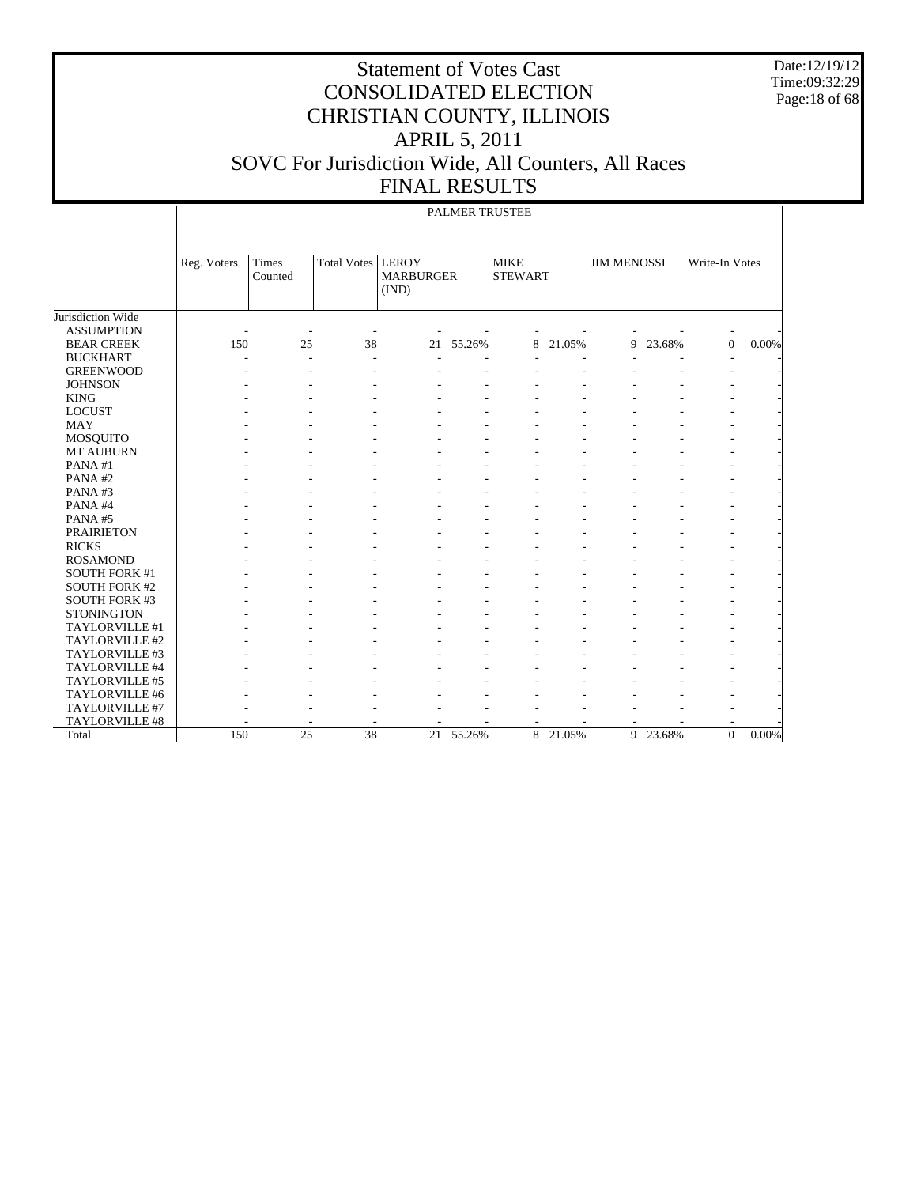Date:12/19/12 Time:09:32:29 Page:18 of 68

## Statement of Votes Cast CONSOLIDATED ELECTION CHRISTIAN COUNTY, ILLINOIS APRIL 5, 2011 SOVC For Jurisdiction Wide, All Counters, All Races FINAL RESULTS

#### Jurisdiction Wide ASSUMPTION BEAR CREEK BUCKHART GREENWOOD JOHNSON KING LOCUST MAY MOSQUITO MT AUBURN PANA #1 PANA #2 PANA #3 PANA #4 PANA #5 PRAIRIETON RICKS ROSAMOND SOUTH FORK #1 SOUTH FORK #2 SOUTH FORK #3 **STONINGTON**  TAYLORVILLE #1 TAYLORVILLE #2 TAYLORVILLE #3 TAYLORVILLE #4 TAYLORVILLE #5 TAYLORVILLE #6 TAYLORVILLE #7 TAYLORVILLE #8 Total Reg. Voters Times Counted Total Votes | LEROY MARBURGER (IND) MIKE STEWART JIM MENOSSI | Write-In Votes PALMER TRUSTEE -  $\sim$  -  $\sim$  -  $\sim$  -  $\sim$  -  $\sim$  -  $\sim$  -  $\sim$  -  $\sim$  -  $\sim$  -  $\sim$  -  $\sim$  -  $\sim$ 150 25 38 21 55.26% 8 21.05% 9 23.68% 0 0.00% -  $\sim$  -  $\sim$  -  $\sim$  -  $\sim$  -  $\sim$  -  $\sim$  -  $\sim$  -  $\sim$  -  $\sim$  -  $\sim$  -  $\sim$  -  $\sim$ -  $\sim$  -  $\sim$  -  $\sim$  -  $\sim$  -  $\sim$  -  $\sim$  -  $\sim$  -  $\sim$  -  $\sim$  -  $\sim$  -  $\sim$  -  $\sim$ -  $\sim$  -  $\sim$  -  $\sim$  -  $\sim$  -  $\sim$  -  $\sim$  -  $\sim$  -  $\sim$  -  $\sim$  -  $\sim$  -  $\sim$  -  $\sim$ -  $\sim$  -  $\sim$  -  $\sim$  -  $\sim$  -  $\sim$  -  $\sim$  -  $\sim$  -  $\sim$  -  $\sim$  -  $\sim$  -  $\sim$  -  $\sim$ -  $\sim$  -  $\sim$  -  $\sim$  -  $\sim$  -  $\sim$  -  $\sim$  -  $\sim$  -  $\sim$  -  $\sim$  -  $\sim$  -  $\sim$  -  $\sim$ -  $\sim$  -  $\sim$  -  $\sim$  -  $\sim$  -  $\sim$  -  $\sim$  -  $\sim$  -  $\sim$  -  $\sim$  -  $\sim$  -  $\sim$  -  $\sim$ -  $\sim$  -  $\sim$  -  $\sim$  -  $\sim$  -  $\sim$  -  $\sim$  -  $\sim$  -  $\sim$  -  $\sim$  -  $\sim$  -  $\sim$  -  $\sim$ -  $\sim$  -  $\sim$  -  $\sim$  -  $\sim$  -  $\sim$  -  $\sim$  -  $\sim$  -  $\sim$  -  $\sim$  -  $\sim$  -  $\sim$  -  $\sim$ -  $\sim$  -  $\sim$  -  $\sim$  -  $\sim$  -  $\sim$  -  $\sim$  -  $\sim$  -  $\sim$  -  $\sim$  -  $\sim$  -  $\sim$  -  $\sim$ -  $\sim$  -  $\sim$  -  $\sim$  -  $\sim$  -  $\sim$  -  $\sim$  -  $\sim$  -  $\sim$  -  $\sim$  -  $\sim$  -  $\sim$  -  $\sim$ -  $\sim$  -  $\sim$  -  $\sim$  -  $\sim$  -  $\sim$  -  $\sim$  -  $\sim$  -  $\sim$  -  $\sim$  -  $\sim$  -  $\sim$  -  $\sim$ -  $\sim$  -  $\sim$  -  $\sim$  -  $\sim$  -  $\sim$  -  $\sim$  -  $\sim$  -  $\sim$  -  $\sim$  -  $\sim$  -  $\sim$  -  $\sim$ -  $\sim$  -  $\sim$  -  $\sim$  -  $\sim$  -  $\sim$  -  $\sim$  -  $\sim$  -  $\sim$  -  $\sim$  -  $\sim$  -  $\sim$  -  $\sim$ -  $\sim$  -  $\sim$  -  $\sim$  -  $\sim$  -  $\sim$  -  $\sim$  -  $\sim$  -  $\sim$  -  $\sim$  -  $\sim$  -  $\sim$  -  $\sim$ -  $\sim$  -  $\sim$  -  $\sim$  -  $\sim$  -  $\sim$  -  $\sim$  -  $\sim$  -  $\sim$  -  $\sim$  -  $\sim$  -  $\sim$  -  $\sim$ -  $\sim$  -  $\sim$  -  $\sim$  -  $\sim$  -  $\sim$  -  $\sim$  -  $\sim$  -  $\sim$  -  $\sim$  -  $\sim$  -  $\sim$  -  $\sim$ -  $\sim$  -  $\sim$  -  $\sim$  -  $\sim$  -  $\sim$  -  $\sim$  -  $\sim$  -  $\sim$  -  $\sim$  -  $\sim$  -  $\sim$  -  $\sim$ -  $\sim$  -  $\sim$  -  $\sim$  -  $\sim$  -  $\sim$  -  $\sim$  -  $\sim$  -  $\sim$  -  $\sim$  -  $\sim$  -  $\sim$  -  $\sim$ -  $\sim$  -  $\sim$  -  $\sim$  -  $\sim$  -  $\sim$  -  $\sim$  -  $\sim$  -  $\sim$  -  $\sim$  -  $\sim$  -  $\sim$  -  $\sim$ -  $\sim$  -  $\sim$  -  $\sim$  -  $\sim$  -  $\sim$  -  $\sim$  -  $\sim$  -  $\sim$  -  $\sim$  -  $\sim$  -  $\sim$  -  $\sim$ -  $\sim$  -  $\sim$  -  $\sim$  -  $\sim$  -  $\sim$  -  $\sim$  -  $\sim$  -  $\sim$  -  $\sim$  -  $\sim$  -  $\sim$  -  $\sim$ -  $\sim$  -  $\sim$  -  $\sim$  -  $\sim$  -  $\sim$  -  $\sim$  -  $\sim$  -  $\sim$  -  $\sim$  -  $\sim$  -  $\sim$  -  $\sim$ -  $\sim$  -  $\sim$  -  $\sim$  -  $\sim$  -  $\sim$  -  $\sim$  -  $\sim$  -  $\sim$  -  $\sim$  -  $\sim$  -  $\sim$  -  $\sim$ -  $\sim$  -  $\sim$  -  $\sim$  -  $\sim$  -  $\sim$  -  $\sim$  -  $\sim$  -  $\sim$  -  $\sim$  -  $\sim$  -  $\sim$  -  $\sim$ -  $\sim$  -  $\sim$  -  $\sim$  -  $\sim$  -  $\sim$  -  $\sim$  -  $\sim$  -  $\sim$  -  $\sim$  -  $\sim$  -  $\sim$  -  $\sim$ -  $\sim$  -  $\sim$  -  $\sim$  -  $\sim$  -  $\sim$  -  $\sim$  -  $\sim$  -  $\sim$  -  $\sim$  -  $\sim$  -  $\sim$  -  $\sim$ -  $\sim$  -  $\sim$  -  $\sim$  -  $\sim$  -  $\sim$  -  $\sim$  -  $\sim$  -  $\sim$  -  $\sim$  -  $\sim$  -  $\sim$  -  $\sim$ - - - - - - - - - - - 150 25 38 21 55.26% 8 21.05% 9 23.68% 0 0.00%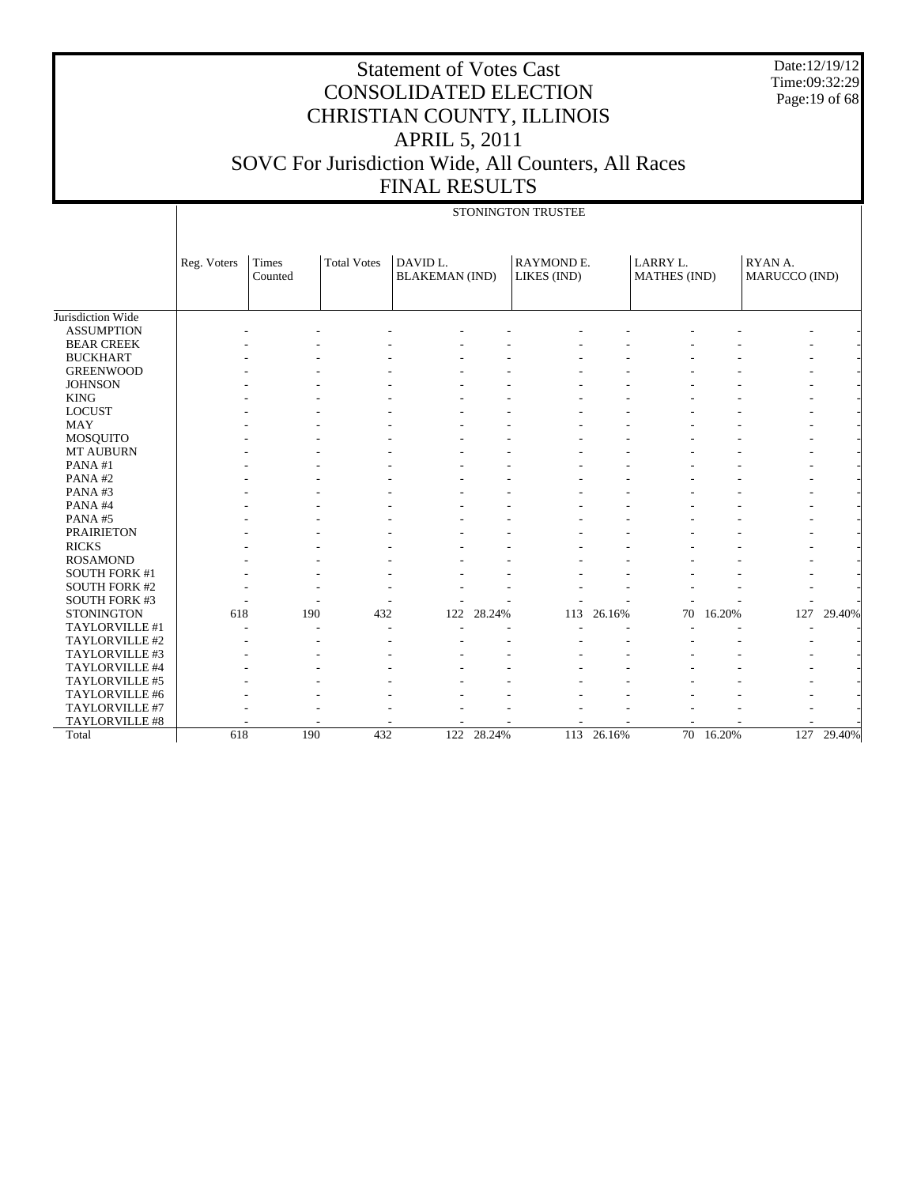Date:12/19/12 Time:09:32:29 Page:19 of 68

# Statement of Votes Cast CONSOLIDATED ELECTION CHRISTIAN COUNTY, ILLINOIS APRIL 5, 2011 SOVC For Jurisdiction Wide, All Counters, All Races FINAL RESULTS

#### STONINGTON TRUSTEE

|                      | Reg. Voters | Times<br>Counted | <b>Total Votes</b> | DAVID L.<br><b>BLAKEMAN</b> (IND) |        | <b>RAYMOND E.</b><br>LIKES (IND) |        | LARRY L.<br><b>MATHES</b> (IND) |        | RYAN A.<br>MARUCCO (IND) |        |
|----------------------|-------------|------------------|--------------------|-----------------------------------|--------|----------------------------------|--------|---------------------------------|--------|--------------------------|--------|
|                      |             |                  |                    |                                   |        |                                  |        |                                 |        |                          |        |
| Jurisdiction Wide    |             |                  |                    |                                   |        |                                  |        |                                 |        |                          |        |
| <b>ASSUMPTION</b>    |             |                  |                    |                                   |        |                                  |        |                                 |        |                          |        |
| <b>BEAR CREEK</b>    |             |                  |                    |                                   |        |                                  |        |                                 |        |                          |        |
| <b>BUCKHART</b>      |             |                  |                    |                                   |        |                                  |        |                                 |        |                          |        |
| <b>GREENWOOD</b>     |             |                  |                    |                                   |        |                                  |        |                                 |        |                          |        |
| <b>JOHNSON</b>       |             |                  |                    |                                   |        |                                  |        |                                 |        |                          |        |
| <b>KING</b>          |             |                  |                    |                                   |        |                                  |        |                                 |        |                          |        |
| <b>LOCUST</b>        |             |                  |                    |                                   |        |                                  |        |                                 |        |                          |        |
| <b>MAY</b>           |             |                  |                    |                                   |        |                                  |        |                                 |        |                          |        |
| <b>MOSQUITO</b>      |             |                  |                    |                                   |        |                                  |        |                                 |        |                          |        |
| MT AUBURN            |             |                  |                    |                                   |        |                                  |        |                                 |        |                          |        |
| PANA#1               |             |                  |                    |                                   |        |                                  |        |                                 |        |                          |        |
| PANA#2               |             |                  |                    |                                   |        |                                  |        |                                 |        |                          |        |
| PANA#3               |             |                  |                    |                                   |        |                                  |        |                                 |        |                          |        |
| PANA#4               |             |                  |                    |                                   |        |                                  |        |                                 |        |                          |        |
| PANA#5               |             |                  |                    |                                   |        |                                  |        |                                 |        |                          |        |
| <b>PRAIRIETON</b>    |             |                  |                    |                                   |        |                                  |        |                                 |        |                          |        |
| <b>RICKS</b>         |             |                  |                    |                                   |        |                                  |        |                                 |        |                          |        |
| <b>ROSAMOND</b>      |             |                  |                    |                                   |        |                                  |        |                                 |        |                          |        |
| <b>SOUTH FORK #1</b> |             |                  |                    |                                   |        |                                  |        |                                 |        |                          |        |
| <b>SOUTH FORK #2</b> |             |                  |                    |                                   |        |                                  |        |                                 |        |                          |        |
| SOUTH FORK #3        |             |                  |                    |                                   |        |                                  |        |                                 |        |                          |        |
| <b>STONINGTON</b>    | 618         | 190              | 432                | 122                               | 28.24% | 113                              | 26.16% | 70                              | 16.20% | 127                      | 29.40% |
| TAYLORVILLE #1       |             |                  |                    |                                   |        |                                  |        |                                 |        |                          |        |
| TAYLORVILLE #2       |             |                  |                    |                                   |        |                                  |        |                                 |        |                          |        |
| TAYLORVILLE #3       |             |                  |                    |                                   |        |                                  |        |                                 |        |                          |        |
| TAYLORVILLE #4       |             |                  |                    |                                   |        |                                  |        |                                 |        |                          |        |
| TAYLORVILLE #5       |             |                  |                    |                                   |        |                                  |        |                                 |        |                          |        |
| TAYLORVILLE #6       |             |                  |                    |                                   |        |                                  |        |                                 |        |                          |        |
| TAYLORVILLE #7       |             |                  |                    |                                   |        |                                  |        |                                 |        |                          |        |
| TAYLORVILLE #8       |             |                  |                    |                                   |        |                                  |        |                                 |        |                          |        |
| Total                | 618         | 190              | 432                | 122                               | 28.24% | 113                              | 26.16% | $\overline{70}$                 | 16.20% | 127                      | 29.40% |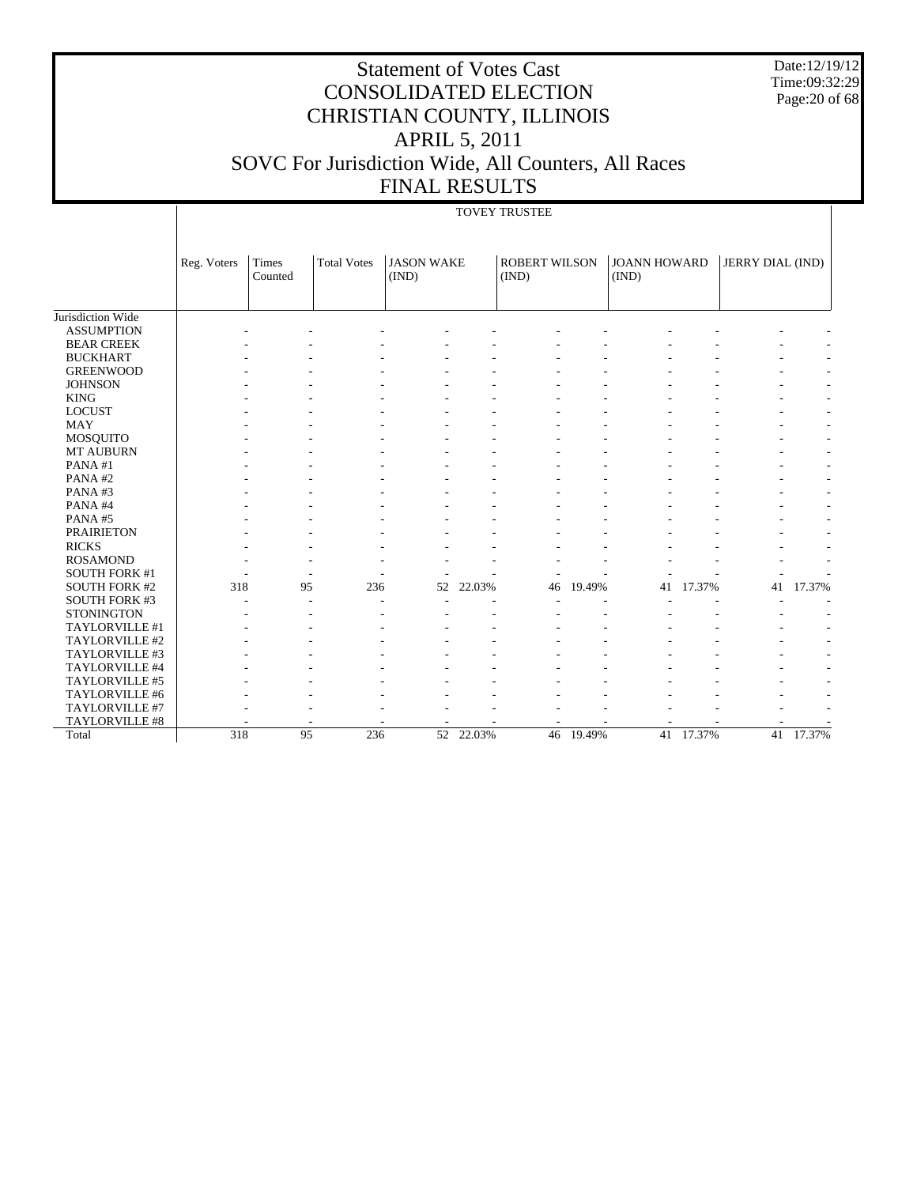Date:12/19/12 Time:09:32:29 Page:20 of 68

# Statement of Votes Cast CONSOLIDATED ELECTION CHRISTIAN COUNTY, ILLINOIS APRIL 5, 2011 SOVC For Jurisdiction Wide, All Counters, All Races FINAL RESULTS

#### TOVEY TRUSTEE

|                      | Reg. Voters | Times<br>Counted | <b>Total Votes</b> | <b>JASON WAKE</b><br>(IND) |           | <b>ROBERT WILSON</b><br>(IND) |           | <b>JOANN HOWARD</b><br>(IND) |           | JERRY DIAL (IND) |                          |
|----------------------|-------------|------------------|--------------------|----------------------------|-----------|-------------------------------|-----------|------------------------------|-----------|------------------|--------------------------|
|                      |             |                  |                    |                            |           |                               |           |                              |           |                  |                          |
| Jurisdiction Wide    |             |                  |                    |                            |           |                               |           |                              |           |                  |                          |
| <b>ASSUMPTION</b>    |             |                  |                    |                            |           |                               |           |                              |           |                  |                          |
| <b>BEAR CREEK</b>    |             |                  |                    |                            |           |                               |           |                              |           |                  | $\overline{\phantom{a}}$ |
| <b>BUCKHART</b>      |             |                  |                    |                            |           |                               |           |                              |           |                  | ٠                        |
| <b>GREENWOOD</b>     |             |                  |                    |                            |           |                               |           |                              |           |                  | ٠                        |
| <b>JOHNSON</b>       |             |                  |                    |                            |           |                               |           |                              |           |                  | ٠                        |
| <b>KING</b>          |             |                  |                    |                            |           |                               |           |                              |           |                  | $\overline{\phantom{a}}$ |
| <b>LOCUST</b>        |             |                  |                    |                            |           |                               |           |                              |           |                  | $\sim$                   |
| <b>MAY</b>           |             |                  |                    |                            |           |                               |           |                              |           |                  | $\sim$                   |
| MOSQUITO             |             |                  |                    |                            |           |                               |           |                              |           |                  | $\sim$                   |
| <b>MT AUBURN</b>     |             |                  |                    |                            |           |                               |           |                              |           | ٠                | $\sim$                   |
| PANA#1               |             |                  |                    |                            |           |                               |           |                              |           |                  | $\sim$                   |
| PANA#2               |             |                  |                    |                            |           |                               |           |                              |           |                  | $\sim$                   |
| PANA#3               |             |                  |                    |                            |           |                               |           |                              |           |                  | $\overline{\phantom{a}}$ |
| PANA#4               |             |                  |                    |                            |           |                               |           |                              |           |                  | $\sim$                   |
| PANA#5               |             |                  |                    |                            |           |                               |           |                              |           |                  | $\overline{\phantom{a}}$ |
| <b>PRAIRIETON</b>    |             |                  |                    |                            |           |                               |           |                              |           |                  | ÷,                       |
| <b>RICKS</b>         |             |                  |                    |                            |           |                               |           |                              |           |                  | ٠                        |
| <b>ROSAMOND</b>      |             |                  |                    |                            |           |                               |           |                              |           |                  |                          |
| <b>SOUTH FORK #1</b> |             |                  |                    |                            |           |                               |           |                              |           |                  |                          |
| <b>SOUTH FORK #2</b> | 318         | 95               | 236                | 52                         | 22.03%    | 46                            | 19.49%    | 41                           | 17.37%    | 41               | 17.37%                   |
| <b>SOUTH FORK #3</b> |             |                  | ۰                  |                            |           |                               |           |                              |           |                  | $\overline{\phantom{a}}$ |
| <b>STONINGTON</b>    |             |                  |                    |                            |           |                               |           |                              |           |                  | $\overline{\phantom{a}}$ |
| TAYLORVILLE #1       |             |                  |                    |                            |           |                               |           |                              |           |                  | $\sim$                   |
| TAYLORVILLE #2       |             |                  |                    |                            |           |                               |           |                              |           |                  | ٠                        |
| TAYLORVILLE #3       |             |                  |                    |                            |           |                               |           |                              |           |                  | ٠                        |
| TAYLORVILLE #4       |             |                  |                    |                            |           |                               |           |                              |           |                  | ٠                        |
| TAYLORVILLE #5       |             |                  |                    |                            |           |                               |           |                              |           |                  | ٠                        |
| TAYLORVILLE #6       |             |                  |                    |                            |           |                               |           |                              |           |                  |                          |
| TAYLORVILLE #7       |             |                  |                    |                            |           |                               |           |                              |           |                  |                          |
| TAYLORVILLE #8       |             |                  |                    |                            |           |                               |           |                              |           |                  |                          |
| Total                | 318         | 95               | 236                |                            | 52 22.03% |                               | 46 19.49% |                              | 41 17.37% | 41               | 17.37%                   |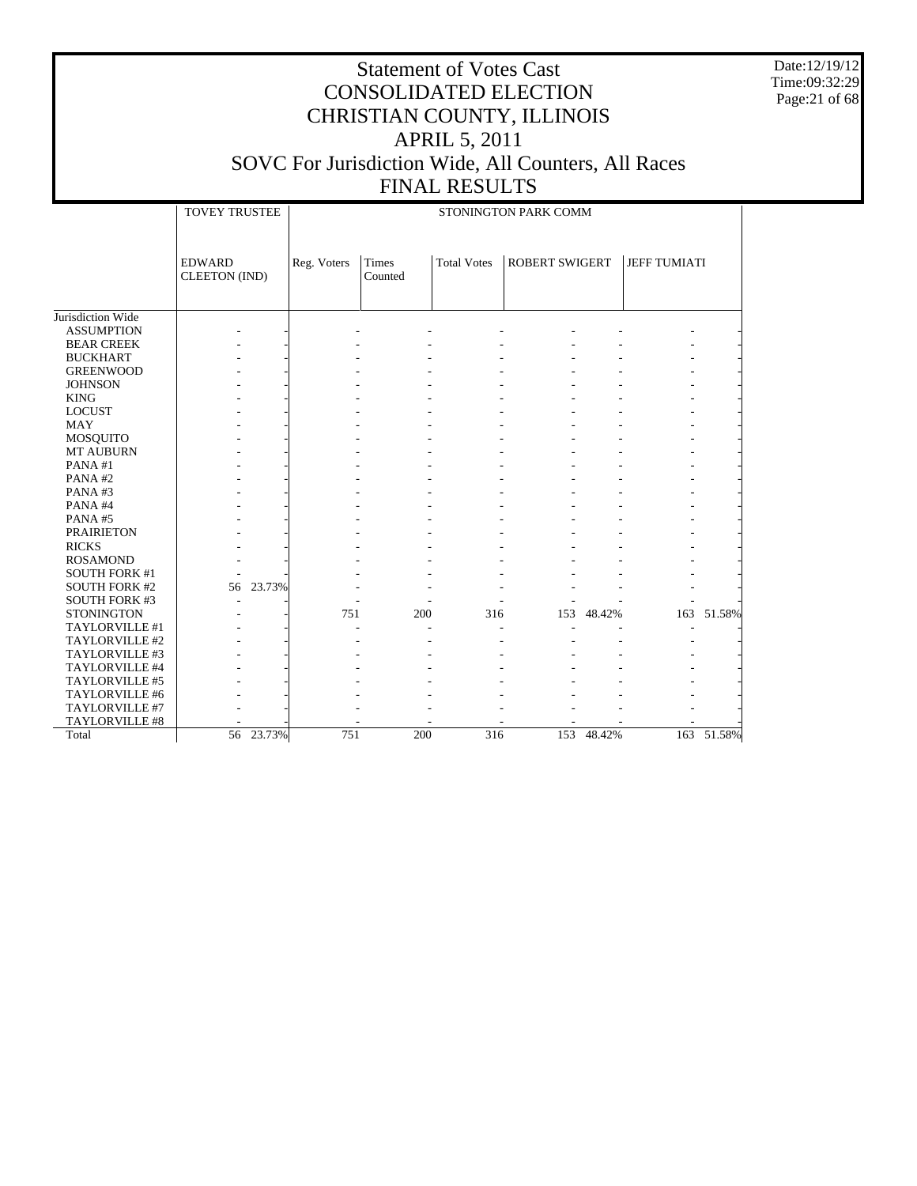Date:12/19/12 Time:09:32:29 Page:21 of 68

|  | .                          |  |  |  |
|--|----------------------------|--|--|--|
|  |                            |  |  |  |
|  | <b>CTOMINGTON DADK COM</b> |  |  |  |

|                      | <b>TOVEY TRUSTEE</b><br>STONINGTON PARK COMM |           |             |                  |                    |                       |            |                     |            |
|----------------------|----------------------------------------------|-----------|-------------|------------------|--------------------|-----------------------|------------|---------------------|------------|
|                      | <b>EDWARD</b><br><b>CLEETON</b> (IND)        |           | Reg. Voters | Times<br>Counted | <b>Total Votes</b> | <b>ROBERT SWIGERT</b> |            | <b>JEFF TUMIATI</b> |            |
| Jurisdiction Wide    |                                              |           |             |                  |                    |                       |            |                     |            |
| <b>ASSUMPTION</b>    |                                              |           |             |                  |                    |                       |            |                     |            |
| <b>BEAR CREEK</b>    |                                              |           |             |                  |                    |                       |            |                     |            |
| <b>BUCKHART</b>      |                                              |           |             |                  |                    |                       |            |                     |            |
| <b>GREENWOOD</b>     |                                              |           |             |                  |                    |                       |            |                     |            |
| <b>JOHNSON</b>       |                                              |           |             |                  |                    |                       |            |                     |            |
| <b>KING</b>          |                                              |           |             |                  |                    |                       |            |                     |            |
| <b>LOCUST</b>        |                                              |           |             |                  |                    |                       |            |                     |            |
| MAY                  |                                              |           |             |                  |                    |                       |            |                     |            |
| <b>MOSQUITO</b>      |                                              |           |             |                  |                    |                       |            |                     |            |
| MT AUBURN            |                                              |           |             |                  |                    |                       |            |                     |            |
| PANA#1               |                                              |           |             |                  |                    |                       |            |                     |            |
| PANA#2               |                                              |           |             |                  |                    |                       |            |                     |            |
| PANA#3               |                                              |           |             |                  |                    |                       |            |                     |            |
| PANA#4               |                                              |           |             |                  |                    |                       |            |                     |            |
| PANA#5               |                                              |           |             |                  |                    |                       |            |                     |            |
| <b>PRAIRIETON</b>    |                                              |           |             |                  |                    |                       |            |                     |            |
| <b>RICKS</b>         |                                              |           |             |                  |                    |                       |            |                     |            |
| <b>ROSAMOND</b>      |                                              |           |             |                  |                    |                       |            |                     |            |
| <b>SOUTH FORK #1</b> |                                              |           |             |                  |                    |                       |            |                     |            |
| <b>SOUTH FORK #2</b> | 56                                           | 23.73%    |             |                  |                    |                       |            |                     |            |
| <b>SOUTH FORK #3</b> |                                              |           |             |                  |                    |                       |            |                     |            |
| <b>STONINGTON</b>    |                                              |           | 751         | 200              | 316                | 153                   | 48.42%     |                     | 163 51.58% |
| TAYLORVILLE #1       |                                              |           |             |                  |                    |                       |            |                     |            |
| TAYLORVILLE #2       |                                              |           |             |                  |                    |                       |            |                     |            |
| TAYLORVILLE #3       |                                              |           |             |                  |                    |                       |            |                     |            |
| TAYLORVILLE #4       |                                              |           |             |                  |                    |                       |            |                     |            |
| TAYLORVILLE #5       |                                              |           |             |                  |                    |                       |            |                     |            |
| TAYLORVILLE #6       |                                              |           |             |                  |                    |                       |            |                     |            |
| TAYLORVILLE #7       |                                              |           |             |                  |                    |                       |            |                     |            |
| TAYLORVILLE #8       |                                              |           |             |                  |                    |                       |            |                     |            |
| Total                |                                              | 56 23.73% | 751         | 200              | $\overline{316}$   |                       | 153 48.42% |                     | 163 51.58% |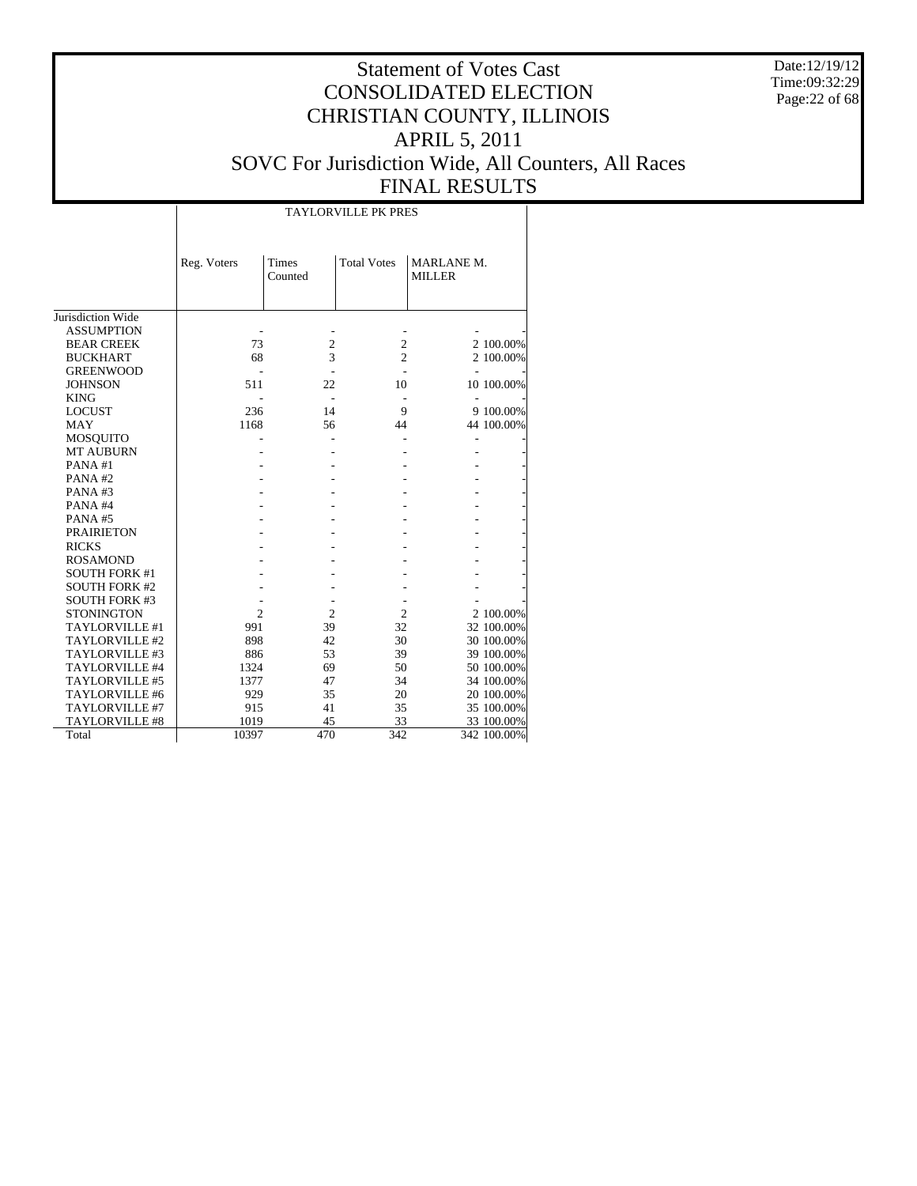Date:12/19/12 Time:09:32:29 Page:22 of 68

## Statement of Votes Cast CONSOLIDATED ELECTION CHRISTIAN COUNTY, ILLINOIS APRIL 5, 2011 SOVC For Jurisdiction Wide, All Counters, All Races FINAL RESULTS

|                      |                |                         | <b>TAYLORVILLE PK PRES</b> |                             |             |
|----------------------|----------------|-------------------------|----------------------------|-----------------------------|-------------|
|                      | Reg. Voters    | <b>Times</b><br>Counted | <b>Total Votes</b>         | MARLANE M.<br><b>MILLER</b> |             |
| Jurisdiction Wide    |                |                         |                            |                             |             |
| <b>ASSUMPTION</b>    |                |                         |                            |                             |             |
| <b>BEAR CREEK</b>    | 73             | $\mathfrak{2}$          | $\mathfrak{2}$             |                             | 2 100.00%   |
| <b>BUCKHART</b>      | 68             | 3                       | $\overline{2}$             |                             | 2 100.00%   |
| <b>GREENWOOD</b>     |                |                         |                            |                             |             |
| <b>JOHNSON</b>       | 511            | 22                      | 10                         |                             | 10 100.00%  |
| <b>KING</b>          |                |                         |                            |                             |             |
| <b>LOCUST</b>        | 236            | 14                      | 9                          |                             | 9 100.00%   |
| <b>MAY</b>           | 1168           | 56                      | 44                         |                             | 44 100.00%  |
| <b>MOSQUITO</b>      |                |                         |                            |                             |             |
| <b>MT AUBURN</b>     |                |                         |                            |                             |             |
| PANA#1               |                |                         |                            |                             |             |
| PANA#2               |                |                         |                            |                             |             |
| PANA#3               |                |                         |                            |                             |             |
| PANA#4               |                |                         |                            |                             |             |
| PANA#5               |                |                         |                            |                             |             |
| <b>PRAIRIETON</b>    |                |                         |                            |                             |             |
| <b>RICKS</b>         |                |                         |                            |                             |             |
| <b>ROSAMOND</b>      |                |                         |                            |                             |             |
| <b>SOUTH FORK #1</b> |                |                         |                            |                             |             |
| <b>SOUTH FORK #2</b> |                |                         |                            |                             |             |
| <b>SOUTH FORK #3</b> |                |                         |                            |                             |             |
| <b>STONINGTON</b>    | $\overline{c}$ | $\overline{2}$          | $\overline{2}$             |                             | 2 100.00%   |
| TAYLORVILLE #1       | 991            | 39                      | 32                         |                             | 32 100.00%  |
| TAYLORVILLE #2       | 898            | 42                      | 30                         |                             | 30 100.00%  |
| TAYLORVILLE #3       | 886            | 53                      | 39                         |                             | 39 100.00%  |
| TAYLORVILLE #4       | 1324           | 69                      | 50                         |                             | 50 100.00%  |
| TAYLORVILLE #5       | 1377           | 47                      | 34                         |                             | 34 100.00%  |
| TAYLORVILLE #6       | 929            | 35                      | 20                         |                             | 20 100.00%  |
| TAYLORVILLE #7       | 915            | 41                      | 35                         |                             | 35 100.00%  |
| TAYLORVILLE #8       | 1019           | 45                      | 33                         |                             | 33 100.00%  |
| Total                | 10397          | 470                     | 342                        |                             | 342 100.00% |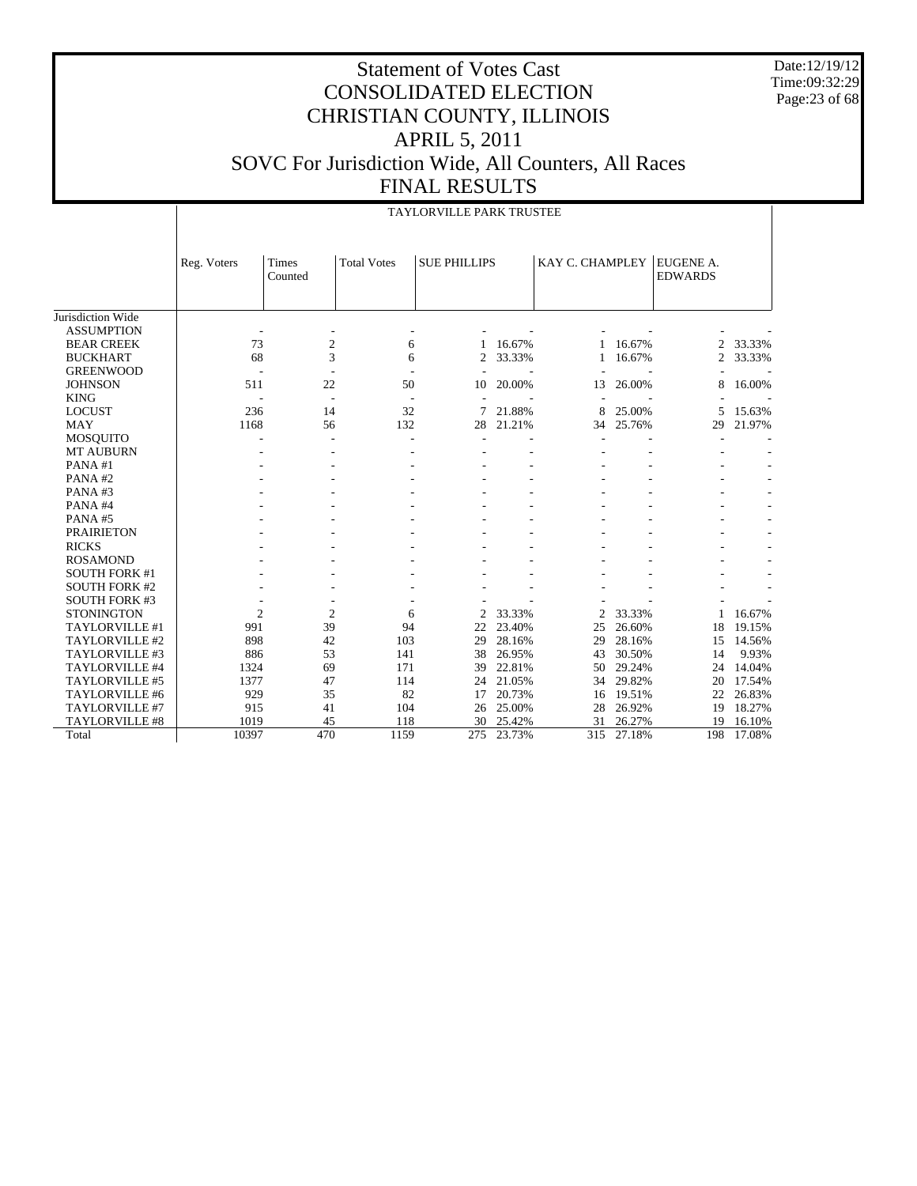Date:12/19/12 Time:09:32:29 Page:23 of 68

|                       |                | TAYLORVILLE PARK TRUSTEE |                    |                     |        |                 |        |                             |        |  |  |  |  |  |
|-----------------------|----------------|--------------------------|--------------------|---------------------|--------|-----------------|--------|-----------------------------|--------|--|--|--|--|--|
|                       | Reg. Voters    | Times<br>Counted         | <b>Total Votes</b> | <b>SUE PHILLIPS</b> |        | KAY C. CHAMPLEY |        | EUGENE A.<br><b>EDWARDS</b> |        |  |  |  |  |  |
| Jurisdiction Wide     |                |                          |                    |                     |        |                 |        |                             |        |  |  |  |  |  |
| <b>ASSUMPTION</b>     |                |                          |                    |                     |        |                 |        |                             |        |  |  |  |  |  |
| <b>BEAR CREEK</b>     | 73             | $\mathfrak{2}$           | 6                  |                     | 16.67% |                 | 16.67% | 2                           | 33.33% |  |  |  |  |  |
| <b>BUCKHART</b>       | 68             | 3                        | 6                  | 2                   | 33.33% | 1               | 16.67% | 2                           | 33.33% |  |  |  |  |  |
| <b>GREENWOOD</b>      |                |                          |                    |                     |        |                 |        |                             |        |  |  |  |  |  |
| <b>JOHNSON</b>        | 511            | 22                       | 50                 | 10                  | 20.00% | 13              | 26.00% | 8                           | 16.00% |  |  |  |  |  |
| <b>KING</b>           |                | $\overline{\phantom{a}}$ |                    |                     |        |                 |        |                             |        |  |  |  |  |  |
| <b>LOCUST</b>         | 236            | 14                       | 32                 |                     | 21.88% | 8               | 25.00% | 5                           | 15.63% |  |  |  |  |  |
| <b>MAY</b>            | 1168           | 56                       | 132                | 28                  | 21.21% | 34              | 25.76% | 29                          | 21.97% |  |  |  |  |  |
| <b>MOSQUITO</b>       | ٠              | ۰                        |                    | ٠                   |        |                 |        |                             |        |  |  |  |  |  |
| <b>MT AUBURN</b>      |                |                          |                    |                     |        |                 |        |                             |        |  |  |  |  |  |
| PANA#1                |                |                          |                    |                     |        |                 |        |                             |        |  |  |  |  |  |
| PANA#2                |                |                          |                    |                     |        |                 |        |                             |        |  |  |  |  |  |
| PANA#3                |                |                          |                    |                     |        |                 |        |                             |        |  |  |  |  |  |
| PANA#4                |                |                          |                    |                     |        |                 |        |                             |        |  |  |  |  |  |
| PANA#5                |                |                          |                    |                     |        |                 |        |                             |        |  |  |  |  |  |
| <b>PRAIRIETON</b>     |                |                          |                    |                     |        |                 |        |                             |        |  |  |  |  |  |
| <b>RICKS</b>          |                |                          |                    |                     |        |                 |        |                             |        |  |  |  |  |  |
| <b>ROSAMOND</b>       |                |                          |                    |                     |        |                 |        |                             |        |  |  |  |  |  |
| <b>SOUTH FORK #1</b>  |                |                          |                    |                     |        |                 |        |                             |        |  |  |  |  |  |
| <b>SOUTH FORK #2</b>  |                |                          |                    |                     |        |                 |        |                             |        |  |  |  |  |  |
| <b>SOUTH FORK #3</b>  |                |                          |                    |                     |        |                 |        |                             |        |  |  |  |  |  |
| <b>STONINGTON</b>     | $\overline{2}$ | $\overline{2}$           | 6                  | 2                   | 33.33% | 2               | 33.33% |                             | 16.67% |  |  |  |  |  |
| TAYLORVILLE #1        | 991            | 39                       | 94                 | 22                  | 23.40% | 25              | 26.60% | 18                          | 19.15% |  |  |  |  |  |
| TAYLORVILLE #2        | 898            | 42                       | 103                | 29                  | 28.16% | 29              | 28.16% | 15                          | 14.56% |  |  |  |  |  |
| TAYLORVILLE #3        | 886            | 53                       | 141                | 38                  | 26.95% | 43              | 30.50% | 14                          | 9.93%  |  |  |  |  |  |
| TAYLORVILLE #4        | 1324           | 69                       | 171                | 39                  | 22.81% | 50              | 29.24% | 24                          | 14.04% |  |  |  |  |  |
| TAYLORVILLE #5        | 1377           | 47                       | 114                | 24                  | 21.05% | 34              | 29.82% | 20                          | 17.54% |  |  |  |  |  |
| TAYLORVILLE #6        | 929            | 35                       | 82                 | 17                  | 20.73% | 16              | 19.51% | 22                          | 26.83% |  |  |  |  |  |
| TAYLORVILLE #7        | 915            | 41                       | 104                | 26                  | 25.00% | 28              | 26.92% | 19                          | 18.27% |  |  |  |  |  |
| <b>TAYLORVILLE #8</b> | 1019           | 45                       | 118                | 30                  | 25.42% | 31              | 26.27% | 19                          | 16.10% |  |  |  |  |  |
| Total                 | 10397          | 470                      | 1159               | 275                 | 23.73% | 315             | 27.18% | 198                         | 17.08% |  |  |  |  |  |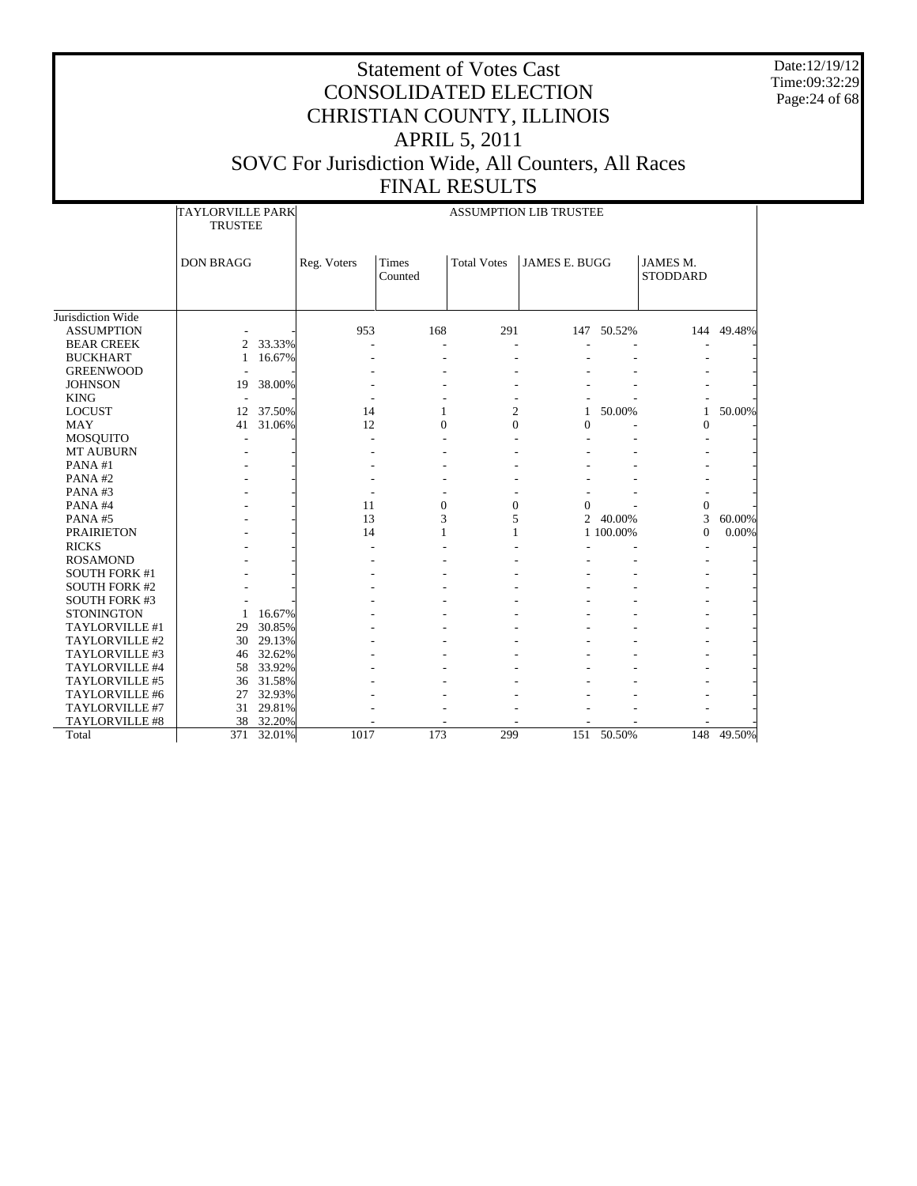Date:12/19/12 Time:09:32:29 Page:24 of 68

|                                              | <b>TAYLORVILLE PARK</b><br><b>TRUSTEE</b> |        |             |                  |                    | <b>ASSUMPTION LIB TRUSTEE</b> |            |                             |            |
|----------------------------------------------|-------------------------------------------|--------|-------------|------------------|--------------------|-------------------------------|------------|-----------------------------|------------|
|                                              | <b>DON BRAGG</b>                          |        | Reg. Voters | Times<br>Counted | <b>Total Votes</b> | <b>JAMES E. BUGG</b>          |            | JAMES M.<br><b>STODDARD</b> |            |
| Jurisdiction Wide                            |                                           |        |             |                  |                    |                               |            |                             |            |
| <b>ASSUMPTION</b>                            |                                           |        | 953         | 168              | 291                |                               | 147 50.52% |                             | 144 49.48% |
| <b>BEAR CREEK</b>                            | 2                                         | 33.33% |             | ÷.               |                    |                               |            |                             |            |
| <b>BUCKHART</b>                              | 1                                         | 16.67% |             |                  |                    |                               |            |                             |            |
| <b>GREENWOOD</b>                             |                                           |        |             | ٠                |                    |                               |            |                             |            |
| <b>JOHNSON</b>                               |                                           | 38.00% |             |                  |                    |                               |            |                             |            |
| <b>KING</b>                                  | 19                                        |        |             |                  |                    |                               |            |                             |            |
| <b>LOCUST</b>                                | 12                                        | 37.50% | 14          | 1                | 2                  | 1                             | 50.00%     | $\mathbf{1}$                | 50.00%     |
| <b>MAY</b>                                   | 41                                        | 31.06% | 12          | $\Omega$         | $\Omega$           | 0                             |            | $\Omega$                    |            |
| <b>MOSQUITO</b>                              |                                           |        |             |                  |                    |                               |            |                             |            |
| <b>MT AUBURN</b>                             |                                           |        |             |                  |                    |                               |            |                             |            |
| PANA#1                                       |                                           |        |             |                  |                    |                               |            |                             |            |
| PANA#2                                       |                                           |        |             |                  |                    |                               |            |                             |            |
| PANA#3                                       |                                           |        |             |                  |                    |                               |            |                             |            |
| PANA#4                                       |                                           |        | 11          | $\overline{0}$   | $\mathbf{0}$       | $\theta$                      |            | $\mathbf{0}$                |            |
| PANA#5                                       |                                           |        | 13          | 3                | 5                  |                               | 2 40.00%   | 3                           | 60.00%     |
| <b>PRAIRIETON</b>                            |                                           |        | 14          |                  |                    |                               | 1 100.00%  | $\mathbf{0}$                | 0.00%      |
| <b>RICKS</b>                                 |                                           |        |             |                  |                    |                               |            |                             |            |
| <b>ROSAMOND</b>                              |                                           |        |             |                  |                    |                               |            |                             |            |
|                                              |                                           |        |             |                  |                    |                               |            |                             |            |
| <b>SOUTH FORK #1</b><br><b>SOUTH FORK #2</b> |                                           |        |             |                  |                    |                               |            |                             |            |
| <b>SOUTH FORK #3</b>                         |                                           |        |             |                  |                    |                               |            |                             |            |
| <b>STONINGTON</b>                            | 1                                         | 16.67% |             |                  |                    |                               |            |                             |            |
| TAYLORVILLE #1                               | 29                                        | 30.85% |             |                  |                    |                               |            |                             |            |
| TAYLORVILLE #2                               | 30                                        | 29.13% |             |                  |                    |                               |            |                             |            |
| TAYLORVILLE #3                               | 46                                        | 32.62% |             |                  |                    |                               |            |                             |            |
| TAYLORVILLE #4                               | 58                                        | 33.92% |             |                  |                    |                               |            |                             |            |
| TAYLORVILLE #5                               | 36                                        | 31.58% |             |                  |                    |                               |            |                             |            |
| TAYLORVILLE #6                               | 27                                        | 32.93% |             |                  |                    |                               |            |                             |            |
| TAYLORVILLE #7                               | 31                                        | 29.81% |             |                  |                    |                               |            |                             |            |
| TAYLORVILLE #8                               | 38                                        | 32.20% |             |                  |                    |                               |            |                             |            |
| Total                                        | 371                                       | 32.01% | 1017        | 173              | 299                | 151                           | 50.50%     |                             | 148 49.50% |
|                                              |                                           |        |             |                  |                    |                               |            |                             |            |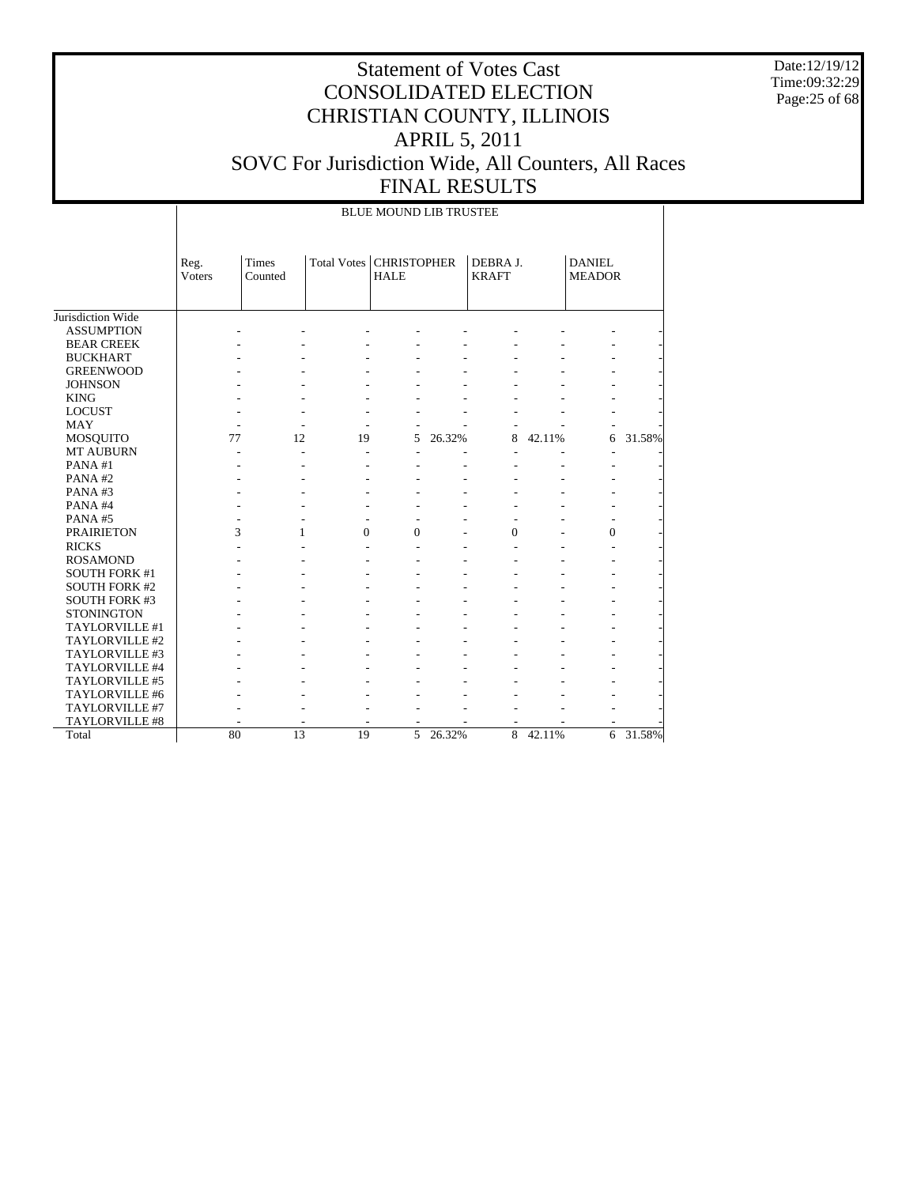Date:12/19/12 Time:09:32:29 Page:25 of 68

|                      |                | <b>BLUE MOUND LIB TRUSTEE</b> |                           |                |        |                          |        |                                |        |  |  |  |
|----------------------|----------------|-------------------------------|---------------------------|----------------|--------|--------------------------|--------|--------------------------------|--------|--|--|--|
|                      | Reg.<br>Voters | Times<br>Counted              | Total Votes   CHRISTOPHER | <b>HALE</b>    |        | DEBRA J.<br><b>KRAFT</b> |        | <b>DANIEL</b><br><b>MEADOR</b> |        |  |  |  |
| Jurisdiction Wide    |                |                               |                           |                |        |                          |        |                                |        |  |  |  |
| <b>ASSUMPTION</b>    |                |                               |                           |                |        |                          |        |                                |        |  |  |  |
| <b>BEAR CREEK</b>    |                |                               |                           |                |        |                          |        |                                |        |  |  |  |
| <b>BUCKHART</b>      |                |                               |                           |                |        |                          |        |                                |        |  |  |  |
| <b>GREENWOOD</b>     |                |                               |                           |                |        |                          |        |                                |        |  |  |  |
| <b>JOHNSON</b>       |                |                               |                           |                |        |                          |        |                                |        |  |  |  |
| <b>KING</b>          |                |                               |                           |                |        |                          |        |                                |        |  |  |  |
| <b>LOCUST</b>        |                |                               |                           |                |        |                          |        |                                |        |  |  |  |
| <b>MAY</b>           |                |                               |                           |                |        |                          |        |                                |        |  |  |  |
| MOSQUITO             | 77             | 12                            | 19                        | 5              | 26.32% | 8                        | 42.11% | 6                              | 31.58% |  |  |  |
| <b>MT AUBURN</b>     |                |                               |                           |                |        |                          |        |                                |        |  |  |  |
| PANA#1               |                |                               |                           |                |        |                          |        |                                |        |  |  |  |
| PANA#2               |                |                               |                           |                |        |                          |        |                                |        |  |  |  |
| PANA#3               |                |                               |                           |                |        |                          |        |                                |        |  |  |  |
| PANA#4               |                |                               |                           |                |        |                          |        |                                |        |  |  |  |
| PANA#5               |                |                               | ٠                         | $\overline{a}$ |        |                          |        | ٠                              |        |  |  |  |
| <b>PRAIRIETON</b>    | 3              | 1                             | $\theta$                  | $\Omega$       |        | $\Omega$                 |        | $\overline{0}$                 |        |  |  |  |
| <b>RICKS</b>         |                |                               |                           |                |        |                          |        |                                |        |  |  |  |
| <b>ROSAMOND</b>      |                |                               |                           |                |        |                          |        |                                |        |  |  |  |
| <b>SOUTH FORK #1</b> |                |                               |                           |                |        |                          |        |                                |        |  |  |  |
| <b>SOUTH FORK #2</b> |                |                               |                           |                |        |                          |        |                                |        |  |  |  |
| <b>SOUTH FORK #3</b> |                |                               |                           |                |        |                          |        |                                |        |  |  |  |
| <b>STONINGTON</b>    |                |                               |                           |                |        |                          |        |                                |        |  |  |  |
| TAYLORVILLE #1       |                |                               |                           |                |        |                          |        |                                |        |  |  |  |
| TAYLORVILLE #2       |                |                               |                           |                |        |                          |        |                                |        |  |  |  |
| TAYLORVILLE #3       |                |                               |                           |                |        |                          |        |                                |        |  |  |  |
| TAYLORVILLE #4       |                |                               |                           |                |        |                          |        |                                |        |  |  |  |
| TAYLORVILLE #5       |                |                               |                           |                |        |                          |        |                                |        |  |  |  |
| TAYLORVILLE #6       |                |                               |                           |                |        |                          |        |                                |        |  |  |  |
| TAYLORVILLE #7       |                |                               |                           |                |        |                          |        |                                |        |  |  |  |
| TAYLORVILLE #8       |                |                               |                           |                |        |                          |        |                                |        |  |  |  |
| Total                | 80             | 13                            | 19                        | 5              | 26.32% | $\overline{8}$           | 42.11% | 6                              | 31.58% |  |  |  |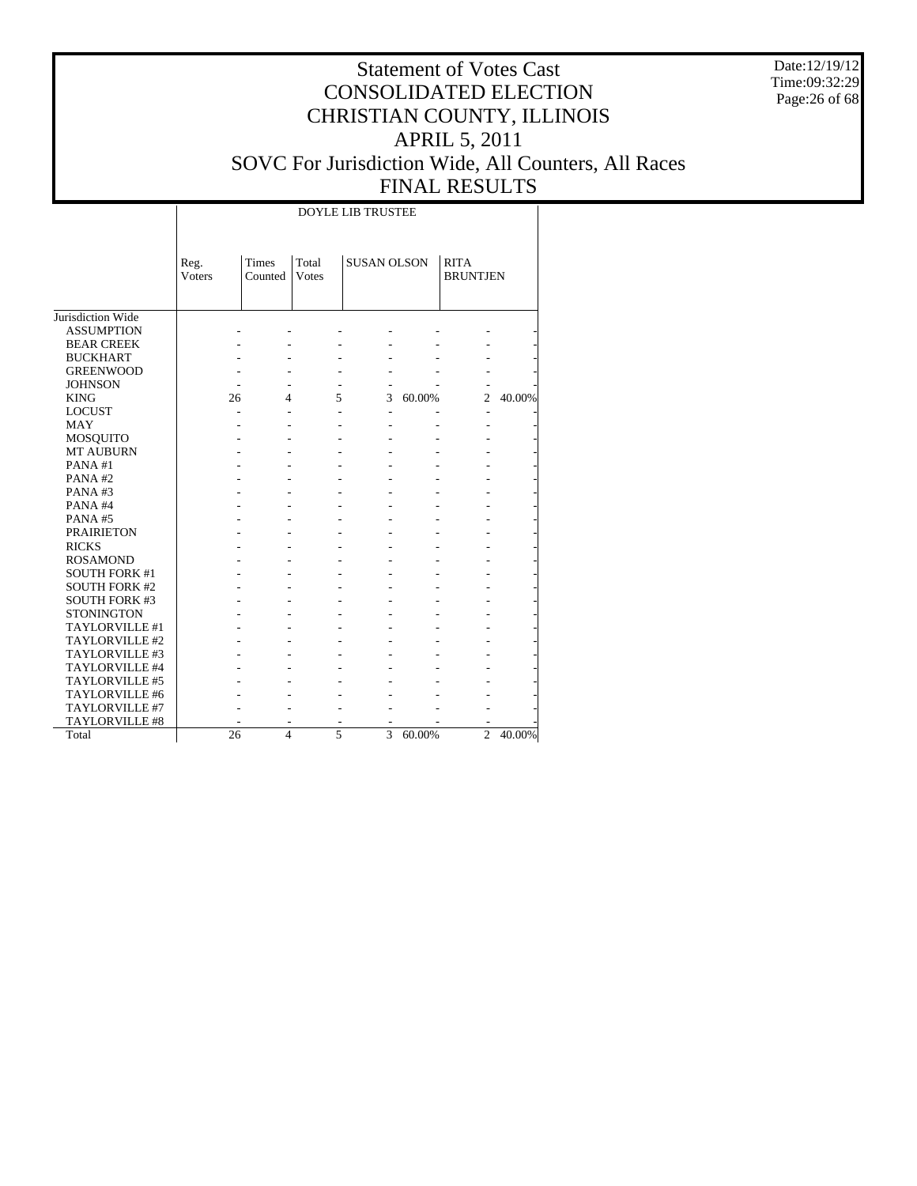Date:12/19/12 Time:09:32:29 Page:26 of 68

|                      |                | <b>DOYLE LIB TRUSTEE</b> |                |                    |        |                                |        |  |  |  |  |  |  |
|----------------------|----------------|--------------------------|----------------|--------------------|--------|--------------------------------|--------|--|--|--|--|--|--|
|                      | Reg.<br>Voters | Times<br>Counted         | Total<br>Votes | <b>SUSAN OLSON</b> |        | <b>RITA</b><br><b>BRUNTJEN</b> |        |  |  |  |  |  |  |
| Jurisdiction Wide    |                |                          |                |                    |        |                                |        |  |  |  |  |  |  |
| <b>ASSUMPTION</b>    |                |                          |                |                    |        |                                |        |  |  |  |  |  |  |
| <b>BEAR CREEK</b>    |                |                          |                |                    |        |                                |        |  |  |  |  |  |  |
| <b>BUCKHART</b>      |                |                          |                |                    |        |                                |        |  |  |  |  |  |  |
| <b>GREENWOOD</b>     |                |                          |                |                    |        |                                |        |  |  |  |  |  |  |
| <b>JOHNSON</b>       |                |                          |                |                    |        |                                |        |  |  |  |  |  |  |
| <b>KING</b>          | 26             | 4                        | 5              | 3                  | 60.00% | $\overline{c}$                 | 40.00% |  |  |  |  |  |  |
| <b>LOCUST</b>        | L,             |                          |                | ٠                  |        |                                |        |  |  |  |  |  |  |
| <b>MAY</b>           |                |                          |                |                    |        |                                |        |  |  |  |  |  |  |
| <b>MOSQUITO</b>      |                |                          |                |                    |        |                                |        |  |  |  |  |  |  |
| <b>MT AUBURN</b>     |                |                          |                |                    |        |                                |        |  |  |  |  |  |  |
| PANA#1               |                |                          |                |                    |        |                                |        |  |  |  |  |  |  |
| PANA#2               |                |                          |                |                    |        |                                |        |  |  |  |  |  |  |
| PANA#3               |                |                          |                |                    |        |                                |        |  |  |  |  |  |  |
| PANA#4               |                |                          |                |                    |        |                                |        |  |  |  |  |  |  |
| PANA#5               |                |                          |                |                    |        |                                |        |  |  |  |  |  |  |
| <b>PRAIRIETON</b>    |                |                          |                |                    |        |                                |        |  |  |  |  |  |  |
| <b>RICKS</b>         |                |                          |                |                    |        |                                |        |  |  |  |  |  |  |
| <b>ROSAMOND</b>      |                |                          |                |                    |        |                                |        |  |  |  |  |  |  |
| <b>SOUTH FORK #1</b> |                |                          |                |                    |        |                                |        |  |  |  |  |  |  |
| <b>SOUTH FORK #2</b> |                |                          |                |                    |        |                                |        |  |  |  |  |  |  |
| <b>SOUTH FORK #3</b> |                |                          |                |                    |        |                                |        |  |  |  |  |  |  |
| <b>STONINGTON</b>    |                |                          |                |                    |        |                                |        |  |  |  |  |  |  |
| TAYLORVILLE #1       |                |                          |                |                    |        |                                |        |  |  |  |  |  |  |
| TAYLORVILLE #2       |                |                          |                |                    |        |                                |        |  |  |  |  |  |  |
| TAYLORVILLE #3       |                |                          |                |                    |        |                                |        |  |  |  |  |  |  |
| TAYLORVILLE #4       |                |                          |                |                    |        |                                |        |  |  |  |  |  |  |
| TAYLORVILLE #5       |                |                          |                |                    |        |                                |        |  |  |  |  |  |  |
| TAYLORVILLE #6       |                |                          |                |                    |        |                                |        |  |  |  |  |  |  |
| TAYLORVILLE #7       |                |                          |                |                    |        |                                |        |  |  |  |  |  |  |
| TAYLORVILLE #8       |                |                          |                |                    |        |                                |        |  |  |  |  |  |  |
| Total                | 26             | $\overline{\mathbf{4}}$  | 5              | 3                  | 60.00% | $\overline{2}$                 | 40.00% |  |  |  |  |  |  |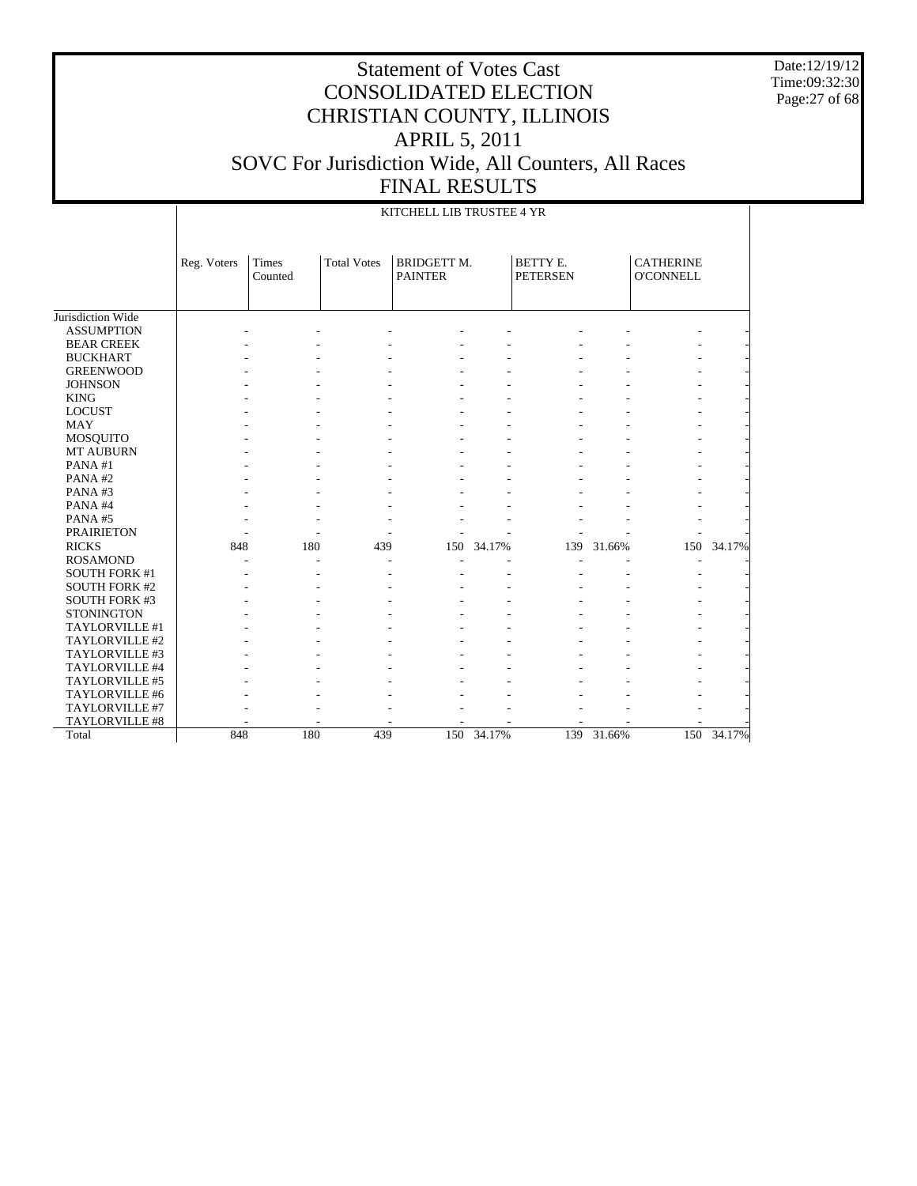Date:12/19/12 Time:09:32:30 Page:27 of 68

|                      |             | KITCHELL LIB TRUSTEE 4 YR |                    |                                      |        |                             |        |                                      |        |  |  |  |  |
|----------------------|-------------|---------------------------|--------------------|--------------------------------------|--------|-----------------------------|--------|--------------------------------------|--------|--|--|--|--|
|                      | Reg. Voters | Times<br>Counted          | <b>Total Votes</b> | <b>BRIDGETT M.</b><br><b>PAINTER</b> |        | BETTY E.<br><b>PETERSEN</b> |        | <b>CATHERINE</b><br><b>O'CONNELL</b> |        |  |  |  |  |
| Jurisdiction Wide    |             |                           |                    |                                      |        |                             |        |                                      |        |  |  |  |  |
| <b>ASSUMPTION</b>    |             |                           |                    |                                      |        |                             |        |                                      |        |  |  |  |  |
| <b>BEAR CREEK</b>    |             |                           |                    |                                      |        |                             |        |                                      |        |  |  |  |  |
| <b>BUCKHART</b>      |             |                           |                    |                                      |        |                             |        |                                      |        |  |  |  |  |
| <b>GREENWOOD</b>     |             |                           |                    |                                      |        |                             |        |                                      |        |  |  |  |  |
| <b>JOHNSON</b>       |             |                           |                    |                                      |        |                             |        |                                      |        |  |  |  |  |
| <b>KING</b>          |             |                           |                    |                                      |        |                             |        |                                      |        |  |  |  |  |
| <b>LOCUST</b>        |             |                           |                    |                                      |        |                             |        |                                      |        |  |  |  |  |
| <b>MAY</b>           |             |                           |                    |                                      |        |                             |        |                                      |        |  |  |  |  |
| <b>MOSQUITO</b>      |             |                           |                    |                                      |        |                             |        |                                      |        |  |  |  |  |
| <b>MT AUBURN</b>     |             |                           |                    |                                      |        |                             |        |                                      |        |  |  |  |  |
| PANA#1               |             |                           |                    |                                      |        |                             |        |                                      |        |  |  |  |  |
| PANA#2               |             |                           |                    |                                      |        |                             |        |                                      |        |  |  |  |  |
| PANA#3               |             |                           |                    |                                      |        |                             |        |                                      |        |  |  |  |  |
| PANA#4               |             |                           |                    |                                      |        |                             |        |                                      |        |  |  |  |  |
| PANA#5               |             |                           |                    |                                      |        |                             |        |                                      |        |  |  |  |  |
| <b>PRAIRIETON</b>    |             |                           |                    |                                      |        |                             |        |                                      |        |  |  |  |  |
| <b>RICKS</b>         | 848         | 180                       | 439                | 150                                  | 34.17% | 139                         | 31.66% | 150                                  | 34.17% |  |  |  |  |
| <b>ROSAMOND</b>      |             |                           |                    |                                      |        |                             |        |                                      |        |  |  |  |  |
| <b>SOUTH FORK #1</b> |             |                           |                    |                                      |        |                             |        |                                      |        |  |  |  |  |
| <b>SOUTH FORK #2</b> |             |                           |                    |                                      |        |                             |        |                                      |        |  |  |  |  |
| <b>SOUTH FORK #3</b> |             |                           |                    |                                      |        |                             |        |                                      |        |  |  |  |  |
| <b>STONINGTON</b>    |             |                           |                    |                                      |        |                             |        |                                      |        |  |  |  |  |
| TAYLORVILLE #1       |             |                           |                    |                                      |        |                             |        |                                      |        |  |  |  |  |
| TAYLORVILLE #2       |             |                           |                    |                                      |        |                             |        |                                      |        |  |  |  |  |
| TAYLORVILLE #3       |             |                           |                    |                                      |        |                             |        |                                      |        |  |  |  |  |
| TAYLORVILLE #4       |             |                           |                    |                                      |        |                             |        |                                      |        |  |  |  |  |
| TAYLORVILLE #5       |             |                           |                    |                                      |        |                             |        |                                      |        |  |  |  |  |
| TAYLORVILLE #6       |             |                           |                    |                                      |        |                             |        |                                      |        |  |  |  |  |
| TAYLORVILLE #7       |             |                           |                    |                                      |        |                             |        |                                      |        |  |  |  |  |
| TAYLORVILLE #8       |             |                           |                    |                                      |        |                             |        |                                      |        |  |  |  |  |
| Total                | 848         | 180                       | 439                | 150                                  | 34.17% | 139                         | 31.66% | 150                                  | 34.17% |  |  |  |  |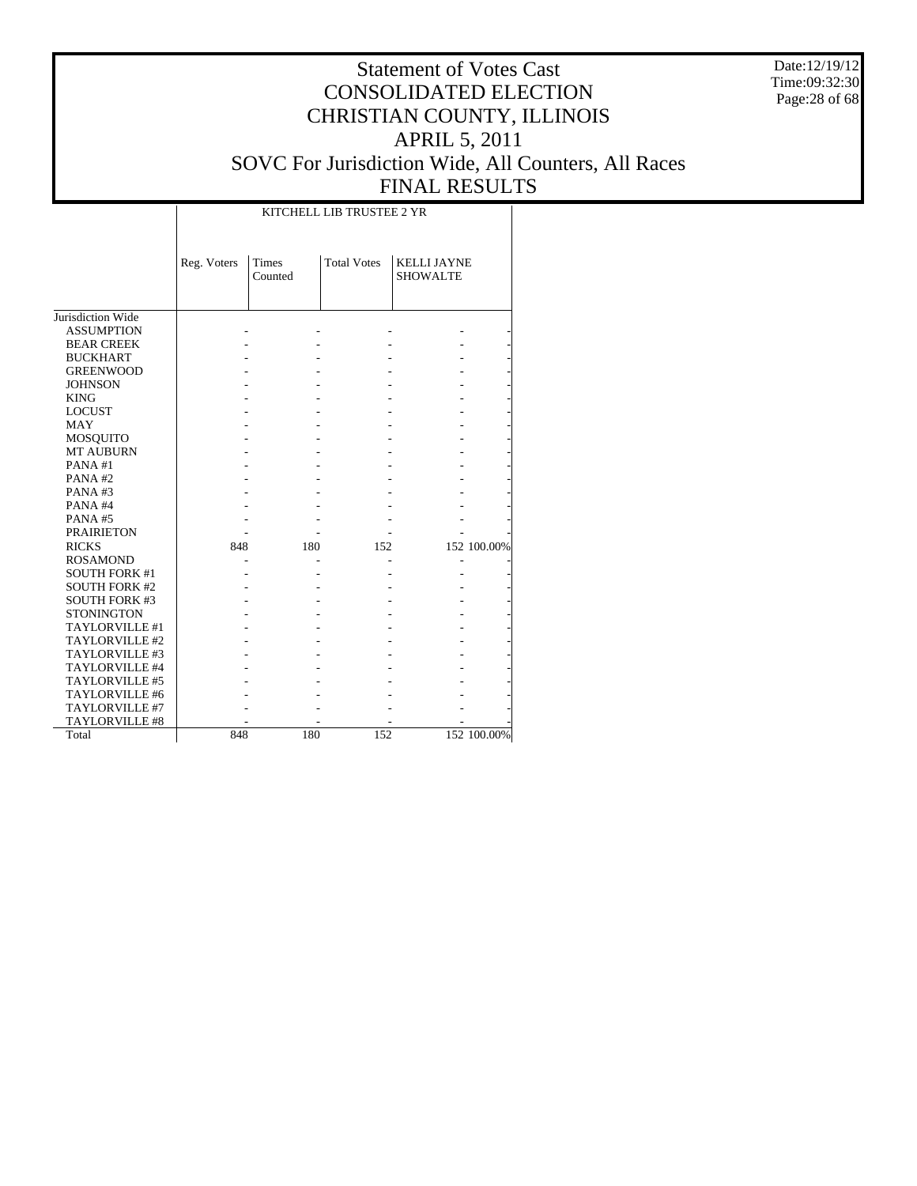Date:12/19/12 Time:09:32:30 Page:28 of 68

## Statement of Votes Cast CONSOLIDATED ELECTION CHRISTIAN COUNTY, ILLINOIS APRIL 5, 2011 SOVC For Jurisdiction Wide, All Counters, All Races FINAL RESULTS

T

|                      |             | KITCHELL LIB TRUSTEE 2 YR |                    |                                       |             |  |  |  |  |  |  |  |
|----------------------|-------------|---------------------------|--------------------|---------------------------------------|-------------|--|--|--|--|--|--|--|
|                      | Reg. Voters | <b>Times</b><br>Counted   | <b>Total Votes</b> | <b>KELLI JAYNE</b><br><b>SHOWALTE</b> |             |  |  |  |  |  |  |  |
| Jurisdiction Wide    |             |                           |                    |                                       |             |  |  |  |  |  |  |  |
| <b>ASSUMPTION</b>    |             |                           |                    |                                       |             |  |  |  |  |  |  |  |
| <b>BEAR CREEK</b>    |             |                           |                    |                                       |             |  |  |  |  |  |  |  |
| <b>BUCKHART</b>      |             |                           |                    |                                       |             |  |  |  |  |  |  |  |
| <b>GREENWOOD</b>     |             |                           |                    |                                       |             |  |  |  |  |  |  |  |
| <b>JOHNSON</b>       |             |                           |                    |                                       |             |  |  |  |  |  |  |  |
| <b>KING</b>          |             |                           |                    |                                       |             |  |  |  |  |  |  |  |
| <b>LOCUST</b>        |             |                           |                    |                                       |             |  |  |  |  |  |  |  |
| <b>MAY</b>           |             |                           |                    |                                       |             |  |  |  |  |  |  |  |
| <b>MOSQUITO</b>      |             |                           |                    |                                       |             |  |  |  |  |  |  |  |
| <b>MT AUBURN</b>     |             |                           |                    |                                       |             |  |  |  |  |  |  |  |
| PANA#1               |             |                           |                    |                                       |             |  |  |  |  |  |  |  |
| PANA#2               |             |                           |                    |                                       |             |  |  |  |  |  |  |  |
| PANA#3               |             |                           |                    |                                       |             |  |  |  |  |  |  |  |
| PANA#4               |             |                           |                    |                                       |             |  |  |  |  |  |  |  |
|                      |             |                           |                    |                                       |             |  |  |  |  |  |  |  |
| PANA#5               |             |                           |                    |                                       |             |  |  |  |  |  |  |  |
| <b>PRAIRIETON</b>    |             |                           |                    |                                       |             |  |  |  |  |  |  |  |
| <b>RICKS</b>         | 848         | 180                       | 152                |                                       | 152 100.00% |  |  |  |  |  |  |  |
| <b>ROSAMOND</b>      |             |                           |                    |                                       |             |  |  |  |  |  |  |  |
| <b>SOUTH FORK #1</b> |             |                           |                    |                                       |             |  |  |  |  |  |  |  |
| <b>SOUTH FORK #2</b> |             |                           |                    |                                       |             |  |  |  |  |  |  |  |
| <b>SOUTH FORK #3</b> |             |                           |                    |                                       |             |  |  |  |  |  |  |  |
| <b>STONINGTON</b>    |             |                           |                    |                                       |             |  |  |  |  |  |  |  |
| TAYLORVILLE #1       |             |                           |                    |                                       |             |  |  |  |  |  |  |  |
| TAYLORVILLE #2       |             |                           |                    |                                       |             |  |  |  |  |  |  |  |
| TAYLORVILLE #3       |             |                           |                    |                                       |             |  |  |  |  |  |  |  |
| TAYLORVILLE #4       |             |                           |                    |                                       |             |  |  |  |  |  |  |  |
| TAYLORVILLE #5       |             |                           |                    |                                       |             |  |  |  |  |  |  |  |
| TAYLORVILLE #6       |             |                           |                    |                                       |             |  |  |  |  |  |  |  |
| TAYLORVILLE #7       |             |                           |                    |                                       |             |  |  |  |  |  |  |  |
| TAYLORVILLE #8       |             |                           |                    |                                       |             |  |  |  |  |  |  |  |
| Total                | 848         | 180                       | 152                |                                       | 152 100.00% |  |  |  |  |  |  |  |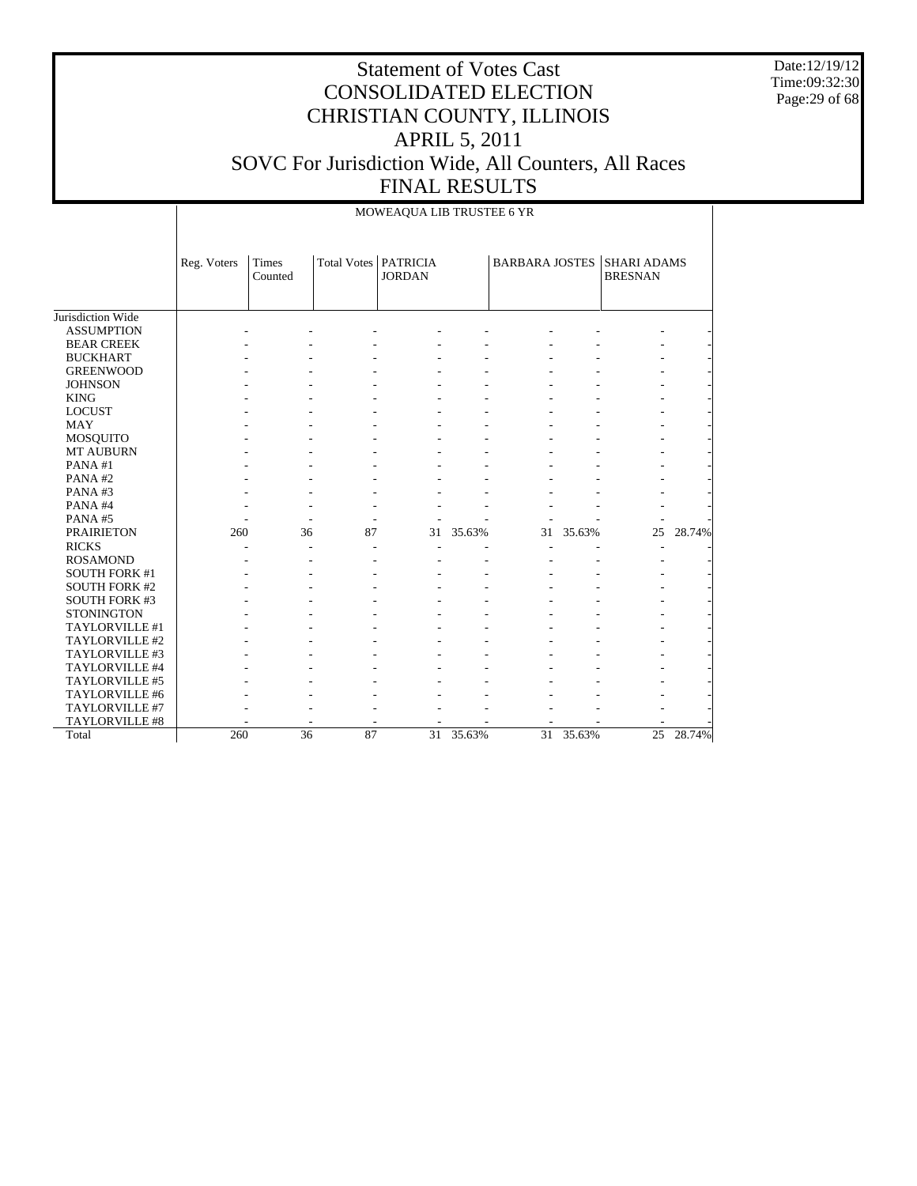Date:12/19/12 Time:09:32:30 Page:29 of 68

|                      |             | MOWEAQUA LIB TRUSTEE 6 YR |                          |                                         |        |                       |           |                                      |        |  |  |  |
|----------------------|-------------|---------------------------|--------------------------|-----------------------------------------|--------|-----------------------|-----------|--------------------------------------|--------|--|--|--|
|                      | Reg. Voters | <b>Times</b><br>Counted   |                          | Total Votes   PATRICIA<br><b>JORDAN</b> |        | <b>BARBARA JOSTES</b> |           | <b>SHARI ADAMS</b><br><b>BRESNAN</b> |        |  |  |  |
| Jurisdiction Wide    |             |                           |                          |                                         |        |                       |           |                                      |        |  |  |  |
| <b>ASSUMPTION</b>    |             |                           |                          |                                         |        |                       |           |                                      |        |  |  |  |
| <b>BEAR CREEK</b>    |             |                           |                          |                                         |        |                       |           |                                      |        |  |  |  |
| <b>BUCKHART</b>      |             |                           |                          |                                         |        |                       |           |                                      |        |  |  |  |
| <b>GREENWOOD</b>     |             |                           |                          |                                         |        |                       |           |                                      |        |  |  |  |
| <b>JOHNSON</b>       |             |                           |                          |                                         |        |                       |           |                                      |        |  |  |  |
| <b>KING</b>          |             |                           |                          |                                         |        |                       |           |                                      |        |  |  |  |
| <b>LOCUST</b>        |             |                           |                          |                                         |        |                       |           |                                      |        |  |  |  |
| <b>MAY</b>           |             |                           |                          |                                         |        |                       |           |                                      |        |  |  |  |
| MOSQUITO             |             |                           |                          |                                         |        |                       |           |                                      |        |  |  |  |
| <b>MT AUBURN</b>     |             |                           |                          |                                         |        |                       |           |                                      |        |  |  |  |
| PANA#1               |             |                           |                          |                                         |        |                       |           |                                      |        |  |  |  |
| PANA#2               |             |                           |                          |                                         |        |                       |           |                                      |        |  |  |  |
| PANA#3               |             |                           |                          |                                         |        |                       |           |                                      |        |  |  |  |
| PANA#4               |             |                           |                          |                                         |        |                       |           |                                      |        |  |  |  |
| PANA#5               |             | ٠                         | $\overline{\phantom{a}}$ |                                         |        |                       |           |                                      |        |  |  |  |
| <b>PRAIRIETON</b>    | 260         | 36                        | 87                       | 31                                      | 35.63% |                       | 31 35.63% | 25                                   | 28.74% |  |  |  |
| <b>RICKS</b>         |             |                           |                          |                                         |        |                       |           |                                      |        |  |  |  |
| <b>ROSAMOND</b>      |             |                           |                          |                                         |        |                       |           |                                      |        |  |  |  |
| <b>SOUTH FORK #1</b> |             |                           |                          |                                         |        |                       |           |                                      |        |  |  |  |
| <b>SOUTH FORK #2</b> |             |                           |                          |                                         |        |                       |           |                                      |        |  |  |  |
| <b>SOUTH FORK #3</b> |             |                           |                          |                                         |        |                       |           |                                      |        |  |  |  |
| <b>STONINGTON</b>    |             |                           |                          |                                         |        |                       |           |                                      |        |  |  |  |
| TAYLORVILLE #1       |             |                           |                          |                                         |        |                       |           |                                      |        |  |  |  |
| TAYLORVILLE #2       |             |                           |                          |                                         |        |                       |           |                                      |        |  |  |  |
| TAYLORVILLE #3       |             |                           |                          |                                         |        |                       |           |                                      |        |  |  |  |
| TAYLORVILLE #4       |             |                           |                          |                                         |        |                       |           |                                      |        |  |  |  |
| TAYLORVILLE #5       |             |                           |                          |                                         |        |                       |           |                                      |        |  |  |  |
| TAYLORVILLE #6       |             |                           |                          |                                         |        |                       |           |                                      |        |  |  |  |
| TAYLORVILLE #7       |             |                           |                          |                                         |        |                       |           |                                      |        |  |  |  |
| TAYLORVILLE #8       |             |                           |                          |                                         |        |                       |           |                                      |        |  |  |  |
| Total                | 260         | 36                        | 87                       | 31                                      | 35.63% | 31                    | 35.63%    | 25                                   | 28.74% |  |  |  |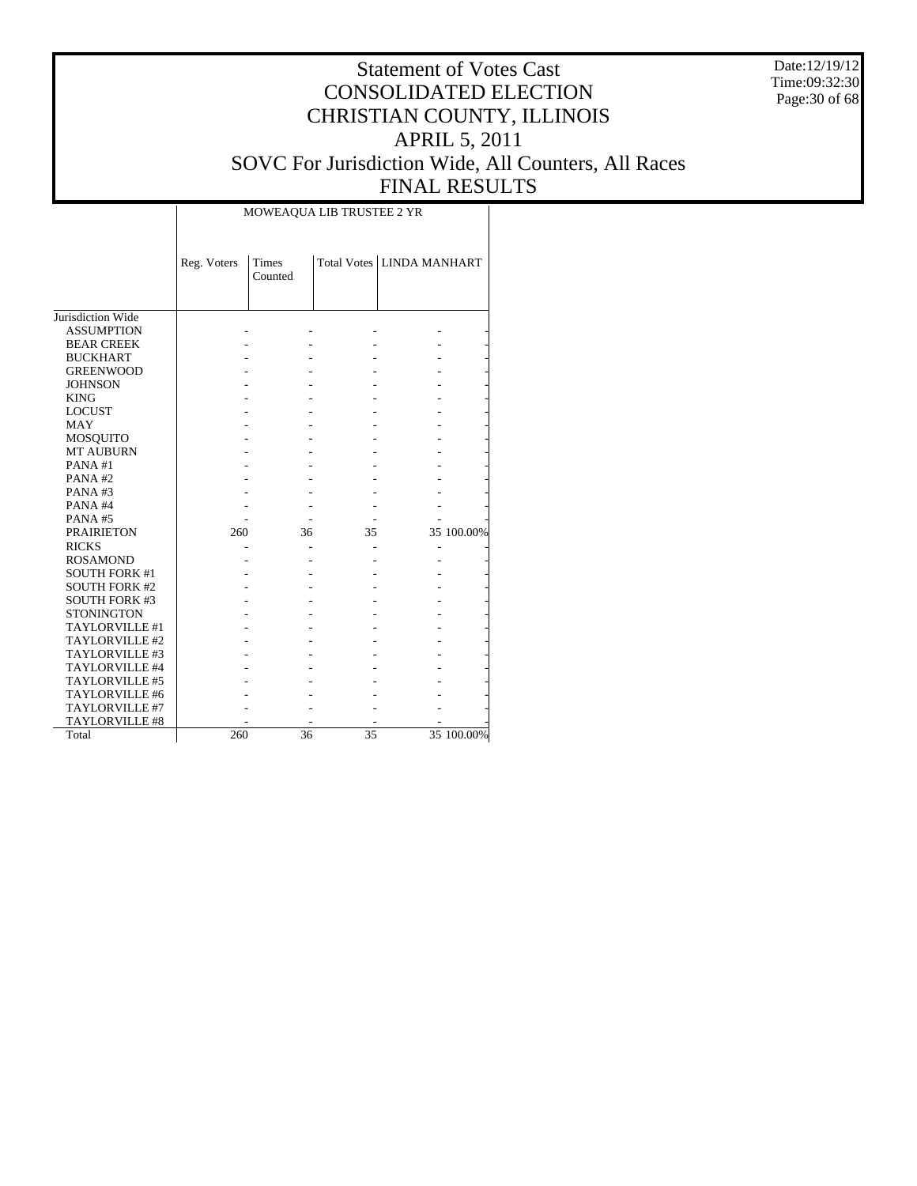Date:12/19/12 Time:09:32:30 Page:30 of 68

# Statement of Votes Cast CONSOLIDATED ELECTION CHRISTIAN COUNTY, ILLINOIS APRIL 5, 2011 SOVC For Jurisdiction Wide, All Counters, All Races FINAL RESULTS

|                      | Reg. Voters | Times<br>Counted |    | Total Votes   LINDA MANHART |            |
|----------------------|-------------|------------------|----|-----------------------------|------------|
|                      |             |                  |    |                             |            |
| Jurisdiction Wide    |             |                  |    |                             |            |
| <b>ASSUMPTION</b>    |             |                  |    |                             |            |
| <b>BEAR CREEK</b>    |             |                  |    |                             |            |
| <b>BUCKHART</b>      |             |                  |    |                             |            |
| <b>GREENWOOD</b>     |             |                  |    |                             |            |
| <b>JOHNSON</b>       |             |                  |    |                             |            |
| <b>KING</b>          |             |                  |    |                             |            |
| <b>LOCUST</b>        |             |                  |    |                             |            |
| <b>MAY</b>           |             |                  |    |                             |            |
| <b>MOSQUITO</b>      |             |                  |    |                             |            |
| <b>MT AUBURN</b>     |             |                  |    |                             |            |
| PANA#1               |             |                  |    |                             |            |
| PANA#2               |             |                  |    |                             |            |
| PANA# $3$            |             |                  |    |                             |            |
| PANA#4               |             |                  |    |                             |            |
| <b>PANA#5</b>        |             |                  |    |                             |            |
| <b>PRAIRIETON</b>    | 260         | 36               | 35 |                             | 35 100.00% |
| <b>RICKS</b>         |             |                  |    |                             |            |
| <b>ROSAMOND</b>      |             |                  |    |                             |            |
| <b>SOUTH FORK #1</b> |             |                  |    |                             |            |
| <b>SOUTH FORK #2</b> |             |                  |    |                             |            |
| <b>SOUTH FORK #3</b> |             |                  |    |                             |            |
| <b>STONINGTON</b>    |             |                  |    |                             |            |
| TAYLORVILLE #1       |             |                  |    |                             |            |
| TAYLORVILLE #2       |             |                  |    |                             |            |
| TAYLORVILLE #3       |             |                  |    |                             |            |
| TAYLORVILLE #4       |             |                  |    |                             |            |
| TAYLORVILLE #5       |             |                  |    |                             |            |
| TAYLORVILLE #6       |             |                  |    |                             |            |
| TAYLORVILLE #7       |             |                  |    |                             |            |
| TAYLORVILLE #8       |             |                  |    |                             |            |
| Total                | 260         | 36               | 35 |                             | 35 100.00% |

MOWEAQUA LIB TRUSTEE 2 YR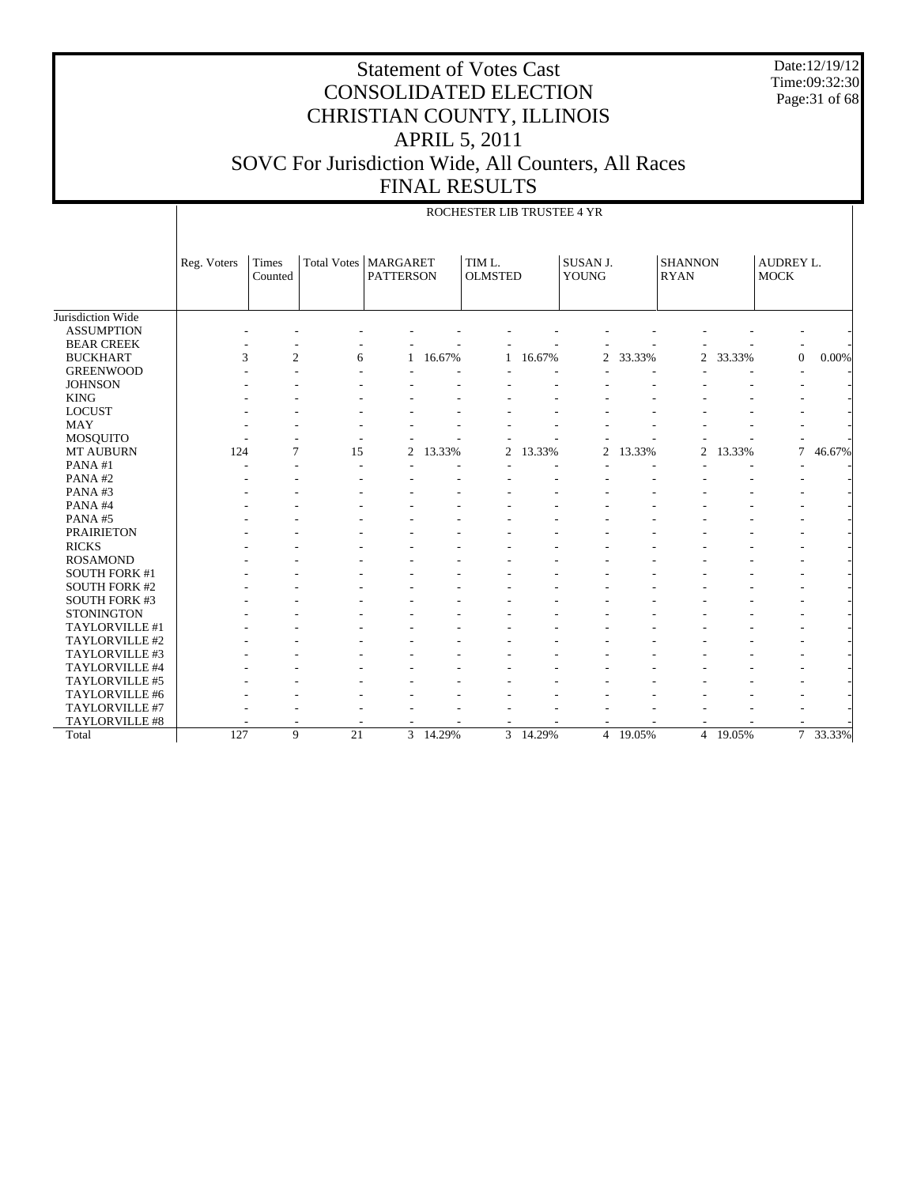Date:12/19/12 Time:09:32:30 Page:31 of 68

|                      | ROCHESTER LIB TRUSTEE 4 YR |                  |                        |                  |        |                          |          |                          |          |                               |          |                                 |          |
|----------------------|----------------------------|------------------|------------------------|------------------|--------|--------------------------|----------|--------------------------|----------|-------------------------------|----------|---------------------------------|----------|
|                      | Reg. Voters                | Times<br>Counted | Total Votes   MARGARET | <b>PATTERSON</b> |        | TIM L.<br><b>OLMSTED</b> |          | SUSAN J.<br><b>YOUNG</b> |          | <b>SHANNON</b><br><b>RYAN</b> |          | <b>AUDREY L.</b><br><b>MOCK</b> |          |
| Jurisdiction Wide    |                            |                  |                        |                  |        |                          |          |                          |          |                               |          |                                 |          |
| <b>ASSUMPTION</b>    |                            |                  |                        |                  |        |                          |          |                          |          |                               |          |                                 |          |
| <b>BEAR CREEK</b>    |                            |                  |                        |                  |        |                          |          |                          |          |                               |          |                                 |          |
| <b>BUCKHART</b>      | 3                          | $\mathbf{2}$     | 6                      |                  | 16.67% |                          | 16.67%   | $\mathfrak{2}$           | 33.33%   | 2                             | 33.33%   | $\mathbf{0}$                    | 0.00%    |
| <b>GREENWOOD</b>     |                            |                  |                        |                  |        |                          |          |                          |          |                               |          |                                 |          |
| <b>JOHNSON</b>       |                            |                  |                        |                  |        |                          |          |                          |          |                               |          |                                 |          |
| <b>KING</b>          |                            |                  |                        |                  |        |                          |          |                          |          |                               |          |                                 |          |
| <b>LOCUST</b>        |                            |                  |                        |                  |        |                          |          |                          |          |                               |          |                                 |          |
| <b>MAY</b>           |                            |                  |                        |                  |        |                          |          |                          |          |                               |          |                                 |          |
| <b>MOSQUITO</b>      |                            |                  |                        |                  |        |                          |          |                          |          |                               |          |                                 |          |
| <b>MT AUBURN</b>     | 124                        | $\overline{7}$   | 15                     | 2                | 13.33% | $\overline{c}$           | 13.33%   | $\overline{c}$           | 13.33%   | $\overline{2}$                | 13.33%   | 7                               | 46.67%   |
| PANA#1               |                            |                  |                        |                  |        |                          |          |                          |          |                               |          |                                 |          |
| PANA#2               |                            |                  |                        |                  |        |                          |          |                          |          |                               |          |                                 |          |
| PANA#3               |                            |                  |                        |                  |        |                          |          |                          |          |                               |          |                                 |          |
| PANA#4               |                            |                  |                        |                  |        |                          |          |                          |          |                               |          |                                 |          |
| PANA#5               |                            |                  |                        |                  |        |                          |          |                          |          |                               |          |                                 |          |
| <b>PRAIRIETON</b>    |                            |                  |                        |                  |        |                          |          |                          |          |                               |          |                                 |          |
| <b>RICKS</b>         |                            |                  |                        |                  |        |                          |          |                          |          |                               |          |                                 |          |
| <b>ROSAMOND</b>      |                            |                  |                        |                  |        |                          |          |                          |          |                               |          |                                 |          |
| <b>SOUTH FORK #1</b> |                            |                  |                        |                  |        |                          |          |                          |          |                               |          |                                 |          |
| <b>SOUTH FORK #2</b> |                            |                  |                        |                  |        |                          |          |                          |          |                               |          |                                 |          |
| <b>SOUTH FORK #3</b> |                            |                  |                        |                  |        |                          |          |                          |          |                               |          |                                 |          |
| <b>STONINGTON</b>    |                            |                  |                        |                  |        |                          |          |                          |          |                               |          |                                 |          |
| TAYLORVILLE #1       |                            |                  |                        |                  |        |                          |          |                          |          |                               |          |                                 |          |
| TAYLORVILLE #2       |                            |                  |                        |                  |        |                          |          |                          |          |                               |          |                                 |          |
| TAYLORVILLE #3       |                            |                  |                        |                  |        |                          |          |                          |          |                               |          |                                 |          |
| TAYLORVILLE #4       |                            |                  |                        |                  |        |                          |          |                          |          |                               |          |                                 |          |
| TAYLORVILLE #5       |                            |                  |                        |                  |        |                          |          |                          |          |                               |          |                                 |          |
| TAYLORVILLE #6       |                            |                  |                        |                  |        |                          |          |                          |          |                               |          |                                 |          |
| TAYLORVILLE #7       |                            |                  |                        |                  |        |                          |          |                          |          |                               |          |                                 |          |
| TAYLORVILLE #8       |                            |                  |                        |                  |        |                          |          |                          |          |                               |          |                                 |          |
| Total                | 127                        | 9                | $\overline{21}$        | $\overline{3}$   | 14.29% |                          | 3 14.29% |                          | 4 19.05% |                               | 4 19.05% |                                 | 7 33.33% |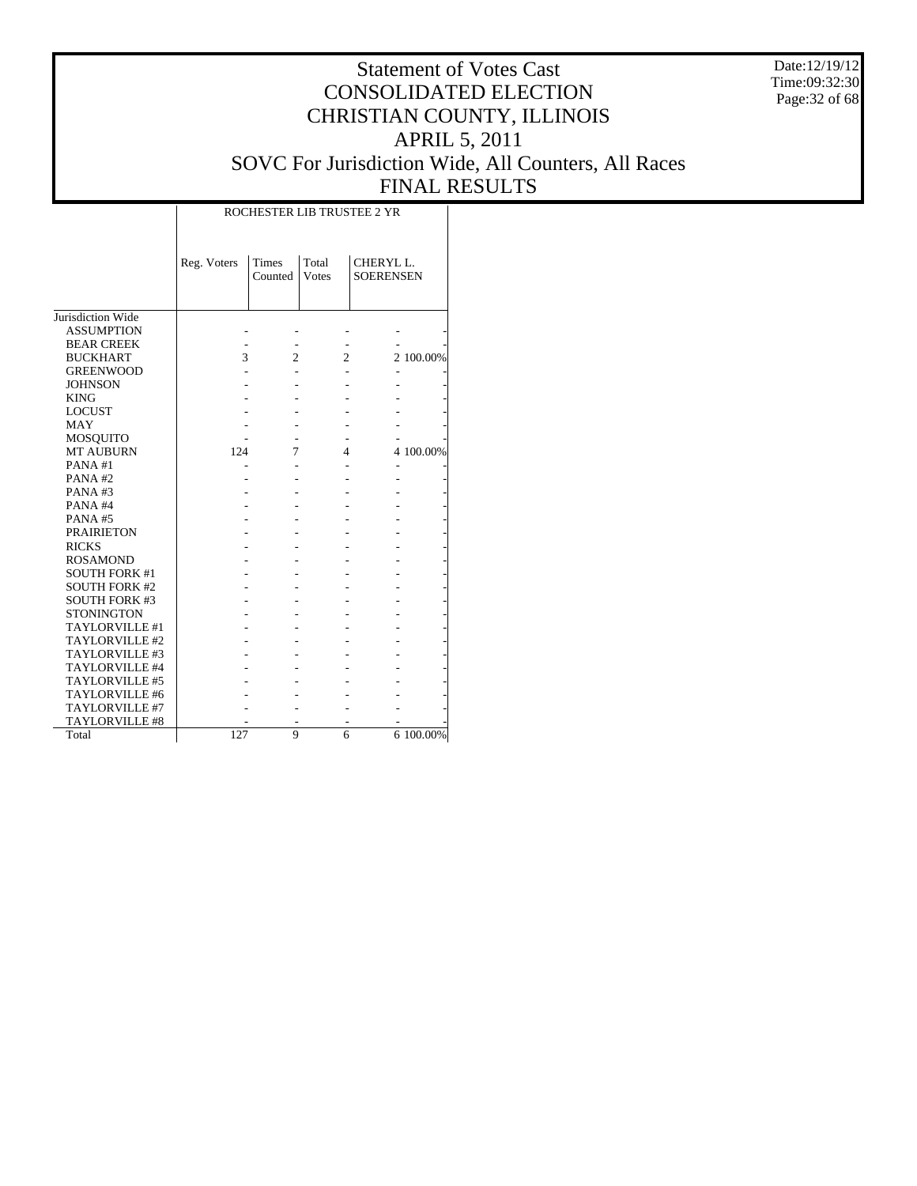Date:12/19/12 Time:09:32:30 Page:32 of 68

# Statement of Votes Cast CONSOLIDATED ELECTION CHRISTIAN COUNTY, ILLINOIS APRIL 5, 2011 SOVC For Jurisdiction Wide, All Counters, All Races FINAL RESULTS

|                                    |             | ROCHESTER LIB TRUSTEE 2 YR |                        |                                           |           |  |  |  |  |  |  |  |
|------------------------------------|-------------|----------------------------|------------------------|-------------------------------------------|-----------|--|--|--|--|--|--|--|
|                                    | Reg. Voters | Times<br>Counted           | Total<br><b>V</b> otes | CHERYL <sub>L</sub> .<br><b>SOERENSEN</b> |           |  |  |  |  |  |  |  |
| Jurisdiction Wide                  |             |                            |                        |                                           |           |  |  |  |  |  |  |  |
| <b>ASSUMPTION</b>                  |             |                            |                        |                                           |           |  |  |  |  |  |  |  |
| <b>BEAR CREEK</b>                  |             |                            |                        |                                           |           |  |  |  |  |  |  |  |
| <b>BUCKHART</b>                    | 3           | $\overline{2}$             | $\overline{c}$         |                                           | 2 100.00% |  |  |  |  |  |  |  |
|                                    |             |                            |                        |                                           |           |  |  |  |  |  |  |  |
| <b>GREENWOOD</b><br><b>JOHNSON</b> |             |                            |                        |                                           |           |  |  |  |  |  |  |  |
| <b>KING</b>                        |             |                            |                        |                                           |           |  |  |  |  |  |  |  |
| <b>LOCUST</b>                      |             |                            |                        |                                           |           |  |  |  |  |  |  |  |
| <b>MAY</b>                         |             |                            |                        |                                           |           |  |  |  |  |  |  |  |
|                                    |             |                            |                        |                                           |           |  |  |  |  |  |  |  |
| <b>MOSQUITO</b>                    |             | 7                          |                        |                                           |           |  |  |  |  |  |  |  |
| <b>MT AUBURN</b>                   | 124         |                            | 4                      |                                           | 4 100.00% |  |  |  |  |  |  |  |
| PANA#1                             |             |                            |                        |                                           |           |  |  |  |  |  |  |  |
| PANA#2                             |             |                            |                        |                                           |           |  |  |  |  |  |  |  |
| PANA#3                             |             |                            |                        |                                           |           |  |  |  |  |  |  |  |
| PANA#4                             |             |                            |                        |                                           |           |  |  |  |  |  |  |  |
| PANA#5                             |             |                            |                        |                                           |           |  |  |  |  |  |  |  |
| <b>PRAIRIETON</b>                  |             |                            |                        |                                           |           |  |  |  |  |  |  |  |
| <b>RICKS</b>                       |             |                            |                        |                                           |           |  |  |  |  |  |  |  |
| <b>ROSAMOND</b>                    |             |                            |                        |                                           |           |  |  |  |  |  |  |  |
| <b>SOUTH FORK #1</b>               |             |                            |                        |                                           |           |  |  |  |  |  |  |  |
| <b>SOUTH FORK #2</b>               |             |                            |                        |                                           |           |  |  |  |  |  |  |  |
| <b>SOUTH FORK #3</b>               |             |                            |                        |                                           |           |  |  |  |  |  |  |  |
| <b>STONINGTON</b>                  |             |                            |                        |                                           |           |  |  |  |  |  |  |  |
| TAYLORVILLE #1                     |             |                            |                        |                                           |           |  |  |  |  |  |  |  |
| TAYLORVILLE #2                     |             |                            |                        |                                           |           |  |  |  |  |  |  |  |
| TAYLORVILLE #3                     |             |                            |                        |                                           |           |  |  |  |  |  |  |  |
| TAYLORVILLE #4                     |             |                            |                        |                                           |           |  |  |  |  |  |  |  |
| TAYLORVILLE #5                     |             |                            |                        |                                           |           |  |  |  |  |  |  |  |
| TAYLORVILLE #6                     |             |                            |                        |                                           |           |  |  |  |  |  |  |  |
| TAYLORVILLE #7                     |             |                            |                        |                                           |           |  |  |  |  |  |  |  |
| <b>TAYLORVILLE #8</b>              |             |                            |                        |                                           |           |  |  |  |  |  |  |  |
| Total                              | 127         | 9                          | 6                      |                                           | 6 100.00% |  |  |  |  |  |  |  |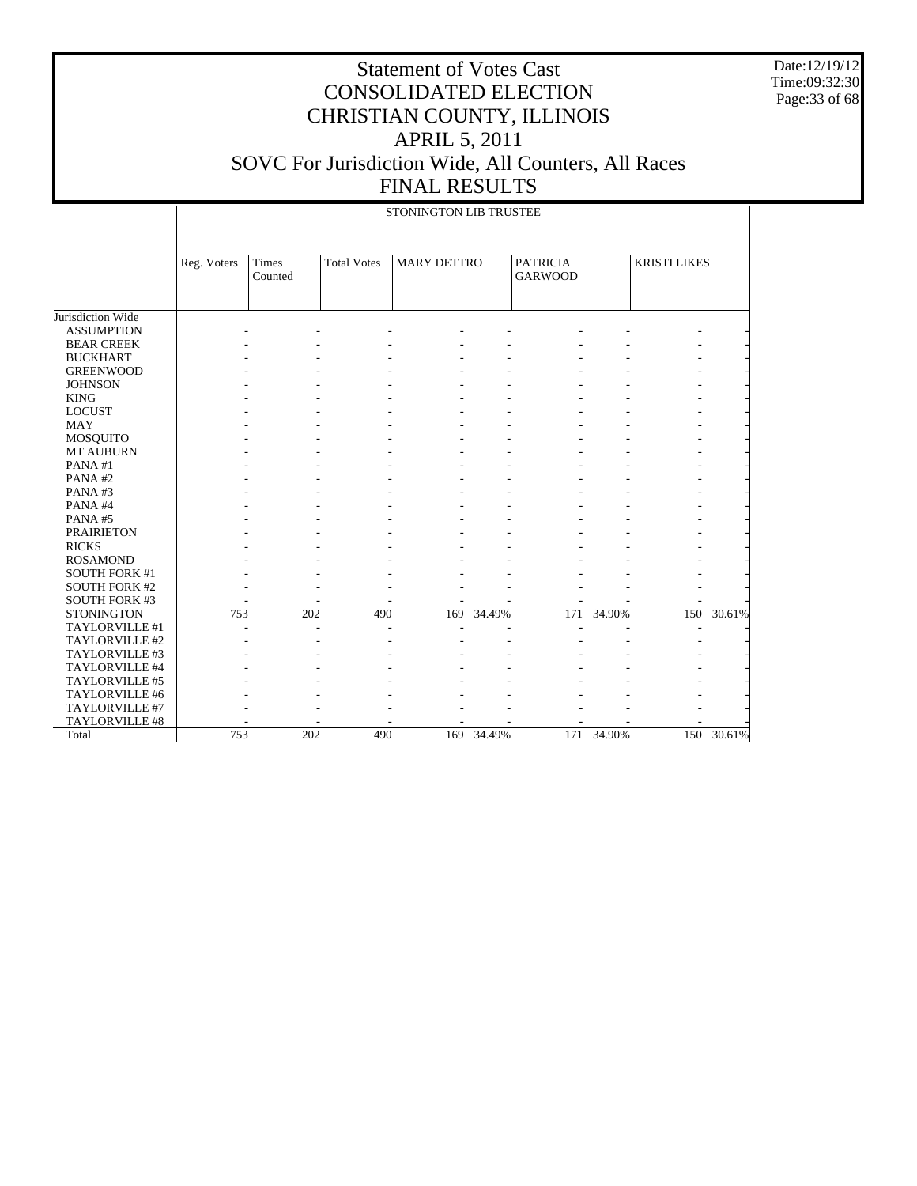Date:12/19/12 Time:09:32:30 Page:33 of 68

|                       |             | STONINGTON LIB TRUSTEE  |                    |                    |        |                                   |        |                     |        |  |  |  |  |
|-----------------------|-------------|-------------------------|--------------------|--------------------|--------|-----------------------------------|--------|---------------------|--------|--|--|--|--|
|                       | Reg. Voters | <b>Times</b><br>Counted | <b>Total Votes</b> | <b>MARY DETTRO</b> |        | <b>PATRICIA</b><br><b>GARWOOD</b> |        | <b>KRISTI LIKES</b> |        |  |  |  |  |
| Jurisdiction Wide     |             |                         |                    |                    |        |                                   |        |                     |        |  |  |  |  |
| <b>ASSUMPTION</b>     |             |                         |                    |                    |        |                                   |        |                     |        |  |  |  |  |
| <b>BEAR CREEK</b>     |             |                         |                    |                    |        |                                   |        |                     |        |  |  |  |  |
| <b>BUCKHART</b>       |             |                         |                    |                    |        |                                   |        |                     |        |  |  |  |  |
| <b>GREENWOOD</b>      |             |                         |                    |                    |        |                                   |        |                     |        |  |  |  |  |
| <b>JOHNSON</b>        |             |                         |                    |                    |        |                                   |        |                     |        |  |  |  |  |
| <b>KING</b>           |             |                         |                    |                    |        |                                   |        |                     |        |  |  |  |  |
| <b>LOCUST</b>         |             |                         |                    |                    |        |                                   |        |                     |        |  |  |  |  |
| <b>MAY</b>            |             |                         |                    |                    |        |                                   |        |                     |        |  |  |  |  |
| MOSQUITO              |             |                         |                    |                    |        |                                   |        |                     |        |  |  |  |  |
| <b>MT AUBURN</b>      |             |                         |                    |                    |        |                                   |        |                     |        |  |  |  |  |
| PANA#1                |             |                         |                    |                    |        |                                   |        |                     |        |  |  |  |  |
| PANA#2                |             |                         |                    |                    |        |                                   |        |                     |        |  |  |  |  |
| PANA#3                |             |                         |                    |                    |        |                                   |        |                     |        |  |  |  |  |
| PANA#4                |             |                         |                    |                    |        |                                   |        |                     |        |  |  |  |  |
| PANA#5                |             |                         |                    |                    |        |                                   |        |                     |        |  |  |  |  |
| <b>PRAIRIETON</b>     |             |                         |                    |                    |        |                                   |        |                     |        |  |  |  |  |
| <b>RICKS</b>          |             |                         |                    |                    |        |                                   |        |                     |        |  |  |  |  |
| <b>ROSAMOND</b>       |             |                         |                    |                    |        |                                   |        |                     |        |  |  |  |  |
| <b>SOUTH FORK #1</b>  |             |                         |                    |                    |        |                                   |        |                     |        |  |  |  |  |
| <b>SOUTH FORK #2</b>  |             |                         |                    |                    |        |                                   |        |                     |        |  |  |  |  |
| <b>SOUTH FORK #3</b>  |             |                         |                    |                    |        |                                   |        |                     |        |  |  |  |  |
| <b>STONINGTON</b>     | 753         | 202                     | 490                | 169                | 34.49% | 171                               | 34.90% | 150                 | 30.61% |  |  |  |  |
| TAYLORVILLE #1        |             |                         |                    |                    |        |                                   |        |                     |        |  |  |  |  |
| TAYLORVILLE #2        |             |                         |                    |                    |        |                                   |        |                     |        |  |  |  |  |
| TAYLORVILLE #3        |             |                         |                    |                    |        |                                   |        |                     |        |  |  |  |  |
| TAYLORVILLE #4        |             |                         |                    |                    |        |                                   |        |                     |        |  |  |  |  |
| TAYLORVILLE #5        |             |                         |                    |                    |        |                                   |        |                     |        |  |  |  |  |
| TAYLORVILLE #6        |             |                         |                    |                    |        |                                   |        |                     |        |  |  |  |  |
| TAYLORVILLE #7        |             |                         |                    |                    |        |                                   |        |                     |        |  |  |  |  |
| <b>TAYLORVILLE #8</b> |             |                         |                    |                    |        |                                   |        |                     |        |  |  |  |  |
| Total                 | 753         | 202                     | 490                | 169                | 34.49% | 171                               | 34.90% | 150                 | 30.61% |  |  |  |  |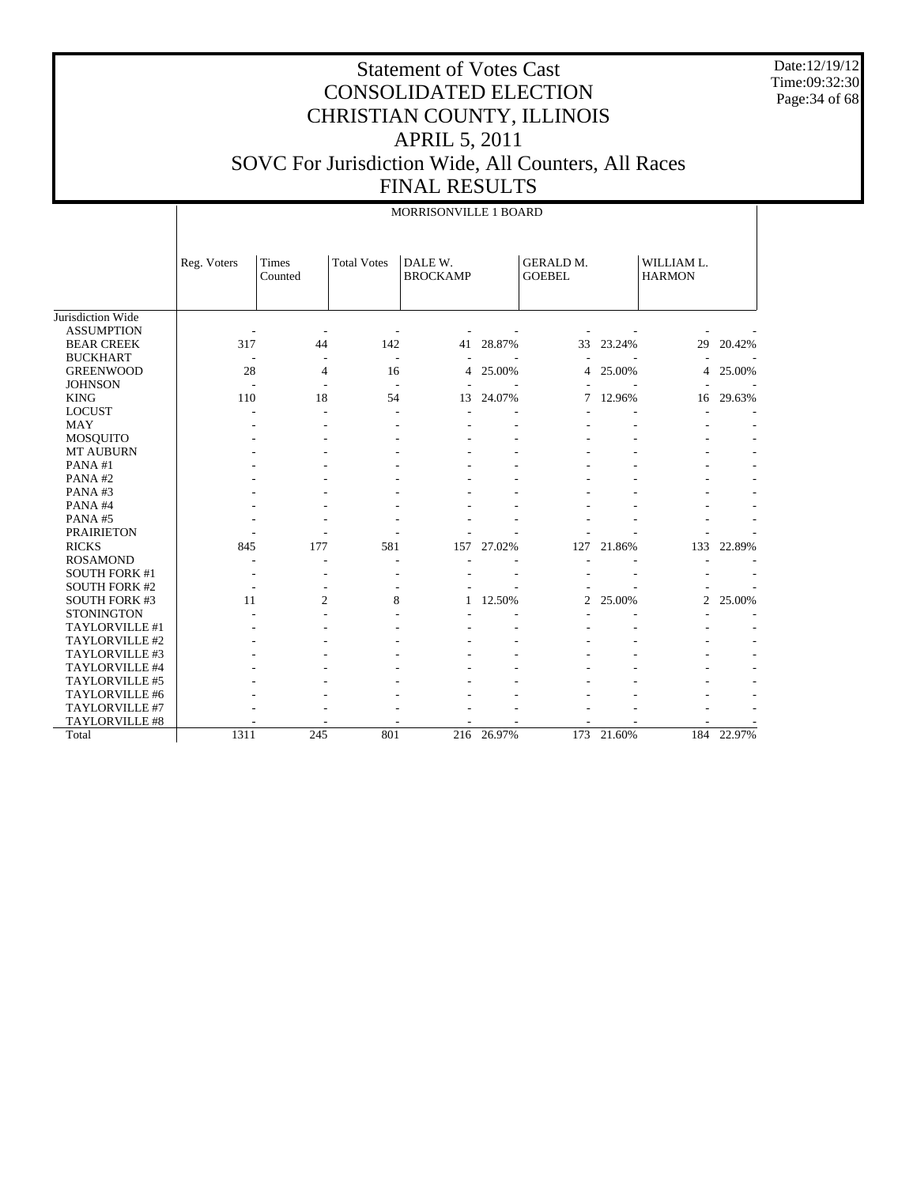Date:12/19/12 Time:09:32:30 Page:34 of 68

|                      |             | MORRISONVILLE 1 BOARD |                    |                            |        |                                   |        |                             |        |  |  |  |  |
|----------------------|-------------|-----------------------|--------------------|----------------------------|--------|-----------------------------------|--------|-----------------------------|--------|--|--|--|--|
|                      | Reg. Voters | Times<br>Counted      | <b>Total Votes</b> | DALE W.<br><b>BROCKAMP</b> |        | <b>GERALD M.</b><br><b>GOEBEL</b> |        | WILLIAM L.<br><b>HARMON</b> |        |  |  |  |  |
| Jurisdiction Wide    |             |                       |                    |                            |        |                                   |        |                             |        |  |  |  |  |
| <b>ASSUMPTION</b>    |             |                       |                    |                            |        |                                   |        |                             |        |  |  |  |  |
| <b>BEAR CREEK</b>    | 317         | 44                    | 142                | 41                         | 28.87% | 33                                | 23.24% | 29                          | 20.42% |  |  |  |  |
| <b>BUCKHART</b>      |             |                       | ÷.                 |                            |        |                                   |        |                             |        |  |  |  |  |
| <b>GREENWOOD</b>     | 28          | 4                     | 16                 | 4                          | 25.00% | 4                                 | 25.00% | 4                           | 25.00% |  |  |  |  |
| <b>JOHNSON</b>       | Ĭ.          |                       | Ĭ.                 |                            |        |                                   |        |                             |        |  |  |  |  |
| <b>KING</b>          | 110         | 18                    | 54                 | 13                         | 24.07% | 7                                 | 12.96% | 16                          | 29.63% |  |  |  |  |
| <b>LOCUST</b>        |             |                       | L,                 |                            |        |                                   |        |                             |        |  |  |  |  |
| <b>MAY</b>           |             |                       |                    |                            |        |                                   |        |                             |        |  |  |  |  |
| <b>MOSQUITO</b>      |             |                       |                    |                            |        |                                   |        |                             |        |  |  |  |  |
| <b>MT AUBURN</b>     |             |                       |                    |                            |        |                                   |        |                             |        |  |  |  |  |
| PANA#1               |             |                       |                    |                            |        |                                   |        |                             |        |  |  |  |  |
| PANA#2               |             |                       |                    |                            |        |                                   |        |                             |        |  |  |  |  |
| PANA#3<br>PANA#4     |             |                       |                    |                            |        |                                   |        |                             |        |  |  |  |  |
| PANA#5               |             |                       |                    |                            |        |                                   |        |                             |        |  |  |  |  |
| <b>PRAIRIETON</b>    |             |                       |                    |                            |        |                                   |        |                             |        |  |  |  |  |
| <b>RICKS</b>         | 845         | 177                   | 581                | 157                        | 27.02% | 127                               | 21.86% | 133                         | 22.89% |  |  |  |  |
| <b>ROSAMOND</b>      |             | ٠                     | ۰                  |                            |        |                                   |        |                             |        |  |  |  |  |
| <b>SOUTH FORK #1</b> |             |                       |                    |                            |        |                                   |        |                             |        |  |  |  |  |
| <b>SOUTH FORK #2</b> |             |                       |                    |                            |        |                                   |        |                             |        |  |  |  |  |
| <b>SOUTH FORK #3</b> | 11          | $\overline{c}$        | 8                  |                            | 12.50% | 2                                 | 25.00% | $\overline{c}$              | 25.00% |  |  |  |  |
| <b>STONINGTON</b>    |             |                       |                    |                            |        |                                   |        |                             |        |  |  |  |  |
| TAYLORVILLE #1       |             |                       |                    |                            |        |                                   |        |                             |        |  |  |  |  |
| TAYLORVILLE #2       |             |                       |                    |                            |        |                                   |        |                             |        |  |  |  |  |
| TAYLORVILLE #3       |             |                       |                    |                            |        |                                   |        |                             |        |  |  |  |  |
| TAYLORVILLE #4       |             |                       |                    |                            |        |                                   |        |                             |        |  |  |  |  |
| TAYLORVILLE #5       |             |                       |                    |                            |        |                                   |        |                             |        |  |  |  |  |
| TAYLORVILLE #6       |             |                       |                    |                            |        |                                   |        |                             |        |  |  |  |  |
| TAYLORVILLE #7       |             |                       |                    |                            |        |                                   |        |                             |        |  |  |  |  |
| TAYLORVILLE #8       |             |                       |                    |                            |        |                                   |        |                             |        |  |  |  |  |
| Total                | 1311        | 245                   | 801                | 216                        | 26.97% | 173                               | 21.60% | 184                         | 22.97% |  |  |  |  |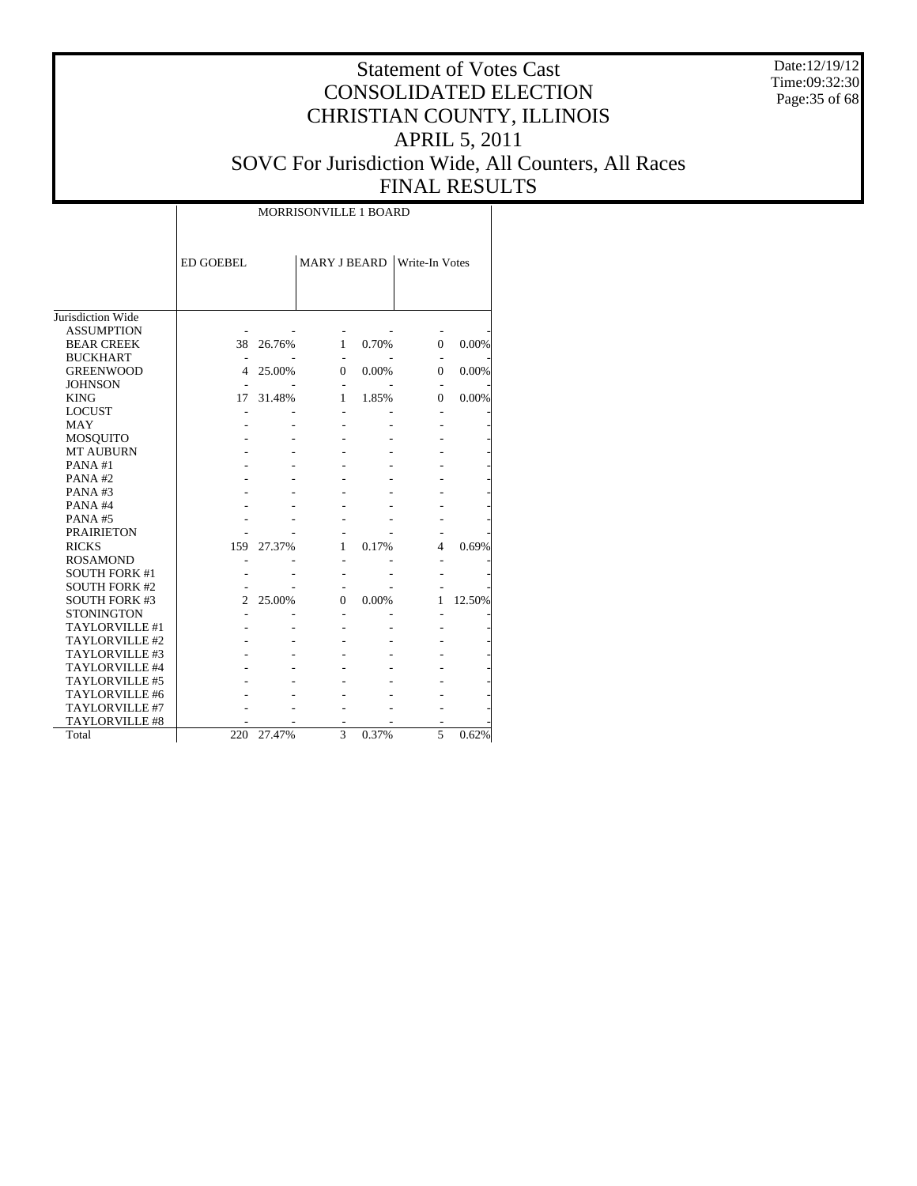Date:12/19/12 Time:09:32:30 Page:35 of 68

## Statement of Votes Cast CONSOLIDATED ELECTION CHRISTIAN COUNTY, ILLINOIS APRIL 5, 2011 SOVC For Jurisdiction Wide, All Counters, All Races FINAL RESULTS

|                       |                  | <b>MORRISONVILLE 1 BOARD</b> |                     |       |                       |        |  |  |  |  |  |  |
|-----------------------|------------------|------------------------------|---------------------|-------|-----------------------|--------|--|--|--|--|--|--|
|                       | <b>ED GOEBEL</b> |                              | <b>MARY J BEARD</b> |       | <b>Write-In Votes</b> |        |  |  |  |  |  |  |
| Jurisdiction Wide     |                  |                              |                     |       |                       |        |  |  |  |  |  |  |
| <b>ASSUMPTION</b>     |                  |                              |                     |       |                       |        |  |  |  |  |  |  |
| <b>BEAR CREEK</b>     | 38               | 26.76%                       | 1                   | 0.70% | $\overline{0}$        | 0.00%  |  |  |  |  |  |  |
| <b>BUCKHART</b>       |                  |                              |                     |       |                       |        |  |  |  |  |  |  |
| <b>GREENWOOD</b>      | 4                | 25.00%                       | 0                   | 0.00% | $\Omega$              | 0.00%  |  |  |  |  |  |  |
| <b>JOHNSON</b>        |                  |                              |                     |       |                       |        |  |  |  |  |  |  |
| <b>KING</b>           | 17               | 31.48%                       | 1                   | 1.85% | 0                     | 0.00%  |  |  |  |  |  |  |
| <b>LOCUST</b>         |                  |                              |                     |       |                       |        |  |  |  |  |  |  |
| <b>MAY</b>            |                  |                              |                     |       |                       |        |  |  |  |  |  |  |
| <b>MOSQUITO</b>       |                  |                              |                     |       |                       |        |  |  |  |  |  |  |
| <b>MT AUBURN</b>      |                  |                              |                     |       |                       |        |  |  |  |  |  |  |
| PANA#1                |                  |                              |                     |       |                       |        |  |  |  |  |  |  |
| PANA#2                |                  |                              |                     |       |                       |        |  |  |  |  |  |  |
| PANA#3                |                  |                              |                     |       |                       |        |  |  |  |  |  |  |
| PANA#4                |                  |                              |                     |       |                       |        |  |  |  |  |  |  |
| PANA#5                |                  |                              |                     |       |                       |        |  |  |  |  |  |  |
| <b>PRAIRIETON</b>     |                  |                              |                     |       |                       |        |  |  |  |  |  |  |
| <b>RICKS</b>          | 159              | 27.37%                       | 1                   | 0.17% | 4                     | 0.69%  |  |  |  |  |  |  |
| <b>ROSAMOND</b>       |                  |                              | $\overline{a}$      |       |                       |        |  |  |  |  |  |  |
| <b>SOUTH FORK #1</b>  |                  |                              |                     |       |                       |        |  |  |  |  |  |  |
| <b>SOUTH FORK #2</b>  |                  |                              |                     |       |                       |        |  |  |  |  |  |  |
| <b>SOUTH FORK #3</b>  | 2                | 25.00%                       | 0                   | 0.00% | 1                     | 12.50% |  |  |  |  |  |  |
| <b>STONINGTON</b>     |                  |                              |                     |       |                       |        |  |  |  |  |  |  |
| TAYLORVILLE #1        |                  |                              |                     |       |                       |        |  |  |  |  |  |  |
| TAYLORVILLE #2        |                  |                              |                     |       |                       |        |  |  |  |  |  |  |
| TAYLORVILLE #3        |                  |                              |                     |       |                       |        |  |  |  |  |  |  |
| TAYLORVILLE #4        |                  |                              |                     |       |                       |        |  |  |  |  |  |  |
| TAYLORVILLE #5        |                  |                              |                     |       |                       |        |  |  |  |  |  |  |
| TAYLORVILLE #6        |                  |                              |                     |       |                       |        |  |  |  |  |  |  |
| TAYLORVILLE #7        |                  |                              |                     |       |                       |        |  |  |  |  |  |  |
| <b>TAYLORVILLE #8</b> |                  |                              |                     |       |                       |        |  |  |  |  |  |  |
| Total                 | 220              | 27.47%                       | 3                   | 0.37% | 5                     | 0.62%  |  |  |  |  |  |  |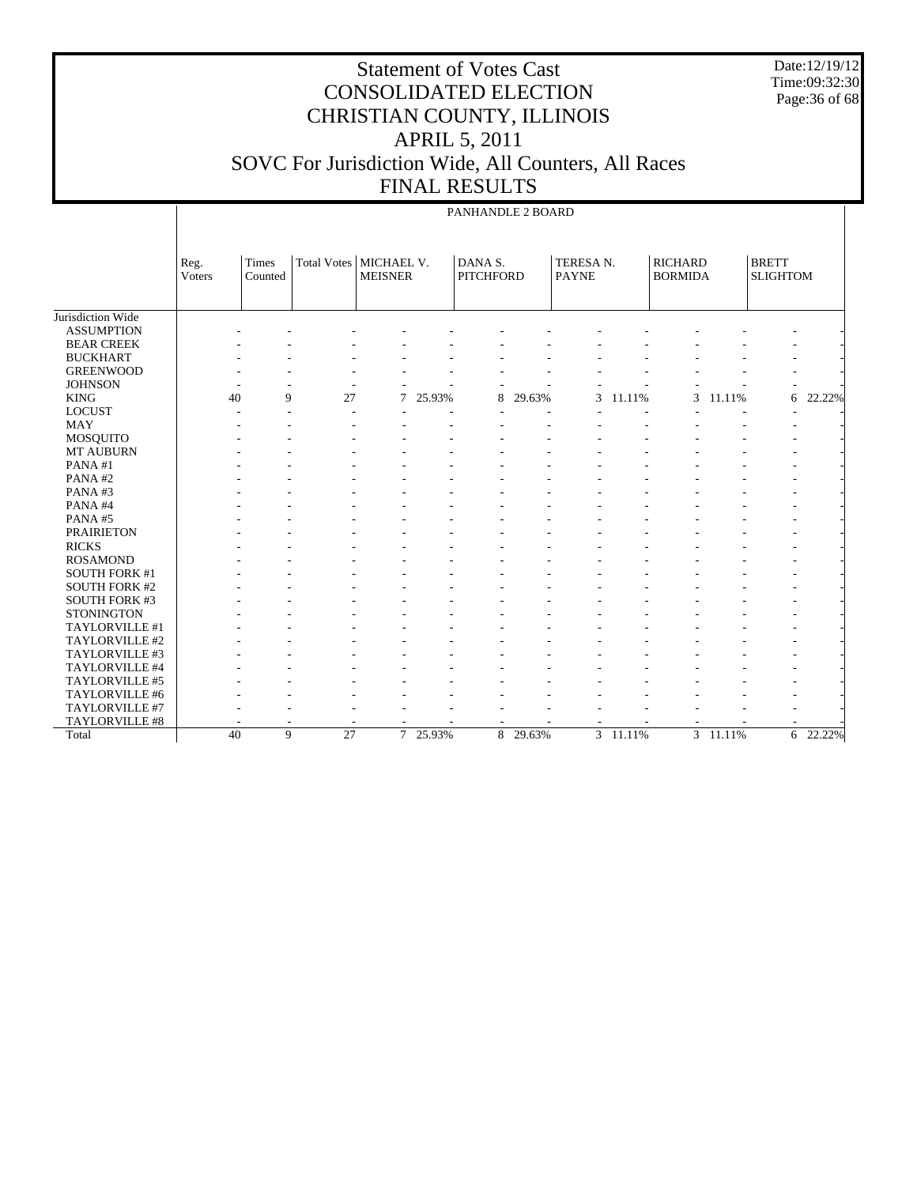Date:12/19/12 Time:09:32:30 Page:36 of 68

# Statement of Votes Cast CONSOLIDATED ELECTION CHRISTIAN COUNTY, ILLINOIS APRIL 5, 2011 SOVC For Jurisdiction Wide, All Counters, All Races FINAL RESULTS

#### PANHANDLE 2 BOARD

|                      | Reg.<br>Voters | Times<br>Counted | <b>Total Votes</b> | MICHAEL V.<br><b>MEISNER</b> |          | DANA S.<br><b>PITCHFORD</b> |          | TERESA N.<br><b>PAYNE</b> |        | <b>RICHARD</b><br><b>BORMIDA</b> |          | <b>BRETT</b><br><b>SLIGHTOM</b> |                       |
|----------------------|----------------|------------------|--------------------|------------------------------|----------|-----------------------------|----------|---------------------------|--------|----------------------------------|----------|---------------------------------|-----------------------|
|                      |                |                  |                    |                              |          |                             |          |                           |        |                                  |          |                                 |                       |
| Jurisdiction Wide    |                |                  |                    |                              |          |                             |          |                           |        |                                  |          |                                 |                       |
| <b>ASSUMPTION</b>    |                |                  |                    |                              |          |                             |          |                           |        |                                  |          |                                 |                       |
| <b>BEAR CREEK</b>    |                |                  |                    |                              |          |                             |          |                           |        |                                  |          |                                 |                       |
| <b>BUCKHART</b>      |                |                  |                    |                              |          |                             |          |                           |        |                                  |          |                                 |                       |
| <b>GREENWOOD</b>     |                |                  |                    |                              |          |                             |          |                           |        |                                  |          |                                 |                       |
| <b>JOHNSON</b>       |                |                  |                    |                              |          |                             |          |                           |        |                                  |          |                                 |                       |
| <b>KING</b>          | 40             | 9                | 27                 | 7                            | 25.93%   | 8                           | 29.63%   | 3                         | 11.11% | 3                                | 11.11%   | 6                               | 22.22%                |
| <b>LOCUST</b>        |                |                  |                    |                              |          |                             |          |                           |        |                                  |          |                                 |                       |
| <b>MAY</b>           |                |                  |                    |                              |          |                             |          |                           |        |                                  |          |                                 |                       |
| <b>MOSQUITO</b>      |                |                  |                    |                              |          |                             |          |                           |        |                                  |          |                                 |                       |
| <b>MT AUBURN</b>     |                |                  |                    |                              |          |                             |          |                           |        |                                  |          |                                 |                       |
| PANA#1               |                |                  |                    |                              |          |                             |          |                           |        |                                  |          |                                 |                       |
| PANA#2               |                |                  |                    |                              |          |                             |          |                           |        |                                  |          |                                 |                       |
| PANA#3               |                |                  |                    |                              |          |                             |          |                           |        |                                  |          |                                 |                       |
| PANA#4               |                |                  |                    |                              |          |                             |          |                           |        |                                  |          |                                 |                       |
| PANA#5               |                |                  |                    |                              |          |                             |          |                           |        |                                  |          |                                 |                       |
| <b>PRAIRIETON</b>    |                |                  |                    |                              |          |                             |          |                           |        |                                  |          |                                 |                       |
| <b>RICKS</b>         |                |                  |                    |                              |          |                             |          |                           |        |                                  |          |                                 |                       |
| <b>ROSAMOND</b>      |                |                  |                    |                              |          |                             |          |                           |        |                                  |          |                                 |                       |
| <b>SOUTH FORK #1</b> |                |                  |                    |                              |          |                             |          |                           |        |                                  |          |                                 |                       |
| <b>SOUTH FORK #2</b> |                |                  |                    |                              |          |                             |          |                           |        |                                  |          |                                 |                       |
| <b>SOUTH FORK #3</b> |                |                  |                    |                              |          |                             |          |                           |        |                                  |          |                                 |                       |
| <b>STONINGTON</b>    |                |                  |                    |                              |          |                             |          |                           |        |                                  |          |                                 |                       |
| TAYLORVILLE #1       |                |                  |                    |                              |          |                             |          |                           |        |                                  |          |                                 |                       |
| TAYLORVILLE #2       |                |                  |                    |                              |          |                             |          |                           |        |                                  |          |                                 |                       |
| TAYLORVILLE #3       |                |                  |                    |                              |          |                             |          |                           |        |                                  |          |                                 |                       |
| TAYLORVILLE #4       |                |                  |                    |                              |          |                             |          |                           |        |                                  |          |                                 |                       |
| TAYLORVILLE #5       |                |                  |                    |                              |          |                             |          |                           |        |                                  |          |                                 |                       |
| TAYLORVILLE #6       |                |                  |                    |                              |          |                             |          |                           |        |                                  |          |                                 |                       |
| TAYLORVILLE #7       |                |                  |                    |                              |          |                             |          |                           |        |                                  |          |                                 |                       |
| TAYLORVILLE #8       |                |                  |                    | $\overline{\phantom{a}}$     |          |                             |          |                           |        |                                  |          |                                 |                       |
| Total                | 40             | 9                | 27                 |                              | 7 25.93% |                             | 8 29.63% | $\mathfrak{Z}$            | 11.11% |                                  | 3 11.11% |                                 | $6\overline{22.22\%}$ |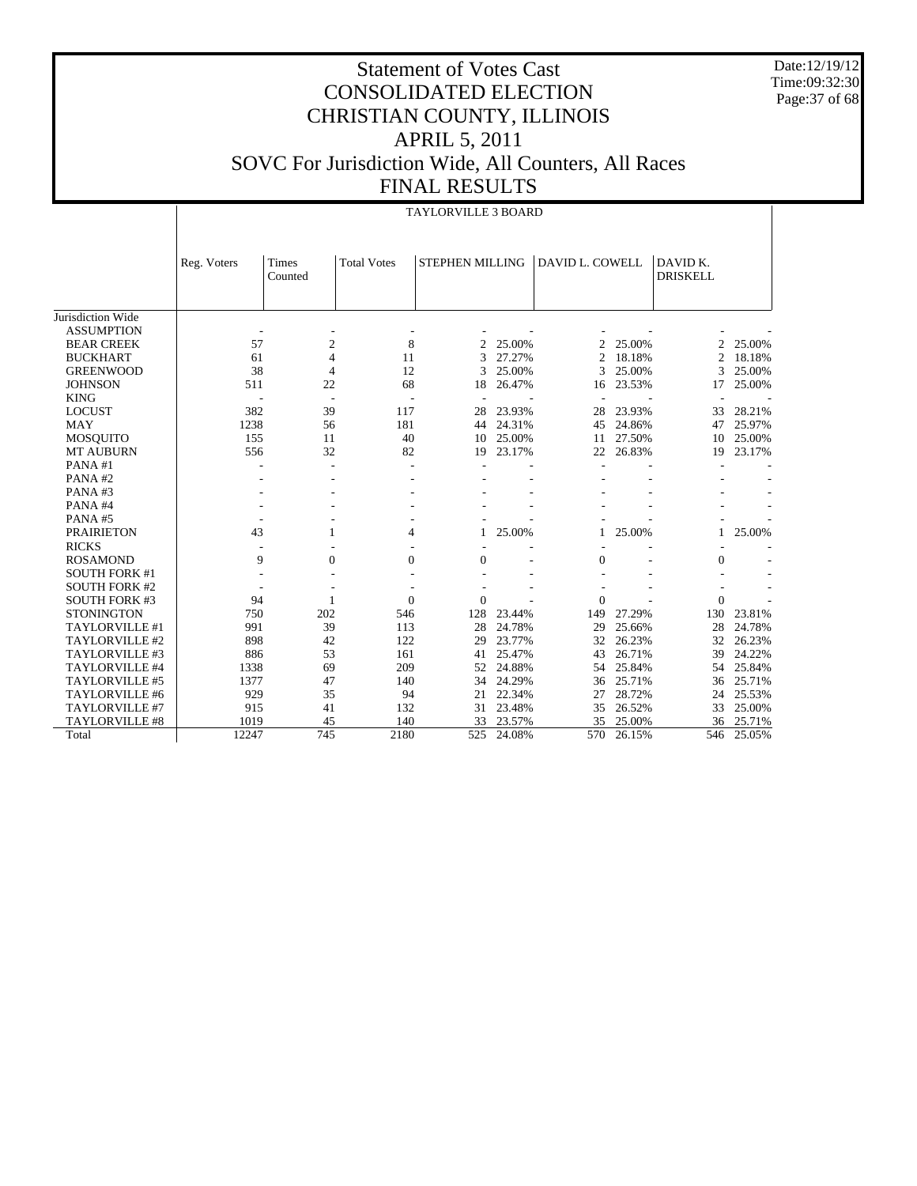Date:12/19/12 Time:09:32:30 Page:37 of 68

|                      | <b>TAYLORVILLE 3 BOARD</b> |                          |                    |                |                 |                  |                 |                             |        |  |  |  |
|----------------------|----------------------------|--------------------------|--------------------|----------------|-----------------|------------------|-----------------|-----------------------------|--------|--|--|--|
|                      |                            |                          |                    |                |                 |                  |                 |                             |        |  |  |  |
|                      | Reg. Voters                | Times<br>Counted         | <b>Total Votes</b> |                | STEPHEN MILLING |                  | DAVID L. COWELL | DAVID K.<br><b>DRISKELL</b> |        |  |  |  |
|                      |                            |                          |                    |                |                 |                  |                 |                             |        |  |  |  |
| Jurisdiction Wide    |                            |                          |                    |                |                 |                  |                 |                             |        |  |  |  |
| <b>ASSUMPTION</b>    |                            | ٠                        |                    |                |                 |                  |                 |                             |        |  |  |  |
| <b>BEAR CREEK</b>    | 57                         | $\mathfrak{2}$           | 8                  | $\overline{c}$ | 25.00%          | 2                | 25.00%          | 2                           | 25.00% |  |  |  |
| <b>BUCKHART</b>      | 61                         | 4                        | 11                 | 3              | 27.27%          | $\overline{2}$   | 18.18%          | $\overline{2}$              | 18.18% |  |  |  |
| <b>GREENWOOD</b>     | 38                         | 4                        | 12                 | 3              | 25.00%          | 3                | 25.00%          | 3                           | 25.00% |  |  |  |
| <b>JOHNSON</b>       | 511                        | 22                       | 68                 | 18             | 26.47%          | 16               | 23.53%          | 17                          | 25.00% |  |  |  |
| <b>KING</b>          |                            | $\overline{\phantom{a}}$ |                    |                |                 |                  |                 | ÷,                          |        |  |  |  |
| <b>LOCUST</b>        | 382                        | 39                       | 117                | 28             | 23.93%          | 28               | 23.93%          | 33                          | 28.21% |  |  |  |
| <b>MAY</b>           | 1238                       | 56                       | 181                | 44             | 24.31%          | 45               | 24.86%          | 47                          | 25.97% |  |  |  |
| MOSQUITO             | 155                        | 11                       | 40                 | 10             | 25.00%          | 11               | 27.50%          | 10                          | 25.00% |  |  |  |
| MT AUBURN            | 556                        | 32                       | 82                 | 19             | 23.17%          | 22               | 26.83%          | 19                          | 23.17% |  |  |  |
| PANA#1               |                            | ÷                        |                    |                |                 |                  |                 |                             |        |  |  |  |
| PANA#2               |                            |                          |                    |                |                 |                  |                 |                             |        |  |  |  |
| PANA#3               |                            |                          |                    |                |                 |                  |                 |                             |        |  |  |  |
| PANA#4               |                            |                          |                    |                |                 |                  |                 |                             |        |  |  |  |
| PANA#5               |                            |                          |                    |                |                 |                  |                 |                             |        |  |  |  |
| <b>PRAIRIETON</b>    | 43                         | 1                        | 4                  | 1              | 25.00%          | 1                | 25.00%          | 1                           | 25.00% |  |  |  |
| <b>RICKS</b>         |                            |                          |                    |                |                 |                  |                 |                             |        |  |  |  |
| <b>ROSAMOND</b>      | 9                          | 0                        | $\overline{0}$     | $\overline{0}$ |                 | $\boldsymbol{0}$ |                 | $\overline{0}$              |        |  |  |  |
| <b>SOUTH FORK #1</b> |                            | $\sim$                   |                    |                |                 |                  |                 |                             |        |  |  |  |
| <b>SOUTH FORK #2</b> |                            |                          |                    |                |                 |                  |                 |                             |        |  |  |  |
| <b>SOUTH FORK #3</b> | 94                         |                          | $\overline{0}$     | $\overline{0}$ |                 | $\overline{0}$   |                 | $\overline{0}$              |        |  |  |  |
| <b>STONINGTON</b>    | 750                        | 202                      | 546                | 128            | 23.44%          | 149              | 27.29%          | 130                         | 23.81% |  |  |  |
| TAYLORVILLE #1       | 991                        | 39                       | 113                | 28             | 24.78%          | 29               | 25.66%          | 28                          | 24.78% |  |  |  |
| TAYLORVILLE #2       | 898                        | 42                       | 122                | 29             | 23.77%          | 32               | 26.23%          | 32                          | 26.23% |  |  |  |
| TAYLORVILLE #3       | 886                        | 53                       | 161                | 41             | 25.47%          | 43               | 26.71%          | 39                          | 24.22% |  |  |  |
| TAYLORVILLE #4       | 1338                       | 69                       | 209                | 52             | 24.88%          | 54               | 25.84%          | 54                          | 25.84% |  |  |  |
| TAYLORVILLE #5       | 1377                       | 47                       | 140                | 34             | 24.29%          | 36               | 25.71%          | 36                          | 25.71% |  |  |  |
| TAYLORVILLE #6       | 929                        | 35                       | 94                 | 21             | 22.34%          | 27               | 28.72%          | 24                          | 25.53% |  |  |  |
| TAYLORVILLE #7       | 915                        | 41                       | 132                | 31             | 23.48%          | 35               | 26.52%          | 33                          | 25.00% |  |  |  |
| TAYLORVILLE #8       | 1019                       | 45                       | 140                | 33             | 23.57%          | 35               | 25.00%          | 36                          | 25.71% |  |  |  |
| Total                | 12247                      | 745                      | 2180               | 525            | 24.08%          | 570              | 26.15%          | 546                         | 25.05% |  |  |  |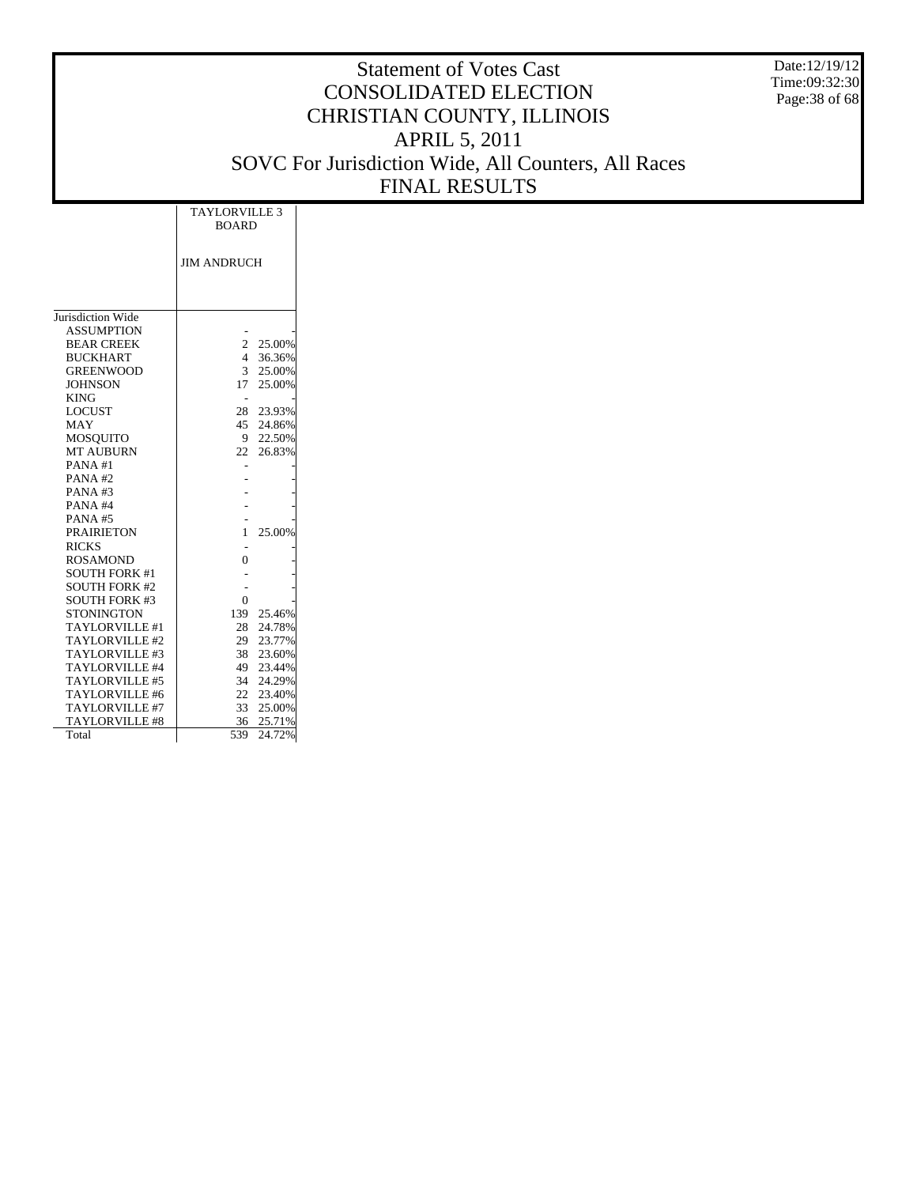Date:12/19/12 Time:09:32:30 Page:38 of 68

|                       | <b>TAYLORVILLE 3</b><br><b>BOARD</b> |           |
|-----------------------|--------------------------------------|-----------|
|                       |                                      |           |
|                       | <b>JIM ANDRUCH</b>                   |           |
|                       |                                      |           |
|                       |                                      |           |
| Jurisdiction Wide     |                                      |           |
| <b>ASSUMPTION</b>     |                                      |           |
| <b>BEAR CREEK</b>     | 2                                    | 25.00%    |
| <b>BUCKHART</b>       | 4                                    | 36.36%    |
| <b>GREENWOOD</b>      | 3                                    | 25.00%    |
| <b>JOHNSON</b>        | 17                                   | 25.00%    |
| <b>KING</b>           |                                      |           |
| <b>LOCUST</b>         | 28                                   | 23.93%    |
| MAY                   |                                      | 45 24.86% |
| <b>MOSQUITO</b>       | 9.                                   | 22.50%    |
| <b>MT AUBURN</b>      |                                      | 22 26.83% |
| PANA#1                |                                      |           |
| PANA#2                |                                      |           |
| PANA#3                |                                      |           |
| PANA#4                |                                      |           |
| <b>PANA#5</b>         |                                      |           |
| <b>PRAIRIETON</b>     | 1                                    | 25.00%    |
| <b>RICKS</b>          |                                      |           |
| <b>ROSAMOND</b>       | $\Omega$                             |           |
| <b>SOUTH FORK #1</b>  |                                      |           |
| <b>SOUTH FORK #2</b>  |                                      |           |
| <b>SOUTH FORK #3</b>  | 0                                    |           |
| <b>STONINGTON</b>     | 139                                  | 25.46%    |
| TAYLORVILLE #1        | 28                                   | 24.78%    |
| TAYLORVILLE#2         | 29                                   | 23.77%    |
| TAYLORVILLE#3         | 38                                   | 23.60%    |
| TAYLORVILLE #4        | 49                                   | 23.44%    |
| TAYLORVILLE #5        | 34                                   | 24.29%    |
| TAYLORVILLE #6        | 22                                   | 23.40%    |
| TAYLORVILLE #7        | 33                                   | 25.00%    |
| <b>TAYLORVILLE #8</b> | 36                                   | 25.71%    |
| Total                 | 539                                  | 24.72%    |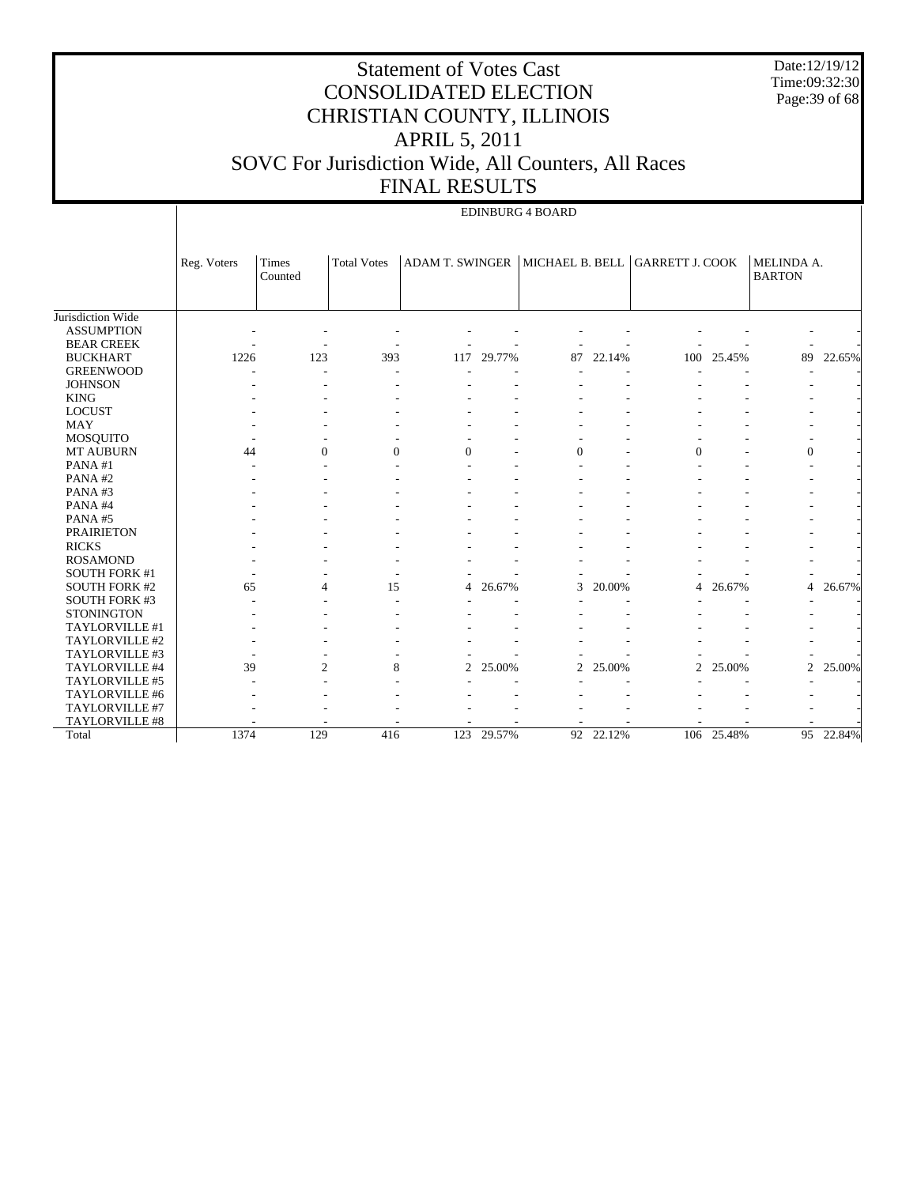|                                        |                                                                                                                                             | SOVC For Jurisdiction Wide, All Counters, All Races | <b>CONSOLIDATED ELECTION</b><br>CHRISTIAN COUNTY, ILLINOIS | <b>Statement of Votes Cast</b><br><b>APRIL 5, 2011</b><br><b>FINAL RESULTS</b> |            | <b>EDINBURG 4 BOARD</b> |           |                |        | Time:09:32:30  | Date:12/19/12<br>Page: 39 of 68 |  |
|----------------------------------------|---------------------------------------------------------------------------------------------------------------------------------------------|-----------------------------------------------------|------------------------------------------------------------|--------------------------------------------------------------------------------|------------|-------------------------|-----------|----------------|--------|----------------|---------------------------------|--|
|                                        | ADAM T. SWINGER   MICHAEL B. BELL   GARRETT J. COOK<br>Reg. Voters<br><b>Total Votes</b><br>Times<br>MELINDA A.<br><b>BARTON</b><br>Counted |                                                     |                                                            |                                                                                |            |                         |           |                |        |                |                                 |  |
| Jurisdiction Wide<br><b>ASSUMPTION</b> |                                                                                                                                             |                                                     |                                                            |                                                                                |            |                         |           |                |        |                |                                 |  |
| <b>BEAR CREEK</b>                      |                                                                                                                                             |                                                     |                                                            |                                                                                |            |                         |           |                |        |                |                                 |  |
| <b>BUCKHART</b><br><b>GREENWOOD</b>    | 1226                                                                                                                                        | 123                                                 | 393                                                        |                                                                                | 117 29.77% |                         | 87 22.14% | 100            | 25.45% | 89             | 22.65%                          |  |
| <b>JOHNSON</b>                         |                                                                                                                                             |                                                     |                                                            |                                                                                |            |                         |           |                |        |                |                                 |  |
| <b>KING</b>                            |                                                                                                                                             |                                                     |                                                            |                                                                                |            |                         |           |                |        |                |                                 |  |
| <b>LOCUST</b>                          |                                                                                                                                             |                                                     |                                                            |                                                                                |            |                         |           |                |        |                |                                 |  |
| <b>MAY</b>                             |                                                                                                                                             |                                                     |                                                            |                                                                                |            |                         |           |                |        |                |                                 |  |
| <b>MOSQUITO</b>                        |                                                                                                                                             |                                                     |                                                            |                                                                                |            |                         |           |                |        |                |                                 |  |
| <b>MT AUBURN</b>                       | 44                                                                                                                                          | $\Omega$                                            | $\Omega$                                                   | $\Omega$                                                                       |            | $\Omega$                |           | $\Omega$       |        | $\mathbf{0}$   |                                 |  |
| PANA#1                                 |                                                                                                                                             |                                                     |                                                            |                                                                                |            |                         |           |                |        |                |                                 |  |
| PANA#2                                 |                                                                                                                                             |                                                     |                                                            |                                                                                |            |                         |           |                |        |                |                                 |  |
| PANA#3                                 |                                                                                                                                             |                                                     |                                                            |                                                                                |            |                         |           |                |        |                |                                 |  |
| PANA#4<br>PANA#5                       |                                                                                                                                             |                                                     |                                                            |                                                                                |            |                         |           |                |        |                |                                 |  |
| <b>PRAIRIETON</b>                      |                                                                                                                                             |                                                     |                                                            |                                                                                |            |                         |           |                |        |                |                                 |  |
| <b>RICKS</b>                           |                                                                                                                                             |                                                     |                                                            |                                                                                |            |                         |           |                |        |                |                                 |  |
| <b>ROSAMOND</b>                        |                                                                                                                                             |                                                     |                                                            |                                                                                |            |                         |           |                |        |                |                                 |  |
| <b>SOUTH FORK #1</b>                   |                                                                                                                                             |                                                     |                                                            |                                                                                |            |                         |           |                |        |                |                                 |  |
| <b>SOUTH FORK #2</b>                   | 65                                                                                                                                          | 4                                                   | 15                                                         | 4                                                                              | 26.67%     | 3                       | 20.00%    | 4              | 26.67% | $\overline{4}$ | 26.67%                          |  |
| <b>SOUTH FORK #3</b>                   |                                                                                                                                             |                                                     |                                                            |                                                                                |            |                         |           |                |        |                |                                 |  |
| <b>STONINGTON</b>                      |                                                                                                                                             |                                                     |                                                            |                                                                                |            |                         |           |                |        |                |                                 |  |
| <b>TAYLORVILLE #1</b>                  |                                                                                                                                             |                                                     |                                                            |                                                                                |            |                         |           |                |        |                |                                 |  |
| TAYLORVILLE #2                         |                                                                                                                                             |                                                     |                                                            |                                                                                |            |                         |           |                |        |                |                                 |  |
| TAYLORVILLE #3                         |                                                                                                                                             |                                                     |                                                            |                                                                                |            |                         |           |                |        |                |                                 |  |
| TAYLORVILLE #4                         | 39                                                                                                                                          | $\overline{c}$                                      | 8                                                          |                                                                                | 2 25,00%   |                         | 2 25.00%  | $\overline{2}$ | 25.00% | $\overline{c}$ | 25.00%                          |  |
| TAYLORVILLE #5                         |                                                                                                                                             |                                                     |                                                            |                                                                                |            |                         |           |                |        |                |                                 |  |

- - - - - - - - - - - - - - - - - - - - - - - - - - - - - - - - - 1374 129 416 123 29.57% 92 22.12% 106 25.48% 95 22.84%

 TAYLORVILLE #6 TAYLORVILLE #7 TAYLORVILLE #8

Total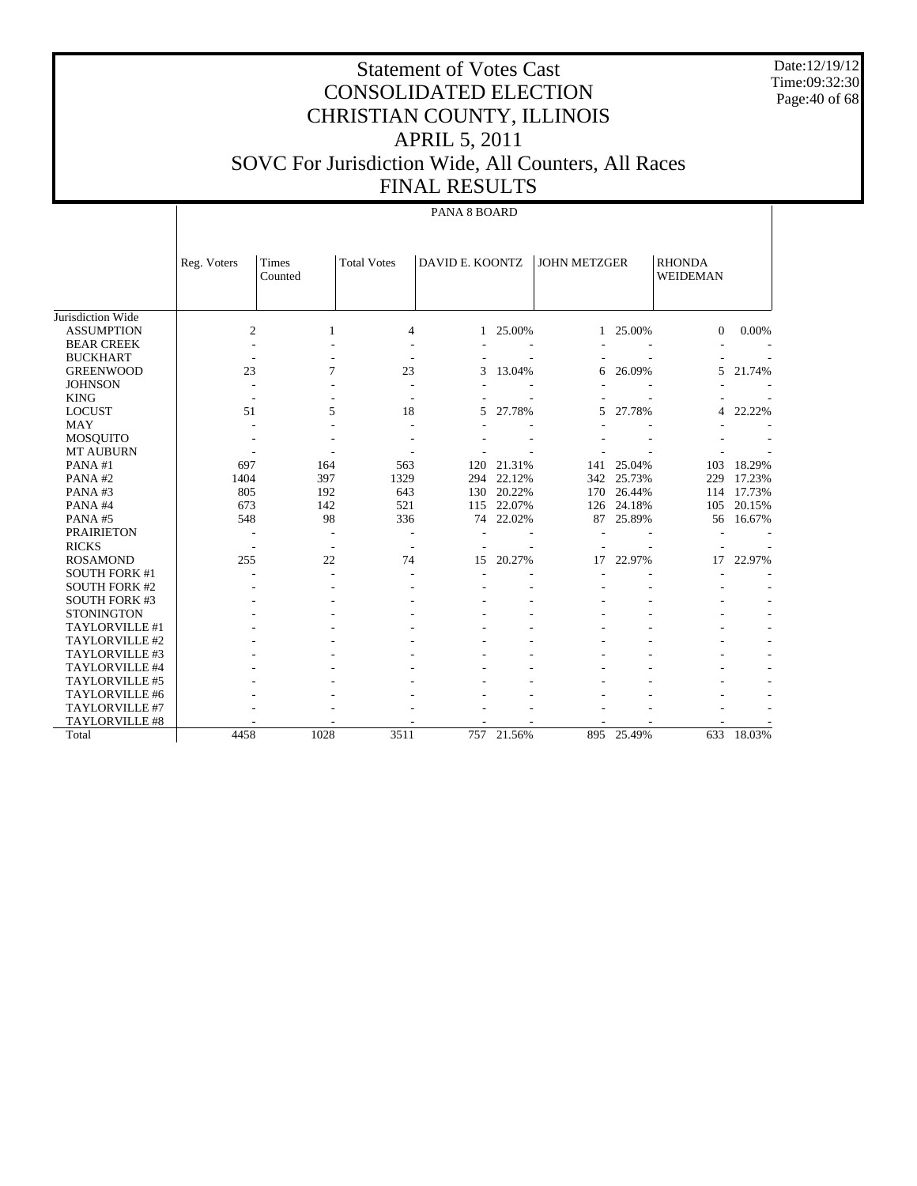Date:12/19/12 Time:09:32:30 Page:40 of 68

# Statement of Votes Cast CONSOLIDATED ELECTION CHRISTIAN COUNTY, ILLINOIS APRIL 5, 2011 SOVC For Jurisdiction Wide, All Counters, All Races FINAL RESULTS

#### PANA 8 BOARD

| Jurisdiction Wide     | Reg. Voters | Times<br>Counted | <b>Total Votes</b>       | DAVID E. KOONTZ |            | <b>JOHN METZGER</b> |            | <b>RHONDA</b><br><b>WEIDEMAN</b> |        |
|-----------------------|-------------|------------------|--------------------------|-----------------|------------|---------------------|------------|----------------------------------|--------|
| <b>ASSUMPTION</b>     | 2           | 1                | 4                        |                 | 1 25.00%   | $\mathbf{1}$        | 25.00%     | $\mathbf{0}$                     | 0.00%  |
| <b>BEAR CREEK</b>     |             |                  |                          |                 |            |                     |            |                                  |        |
| <b>BUCKHART</b>       |             |                  | $\overline{\phantom{a}}$ |                 |            |                     |            |                                  |        |
| <b>GREENWOOD</b>      | 23          | 7                | 23                       | 3               | 13.04%     | 6                   | 26.09%     | 5.                               | 21.74% |
| <b>JOHNSON</b>        |             |                  |                          |                 |            |                     |            |                                  |        |
| <b>KING</b>           |             |                  |                          |                 |            |                     |            |                                  |        |
| <b>LOCUST</b>         | 51          | 5                | 18                       | 5               | 27.78%     | 5                   | 27.78%     | 4                                | 22.22% |
| <b>MAY</b>            |             |                  |                          |                 |            |                     |            |                                  |        |
| <b>MOSQUITO</b>       |             |                  |                          |                 |            |                     |            |                                  |        |
| <b>MT AUBURN</b>      |             |                  |                          |                 |            |                     |            |                                  |        |
| PANA#1                | 697         | 164              | 563                      | 120             | 21.31%     | 141                 | 25.04%     | 103                              | 18.29% |
| PANA#2                | 1404        | 397              | 1329                     | 294             | 22.12%     | 342                 | 25.73%     | 229                              | 17.23% |
| PANA#3                | 805         | 192              | 643                      | 130             | 20.22%     | 170                 | 26.44%     | 114                              | 17.73% |
| PANA#4                | 673         | 142              | 521                      | 115             | 22.07%     | 126                 | 24.18%     | 105                              | 20.15% |
| PANA#5                | 548         | 98               | 336                      | 74              | 22.02%     | 87                  | 25.89%     | 56                               | 16.67% |
| <b>PRAIRIETON</b>     |             |                  |                          |                 |            |                     |            |                                  |        |
| <b>RICKS</b>          |             |                  |                          |                 |            |                     |            |                                  |        |
| <b>ROSAMOND</b>       | 255         | 22               | 74                       | 15              | 20.27%     | 17                  | 22.97%     | 17                               | 22.97% |
| <b>SOUTH FORK #1</b>  |             |                  |                          |                 |            |                     |            |                                  |        |
| <b>SOUTH FORK #2</b>  |             |                  |                          |                 |            |                     |            |                                  |        |
| <b>SOUTH FORK #3</b>  |             |                  |                          |                 |            |                     |            |                                  |        |
| <b>STONINGTON</b>     |             |                  |                          |                 |            |                     |            |                                  |        |
| TAYLORVILLE #1        |             |                  |                          |                 |            |                     |            |                                  |        |
| TAYLORVILLE #2        |             |                  |                          |                 |            |                     |            |                                  |        |
| TAYLORVILLE #3        |             |                  |                          |                 |            |                     |            |                                  |        |
| TAYLORVILLE #4        |             |                  |                          |                 |            |                     |            |                                  |        |
| TAYLORVILLE #5        |             |                  |                          |                 |            |                     |            |                                  |        |
| TAYLORVILLE #6        |             |                  |                          |                 |            |                     |            |                                  |        |
| <b>TAYLORVILLE #7</b> |             |                  |                          |                 |            |                     |            |                                  |        |
| TAYLORVILLE #8        |             |                  |                          |                 |            |                     |            |                                  |        |
| Total                 | 4458        | 1028             | 3511                     |                 | 757 21.56% |                     | 895 25.49% | 633                              | 18.03% |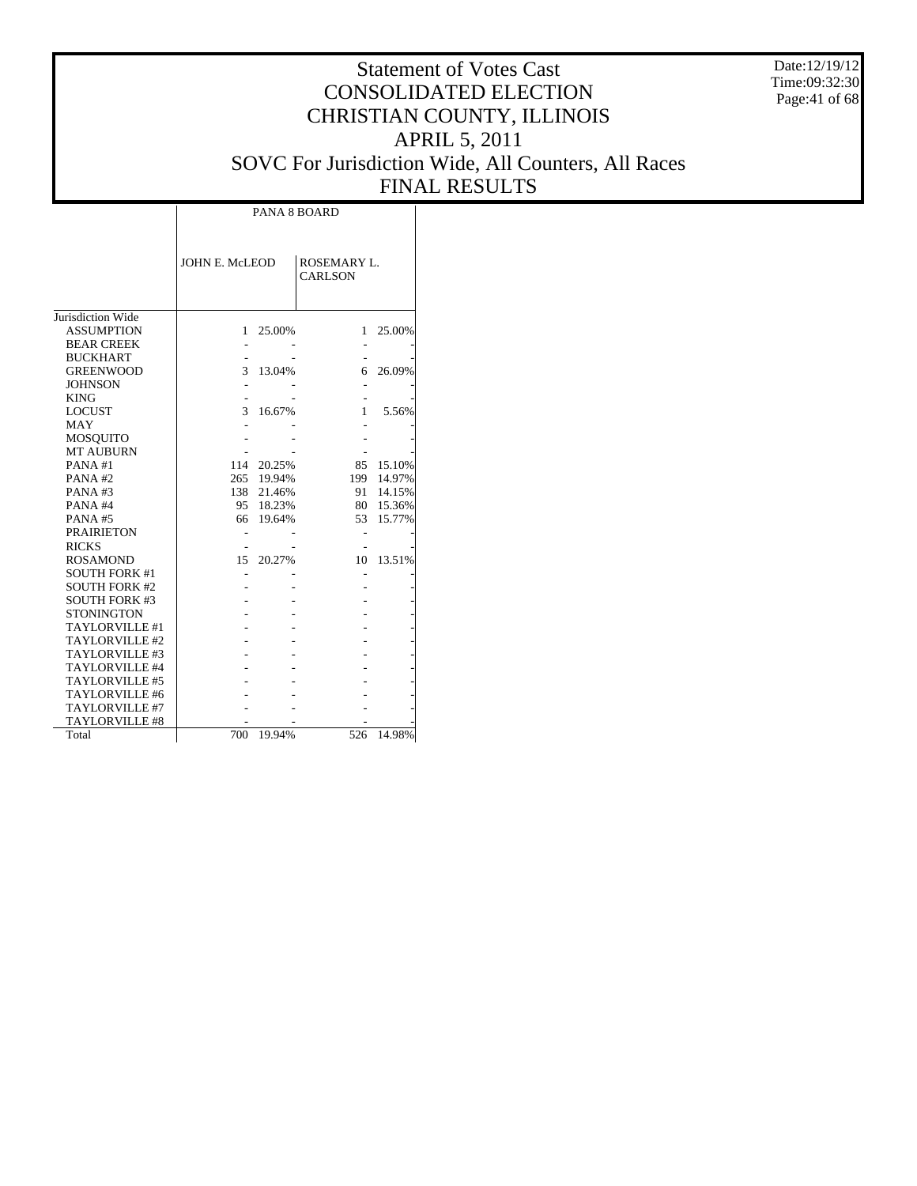Date:12/19/12 Time:09:32:30 Page:41 of 68

|                       | <b>PANA 8 BOARD</b>   |        |                               |        |  |  |  |  |  |  |  |  |
|-----------------------|-----------------------|--------|-------------------------------|--------|--|--|--|--|--|--|--|--|
|                       | <b>JOHN E. McLEOD</b> |        | ROSEMARY L.<br><b>CARLSON</b> |        |  |  |  |  |  |  |  |  |
| Jurisdiction Wide     |                       |        |                               |        |  |  |  |  |  |  |  |  |
| <b>ASSUMPTION</b>     | 1                     | 25.00% | 1                             | 25.00% |  |  |  |  |  |  |  |  |
| <b>BEAR CREEK</b>     |                       |        |                               |        |  |  |  |  |  |  |  |  |
| <b>BUCKHART</b>       |                       |        |                               |        |  |  |  |  |  |  |  |  |
| <b>GREENWOOD</b>      | 3                     | 13.04% | 6                             | 26.09% |  |  |  |  |  |  |  |  |
| <b>JOHNSON</b>        |                       |        |                               |        |  |  |  |  |  |  |  |  |
| <b>KING</b>           |                       |        |                               |        |  |  |  |  |  |  |  |  |
| <b>LOCUST</b>         | 3                     | 16.67% | 1                             | 5.56%  |  |  |  |  |  |  |  |  |
| MAY                   |                       |        |                               |        |  |  |  |  |  |  |  |  |
| MOSQUITO              |                       |        |                               |        |  |  |  |  |  |  |  |  |
| <b>MT AUBURN</b>      |                       |        |                               |        |  |  |  |  |  |  |  |  |
| PANA#1                | 114                   | 20.25% | 85                            | 15.10% |  |  |  |  |  |  |  |  |
| PANA#2                | 265                   | 19.94% | 199                           | 14.97% |  |  |  |  |  |  |  |  |
| PANA#3                | 138                   | 21.46% | 91                            | 14.15% |  |  |  |  |  |  |  |  |
| PANA#4                | 95                    | 18.23% | 80                            | 15.36% |  |  |  |  |  |  |  |  |
| PANA#5                | 66                    | 19.64% | 53                            | 15.77% |  |  |  |  |  |  |  |  |
| <b>PRAIRIETON</b>     |                       |        |                               |        |  |  |  |  |  |  |  |  |
| <b>RICKS</b>          |                       |        |                               |        |  |  |  |  |  |  |  |  |
| <b>ROSAMOND</b>       | 15                    | 20.27% | 10                            | 13.51% |  |  |  |  |  |  |  |  |
| <b>SOUTH FORK #1</b>  |                       |        |                               |        |  |  |  |  |  |  |  |  |
| <b>SOUTH FORK #2</b>  |                       |        |                               |        |  |  |  |  |  |  |  |  |
| <b>SOUTH FORK #3</b>  |                       |        |                               |        |  |  |  |  |  |  |  |  |
| <b>STONINGTON</b>     |                       |        |                               |        |  |  |  |  |  |  |  |  |
| TAYLORVILLE #1        |                       |        |                               |        |  |  |  |  |  |  |  |  |
| TAYLORVILLE #2        |                       |        |                               |        |  |  |  |  |  |  |  |  |
| TAYLORVILLE #3        |                       |        |                               |        |  |  |  |  |  |  |  |  |
| TAYLORVILLE #4        |                       |        |                               |        |  |  |  |  |  |  |  |  |
| TAYLORVILLE #5        |                       |        |                               |        |  |  |  |  |  |  |  |  |
| TAYLORVILLE #6        |                       |        |                               |        |  |  |  |  |  |  |  |  |
| TAYLORVILLE #7        |                       |        |                               |        |  |  |  |  |  |  |  |  |
| <b>TAYLORVILLE #8</b> |                       |        |                               |        |  |  |  |  |  |  |  |  |
| Total                 | 700                   | 19.94% | 526                           | 14.98% |  |  |  |  |  |  |  |  |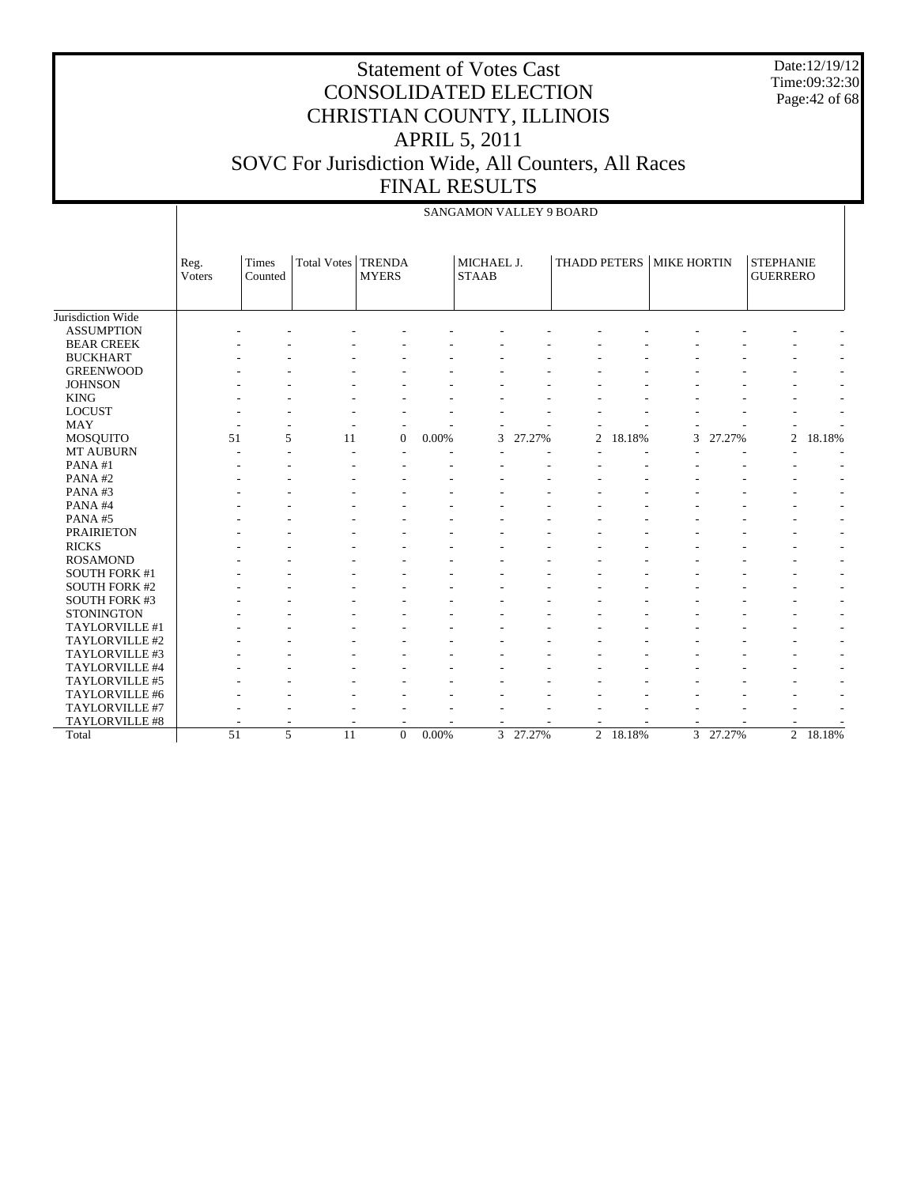Date:12/19/12 Time:09:32:30 Page:42 of 68

|                      |                | <b>SANGAMON VALLEY 9 BOARD</b> |                      |                |          |                            |        |                |        |                          |        |                                     |                          |
|----------------------|----------------|--------------------------------|----------------------|----------------|----------|----------------------------|--------|----------------|--------|--------------------------|--------|-------------------------------------|--------------------------|
|                      | Reg.<br>Voters | Times<br>Counted               | Total Votes   TRENDA | <b>MYERS</b>   |          | MICHAEL J.<br><b>STAAB</b> |        |                |        | THADD PETERS MIKE HORTIN |        | <b>STEPHANIE</b><br><b>GUERRERO</b> |                          |
| Jurisdiction Wide    |                |                                |                      |                |          |                            |        |                |        |                          |        |                                     |                          |
| <b>ASSUMPTION</b>    |                |                                |                      |                |          |                            |        |                |        |                          |        |                                     |                          |
| <b>BEAR CREEK</b>    |                |                                |                      |                |          |                            |        |                |        |                          |        |                                     |                          |
| <b>BUCKHART</b>      |                |                                |                      |                |          |                            |        |                |        |                          |        |                                     |                          |
| <b>GREENWOOD</b>     |                |                                |                      |                |          |                            |        |                |        |                          |        |                                     |                          |
| <b>JOHNSON</b>       |                |                                |                      |                |          |                            |        |                |        |                          |        |                                     |                          |
| <b>KING</b>          |                |                                |                      |                |          |                            |        |                |        |                          |        |                                     |                          |
| <b>LOCUST</b>        |                |                                |                      |                |          |                            |        |                |        |                          |        |                                     |                          |
| <b>MAY</b>           |                |                                |                      |                |          |                            |        |                |        |                          |        |                                     |                          |
| <b>MOSQUITO</b>      |                | 51                             | 5<br>11              | $\overline{0}$ | 0.00%    | 3                          | 27.27% | $\overline{c}$ | 18.18% | 3                        | 27.27% | $\overline{c}$                      | 18.18%                   |
| <b>MT AUBURN</b>     |                |                                |                      |                |          |                            |        |                |        |                          |        |                                     |                          |
| PANA#1               |                |                                |                      |                |          |                            |        |                |        |                          |        |                                     |                          |
| PANA#2               |                |                                |                      |                |          |                            |        |                |        |                          |        |                                     |                          |
| PANA#3               |                |                                |                      |                |          |                            |        |                |        |                          |        |                                     |                          |
| PANA#4               |                |                                |                      |                |          |                            |        |                |        |                          |        |                                     |                          |
| PANA#5               |                |                                |                      |                |          |                            |        |                |        |                          |        |                                     | $\overline{\phantom{a}}$ |
| <b>PRAIRIETON</b>    |                |                                |                      |                |          |                            |        |                |        |                          |        |                                     |                          |
| <b>RICKS</b>         |                |                                |                      |                |          |                            |        |                |        |                          |        |                                     |                          |
| <b>ROSAMOND</b>      |                |                                |                      |                |          |                            |        |                |        |                          |        |                                     |                          |
| <b>SOUTH FORK #1</b> |                |                                |                      |                |          |                            |        |                |        |                          |        |                                     |                          |
| <b>SOUTH FORK #2</b> |                |                                |                      |                |          |                            |        |                |        |                          |        |                                     |                          |
| SOUTH FORK #3        |                |                                |                      |                |          |                            |        |                |        |                          |        |                                     |                          |
| <b>STONINGTON</b>    |                |                                |                      |                |          |                            |        |                |        |                          |        |                                     |                          |
| TAYLORVILLE #1       |                |                                |                      |                |          |                            |        |                |        |                          |        |                                     |                          |
| TAYLORVILLE #2       |                |                                |                      |                |          |                            |        |                |        |                          |        |                                     |                          |
| TAYLORVILLE #3       |                |                                |                      |                |          |                            |        |                |        |                          |        |                                     |                          |
| TAYLORVILLE #4       |                |                                |                      |                |          |                            |        |                |        |                          |        |                                     |                          |
| TAYLORVILLE #5       |                |                                |                      |                |          |                            |        |                |        |                          |        |                                     |                          |
| TAYLORVILLE #6       |                |                                |                      |                |          |                            |        |                |        |                          |        |                                     |                          |
| TAYLORVILLE #7       |                |                                |                      |                |          |                            |        |                |        |                          |        |                                     |                          |
| TAYLORVILLE #8       |                |                                |                      |                |          |                            |        |                |        |                          |        |                                     |                          |
| Total                |                | 51                             | 5<br>11              | $\Omega$       | $0.00\%$ | $\overline{3}$             | 27.27% | $\overline{2}$ | 18.18% | $\overline{3}$           | 27.27% | $\overline{2}$                      | 18.18%                   |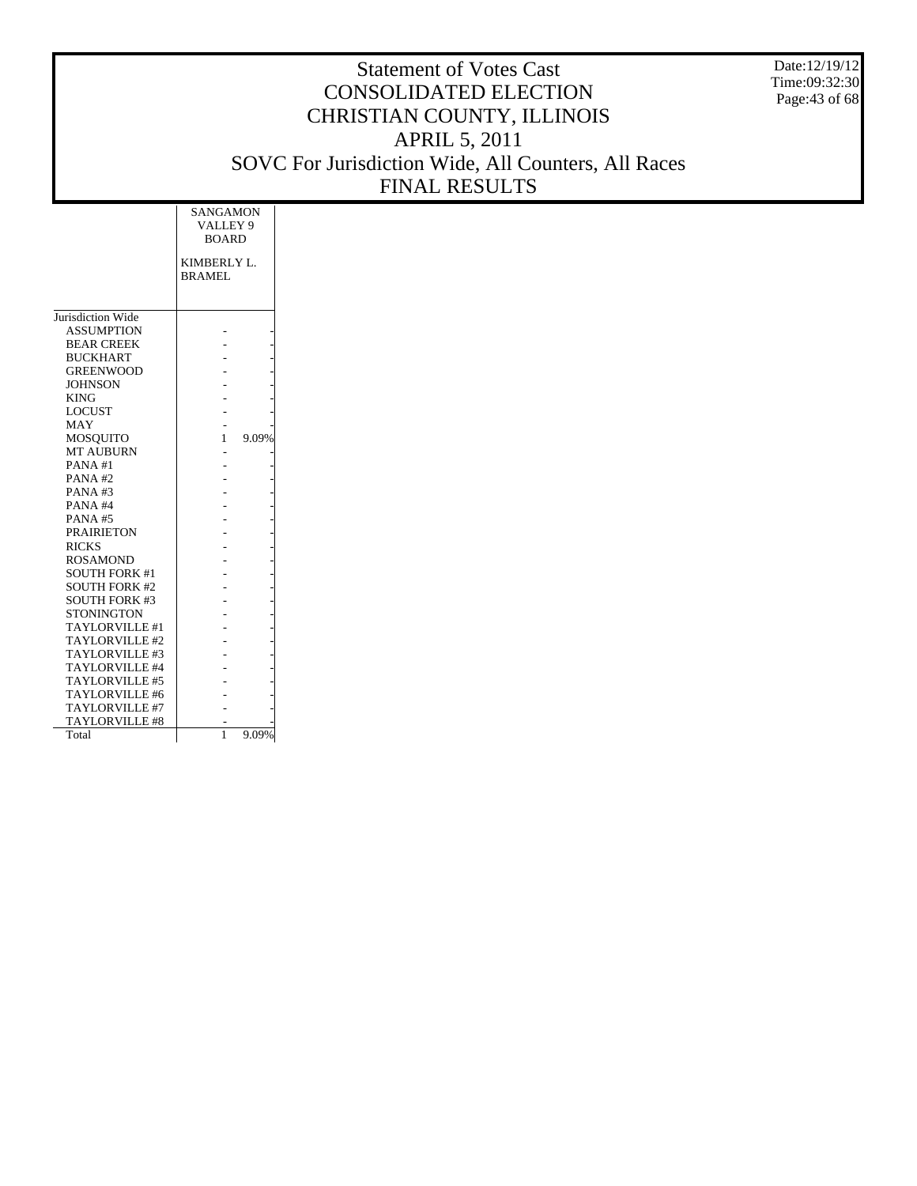Date:12/19/12 Time:09:32:30 Page:43 of 68

|                       | <b>SANGAMON</b><br>VALLEY 9  |       |
|-----------------------|------------------------------|-------|
|                       | <b>BOARD</b>                 |       |
|                       | KIMBERLY L.<br><b>BRAMEL</b> |       |
|                       |                              |       |
|                       |                              |       |
| Jurisdiction Wide     |                              |       |
| <b>ASSUMPTION</b>     |                              |       |
| <b>BEAR CREEK</b>     |                              |       |
| <b>BUCKHART</b>       |                              |       |
| <b>GREENWOOD</b>      |                              |       |
| <b>JOHNSON</b>        |                              |       |
| <b>KING</b>           |                              |       |
| <b>LOCUST</b>         |                              |       |
| MAY                   |                              |       |
| MOSOUITO              | 1                            | 9.09% |
| <b>MT AUBURN</b>      |                              |       |
| PANA#1                |                              |       |
| PANA#2                |                              |       |
| PANA#3                |                              |       |
| PANA#4                |                              |       |
| <b>PANA#5</b>         |                              |       |
| <b>PRAIRIETON</b>     |                              |       |
| <b>RICKS</b>          |                              |       |
| <b>ROSAMOND</b>       |                              |       |
| <b>SOUTH FORK #1</b>  |                              |       |
| <b>SOUTH FORK #2</b>  |                              |       |
| <b>SOUTH FORK #3</b>  |                              |       |
| <b>STONINGTON</b>     |                              |       |
| <b>TAYLORVILLE #1</b> |                              |       |
| TAYLORVILLE #2        |                              |       |
| TAYLORVILLE #3        |                              |       |
| TAYLORVILLE #4        |                              |       |
| TAYLORVILLE #5        |                              |       |
| TAYLORVILLE #6        |                              |       |
| TAYLORVILLE #7        |                              |       |
| <b>TAYLORVILLE #8</b> |                              |       |
|                       | 1                            |       |
| Total                 |                              | 9.09% |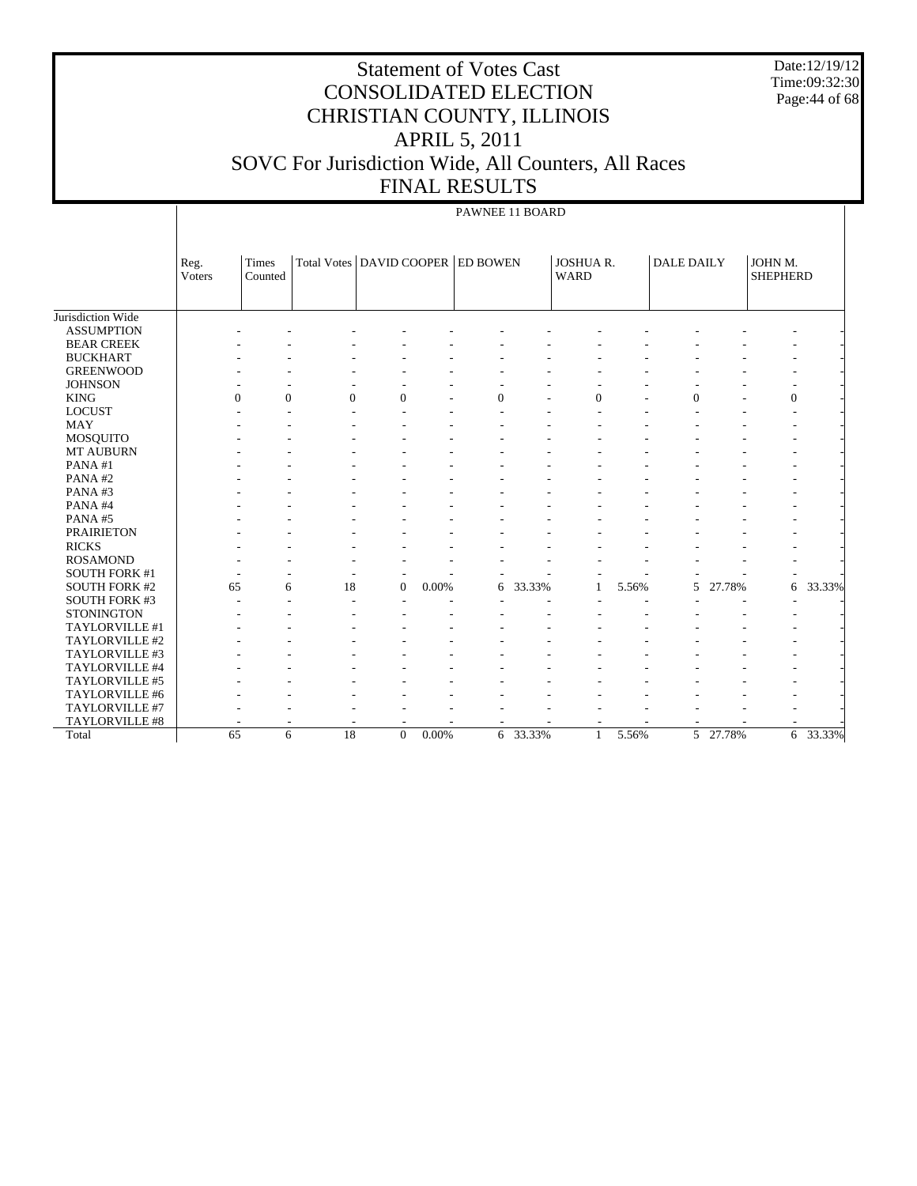Date:12/19/12 Time:09:32:30 Page: 44 of 68

# Statement of Votes Cast CONSOLIDATED ELECTION CHRISTIAN COUNTY, ILLINOIS APRIL 5, 2011 SOVC For Jurisdiction Wide, All Counters, All Races FINAL RESULTS

#### PAWNEE 11 BOARD

|                      | Reg.<br>Voters | Times<br>Counted | Total Votes   DAVID COOPER   ED BOWEN |                |          |                          |        | <b>JOSHUA R.</b><br><b>WARD</b> |       | <b>DALE DAILY</b> |          | JOHN M.<br><b>SHEPHERD</b> |        |
|----------------------|----------------|------------------|---------------------------------------|----------------|----------|--------------------------|--------|---------------------------------|-------|-------------------|----------|----------------------------|--------|
|                      |                |                  |                                       |                |          |                          |        |                                 |       |                   |          |                            |        |
| Jurisdiction Wide    |                |                  |                                       |                |          |                          |        |                                 |       |                   |          |                            |        |
| <b>ASSUMPTION</b>    |                |                  |                                       |                |          |                          |        |                                 |       |                   |          |                            |        |
| <b>BEAR CREEK</b>    |                |                  |                                       |                |          |                          |        |                                 |       |                   |          |                            |        |
| <b>BUCKHART</b>      |                |                  |                                       |                |          |                          |        |                                 |       |                   |          |                            |        |
| <b>GREENWOOD</b>     |                |                  |                                       |                |          |                          |        |                                 |       |                   |          |                            |        |
| <b>JOHNSON</b>       |                |                  |                                       |                |          |                          |        |                                 |       |                   |          |                            |        |
| <b>KING</b>          |                | $\Omega$         | $\mathbf{0}$<br>$\Omega$              | $\Omega$       |          | $\Omega$                 |        | $\Omega$                        |       | $\Omega$          |          | $\theta$                   |        |
| <b>LOCUST</b>        |                |                  | ۰                                     |                |          |                          |        |                                 |       |                   |          |                            |        |
| MAY                  |                |                  |                                       |                |          |                          |        |                                 |       |                   |          |                            |        |
| <b>MOSQUITO</b>      |                |                  |                                       |                |          |                          |        |                                 |       |                   |          |                            |        |
| <b>MT AUBURN</b>     |                |                  |                                       |                |          |                          |        |                                 |       |                   |          |                            |        |
| PANA#1               |                |                  |                                       |                |          |                          |        |                                 |       |                   |          |                            |        |
| PANA#2               |                |                  |                                       |                |          |                          |        |                                 |       |                   |          |                            |        |
| PANA#3               |                |                  |                                       |                |          |                          |        |                                 |       |                   |          |                            |        |
| PANA#4               |                |                  |                                       |                |          |                          |        |                                 |       |                   |          |                            |        |
| PANA#5               |                |                  |                                       |                |          |                          |        |                                 |       |                   |          |                            |        |
| <b>PRAIRIETON</b>    |                |                  |                                       |                |          |                          |        |                                 |       |                   |          |                            |        |
| <b>RICKS</b>         |                |                  |                                       |                |          |                          |        |                                 |       |                   |          |                            |        |
| <b>ROSAMOND</b>      |                |                  |                                       |                |          |                          |        |                                 |       |                   |          |                            |        |
| <b>SOUTH FORK #1</b> |                |                  |                                       | ٠              |          |                          |        |                                 |       |                   |          |                            |        |
| <b>SOUTH FORK #2</b> |                | 65               | 18<br>6                               | $\overline{0}$ | 0.00%    | 6                        | 33.33% | 1                               | 5.56% | 5                 | 27.78%   | 6                          | 33.33% |
| <b>SOUTH FORK #3</b> |                |                  |                                       |                |          |                          |        |                                 |       |                   |          |                            |        |
| <b>STONINGTON</b>    |                |                  |                                       |                |          |                          |        |                                 |       |                   |          |                            |        |
| TAYLORVILLE #1       |                |                  |                                       |                |          |                          |        |                                 |       |                   |          |                            |        |
| TAYLORVILLE #2       |                |                  |                                       |                |          |                          |        |                                 |       |                   |          |                            |        |
| TAYLORVILLE #3       |                |                  |                                       |                |          |                          |        |                                 |       |                   |          |                            |        |
| TAYLORVILLE #4       |                |                  |                                       |                |          |                          |        |                                 |       |                   |          |                            |        |
| TAYLORVILLE #5       |                |                  |                                       |                |          |                          |        |                                 |       |                   |          |                            |        |
| TAYLORVILLE #6       |                |                  |                                       |                |          |                          |        |                                 |       |                   |          |                            |        |
| TAYLORVILLE #7       |                |                  |                                       |                |          |                          |        |                                 |       |                   |          |                            |        |
| TAYLORVILLE #8       |                |                  |                                       | ٠              |          | $\overline{\phantom{a}}$ |        |                                 |       |                   |          |                            |        |
| Total                |                | 65               | $\overline{18}$<br>6                  | $\Omega$       | $0.00\%$ | 6                        | 33.33% | $\mathbf{1}$                    | 5.56% |                   | 5 27.78% | 6                          | 33.33% |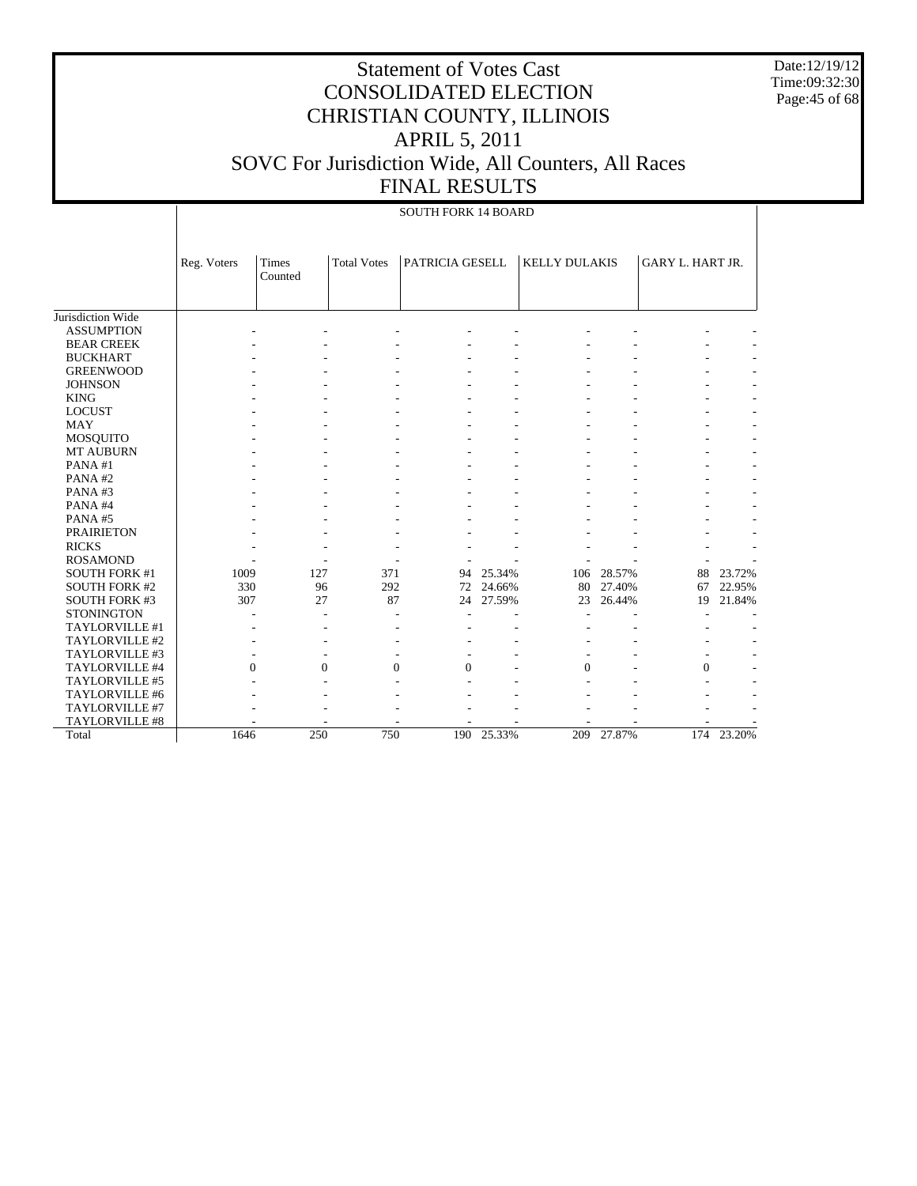Date:12/19/12 Time:09:32:30 Page:45 of 68

|                      |             |                  |                    | <b>SOUTH FORK 14 BOARD</b> |        |                      |        |                  |        |
|----------------------|-------------|------------------|--------------------|----------------------------|--------|----------------------|--------|------------------|--------|
|                      | Reg. Voters | Times<br>Counted | <b>Total Votes</b> | PATRICIA GESELL            |        | <b>KELLY DULAKIS</b> |        | GARY L. HART JR. |        |
| Jurisdiction Wide    |             |                  |                    |                            |        |                      |        |                  |        |
| <b>ASSUMPTION</b>    |             |                  |                    |                            |        |                      |        |                  |        |
| <b>BEAR CREEK</b>    |             |                  |                    |                            |        |                      |        |                  |        |
| <b>BUCKHART</b>      |             |                  |                    |                            |        |                      |        |                  |        |
| <b>GREENWOOD</b>     |             |                  |                    |                            |        |                      |        |                  |        |
| <b>JOHNSON</b>       |             |                  |                    |                            |        |                      |        |                  |        |
| <b>KING</b>          |             |                  |                    |                            |        |                      |        |                  |        |
| <b>LOCUST</b>        |             |                  |                    |                            |        |                      |        |                  |        |
| <b>MAY</b>           |             |                  |                    |                            |        |                      |        |                  |        |
| MOSQUITO             |             |                  |                    |                            |        |                      |        |                  |        |
| MT AUBURN            |             |                  |                    |                            |        |                      |        |                  |        |
| PANA#1               |             |                  |                    |                            |        |                      |        |                  |        |
| PANA#2               |             |                  |                    |                            |        |                      |        |                  |        |
| PANA#3               |             |                  |                    |                            |        |                      |        |                  |        |
| PANA#4               |             |                  |                    |                            |        |                      |        |                  |        |
| PANA#5               |             |                  |                    |                            |        |                      |        |                  |        |
| <b>PRAIRIETON</b>    |             |                  |                    |                            |        |                      |        |                  |        |
| <b>RICKS</b>         |             |                  |                    |                            |        |                      |        |                  |        |
| <b>ROSAMOND</b>      |             |                  |                    |                            |        |                      |        |                  |        |
| <b>SOUTH FORK #1</b> | 1009        | 127              | 371                | 94                         | 25.34% | 106                  | 28.57% | 88               | 23.72% |
| <b>SOUTH FORK #2</b> | 330         | 96               | 292                | 72                         | 24.66% | 80                   | 27.40% | 67               | 22.95% |
| <b>SOUTH FORK #3</b> | 307         | 27               | 87                 | 24                         | 27.59% | 23                   | 26.44% | 19               | 21.84% |
| <b>STONINGTON</b>    |             |                  |                    |                            |        |                      |        |                  |        |
| TAYLORVILLE #1       |             |                  |                    |                            |        |                      |        |                  |        |
| TAYLORVILLE #2       |             |                  |                    |                            |        |                      |        |                  |        |
| TAYLORVILLE #3       |             |                  |                    |                            |        |                      |        |                  |        |
| TAYLORVILLE #4       |             | $\Omega$         | $\Omega$           | $\Omega$<br>$\Omega$       |        | $\Omega$             |        | $\Omega$         |        |
| TAYLORVILLE #5       |             |                  |                    |                            |        |                      |        |                  |        |
| TAYLORVILLE #6       |             |                  |                    |                            |        |                      |        |                  |        |
| TAYLORVILLE #7       |             |                  |                    |                            |        |                      |        |                  |        |
| TAYLORVILLE #8       |             |                  |                    |                            |        |                      |        |                  |        |
| Total                | 1646        | 250              | 750                | 190                        | 25.33% | 209                  | 27.87% | 174              | 23.20% |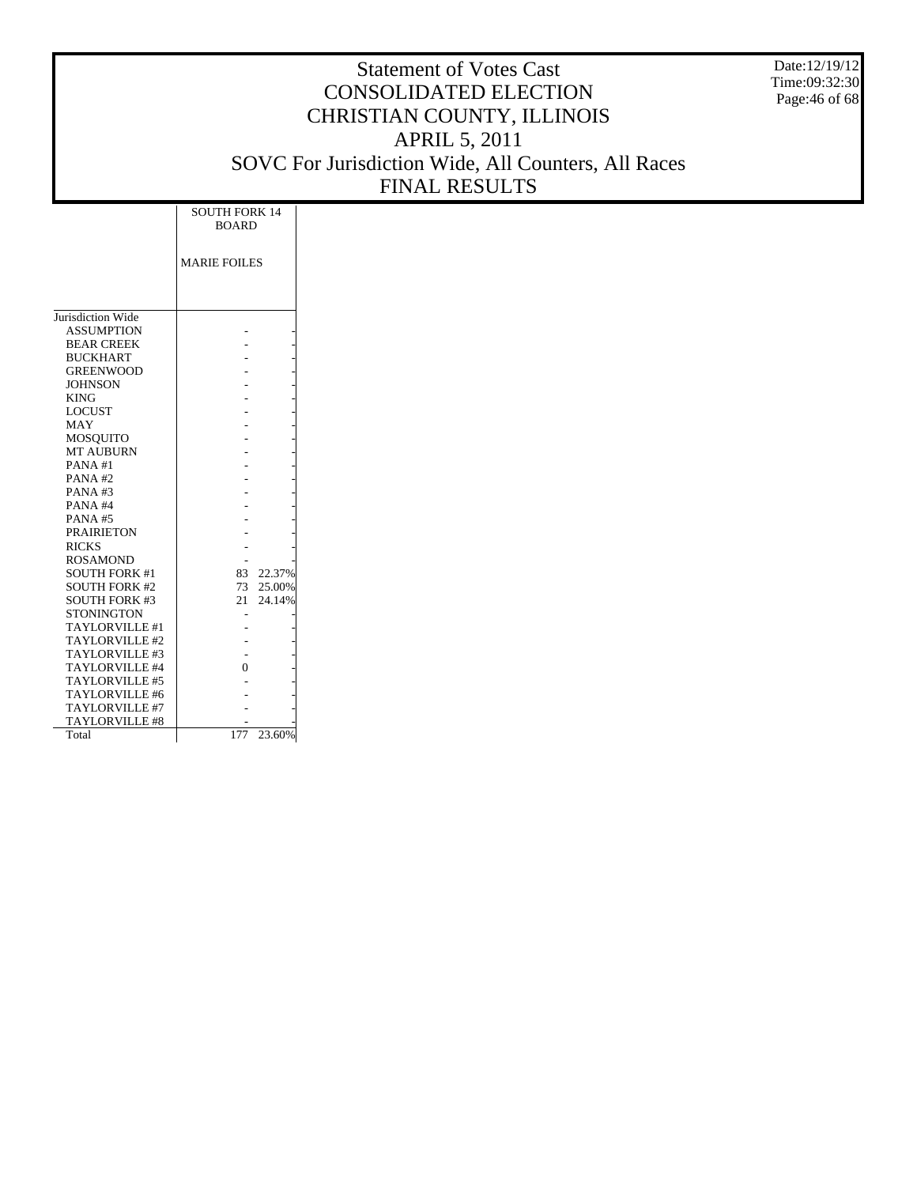Date:12/19/12 Time:09:32:30 Page:46 of 68

|                       | <b>SOUTH FORK 14</b><br><b>BOARD</b> |
|-----------------------|--------------------------------------|
|                       |                                      |
|                       | <b>MARIE FOILES</b>                  |
|                       |                                      |
|                       |                                      |
| Jurisdiction Wide     |                                      |
| <b>ASSUMPTION</b>     |                                      |
| <b>BEAR CREEK</b>     |                                      |
| <b>BUCKHART</b>       |                                      |
| <b>GREENWOOD</b>      |                                      |
| <b>JOHNSON</b>        |                                      |
| <b>KING</b>           |                                      |
| <b>LOCUST</b>         |                                      |
| MAY                   |                                      |
| <b>MOSQUITO</b>       |                                      |
| <b>MT AUBURN</b>      |                                      |
| PANA#1                |                                      |
| PANA#2                |                                      |
| PANA#3                |                                      |
| PANA#4                |                                      |
| <b>PANA#5</b>         |                                      |
| <b>PRAIRIETON</b>     |                                      |
| <b>RICKS</b>          |                                      |
| <b>ROSAMOND</b>       |                                      |
| <b>SOUTH FORK #1</b>  | 83.<br>22.37%                        |
| <b>SOUTH FORK #2</b>  | 73 25.00%                            |
| <b>SOUTH FORK #3</b>  | 24.14%<br>21                         |
| <b>STONINGTON</b>     |                                      |
| TAYLORVILLE #1        |                                      |
| TAYLORVILLE #2        |                                      |
| TAYLORVILLE #3        |                                      |
| TAYLORVILLE #4        | 0                                    |
| TAYLORVILLE #5        |                                      |
| TAYLORVILLE #6        |                                      |
| TAYLORVILLE #7        |                                      |
| <b>TAYLORVILLE #8</b> |                                      |
| Total                 | 23.60%<br>177                        |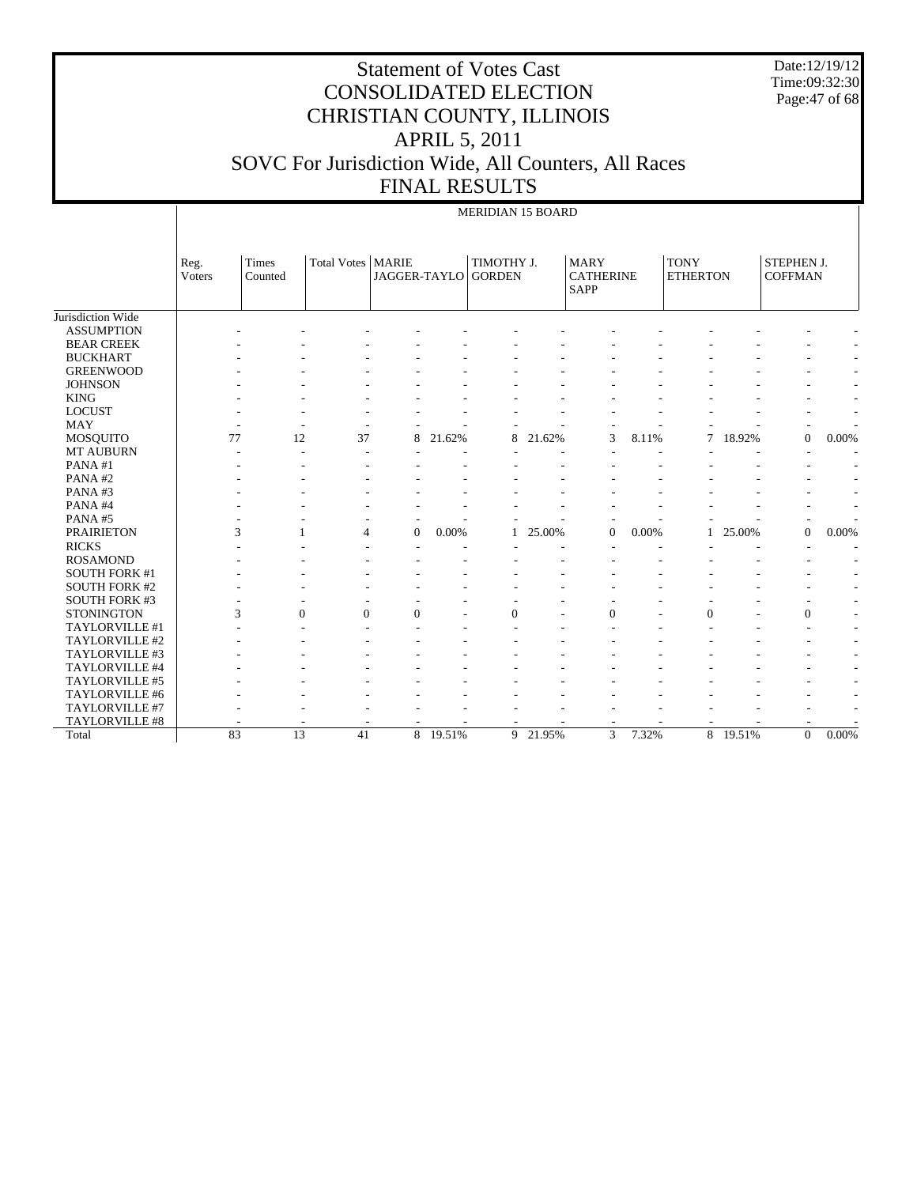Date:12/19/12 Time:09:32:30 Page:47 of 68

# Statement of Votes Cast CONSOLIDATED ELECTION CHRISTIAN COUNTY, ILLINOIS APRIL 5, 2011 SOVC For Jurisdiction Wide, All Counters, All Races FINAL RESULTS

#### MERIDIAN 15 BOARD

|                       | Reg.<br>Voters | <b>Times</b><br>Counted | Total Votes   MARIE      | JAGGER-TAYLO             |          | TIMOTHY J.<br><b>GORDEN</b> |          | <b>MARY</b><br><b>CATHERINE</b><br><b>SAPP</b> |       | <b>TONY</b><br><b>ETHERTON</b> |          | STEPHEN J.<br><b>COFFMAN</b> |                          |
|-----------------------|----------------|-------------------------|--------------------------|--------------------------|----------|-----------------------------|----------|------------------------------------------------|-------|--------------------------------|----------|------------------------------|--------------------------|
| Jurisdiction Wide     |                |                         |                          |                          |          |                             |          |                                                |       |                                |          |                              |                          |
| <b>ASSUMPTION</b>     |                |                         |                          |                          |          |                             |          |                                                |       |                                |          |                              |                          |
| <b>BEAR CREEK</b>     |                |                         |                          |                          |          |                             |          |                                                |       |                                |          |                              |                          |
| <b>BUCKHART</b>       |                |                         |                          |                          |          |                             |          |                                                |       |                                |          |                              |                          |
| <b>GREENWOOD</b>      |                |                         |                          |                          |          |                             |          |                                                |       |                                |          |                              | $\overline{\phantom{a}}$ |
| <b>JOHNSON</b>        |                |                         |                          |                          |          |                             |          |                                                |       |                                |          |                              | $\overline{\phantom{a}}$ |
| <b>KING</b>           |                |                         |                          |                          |          |                             |          |                                                |       |                                |          |                              | $\overline{\phantom{a}}$ |
| <b>LOCUST</b>         |                |                         |                          |                          |          |                             |          |                                                |       |                                |          |                              | $\overline{\phantom{a}}$ |
| MAY                   |                |                         |                          | $\overline{\phantom{a}}$ |          |                             |          |                                                |       |                                |          |                              |                          |
| <b>MOSQUITO</b>       | 77             | 12                      | 37                       | 8                        | 21.62%   | 8                           | 21.62%   | 3                                              | 8.11% | 7                              | 18.92%   | $\mathbf{0}$                 | 0.00%                    |
| <b>MT AUBURN</b>      |                |                         |                          |                          |          |                             |          |                                                |       |                                |          |                              |                          |
| PANA#1                |                |                         |                          |                          |          |                             |          |                                                |       |                                |          |                              |                          |
| PANA#2                |                |                         |                          |                          |          |                             |          |                                                |       |                                |          |                              |                          |
| PANA#3                |                |                         |                          |                          |          |                             |          |                                                |       |                                |          |                              |                          |
| PANA#4                |                |                         |                          |                          |          |                             |          |                                                |       |                                |          |                              |                          |
| PANA#5                |                |                         |                          |                          |          |                             |          |                                                |       |                                |          |                              |                          |
| <b>PRAIRIETON</b>     |                | 3                       | $\overline{4}$           | $\overline{0}$           | 0.00%    |                             | 25.00%   | $\theta$                                       | 0.00% |                                | 25.00%   | $\mathbf{0}$                 | 0.00%                    |
| <b>RICKS</b>          |                |                         |                          |                          |          |                             |          |                                                |       |                                |          |                              |                          |
| <b>ROSAMOND</b>       |                |                         |                          |                          |          |                             |          |                                                |       |                                |          |                              |                          |
| <b>SOUTH FORK #1</b>  |                |                         |                          |                          |          |                             |          |                                                |       |                                |          |                              |                          |
| <b>SOUTH FORK #2</b>  |                |                         |                          |                          |          |                             |          |                                                |       |                                |          |                              |                          |
| <b>SOUTH FORK #3</b>  |                |                         |                          |                          |          |                             |          |                                                |       |                                |          |                              |                          |
| <b>STONINGTON</b>     |                | 3                       | $\mathbf{0}$<br>$\theta$ | $\Omega$                 |          | $\theta$                    |          | $\overline{0}$                                 |       | $\theta$                       |          | $\boldsymbol{0}$             | $\overline{\phantom{a}}$ |
| TAYLORVILLE #1        |                |                         |                          |                          |          |                             |          |                                                |       |                                |          |                              | $\overline{\phantom{a}}$ |
| TAYLORVILLE #2        |                |                         |                          |                          |          |                             |          |                                                |       |                                |          |                              |                          |
| TAYLORVILLE #3        |                |                         |                          |                          |          |                             |          |                                                |       |                                |          |                              |                          |
| TAYLORVILLE #4        |                |                         |                          |                          |          |                             |          |                                                |       |                                |          |                              | $\overline{\phantom{a}}$ |
| TAYLORVILLE #5        |                |                         |                          |                          |          |                             |          |                                                |       |                                |          |                              |                          |
| TAYLORVILLE #6        |                |                         |                          |                          |          |                             |          |                                                |       |                                |          |                              | $\overline{a}$           |
| TAYLORVILLE #7        |                |                         |                          |                          |          |                             |          |                                                |       |                                |          |                              |                          |
| <b>TAYLORVILLE #8</b> |                |                         |                          |                          |          |                             |          |                                                |       |                                |          |                              |                          |
| Total                 | 83             | 13                      | 41                       |                          | 8 19.51% |                             | 9 21.95% | 3                                              | 7.32% |                                | 8 19.51% | $\overline{0}$               | 0.00%                    |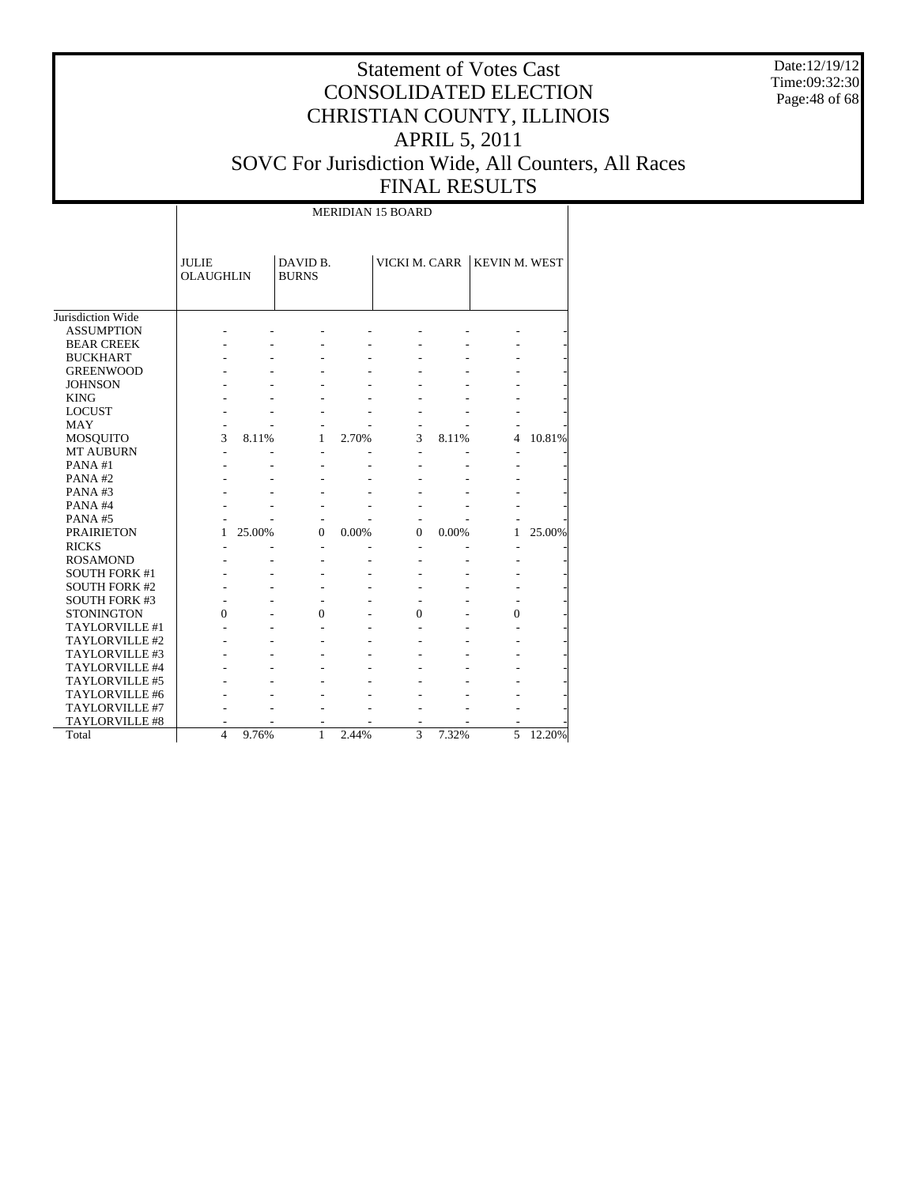Date:12/19/12 Time:09:32:30 Page:48 of 68

# Statement of Votes Cast CONSOLIDATED ELECTION CHRISTIAN COUNTY, ILLINOIS APRIL 5, 2011 SOVC For Jurisdiction Wide, All Counters, All Races FINAL RESULTS

MERIDIAN 15 BOARD

|                       | <b>JULIE</b><br><b>OLAUGHLIN</b> |        | DAVID B.<br><b>BURNS</b> |       | VICKI M. CARR  |       | <b>KEVIN M. WEST</b> |        |
|-----------------------|----------------------------------|--------|--------------------------|-------|----------------|-------|----------------------|--------|
| Jurisdiction Wide     |                                  |        |                          |       |                |       |                      |        |
| <b>ASSUMPTION</b>     |                                  |        |                          |       |                |       |                      |        |
| <b>BEAR CREEK</b>     |                                  |        |                          |       |                |       |                      |        |
| <b>BUCKHART</b>       |                                  |        |                          |       |                |       |                      |        |
| <b>GREENWOOD</b>      |                                  |        |                          |       |                |       |                      |        |
| <b>JOHNSON</b>        |                                  |        |                          |       |                |       |                      |        |
| <b>KING</b>           |                                  |        |                          |       |                |       |                      |        |
| <b>LOCUST</b>         |                                  |        |                          |       |                |       |                      |        |
| <b>MAY</b>            |                                  |        |                          |       |                |       |                      |        |
| <b>MOSQUITO</b>       | 3                                | 8.11%  | 1                        | 2.70% | 3              | 8.11% | 4                    | 10.81% |
| <b>MT AUBURN</b>      | L,                               |        |                          |       | $\overline{a}$ |       |                      |        |
| PANA#1                |                                  |        |                          |       |                |       |                      |        |
| PANA#2                |                                  |        |                          |       |                |       |                      |        |
| PANA#3                |                                  |        |                          |       |                |       |                      |        |
| PANA#4                |                                  |        |                          |       |                |       |                      |        |
| PANA#5                |                                  |        |                          |       |                |       |                      |        |
| <b>PRAIRIETON</b>     | 1                                | 25.00% | $\Omega$                 | 0.00% | $\Omega$       | 0.00% | 1                    | 25.00% |
| <b>RICKS</b>          |                                  |        | L,                       |       | ٠              |       |                      |        |
| <b>ROSAMOND</b>       |                                  |        |                          |       |                |       |                      |        |
| <b>SOUTH FORK #1</b>  |                                  |        |                          |       |                |       |                      |        |
| <b>SOUTH FORK #2</b>  |                                  |        |                          |       |                |       |                      |        |
| <b>SOUTH FORK #3</b>  |                                  |        |                          |       |                |       |                      |        |
| <b>STONINGTON</b>     | $\theta$                         |        | $\theta$                 |       | $\theta$       |       | $\theta$             |        |
| TAYLORVILLE #1        |                                  |        |                          |       |                |       |                      |        |
| TAYLORVILLE #2        |                                  |        |                          |       |                |       |                      |        |
| TAYLORVILLE #3        |                                  |        |                          |       |                |       |                      |        |
| TAYLORVILLE #4        |                                  |        |                          |       |                |       |                      |        |
| <b>TAYLORVILLE #5</b> |                                  |        |                          |       |                |       |                      |        |
| TAYLORVILLE #6        |                                  |        |                          |       |                |       |                      |        |
| TAYLORVILLE #7        |                                  |        |                          |       |                |       |                      |        |
| TAYLORVILLE #8        |                                  |        |                          |       |                |       |                      |        |
| Total                 | $\overline{4}$                   | 9.76%  | $\mathbf{1}$             | 2.44% | 3              | 7.32% | 5                    | 12.20% |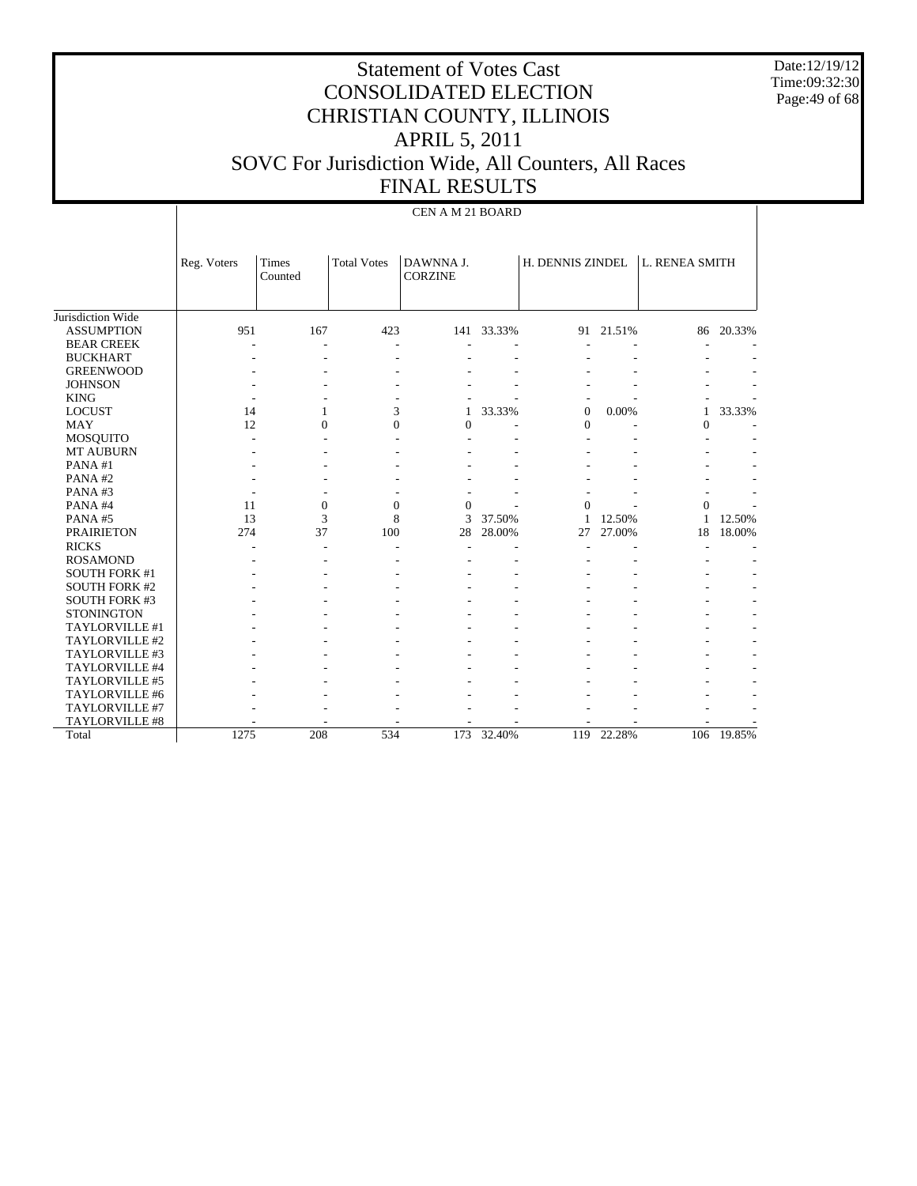Date:12/19/12 Time:09:32:30 Page:49 of 68

|                      |             | CEN A M 21 BOARD |                    |                             |        |                  |           |                       |        |  |  |  |
|----------------------|-------------|------------------|--------------------|-----------------------------|--------|------------------|-----------|-----------------------|--------|--|--|--|
|                      | Reg. Voters | Times<br>Counted | <b>Total Votes</b> | DAWNNA J.<br><b>CORZINE</b> |        | H. DENNIS ZINDEL |           | <b>L. RENEA SMITH</b> |        |  |  |  |
| Jurisdiction Wide    |             |                  |                    |                             |        |                  |           |                       |        |  |  |  |
| <b>ASSUMPTION</b>    | 951         | 167              | 423                | 141                         | 33.33% |                  | 91 21.51% | 86                    | 20.33% |  |  |  |
| <b>BEAR CREEK</b>    |             |                  |                    |                             |        |                  |           |                       |        |  |  |  |
| <b>BUCKHART</b>      |             |                  |                    |                             |        |                  |           |                       |        |  |  |  |
| <b>GREENWOOD</b>     |             |                  |                    |                             |        |                  |           |                       |        |  |  |  |
| <b>JOHNSON</b>       |             |                  |                    |                             |        |                  |           |                       |        |  |  |  |
| <b>KING</b>          |             |                  |                    |                             |        |                  |           |                       |        |  |  |  |
| <b>LOCUST</b>        | 14          | 1                | 3                  | 1                           | 33.33% | $\overline{0}$   | 0.00%     | 1                     | 33.33% |  |  |  |
| <b>MAY</b>           | 12          | $\Omega$         | $\theta$           | $\theta$                    |        | $\overline{0}$   |           | $\Omega$              |        |  |  |  |
| <b>MOSQUITO</b>      |             |                  | ÷                  |                             |        |                  |           |                       |        |  |  |  |
| <b>MT AUBURN</b>     |             |                  |                    |                             |        |                  |           |                       |        |  |  |  |
| PANA#1               |             |                  |                    |                             |        |                  |           |                       |        |  |  |  |
| PANA#2               |             |                  |                    |                             |        |                  |           |                       |        |  |  |  |
| PANA#3               |             |                  |                    |                             |        |                  |           |                       |        |  |  |  |
| PANA#4               | 11          | $\mathbf{0}$     | $\overline{0}$     | $\theta$                    |        | $\theta$         |           | $\theta$              |        |  |  |  |
| PANA#5               | 13          | 3                | 8                  | 3                           | 37.50% | 1                | 12.50%    | 1                     | 12.50% |  |  |  |
| <b>PRAIRIETON</b>    | 274         | 37               | 100                | 28                          | 28.00% | 27               | 27.00%    | 18                    | 18.00% |  |  |  |
| <b>RICKS</b>         |             | ÷                | ٠                  | $\overline{\phantom{a}}$    |        |                  |           |                       |        |  |  |  |
| <b>ROSAMOND</b>      |             |                  |                    |                             | ٠      |                  |           |                       |        |  |  |  |
| <b>SOUTH FORK #1</b> |             |                  |                    |                             |        |                  |           |                       |        |  |  |  |
| <b>SOUTH FORK #2</b> |             |                  |                    |                             |        |                  |           |                       |        |  |  |  |
| <b>SOUTH FORK #3</b> |             |                  |                    |                             |        |                  |           |                       |        |  |  |  |
| <b>STONINGTON</b>    |             |                  |                    |                             |        |                  |           |                       |        |  |  |  |
| TAYLORVILLE #1       |             |                  |                    |                             |        |                  |           |                       |        |  |  |  |
| TAYLORVILLE #2       |             |                  |                    |                             |        |                  |           |                       |        |  |  |  |
| TAYLORVILLE #3       |             |                  |                    |                             |        |                  |           |                       |        |  |  |  |
| TAYLORVILLE #4       |             |                  |                    |                             |        |                  |           |                       |        |  |  |  |
| TAYLORVILLE #5       |             |                  |                    |                             |        |                  |           |                       |        |  |  |  |
| TAYLORVILLE #6       |             |                  |                    |                             |        |                  |           |                       |        |  |  |  |
| TAYLORVILLE #7       |             |                  |                    |                             |        |                  |           |                       |        |  |  |  |
| TAYLORVILLE #8       |             |                  |                    |                             |        |                  |           |                       |        |  |  |  |
| Total                | 1275        | 208              | 534                | 173                         | 32.40% | 119              | 22.28%    | 106                   | 19.85% |  |  |  |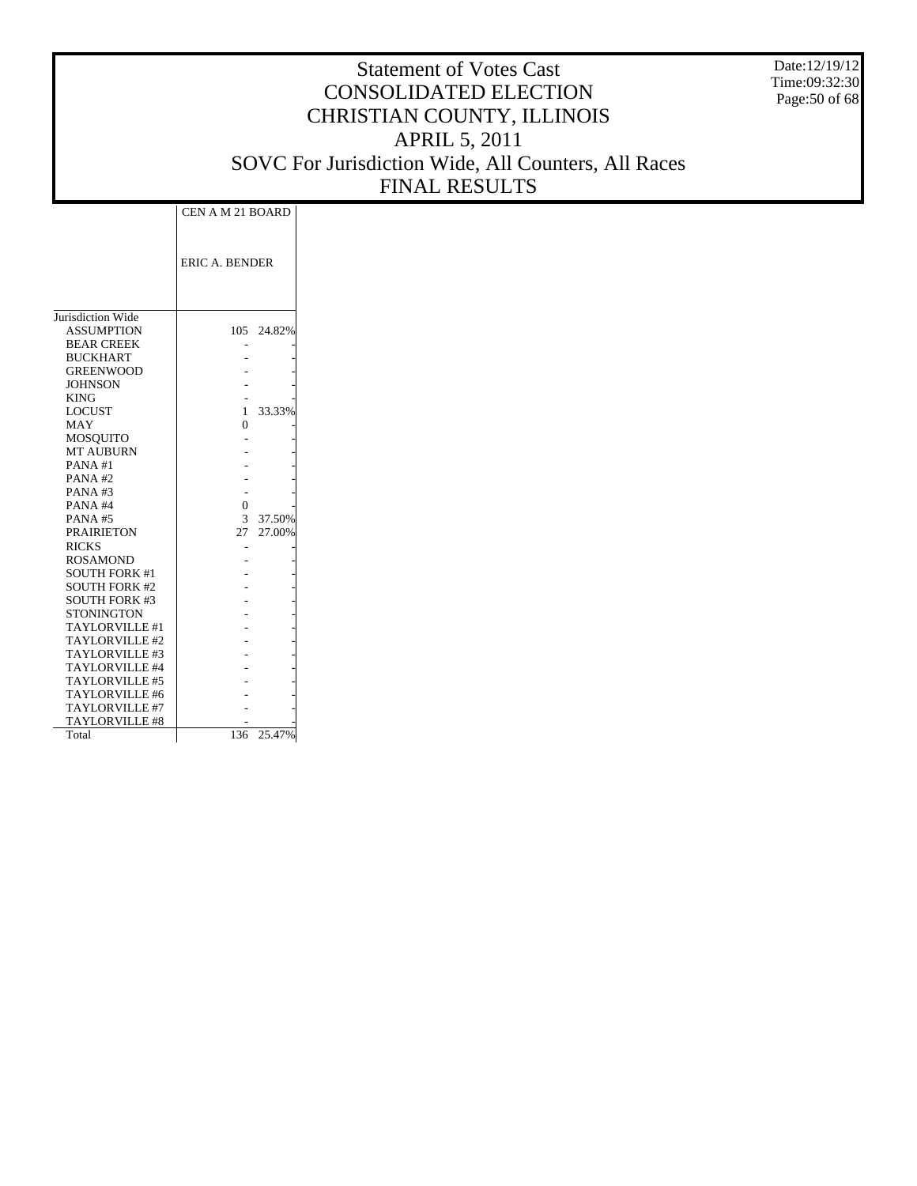Date:12/19/12 Time:09:32:30 Page:50 of 68

|                       | CEN A M 21 BOARD      |            |
|-----------------------|-----------------------|------------|
|                       | <b>ERIC A. BENDER</b> |            |
| Jurisdiction Wide     |                       |            |
| <b>ASSUMPTION</b>     |                       | 105 24.82% |
| <b>BEAR CREEK</b>     |                       |            |
| <b>BUCKHART</b>       |                       |            |
| <b>GREENWOOD</b>      |                       |            |
| <b>JOHNSON</b>        |                       |            |
| <b>KING</b>           |                       |            |
| <b>LOCUST</b>         | $\mathbf{1}$          | 33.33%     |
| MAY                   | 0                     |            |
| <b>MOSQUITO</b>       |                       |            |
| <b>MT AUBURN</b>      |                       |            |
| PANA#1                |                       |            |
| PANA#2                |                       |            |
| PANA#3                |                       |            |
| PANA#4                | $\theta$              |            |
| <b>PANA#5</b>         | 3                     | 37.50%     |
| <b>PRAIRIETON</b>     | 27                    | 27.00%     |
| <b>RICKS</b>          |                       |            |
| <b>ROSAMOND</b>       |                       |            |
| <b>SOUTH FORK #1</b>  |                       |            |
| <b>SOUTH FORK #2</b>  |                       |            |
| <b>SOUTH FORK #3</b>  |                       |            |
| STONINGTON            |                       |            |
| <b>TAYLORVILLE #1</b> |                       |            |
| TAYLORVILLE #2        |                       |            |
| TAYLORVILLE #3        |                       |            |
| TAYLORVILLE #4        |                       |            |
| TAYLORVILLE #5        |                       |            |
| <b>TAYLORVILLE #6</b> |                       |            |
| TAYLORVILLE #7        |                       |            |
| TAYLORVILLE #8        |                       |            |
| Total                 | 136                   | 25.47%     |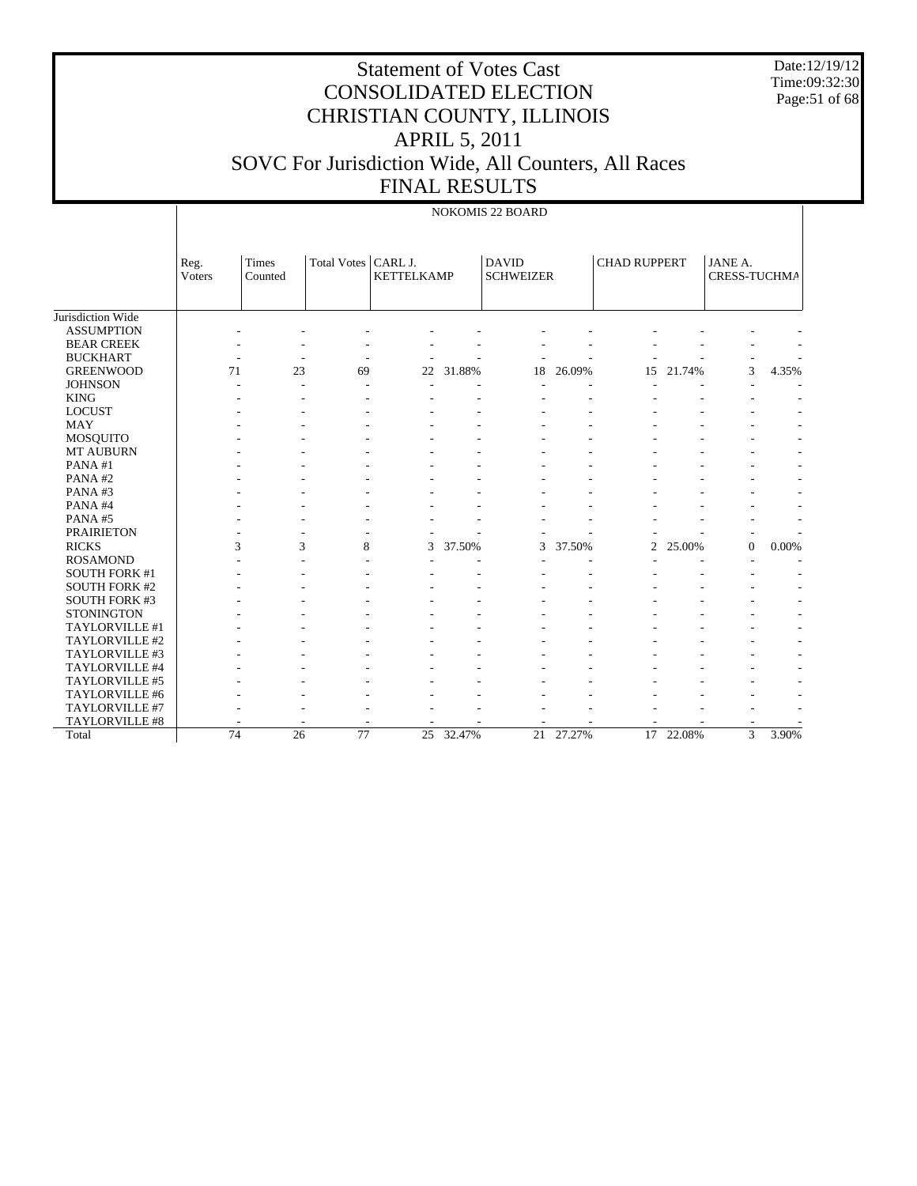Date:12/19/12 Time:09:32:30 Page:51 of 68

|                      |                 |                  |                       |                   |           | <b>NOKOMIS 22 BOARD</b>          |        |                     |           |                         |                          |
|----------------------|-----------------|------------------|-----------------------|-------------------|-----------|----------------------------------|--------|---------------------|-----------|-------------------------|--------------------------|
|                      | Reg.<br>Voters  | Times<br>Counted | Total Votes   CARL J. | <b>KETTELKAMP</b> |           | <b>DAVID</b><br><b>SCHWEIZER</b> |        | <b>CHAD RUPPERT</b> |           | JANE A.<br>CRESS-TUCHMA |                          |
| Jurisdiction Wide    |                 |                  |                       |                   |           |                                  |        |                     |           |                         |                          |
| <b>ASSUMPTION</b>    |                 |                  |                       |                   |           |                                  |        |                     |           |                         |                          |
| <b>BEAR CREEK</b>    |                 |                  |                       |                   |           |                                  |        |                     |           |                         |                          |
| <b>BUCKHART</b>      |                 |                  | ÷,                    |                   |           |                                  |        |                     |           |                         |                          |
| <b>GREENWOOD</b>     | 71              | 23               | 69                    | 22                | 31.88%    | 18                               | 26.09% | 15                  | 21.74%    | 3                       | 4.35%                    |
| <b>JOHNSON</b>       |                 |                  |                       |                   |           |                                  |        |                     |           |                         |                          |
| <b>KING</b>          |                 |                  |                       |                   |           |                                  |        |                     |           |                         |                          |
| <b>LOCUST</b>        |                 |                  |                       |                   |           |                                  |        |                     |           |                         |                          |
| <b>MAY</b>           |                 |                  |                       |                   |           |                                  |        |                     |           |                         |                          |
| MOSQUITO             |                 |                  |                       |                   |           |                                  |        |                     |           |                         |                          |
| MT AUBURN            |                 |                  |                       |                   |           |                                  |        |                     |           |                         | $\overline{a}$           |
| PANA#1               |                 |                  |                       |                   |           |                                  |        |                     |           |                         | $\overline{\phantom{m}}$ |
| PANA#2               |                 |                  |                       |                   |           |                                  |        |                     |           |                         |                          |
| PANA#3               |                 |                  |                       |                   |           |                                  |        |                     |           |                         |                          |
| PANA#4               |                 |                  |                       |                   |           |                                  |        |                     |           |                         |                          |
| PANA#5               |                 |                  |                       |                   |           |                                  |        |                     |           |                         | $\overline{a}$           |
| <b>PRAIRIETON</b>    |                 |                  |                       |                   |           |                                  |        |                     |           |                         |                          |
| <b>RICKS</b>         | 3               | 3                | 8                     | 3                 | 37.50%    | 3                                | 37.50% | $\overline{2}$      | 25.00%    | $\boldsymbol{0}$        | 0.00%                    |
| <b>ROSAMOND</b>      |                 |                  |                       |                   |           |                                  |        |                     |           |                         |                          |
| <b>SOUTH FORK #1</b> |                 |                  |                       |                   |           |                                  |        |                     |           |                         |                          |
| <b>SOUTH FORK #2</b> |                 |                  |                       |                   |           |                                  |        |                     |           |                         |                          |
| <b>SOUTH FORK #3</b> |                 |                  |                       |                   |           |                                  |        |                     |           |                         |                          |
| <b>STONINGTON</b>    |                 |                  |                       |                   |           |                                  |        |                     |           |                         |                          |
| TAYLORVILLE #1       |                 |                  |                       |                   |           |                                  |        |                     |           |                         | $\overline{a}$           |
| TAYLORVILLE #2       |                 |                  |                       |                   |           |                                  |        |                     |           |                         | $\overline{a}$           |
| TAYLORVILLE #3       |                 |                  |                       |                   |           |                                  |        |                     |           |                         | $\overline{a}$           |
| TAYLORVILLE #4       |                 |                  |                       |                   |           |                                  |        |                     |           |                         | $\overline{a}$           |
| TAYLORVILLE #5       |                 |                  |                       |                   |           |                                  |        |                     |           |                         | $\overline{a}$           |
| TAYLORVILLE #6       |                 |                  |                       |                   |           |                                  |        |                     |           |                         | $\overline{a}$           |
| TAYLORVILLE #7       |                 |                  |                       |                   |           |                                  |        |                     |           |                         |                          |
| TAYLORVILLE #8       |                 |                  |                       |                   |           |                                  |        |                     |           |                         |                          |
| Total                | $\overline{74}$ | 26               | 77                    |                   | 25 32.47% | 21                               | 27.27% |                     | 17 22.08% | $\overline{3}$          | 3.90%                    |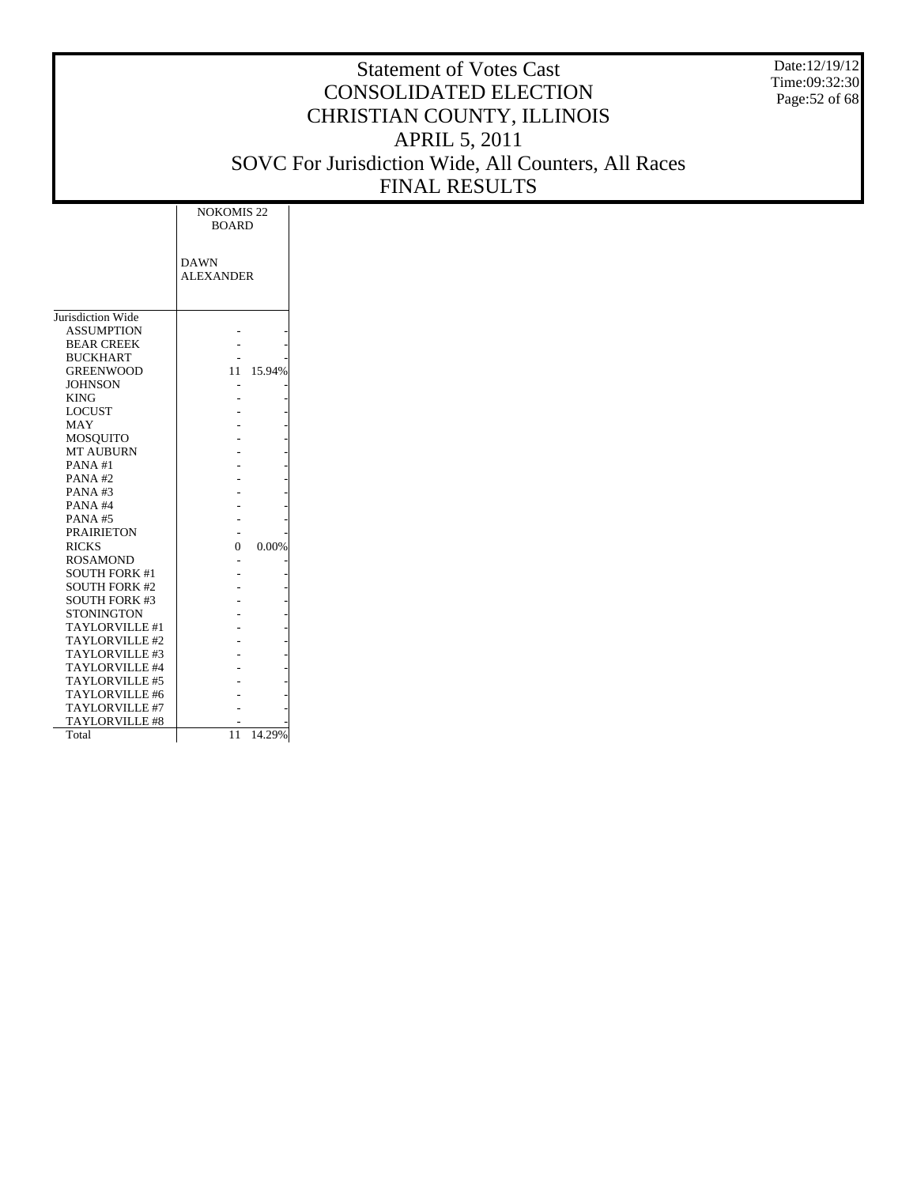Date:12/19/12 Time:09:32:30 Page:52 of 68

|                       | <b>NOKOMIS 22</b><br><b>BOARD</b> |        |
|-----------------------|-----------------------------------|--------|
|                       | <b>DAWN</b><br><b>ALEXANDER</b>   |        |
| Jurisdiction Wide     |                                   |        |
| <b>ASSUMPTION</b>     |                                   |        |
| <b>BEAR CREEK</b>     |                                   |        |
| <b>BUCKHART</b>       |                                   |        |
| <b>GREENWOOD</b>      | 11                                | 15.94% |
| <b>JOHNSON</b>        |                                   |        |
| <b>KING</b>           |                                   |        |
| <b>LOCUST</b>         |                                   |        |
| MAY                   |                                   |        |
| MOSOUITO              |                                   |        |
| <b>MT AUBURN</b>      |                                   |        |
| PANA#1                |                                   |        |
| PANA#2                |                                   |        |
| PANA#3                |                                   |        |
| PANA#4                |                                   |        |
| PANA#5                |                                   |        |
| <b>PRAIRIETON</b>     |                                   |        |
| <b>RICKS</b>          | 0                                 | 0.00%  |
| <b>ROSAMOND</b>       |                                   |        |
| <b>SOUTH FORK #1</b>  |                                   |        |
| <b>SOUTH FORK #2</b>  |                                   |        |
| <b>SOUTH FORK #3</b>  |                                   |        |
| <b>STONINGTON</b>     |                                   |        |
| TAYLORVILLE #1        |                                   |        |
| TAYLORVILLE#2         |                                   |        |
| TAYLORVILLE#3         |                                   |        |
| TAYLORVILLE #4        |                                   |        |
| <b>TAYLORVILLE #5</b> |                                   |        |
| TAYLORVILLE #6        |                                   |        |
| TAYLORVILLE #7        |                                   |        |
| <b>TAYLORVILLE #8</b> |                                   |        |
| Total                 | 11                                | 14.29% |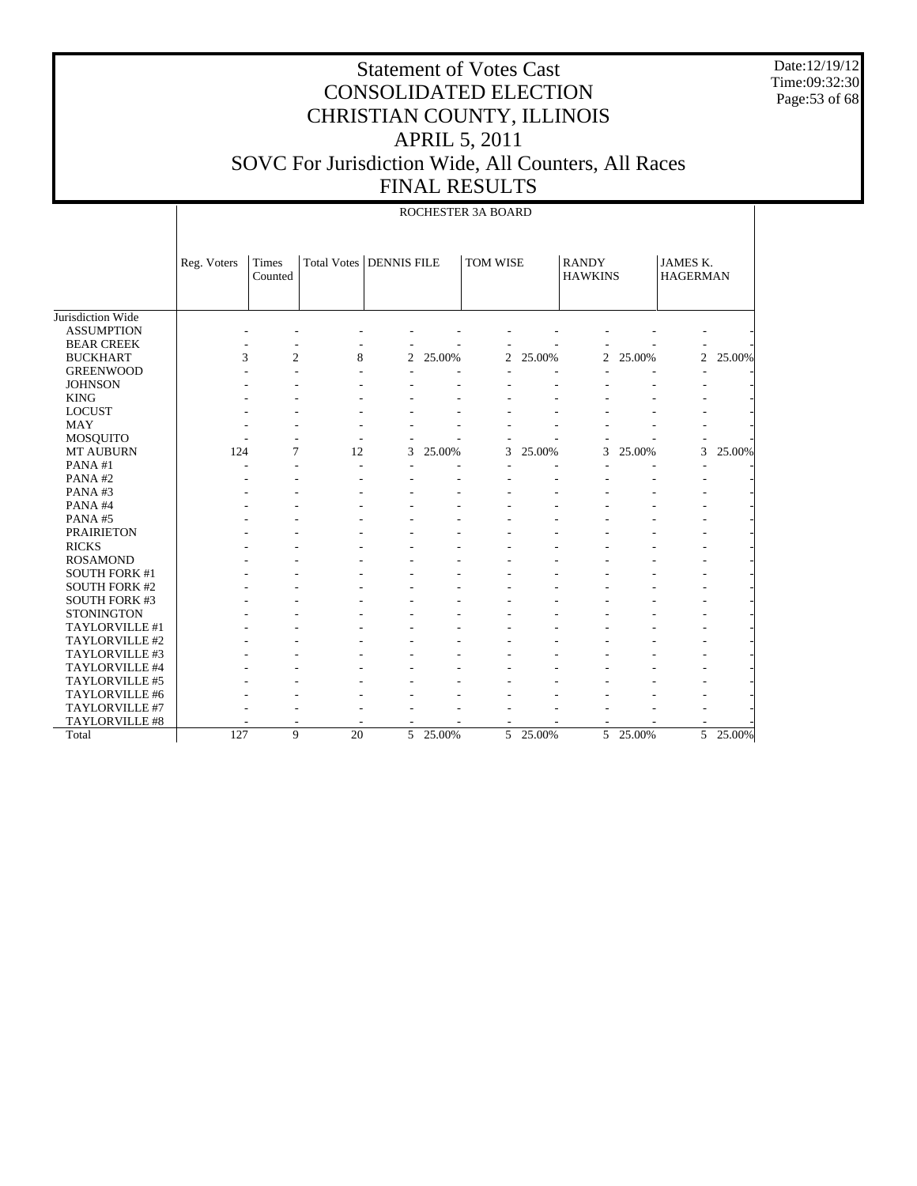Date:12/19/12 Time:09:32:30 Page:53 of 68

|                      |             |                  |                                  |                |        | ROCHESTER 3A BOARD |        |                                |        |                                    |          |
|----------------------|-------------|------------------|----------------------------------|----------------|--------|--------------------|--------|--------------------------------|--------|------------------------------------|----------|
|                      | Reg. Voters | Times<br>Counted | <b>Total Votes   DENNIS FILE</b> |                |        | TOM WISE           |        | <b>RANDY</b><br><b>HAWKINS</b> |        | <b>JAMES K.</b><br><b>HAGERMAN</b> |          |
| Jurisdiction Wide    |             |                  |                                  |                |        |                    |        |                                |        |                                    |          |
| <b>ASSUMPTION</b>    |             |                  |                                  |                |        |                    |        |                                |        |                                    |          |
| <b>BEAR CREEK</b>    |             |                  |                                  |                |        |                    |        |                                |        |                                    |          |
| <b>BUCKHART</b>      | 3           | $\overline{2}$   | 8                                | $\overline{c}$ | 25.00% | 2                  | 25.00% | 2                              | 25.00% | $\overline{c}$                     | 25.00%   |
| <b>GREENWOOD</b>     |             |                  |                                  |                |        |                    |        |                                |        |                                    |          |
| <b>JOHNSON</b>       |             |                  |                                  |                |        |                    |        |                                |        |                                    |          |
| <b>KING</b>          |             |                  |                                  |                |        |                    |        |                                |        |                                    |          |
| <b>LOCUST</b>        |             |                  |                                  |                |        |                    |        |                                |        |                                    |          |
| <b>MAY</b>           |             |                  |                                  |                |        |                    |        |                                |        |                                    |          |
| <b>MOSQUITO</b>      |             |                  |                                  |                |        |                    |        |                                |        |                                    |          |
| MT AUBURN            | 124         | 7                | 12                               | 3              | 25.00% | 3                  | 25.00% | 3                              | 25.00% | 3                                  | 25.00%   |
| PANA#1               |             |                  |                                  |                |        |                    |        |                                |        |                                    |          |
| PANA#2               |             |                  |                                  |                |        |                    |        |                                |        |                                    |          |
| PANA#3               |             |                  |                                  |                |        |                    |        |                                |        |                                    |          |
| PANA#4               |             |                  |                                  |                |        |                    |        |                                |        |                                    |          |
| PANA#5               |             |                  |                                  |                |        |                    |        |                                |        |                                    |          |
| <b>PRAIRIETON</b>    |             |                  |                                  |                |        |                    |        |                                |        |                                    |          |
| <b>RICKS</b>         |             |                  |                                  |                |        |                    |        |                                |        |                                    |          |
| <b>ROSAMOND</b>      |             |                  |                                  |                |        |                    |        |                                |        |                                    |          |
| <b>SOUTH FORK #1</b> |             |                  |                                  |                |        |                    |        |                                |        |                                    |          |
| <b>SOUTH FORK #2</b> |             |                  |                                  |                |        |                    |        |                                |        |                                    |          |
| <b>SOUTH FORK #3</b> |             |                  |                                  |                |        |                    |        |                                |        |                                    |          |
| <b>STONINGTON</b>    |             |                  |                                  |                |        |                    |        |                                |        |                                    |          |
| TAYLORVILLE #1       |             |                  |                                  |                |        |                    |        |                                |        |                                    |          |
| TAYLORVILLE #2       |             |                  |                                  |                |        |                    |        |                                |        |                                    |          |
| TAYLORVILLE #3       |             |                  |                                  |                |        |                    |        |                                |        |                                    |          |
| TAYLORVILLE #4       |             |                  |                                  |                |        |                    |        |                                |        |                                    |          |
| TAYLORVILLE #5       |             |                  |                                  |                |        |                    |        |                                |        |                                    |          |
| TAYLORVILLE #6       |             |                  |                                  |                |        |                    |        |                                |        |                                    |          |
| TAYLORVILLE #7       |             |                  |                                  |                |        |                    |        |                                |        |                                    |          |
| TAYLORVILLE #8       |             |                  |                                  |                |        |                    |        |                                |        |                                    |          |
| Total                | 127         | $\mathbf Q$      | $\overline{20}$                  | $\overline{5}$ | 25.00% | $\overline{5}$     | 25.00% | $\overline{5}$                 | 25.00% |                                    | 5 25.00% |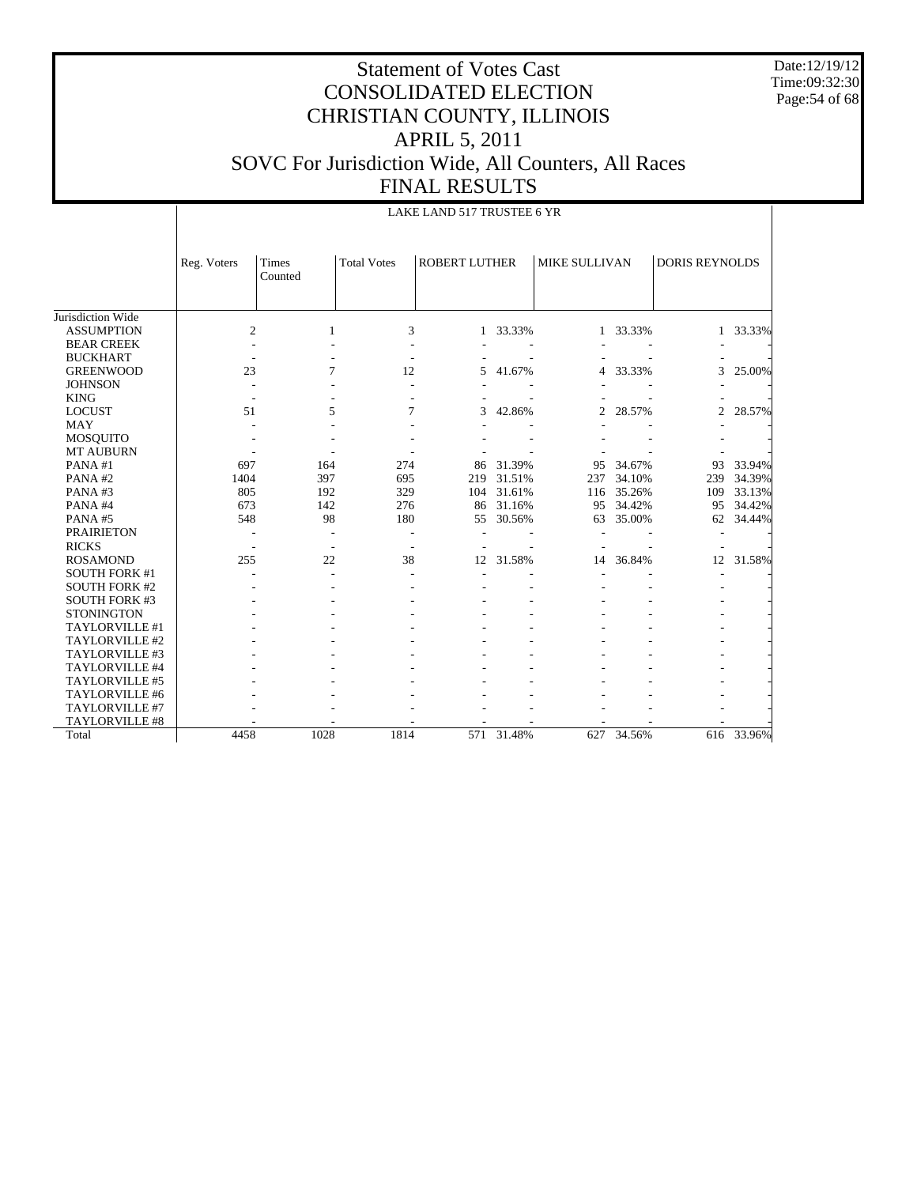Date:12/19/12 Time:09:32:30 Page:54 of 68

## Statement of Votes Cast CONSOLIDATED ELECTION CHRISTIAN COUNTY, ILLINOIS APRIL 5, 2011 SOVC For Jurisdiction Wide, All Counters, All Races FINAL RESULTS

|                      |                | LAKE LAND 517 TRUSTEE 6 YR |                    |                      |        |               |          |                       |            |  |  |
|----------------------|----------------|----------------------------|--------------------|----------------------|--------|---------------|----------|-----------------------|------------|--|--|
|                      | Reg. Voters    | <b>Times</b><br>Counted    | <b>Total Votes</b> | <b>ROBERT LUTHER</b> |        | MIKE SULLIVAN |          | <b>DORIS REYNOLDS</b> |            |  |  |
| Jurisdiction Wide    |                |                            |                    |                      |        |               |          |                       |            |  |  |
| <b>ASSUMPTION</b>    | $\mathfrak{2}$ | 1                          | 3                  | $\mathbf{1}$         | 33.33% |               | 1 33.33% | 1                     | 33.33%     |  |  |
| <b>BEAR CREEK</b>    |                |                            |                    |                      |        |               |          |                       |            |  |  |
| <b>BUCKHART</b>      |                |                            |                    |                      |        |               |          |                       |            |  |  |
| <b>GREENWOOD</b>     | 23             | 7                          | 12                 | 5                    | 41.67% | 4             | 33.33%   | 3                     | 25.00%     |  |  |
| <b>JOHNSON</b>       |                |                            |                    |                      |        |               |          |                       |            |  |  |
| <b>KING</b>          |                |                            |                    |                      |        |               |          |                       |            |  |  |
| <b>LOCUST</b>        | 51             | 5                          | 7                  | 3                    | 42.86% | 2             | 28.57%   | $\overline{c}$        | 28.57%     |  |  |
| <b>MAY</b>           |                |                            |                    |                      |        |               |          |                       |            |  |  |
| <b>MOSQUITO</b>      |                |                            |                    |                      |        |               |          |                       |            |  |  |
| <b>MT AUBURN</b>     |                |                            |                    |                      |        |               |          |                       |            |  |  |
| PANA#1               | 697            | 164                        | 274                | 86                   | 31.39% | 95            | 34.67%   | 93                    | 33.94%     |  |  |
| PANA#2               | 1404           | 397                        | 695                | 219                  | 31.51% | 237           | 34.10%   | 239                   | 34.39%     |  |  |
| PANA#3               | 805            | 192                        | 329                | 104                  | 31.61% | 116           | 35.26%   | 109                   | 33.13%     |  |  |
| PANA#4               | 673            | 142                        | 276                | 86                   | 31.16% | 95            | 34.42%   | 95                    | 34.42%     |  |  |
| PANA#5               | 548            | 98                         | 180                | 55                   | 30.56% | 63            | 35.00%   | 62                    | 34.44%     |  |  |
| <b>PRAIRIETON</b>    |                |                            |                    |                      |        |               |          |                       |            |  |  |
| <b>RICKS</b>         |                |                            |                    |                      |        |               |          |                       |            |  |  |
| <b>ROSAMOND</b>      | 255            | 22                         | 38                 | 12                   | 31.58% | 14            | 36.84%   | 12                    | 31.58%     |  |  |
| <b>SOUTH FORK #1</b> |                |                            |                    |                      |        |               |          |                       |            |  |  |
| <b>SOUTH FORK #2</b> |                |                            |                    |                      |        |               |          |                       |            |  |  |
| <b>SOUTH FORK #3</b> |                |                            |                    |                      |        |               |          |                       |            |  |  |
| <b>STONINGTON</b>    |                |                            |                    |                      |        |               |          |                       |            |  |  |
| TAYLORVILLE #1       |                |                            |                    |                      |        |               |          |                       |            |  |  |
| TAYLORVILLE #2       |                |                            |                    |                      |        |               |          |                       |            |  |  |
| TAYLORVILLE #3       |                |                            |                    |                      |        |               |          |                       |            |  |  |
| TAYLORVILLE #4       |                |                            |                    |                      |        |               |          |                       |            |  |  |
| TAYLORVILLE #5       |                |                            |                    |                      |        |               |          |                       |            |  |  |
| TAYLORVILLE #6       |                |                            |                    |                      |        |               |          |                       |            |  |  |
| TAYLORVILLE #7       |                |                            |                    |                      |        |               |          |                       |            |  |  |
| TAYLORVILLE #8       |                |                            |                    |                      |        |               |          |                       |            |  |  |
| Total                | 4458           | 1028                       | 1814               | 571                  | 31.48% | 627           | 34.56%   |                       | 616 33.96% |  |  |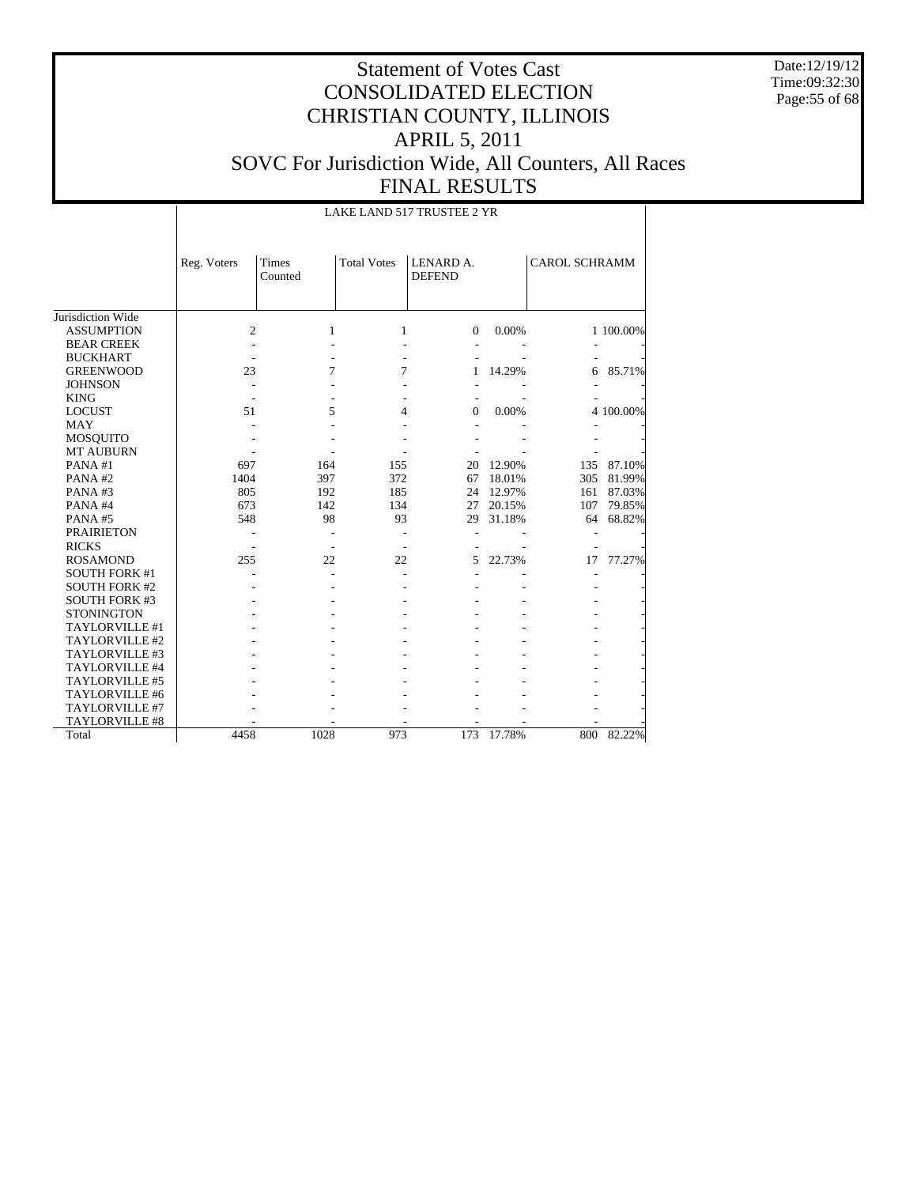Date:12/19/12 Time:09:32:30 Page:55 of 68

|                      |                |                          |                    | LAKE LAND 517 TRUSTEE 2 YR |        |                      |           |
|----------------------|----------------|--------------------------|--------------------|----------------------------|--------|----------------------|-----------|
|                      | Reg. Voters    | <b>Times</b><br>Counted  | <b>Total Votes</b> | LENARD A.<br><b>DEFEND</b> |        | <b>CAROL SCHRAMM</b> |           |
| Jurisdiction Wide    |                |                          |                    |                            |        |                      |           |
| <b>ASSUMPTION</b>    | $\overline{c}$ | 1                        | 1                  | $\mathbf{0}$               | 0.00%  |                      | 1 100.00% |
| <b>BEAR CREEK</b>    |                |                          |                    |                            |        |                      |           |
| <b>BUCKHART</b>      |                |                          |                    |                            |        |                      |           |
| <b>GREENWOOD</b>     | 23             | 7                        | 7                  | 1                          | 14.29% | 6                    | 85.71%    |
| <b>JOHNSON</b>       |                |                          |                    |                            |        |                      |           |
| <b>KING</b>          |                |                          |                    |                            |        |                      |           |
| <b>LOCUST</b>        | 51             | 5                        | 4                  | 0                          | 0.00%  |                      | 4 100.00% |
| <b>MAY</b>           |                |                          |                    |                            |        |                      |           |
| MOSQUITO             |                |                          |                    |                            |        |                      |           |
| <b>MT AUBURN</b>     |                |                          |                    |                            |        |                      |           |
| PANA#1               | 697            | 164                      | 155                | 20                         | 12.90% | 135                  | 87.10%    |
| PANA#2               | 1404           | 397                      | 372                | 67                         | 18.01% | 305                  | 81.99%    |
| PANA#3               | 805            | 192                      | 185                | 24                         | 12.97% | 161                  | 87.03%    |
| PANA#4               | 673            | 142                      | 134                | 27                         | 20.15% | 107                  | 79.85%    |
| PANA#5               | 548            | 98                       | 93                 | 29                         | 31.18% | 64                   | 68.82%    |
| <b>PRAIRIETON</b>    |                | $\overline{\phantom{a}}$ | $\overline{a}$     |                            |        |                      |           |
| <b>RICKS</b>         |                |                          |                    |                            |        |                      |           |
| <b>ROSAMOND</b>      | 255            | 22                       | 22                 | 5                          | 22.73% | 17                   | 77.27%    |
| <b>SOUTH FORK #1</b> |                |                          |                    |                            |        |                      |           |
| <b>SOUTH FORK #2</b> |                |                          |                    |                            |        |                      |           |
| <b>SOUTH FORK #3</b> |                |                          |                    |                            |        |                      |           |
| <b>STONINGTON</b>    |                |                          |                    |                            |        |                      |           |
| TAYLORVILLE #1       |                |                          |                    |                            |        |                      |           |
| TAYLORVILLE #2       |                |                          |                    |                            |        |                      |           |
| TAYLORVILLE #3       |                |                          |                    |                            |        |                      |           |
| TAYLORVILLE #4       |                |                          |                    |                            |        |                      |           |
| TAYLORVILLE #5       |                |                          |                    |                            |        |                      |           |
| TAYLORVILLE #6       |                |                          |                    |                            |        |                      |           |
| TAYLORVILLE #7       |                |                          |                    |                            |        |                      |           |
| TAYLORVILLE #8       |                |                          |                    |                            |        |                      |           |
| Total                | 4458           | 1028                     | 973                | 173                        | 17.78% | 800                  | 82.22%    |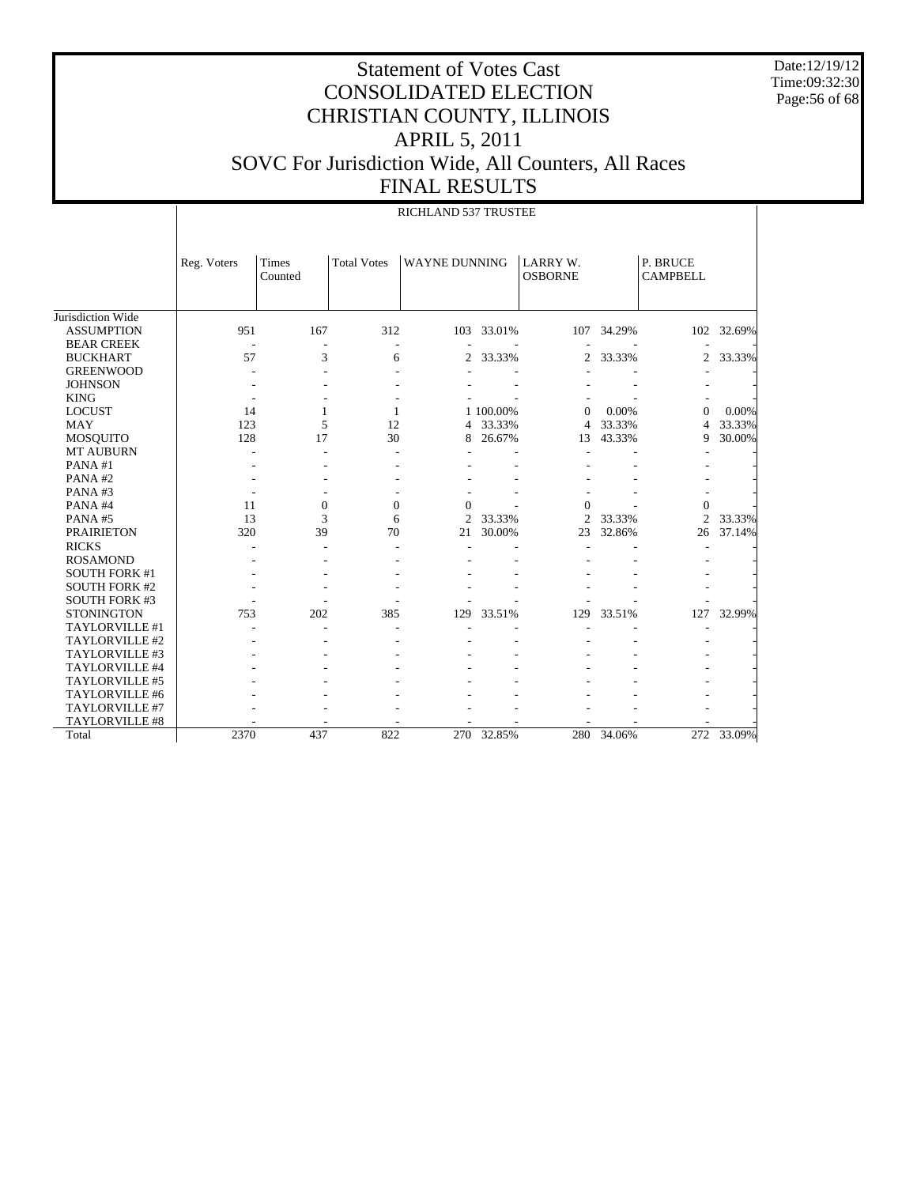Date:12/19/12 Time:09:32:30 Page:56 of 68

|                                           |             |                         |                    | <b>RICHLAND 537 TRUSTEE</b> |           |                                   |        |                             |        |
|-------------------------------------------|-------------|-------------------------|--------------------|-----------------------------|-----------|-----------------------------------|--------|-----------------------------|--------|
|                                           | Reg. Voters | <b>Times</b><br>Counted | <b>Total Votes</b> | <b>WAYNE DUNNING</b>        |           | <b>LARRY W.</b><br><b>OSBORNE</b> |        | P. BRUCE<br><b>CAMPBELL</b> |        |
| Jurisdiction Wide                         |             |                         |                    |                             |           |                                   |        |                             |        |
| <b>ASSUMPTION</b>                         | 951         | 167                     | 312                | 103                         | 33.01%    | 107                               | 34.29% | 102                         | 32.69% |
| <b>BEAR CREEK</b>                         |             |                         |                    |                             |           |                                   |        |                             |        |
| <b>BUCKHART</b>                           | 57          | 3                       | 6                  | $\overline{c}$              | 33.33%    | 2                                 | 33.33% | 2                           | 33.33% |
| <b>GREENWOOD</b>                          |             |                         |                    |                             |           |                                   |        |                             |        |
| <b>JOHNSON</b>                            |             |                         |                    |                             |           |                                   |        |                             |        |
| <b>KING</b>                               |             |                         |                    |                             |           |                                   |        |                             |        |
| <b>LOCUST</b>                             | 14          | 1                       | $\mathbf{1}$       |                             | 1 100.00% | $\overline{0}$                    | 0.00%  | $\theta$                    | 0.00%  |
| <b>MAY</b>                                | 123         | 5                       | 12                 | $\overline{4}$              | 33.33%    | $\overline{4}$                    | 33.33% | 4                           | 33.33% |
| <b>MOSQUITO</b>                           | 128         | 17                      | 30                 | 8                           | 26.67%    | 13                                | 43.33% | 9                           | 30.00% |
| <b>MT AUBURN</b>                          |             |                         |                    |                             |           |                                   |        |                             |        |
| PANA#1                                    |             |                         |                    |                             |           |                                   |        |                             |        |
| PANA#2                                    |             |                         |                    |                             |           |                                   |        |                             |        |
| PANA#3                                    |             |                         |                    |                             |           |                                   |        |                             |        |
| PANA#4                                    | 11          | $\mathbf{0}$            | $\mathbf{0}$       | $\Omega$                    |           | $\mathbf{0}$                      |        | $\theta$                    |        |
| PANA#5                                    | 13          | 3                       | 6                  | $\overline{c}$              | 33.33%    | $\overline{c}$                    | 33.33% | $\overline{c}$              | 33.33% |
| <b>PRAIRIETON</b>                         | 320         | 39                      | 70                 | 21                          | 30.00%    | 23                                | 32.86% | 26                          | 37.14% |
| <b>RICKS</b>                              |             |                         |                    |                             |           |                                   |        |                             |        |
| <b>ROSAMOND</b>                           |             |                         |                    |                             |           |                                   |        |                             |        |
| <b>SOUTH FORK #1</b>                      |             |                         |                    |                             |           |                                   |        |                             |        |
|                                           |             |                         |                    |                             |           |                                   |        |                             |        |
| <b>SOUTH FORK #2</b>                      |             |                         |                    |                             |           |                                   |        |                             |        |
| <b>SOUTH FORK #3</b><br><b>STONINGTON</b> | 753         | 202                     | 385                | 129                         | 33.51%    | 129                               | 33.51% | 127                         | 32.99% |
| TAYLORVILLE #1                            |             |                         |                    |                             |           |                                   |        |                             |        |
|                                           |             |                         |                    |                             |           |                                   |        |                             |        |
| TAYLORVILLE #2                            |             |                         |                    |                             |           |                                   |        |                             |        |
| TAYLORVILLE #3                            |             |                         |                    |                             |           |                                   |        |                             |        |
| TAYLORVILLE #4                            |             |                         |                    |                             |           |                                   |        |                             |        |
| TAYLORVILLE #5                            |             |                         |                    |                             |           |                                   |        |                             |        |
| TAYLORVILLE #6                            |             |                         |                    |                             |           |                                   |        |                             |        |
| TAYLORVILLE #7                            |             |                         |                    |                             |           |                                   |        |                             |        |
| <b>TAYLORVILLE #8</b>                     |             |                         |                    |                             |           |                                   |        |                             |        |
| Total                                     | 2370        | 437                     | 822                | 270                         | 32.85%    | 280                               | 34.06% | 272                         | 33.09% |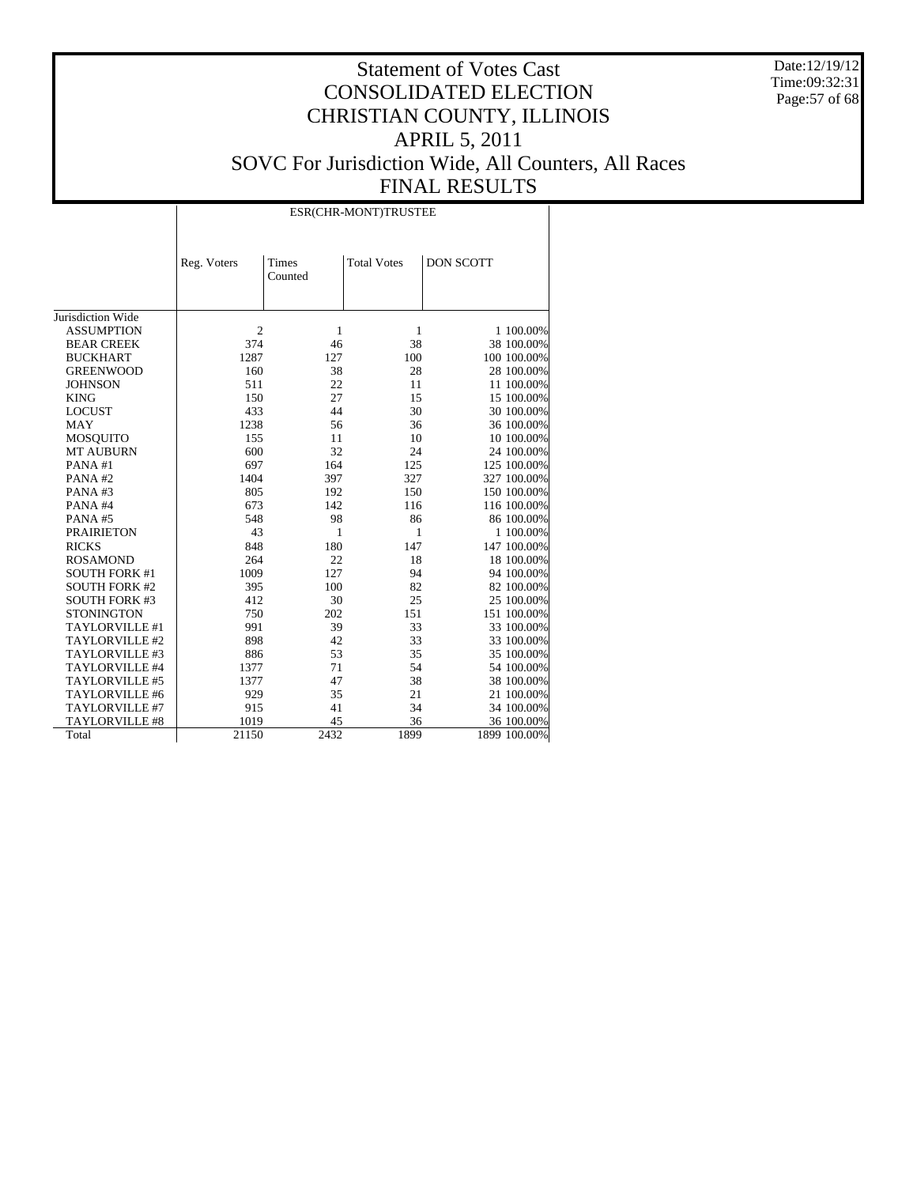Date:12/19/12 Time:09:32:31 Page:57 of 68

|                      |                |                  | ESR(CHR-MONT)TRUSTEE |                  |
|----------------------|----------------|------------------|----------------------|------------------|
|                      | Reg. Voters    | Times<br>Counted | <b>Total Votes</b>   | <b>DON SCOTT</b> |
| Jurisdiction Wide    |                |                  |                      |                  |
| <b>ASSUMPTION</b>    | $\overline{c}$ | 1                | 1                    | 1 100.00%        |
| <b>BEAR CREEK</b>    | 374            | 46               | 38                   | 38 100.00%       |
| <b>BUCKHART</b>      | 1287           | 127              | 100                  | 100 100.00%      |
| <b>GREENWOOD</b>     | 160            | 38               | 28                   | 28 100.00%       |
| <b>JOHNSON</b>       | 511            | 22               | 11                   | 11 100.00%       |
| <b>KING</b>          | 150            | 27               | 15                   | 15 100.00%       |
| <b>LOCUST</b>        | 433            | 44               | 30                   | 30 100.00%       |
| <b>MAY</b>           | 1238           | 56               | 36                   | 36 100.00%       |
| <b>MOSQUITO</b>      | 155            | 11               | 10                   | 10 100.00%       |
| <b>MT AUBURN</b>     | 600            | 32               | 24                   | 24 100.00%       |
| PANA#1               | 697            | 164              | 125                  | 125 100.00%      |
|                      | 1404           | 397              | 327                  | 327 100.00%      |
| PANA#2               | 805            | 192              | 150                  | 150 100.00%      |
| PANA#3               | 673            | 142              | 116                  | 116 100.00%      |
| PANA#4               |                |                  |                      |                  |
| PANA#5               | 548            | 98               | 86                   | 86 100.00%       |
| <b>PRAIRIETON</b>    | 43             | 1                | 1                    | 1 100.00%        |
| <b>RICKS</b>         | 848            | 180              | 147                  | 147 100.00%      |
| <b>ROSAMOND</b>      | 264            | 22               | 18                   | 18 100.00%       |
| <b>SOUTH FORK #1</b> | 1009           | 127              | 94                   | 94 100.00%       |
| <b>SOUTH FORK #2</b> | 395            | 100              | 82                   | 82 100.00%       |
| <b>SOUTH FORK #3</b> | 412            | 30               | 25                   | 25 100.00%       |
| <b>STONINGTON</b>    | 750            | 202              | 151                  | 151 100.00%      |
| TAYLORVILLE #1       | 991            | 39               | 33                   | 33 100.00%       |
| TAYLORVILLE #2       | 898            | 42               | 33                   | 33 100.00%       |
| TAYLORVILLE #3       | 886            | 53               | 35                   | 35 100.00%       |
| TAYLORVILLE #4       | 1377           | 71               | 54                   | 54 100.00%       |
| TAYLORVILLE #5       | 1377           | 47               | 38                   | 38 100.00%       |
| TAYLORVILLE #6       | 929            | 35               | 21                   | 21 100.00%       |
| TAYLORVILLE #7       | 915            | 41               | 34                   | 34 100.00%       |
| TAYLORVILLE #8       | 1019           | 45               | 36                   | 36 100.00%       |
| Total                | 21150          | 2432             | 1899                 | 1899 100.00%     |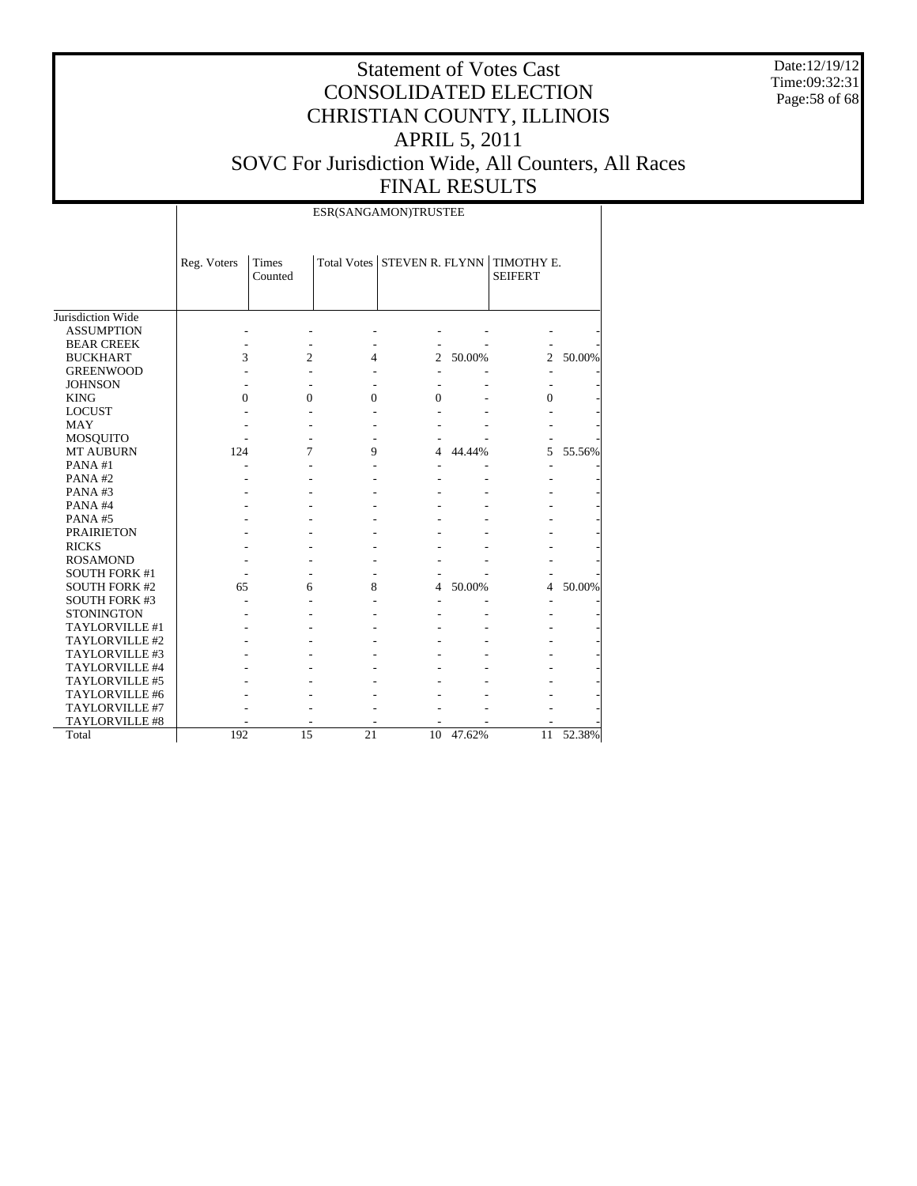Date:12/19/12 Time:09:32:31 Page:58 of 68

# Statement of Votes Cast CONSOLIDATED ELECTION CHRISTIAN COUNTY, ILLINOIS APRIL 5, 2011 SOVC For Jurisdiction Wide, All Counters, All Races FINAL RESULTS

ESR(SANGAMON)TRUSTEE

|                       | Reg. Voters | Times<br>Counted | Total Votes | STEVEN R. FLYNN |        | TIMOTHY E.<br><b>SEIFERT</b> |        |
|-----------------------|-------------|------------------|-------------|-----------------|--------|------------------------------|--------|
| Jurisdiction Wide     |             |                  |             |                 |        |                              |        |
| <b>ASSUMPTION</b>     |             |                  |             |                 |        |                              |        |
| <b>BEAR CREEK</b>     |             |                  |             |                 |        |                              |        |
| <b>BUCKHART</b>       | 3           | 2                | 4           | $\mathfrak{2}$  | 50.00% | $\mathfrak{2}$               | 50.00% |
| <b>GREENWOOD</b>      |             |                  |             |                 |        |                              |        |
| <b>JOHNSON</b>        |             |                  |             |                 |        |                              |        |
| <b>KING</b>           | $\Omega$    | $\Omega$         | $\theta$    | $\Omega$        |        | $\Omega$                     |        |
| <b>LOCUST</b>         |             |                  |             |                 |        |                              |        |
| <b>MAY</b>            |             |                  |             |                 |        |                              |        |
| MOSQUITO              |             |                  |             |                 |        |                              |        |
| <b>MT AUBURN</b>      | 124         | 7                | 9           | 4               | 44.44% | 5                            | 55.56% |
| PANA#1                |             |                  |             |                 |        |                              |        |
| PANA#2                |             |                  |             |                 |        |                              |        |
| PANA#3                |             |                  |             |                 |        |                              |        |
| PANA#4                |             |                  |             |                 |        |                              |        |
| PANA#5                |             |                  |             |                 |        |                              |        |
| <b>PRAIRIETON</b>     |             |                  |             |                 |        |                              |        |
| <b>RICKS</b>          |             |                  |             |                 |        |                              |        |
| <b>ROSAMOND</b>       |             |                  |             |                 |        |                              |        |
| <b>SOUTH FORK #1</b>  |             |                  |             |                 |        |                              |        |
| <b>SOUTH FORK #2</b>  | 65          | 6                | 8           | $\overline{4}$  | 50.00% | 4                            | 50.00% |
| <b>SOUTH FORK #3</b>  |             |                  |             |                 |        |                              |        |
| <b>STONINGTON</b>     |             |                  |             |                 |        |                              |        |
| TAYLORVILLE #1        |             |                  |             |                 |        |                              |        |
| TAYLORVILLE #2        |             |                  |             |                 |        |                              |        |
| TAYLORVILLE #3        |             |                  |             |                 |        |                              |        |
| TAYLORVILLE #4        |             |                  |             |                 |        |                              |        |
| TAYLORVILLE #5        |             |                  |             |                 |        |                              |        |
| TAYLORVILLE #6        |             |                  |             |                 |        |                              |        |
| <b>TAYLORVILLE #7</b> |             |                  |             |                 |        |                              |        |
| TAYLORVILLE #8        |             |                  |             |                 |        |                              |        |
| Total                 | 192         | 15               | 21          | 10              | 47.62% | 11                           | 52.38% |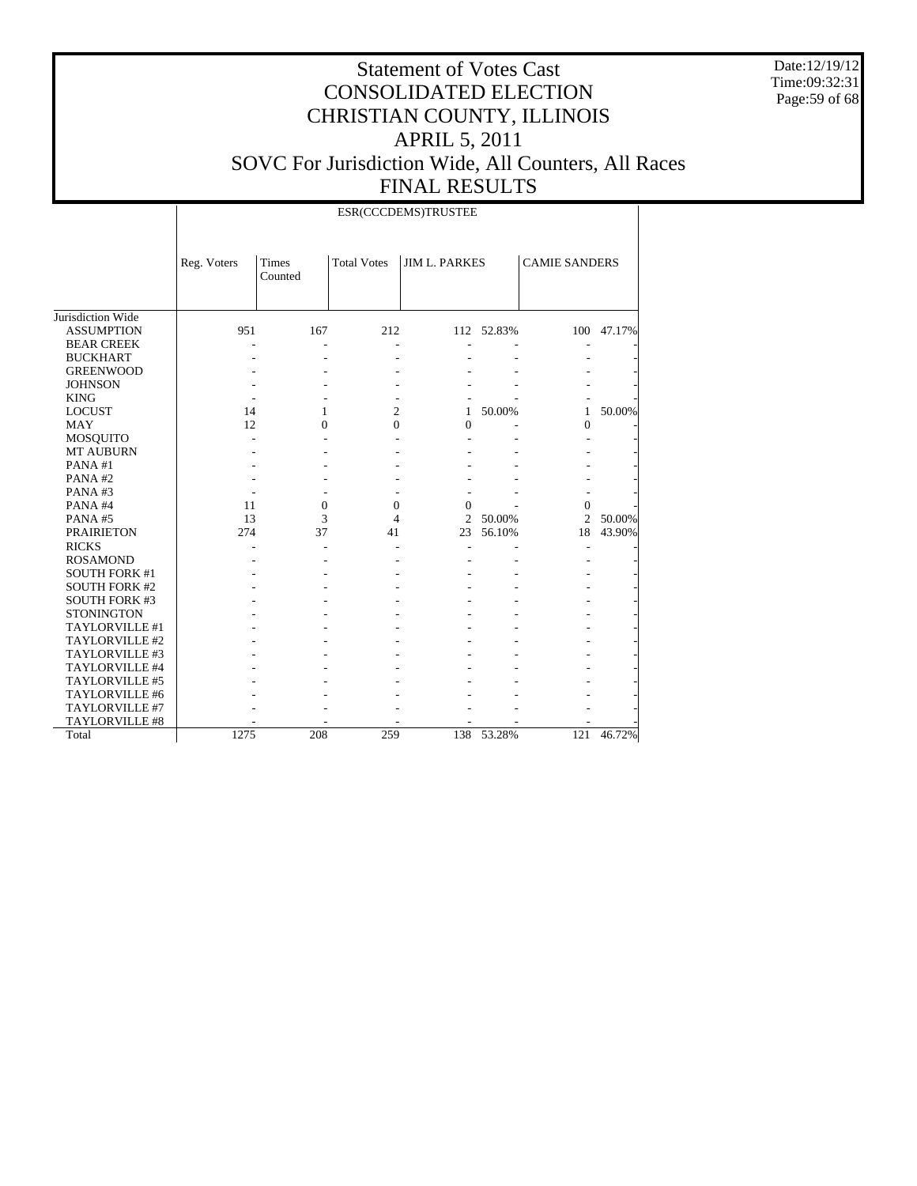Date:12/19/12 Time:09:32:31 Page:59 of 68

|                      | Reg. Voters | Times<br>Counted | <b>Total Votes</b> | <b>JIM L. PARKES</b> |            | <b>CAMIE SANDERS</b> |        |
|----------------------|-------------|------------------|--------------------|----------------------|------------|----------------------|--------|
| Jurisdiction Wide    |             |                  |                    |                      |            |                      |        |
| <b>ASSUMPTION</b>    | 951         | 167              | 212                |                      | 112 52.83% | 100                  | 47.17% |
| <b>BEAR CREEK</b>    |             |                  |                    |                      |            |                      |        |
| <b>BUCKHART</b>      |             |                  |                    |                      |            |                      |        |
| <b>GREENWOOD</b>     |             |                  |                    |                      |            |                      |        |
| <b>JOHNSON</b>       |             |                  |                    |                      |            |                      |        |
| <b>KING</b>          |             |                  |                    |                      |            |                      |        |
| <b>LOCUST</b>        | 14          | 1                | $\overline{2}$     | 1                    | 50.00%     | 1                    | 50.00% |
| <b>MAY</b>           | 12          | $\Omega$         | $\Omega$           | $\theta$             |            | $\Omega$             |        |
| MOSQUITO             |             |                  |                    |                      |            |                      |        |
| <b>MT AUBURN</b>     |             |                  |                    |                      |            |                      |        |
| PANA#1               |             |                  |                    |                      |            |                      |        |
| PANA#2               |             |                  |                    |                      |            |                      |        |
| PANA#3               |             |                  |                    |                      |            |                      |        |
| PANA#4               | 11          | $\mathbf{0}$     | $\mathbf{0}$       | $\Omega$             |            | $\Omega$             |        |
| PANA#5               | 13          | 3                | 4                  | 2                    | 50.00%     | $\overline{c}$       | 50.00% |
| <b>PRAIRIETON</b>    | 274         | 37               | 41                 | 23                   | 56.10%     | 18                   | 43.90% |
| <b>RICKS</b>         |             |                  |                    |                      |            |                      |        |
| <b>ROSAMOND</b>      |             |                  |                    |                      |            |                      |        |
| <b>SOUTH FORK #1</b> |             |                  |                    |                      |            |                      |        |
| <b>SOUTH FORK #2</b> |             |                  |                    |                      |            |                      |        |
| <b>SOUTH FORK #3</b> |             |                  |                    |                      |            |                      |        |
| <b>STONINGTON</b>    |             |                  |                    |                      |            |                      |        |
| TAYLORVILLE #1       |             |                  |                    |                      |            |                      |        |
| TAYLORVILLE #2       |             |                  |                    |                      |            |                      |        |
| TAYLORVILLE #3       |             |                  |                    |                      |            |                      |        |
| TAYLORVILLE #4       |             |                  |                    |                      |            |                      |        |
| TAYLORVILLE #5       |             |                  |                    |                      |            |                      |        |
| TAYLORVILLE #6       |             |                  |                    |                      |            |                      |        |
| TAYLORVILLE #7       |             |                  |                    |                      |            |                      |        |
| TAYLORVILLE #8       |             |                  |                    |                      |            |                      |        |
| Total                | 1275        | 208              | 259                | 138                  | 53.28%     | 121                  | 46.72% |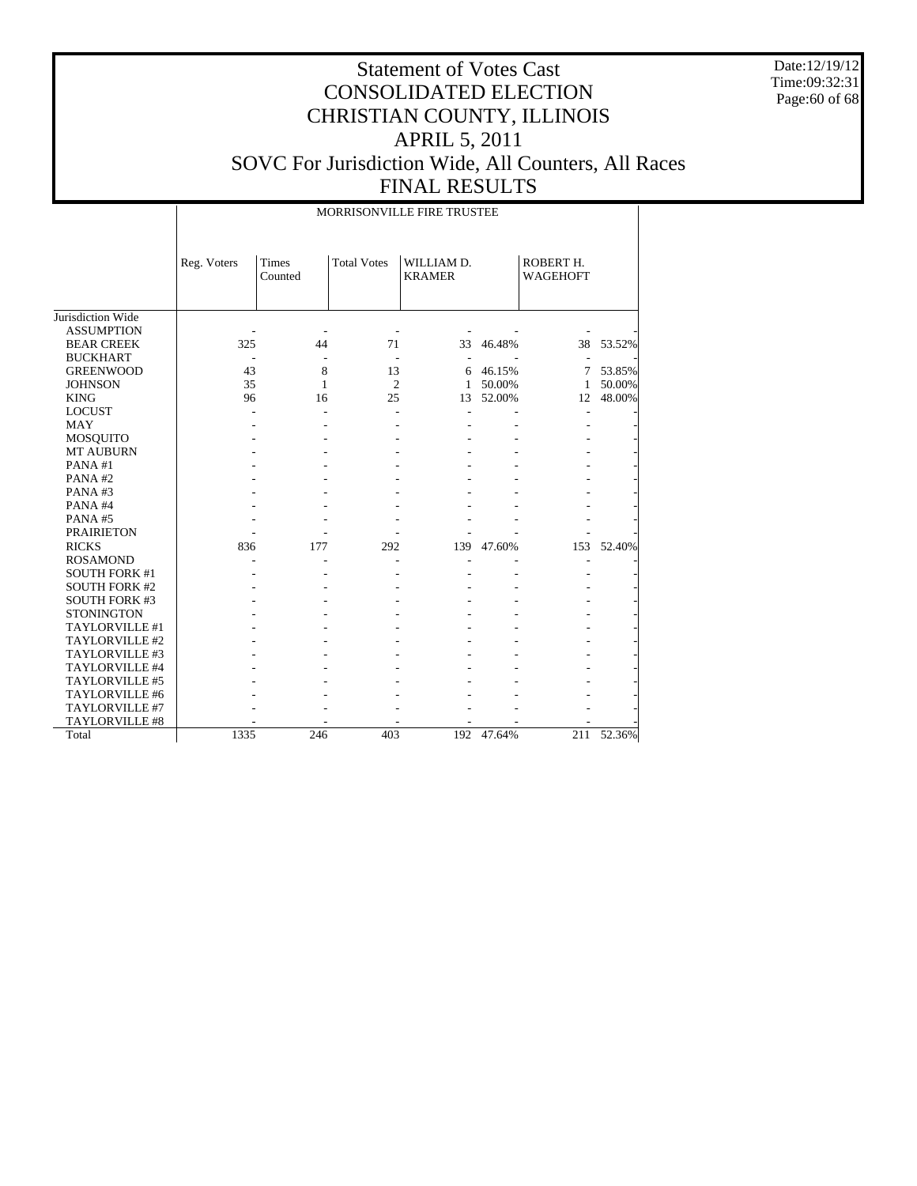Date:12/19/12 Time:09:32:31 Page:60 of 68

|                       | MORRISONVILLE FIRE TRUSTEE |                         |                    |                             |        |                              |        |  |  |
|-----------------------|----------------------------|-------------------------|--------------------|-----------------------------|--------|------------------------------|--------|--|--|
|                       | Reg. Voters                | <b>Times</b><br>Counted | <b>Total Votes</b> | WILLIAM D.<br><b>KRAMER</b> |        | ROBERT H.<br><b>WAGEHOFT</b> |        |  |  |
| Jurisdiction Wide     |                            |                         |                    |                             |        |                              |        |  |  |
| <b>ASSUMPTION</b>     |                            |                         |                    |                             |        |                              |        |  |  |
| <b>BEAR CREEK</b>     | 325                        | 44                      | 71                 | 33                          | 46.48% | 38                           | 53.52% |  |  |
| <b>BUCKHART</b>       |                            |                         | ٠                  |                             |        |                              |        |  |  |
| <b>GREENWOOD</b>      | 43                         | 8                       | 13                 | 6                           | 46.15% | 7                            | 53.85% |  |  |
| <b>JOHNSON</b>        | 35                         | $\mathbf{1}$            | $\overline{c}$     | $\mathbf{1}$                | 50.00% | 1                            | 50.00% |  |  |
| <b>KING</b>           | 96                         | 16                      | 25                 | 13                          | 52.00% | 12                           | 48.00% |  |  |
| <b>LOCUST</b>         |                            |                         |                    |                             |        |                              |        |  |  |
| <b>MAY</b>            |                            |                         |                    |                             |        |                              |        |  |  |
| MOSQUITO              |                            |                         |                    |                             |        |                              |        |  |  |
| MT AUBURN             |                            |                         |                    |                             |        |                              |        |  |  |
| PANA#1                |                            |                         |                    |                             |        |                              |        |  |  |
| PANA#2                |                            |                         |                    |                             |        |                              |        |  |  |
| PANA#3                |                            |                         |                    |                             |        |                              |        |  |  |
| PANA#4                |                            |                         |                    |                             |        |                              |        |  |  |
| PANA#5                |                            |                         |                    |                             |        |                              |        |  |  |
| <b>PRAIRIETON</b>     |                            |                         |                    |                             |        |                              |        |  |  |
| <b>RICKS</b>          | 836                        | 177                     | 292                | 139                         | 47.60% | 153                          | 52.40% |  |  |
| <b>ROSAMOND</b>       |                            |                         |                    |                             |        |                              |        |  |  |
| <b>SOUTH FORK #1</b>  |                            |                         |                    |                             |        |                              |        |  |  |
| <b>SOUTH FORK #2</b>  |                            |                         |                    |                             |        |                              |        |  |  |
| <b>SOUTH FORK #3</b>  |                            |                         |                    |                             |        |                              |        |  |  |
| <b>STONINGTON</b>     |                            |                         |                    |                             |        |                              |        |  |  |
| TAYLORVILLE #1        |                            |                         |                    |                             |        |                              |        |  |  |
| TAYLORVILLE #2        |                            |                         |                    |                             |        |                              |        |  |  |
| TAYLORVILLE #3        |                            |                         |                    |                             |        |                              |        |  |  |
| TAYLORVILLE #4        |                            |                         |                    |                             |        |                              |        |  |  |
| TAYLORVILLE #5        |                            |                         |                    |                             |        |                              |        |  |  |
| TAYLORVILLE #6        |                            |                         |                    |                             |        |                              |        |  |  |
| TAYLORVILLE #7        |                            |                         |                    |                             |        |                              |        |  |  |
| <b>TAYLORVILLE #8</b> |                            |                         |                    |                             |        |                              |        |  |  |
| Total                 | 1335                       | 246                     | 403                | 192                         | 47.64% | 211                          | 52.36% |  |  |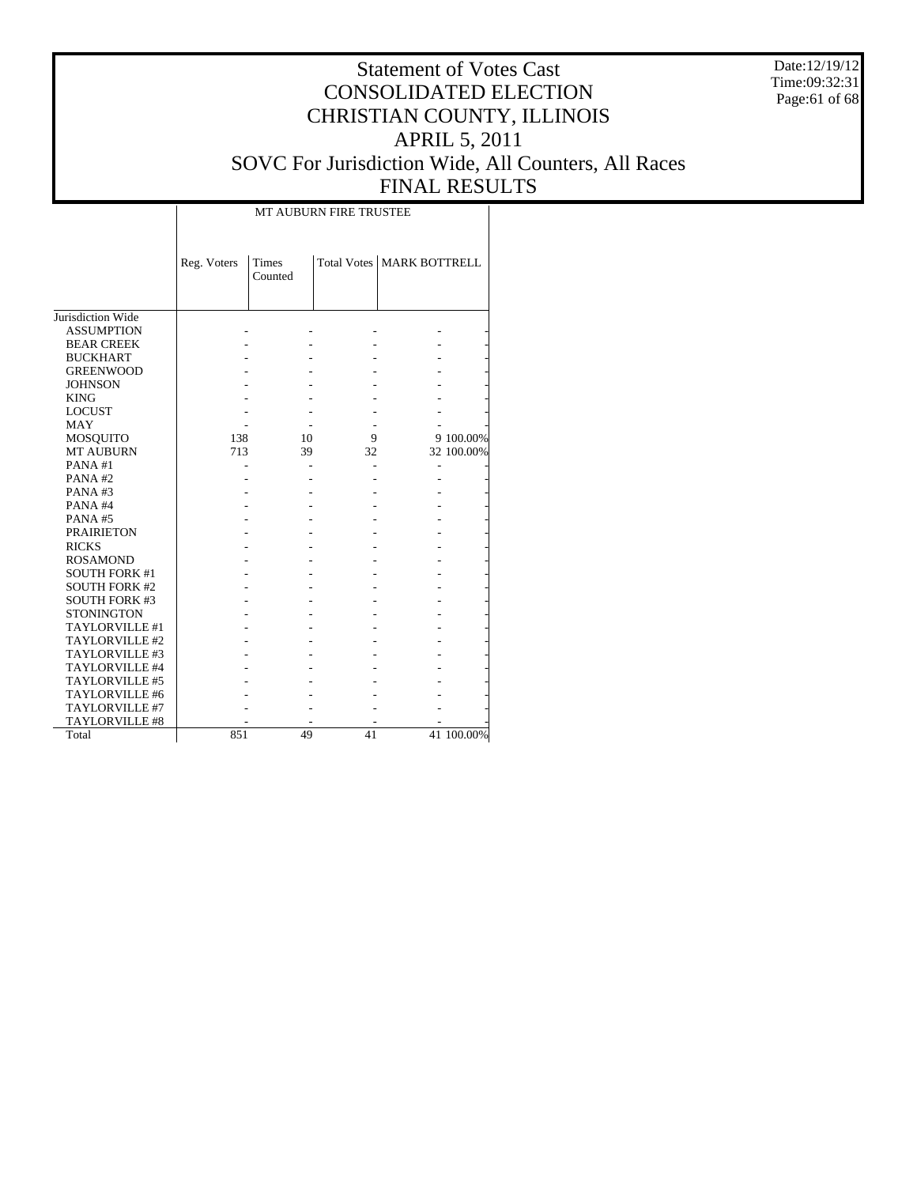Date:12/19/12 Time:09:32:31 Page:61 of 68

# Statement of Votes Cast CONSOLIDATED ELECTION CHRISTIAN COUNTY, ILLINOIS APRIL 5, 2011 SOVC For Jurisdiction Wide, All Counters, All Races FINAL RESULTS

|                      | <b>MT AUBURN FIRE TRUSTEE</b> |                  |    |                                    |            |  |  |  |  |
|----------------------|-------------------------------|------------------|----|------------------------------------|------------|--|--|--|--|
|                      | Reg. Voters                   | Times<br>Counted |    | <b>Total Votes   MARK BOTTRELL</b> |            |  |  |  |  |
| Jurisdiction Wide    |                               |                  |    |                                    |            |  |  |  |  |
| <b>ASSUMPTION</b>    |                               |                  |    |                                    |            |  |  |  |  |
| <b>BEAR CREEK</b>    |                               |                  |    |                                    |            |  |  |  |  |
| <b>BUCKHART</b>      |                               |                  |    |                                    |            |  |  |  |  |
| <b>GREENWOOD</b>     |                               |                  |    |                                    |            |  |  |  |  |
| <b>JOHNSON</b>       |                               |                  |    |                                    |            |  |  |  |  |
| <b>KING</b>          |                               |                  |    |                                    |            |  |  |  |  |
| <b>LOCUST</b>        |                               |                  |    |                                    |            |  |  |  |  |
| <b>MAY</b>           |                               |                  |    |                                    |            |  |  |  |  |
| MOSQUITO             | 138                           | 10               | 9  |                                    | 9 100.00%  |  |  |  |  |
| <b>MT AUBURN</b>     | 713                           | 39               | 32 |                                    | 32 100.00% |  |  |  |  |
| PANA#1               |                               |                  |    |                                    |            |  |  |  |  |
| PANA#2               |                               |                  |    |                                    |            |  |  |  |  |
| PANA#3               |                               |                  |    |                                    |            |  |  |  |  |
| PANA#4               |                               |                  |    |                                    |            |  |  |  |  |
| PANA#5               |                               |                  |    |                                    |            |  |  |  |  |
| <b>PRAIRIETON</b>    |                               |                  |    |                                    |            |  |  |  |  |
| <b>RICKS</b>         |                               |                  |    |                                    |            |  |  |  |  |
| <b>ROSAMOND</b>      |                               |                  |    |                                    |            |  |  |  |  |
| <b>SOUTH FORK #1</b> |                               |                  |    |                                    |            |  |  |  |  |
| <b>SOUTH FORK #2</b> |                               |                  |    |                                    |            |  |  |  |  |
| <b>SOUTH FORK #3</b> |                               |                  |    |                                    |            |  |  |  |  |
| <b>STONINGTON</b>    |                               |                  |    |                                    |            |  |  |  |  |
| TAYLORVILLE #1       |                               |                  |    |                                    |            |  |  |  |  |
| TAYLORVILLE #2       |                               |                  |    |                                    |            |  |  |  |  |
| TAYLORVILLE #3       |                               |                  |    |                                    |            |  |  |  |  |
| TAYLORVILLE #4       |                               |                  |    |                                    |            |  |  |  |  |
| TAYLORVILLE #5       |                               |                  |    |                                    |            |  |  |  |  |
| TAYLORVILLE #6       |                               |                  |    |                                    |            |  |  |  |  |
| TAYLORVILLE #7       |                               |                  |    |                                    |            |  |  |  |  |
| TAYLORVILLE #8       |                               |                  |    |                                    |            |  |  |  |  |
| Total                | 851                           | 49               | 41 |                                    | 41 100.00% |  |  |  |  |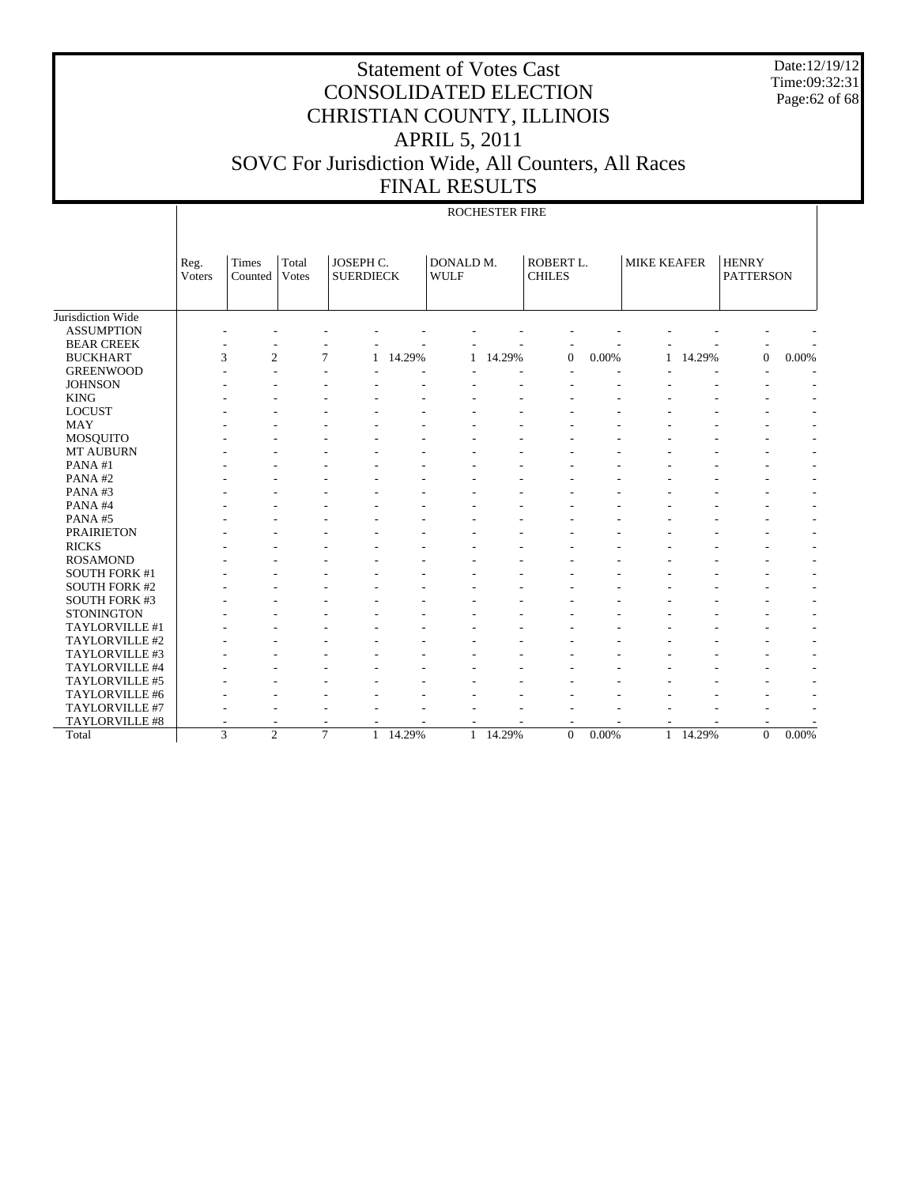Date:12/19/12 Time:09:32:31 Page:62 of 68

# Statement of Votes Cast CONSOLIDATED ELECTION CHRISTIAN COUNTY, ILLINOIS APRIL 5, 2011 SOVC For Jurisdiction Wide, All Counters, All Races FINAL RESULTS

#### ROCHESTER FIRE

|                       | Reg.<br>Voters | Times<br>Counted    | Total<br><b>Votes</b> | JOSEPH C.<br><b>SUERDIECK</b> |        | DONALD M.<br><b>WULF</b> |        | ROBERT L.<br><b>CHILES</b> |          | <b>MIKE KEAFER</b> |        | <b>HENRY</b><br><b>PATTERSON</b> |                          |
|-----------------------|----------------|---------------------|-----------------------|-------------------------------|--------|--------------------------|--------|----------------------------|----------|--------------------|--------|----------------------------------|--------------------------|
|                       |                |                     |                       |                               |        |                          |        |                            |          |                    |        |                                  |                          |
| Jurisdiction Wide     |                |                     |                       |                               |        |                          |        |                            |          |                    |        |                                  |                          |
| <b>ASSUMPTION</b>     |                |                     |                       |                               |        |                          |        |                            |          |                    |        |                                  |                          |
| <b>BEAR CREEK</b>     |                |                     |                       |                               |        |                          |        |                            |          |                    |        |                                  |                          |
| <b>BUCKHART</b>       |                | $\overline{c}$<br>3 |                       | 7<br>1                        | 14.29% | 1                        | 14.29% | $\overline{0}$             | 0.00%    |                    | 14.29% | $\mathbf{0}$                     | 0.00%                    |
| <b>GREENWOOD</b>      |                |                     |                       |                               |        |                          |        |                            |          |                    |        |                                  |                          |
| <b>JOHNSON</b>        |                |                     |                       |                               |        |                          |        |                            |          |                    |        |                                  |                          |
| <b>KING</b>           |                |                     |                       |                               |        |                          |        |                            |          |                    |        |                                  |                          |
| <b>LOCUST</b>         |                |                     |                       |                               |        |                          |        |                            |          |                    |        |                                  |                          |
| <b>MAY</b>            |                |                     |                       |                               |        |                          |        |                            |          |                    |        |                                  |                          |
| MOSQUITO              |                |                     |                       |                               |        |                          |        |                            |          |                    |        |                                  |                          |
| MT AUBURN             |                |                     |                       |                               |        |                          |        |                            |          |                    |        |                                  | $\overline{a}$           |
| PANA#1                |                |                     |                       |                               |        |                          |        |                            |          |                    |        |                                  | $\overline{a}$           |
| PANA#2                |                |                     |                       |                               |        |                          |        |                            |          |                    |        |                                  | $\overline{\phantom{a}}$ |
| PANA#3                |                |                     |                       |                               |        |                          |        |                            |          |                    |        |                                  | $\overline{\phantom{a}}$ |
| PANA#4                |                |                     |                       |                               |        |                          |        |                            |          |                    |        |                                  | $\overline{\phantom{a}}$ |
| PANA#5                |                |                     |                       |                               |        |                          |        |                            |          |                    |        |                                  | $\overline{\phantom{a}}$ |
| <b>PRAIRIETON</b>     |                |                     |                       |                               |        |                          |        |                            |          |                    |        |                                  | $\overline{a}$           |
| <b>RICKS</b>          |                |                     |                       |                               |        |                          |        |                            |          |                    |        |                                  |                          |
| <b>ROSAMOND</b>       |                |                     |                       |                               |        |                          |        |                            |          |                    |        |                                  |                          |
| <b>SOUTH FORK #1</b>  |                |                     |                       |                               |        |                          |        |                            |          |                    |        |                                  |                          |
| <b>SOUTH FORK #2</b>  |                |                     |                       |                               |        |                          |        |                            |          |                    |        |                                  |                          |
| <b>SOUTH FORK #3</b>  |                |                     |                       |                               |        |                          |        |                            |          |                    |        |                                  |                          |
| <b>STONINGTON</b>     |                |                     |                       |                               |        |                          |        |                            |          |                    |        |                                  |                          |
| TAYLORVILLE #1        |                |                     |                       |                               |        |                          |        |                            |          |                    |        |                                  |                          |
| TAYLORVILLE #2        |                |                     |                       |                               |        |                          |        |                            |          |                    |        |                                  |                          |
| TAYLORVILLE #3        |                |                     |                       |                               |        |                          |        |                            |          |                    |        |                                  |                          |
| TAYLORVILLE #4        |                |                     |                       |                               |        |                          |        |                            |          |                    |        |                                  |                          |
| TAYLORVILLE #5        |                |                     |                       |                               |        |                          |        |                            |          |                    |        |                                  |                          |
| TAYLORVILLE #6        |                |                     |                       |                               |        |                          |        |                            |          |                    |        |                                  |                          |
| TAYLORVILLE #7        |                |                     |                       |                               |        |                          |        |                            |          |                    |        |                                  |                          |
| <b>TAYLORVILLE #8</b> |                |                     |                       |                               |        |                          |        |                            |          |                    |        |                                  |                          |
| Total                 |                | 3<br>$\overline{c}$ |                       | $\tau$<br>1                   | 14.29% | $\mathbf{1}$             | 14.29% | $\Omega$                   | $0.00\%$ | $\mathbf{1}$       | 14.29% | $\Omega$                         | 0.00%                    |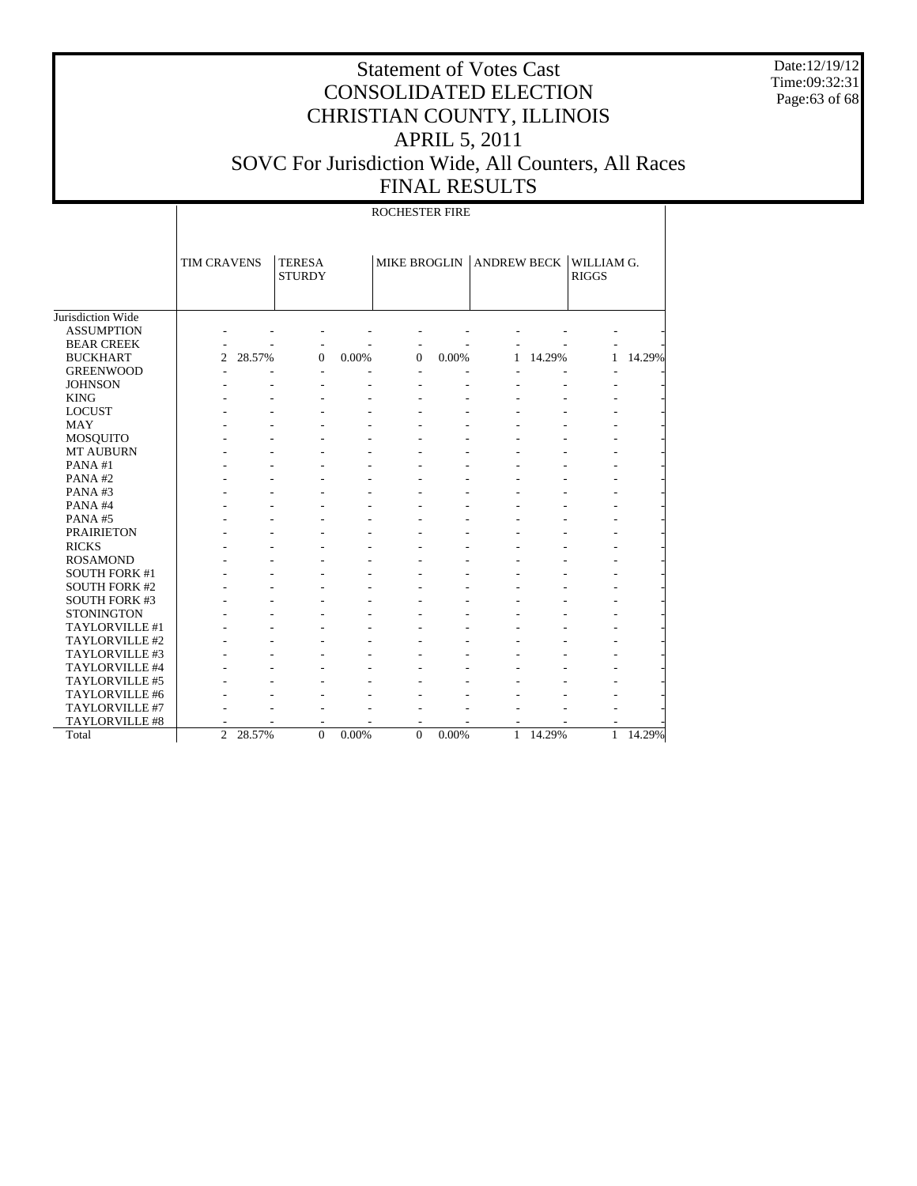Date:12/19/12 Time:09:32:31 Page:63 of 68

## Statement of Votes Cast CONSOLIDATED ELECTION CHRISTIAN COUNTY, ILLINOIS APRIL 5, 2011 SOVC For Jurisdiction Wide, All Counters, All Races FINAL RESULTS

Jurisdiction Wide ASSUMPTION BEAR CREEK BUCKHART GREENWOOD JOHNSON KING LOCUST MAY MOSQUITO MT AUBURN PANA #1 PANA #2 PANA #3 PANA #4 PANA #5 PRAIRIETON RICKS ROSAMOND SOUTH FORK #1 SOUTH FORK #2 SOUTH FORK #3 **STONINGTON**  TAYLORVILLE #1 TAYLORVILLE #2 TAYLORVILLE #3 TAYLORVILLE #4 TAYLORVILLE #5 TAYLORVILLE #6 TAYLORVILLE #7 TAYLORVILLE #8 Total TIM CRAVENS | TERESA **STURDY** MIKE BROGLIN ANDREW BECK WILLIAM G. RIGGS ROCHESTER FIRE - - - - - - - - - - - - - - - - - - - - 2 28.57% 0 0.00% 0 0.00% 1 14.29% 1 14.29% - - - - - - - - - - - - - - - - - - - - - - - - - - - - - - - - - - - - - - - - - - - - - - - - - - - - - - - - - - - - - - - - - - - - - - - - - - - - - - - - - - - - - - - - - - - - - - - - - - - - - - - - - - - - - - - - - - - - - - - - - - - - - - - - - - - - - - - - - - - - - - - - - - - - - - - - - - - - - - - - - - - - - - - - - - - - - - - - - - - - - - - - - - - - - - - - - - - - - - - - - - - - - - - - - - - - - - - - - - - - - - - - - - - - - - - - - - - - - - - - - - - - - - - - - - - - - - - - - - - - - - - - - - - - - - 2 28.57% 0 0.00% 0 0.00% 1 14.29% 1 14.29%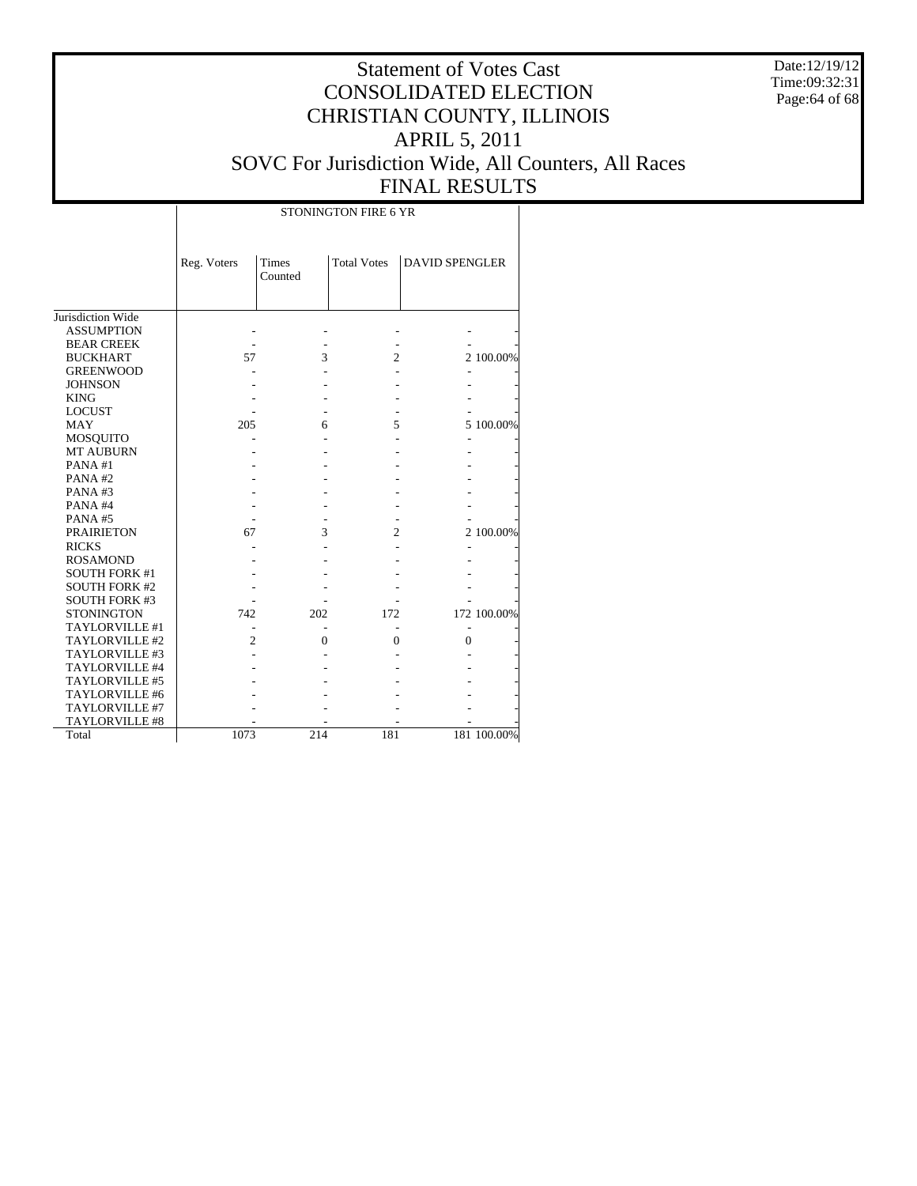Date:12/19/12 Time:09:32:31 Page:64 of 68

|                      | STONINGTON FIRE 6 YR |                  |                    |                       |             |  |  |  |  |  |  |
|----------------------|----------------------|------------------|--------------------|-----------------------|-------------|--|--|--|--|--|--|
|                      | Reg. Voters          | Times<br>Counted | <b>Total Votes</b> | <b>DAVID SPENGLER</b> |             |  |  |  |  |  |  |
| Jurisdiction Wide    |                      |                  |                    |                       |             |  |  |  |  |  |  |
| <b>ASSUMPTION</b>    |                      |                  |                    |                       |             |  |  |  |  |  |  |
| <b>BEAR CREEK</b>    |                      |                  |                    |                       |             |  |  |  |  |  |  |
| <b>BUCKHART</b>      | 57                   | 3                | $\overline{c}$     |                       | 2 100.00%   |  |  |  |  |  |  |
| <b>GREENWOOD</b>     |                      |                  |                    |                       |             |  |  |  |  |  |  |
| <b>JOHNSON</b>       |                      |                  |                    |                       |             |  |  |  |  |  |  |
| <b>KING</b>          |                      |                  |                    |                       |             |  |  |  |  |  |  |
| <b>LOCUST</b>        |                      |                  |                    |                       |             |  |  |  |  |  |  |
| <b>MAY</b>           | 205                  | 6                | 5                  |                       | 5 100.00%   |  |  |  |  |  |  |
| MOSQUITO             |                      |                  |                    |                       |             |  |  |  |  |  |  |
| <b>MT AUBURN</b>     |                      |                  |                    |                       |             |  |  |  |  |  |  |
| PANA#1               |                      |                  |                    |                       |             |  |  |  |  |  |  |
| PANA#2               |                      |                  |                    |                       |             |  |  |  |  |  |  |
| PANA#3               |                      |                  |                    |                       |             |  |  |  |  |  |  |
| PANA#4               |                      |                  |                    |                       |             |  |  |  |  |  |  |
| PANA#5               |                      |                  |                    |                       |             |  |  |  |  |  |  |
| <b>PRAIRIETON</b>    | 67                   | 3                | $\overline{2}$     |                       | 2 100.00%   |  |  |  |  |  |  |
| <b>RICKS</b>         |                      |                  |                    |                       |             |  |  |  |  |  |  |
| <b>ROSAMOND</b>      |                      |                  |                    |                       |             |  |  |  |  |  |  |
| <b>SOUTH FORK #1</b> |                      |                  |                    |                       |             |  |  |  |  |  |  |
| <b>SOUTH FORK #2</b> |                      |                  |                    |                       |             |  |  |  |  |  |  |
| <b>SOUTH FORK #3</b> |                      |                  |                    |                       |             |  |  |  |  |  |  |
| <b>STONINGTON</b>    | 742                  | 202              | 172                |                       | 172 100.00% |  |  |  |  |  |  |
| TAYLORVILLE #1       |                      |                  |                    |                       |             |  |  |  |  |  |  |
| TAYLORVILLE #2       | $\overline{c}$       | $\theta$         | 0                  | $\theta$              |             |  |  |  |  |  |  |
| TAYLORVILLE #3       |                      |                  |                    |                       |             |  |  |  |  |  |  |
| TAYLORVILLE #4       |                      |                  |                    |                       |             |  |  |  |  |  |  |
| TAYLORVILLE #5       |                      |                  |                    |                       |             |  |  |  |  |  |  |
| TAYLORVILLE #6       |                      |                  |                    |                       |             |  |  |  |  |  |  |
| TAYLORVILLE #7       |                      |                  |                    |                       |             |  |  |  |  |  |  |
| TAYLORVILLE #8       |                      |                  |                    |                       |             |  |  |  |  |  |  |
| Total                | 1073                 | 214              | 181                |                       | 181 100.00% |  |  |  |  |  |  |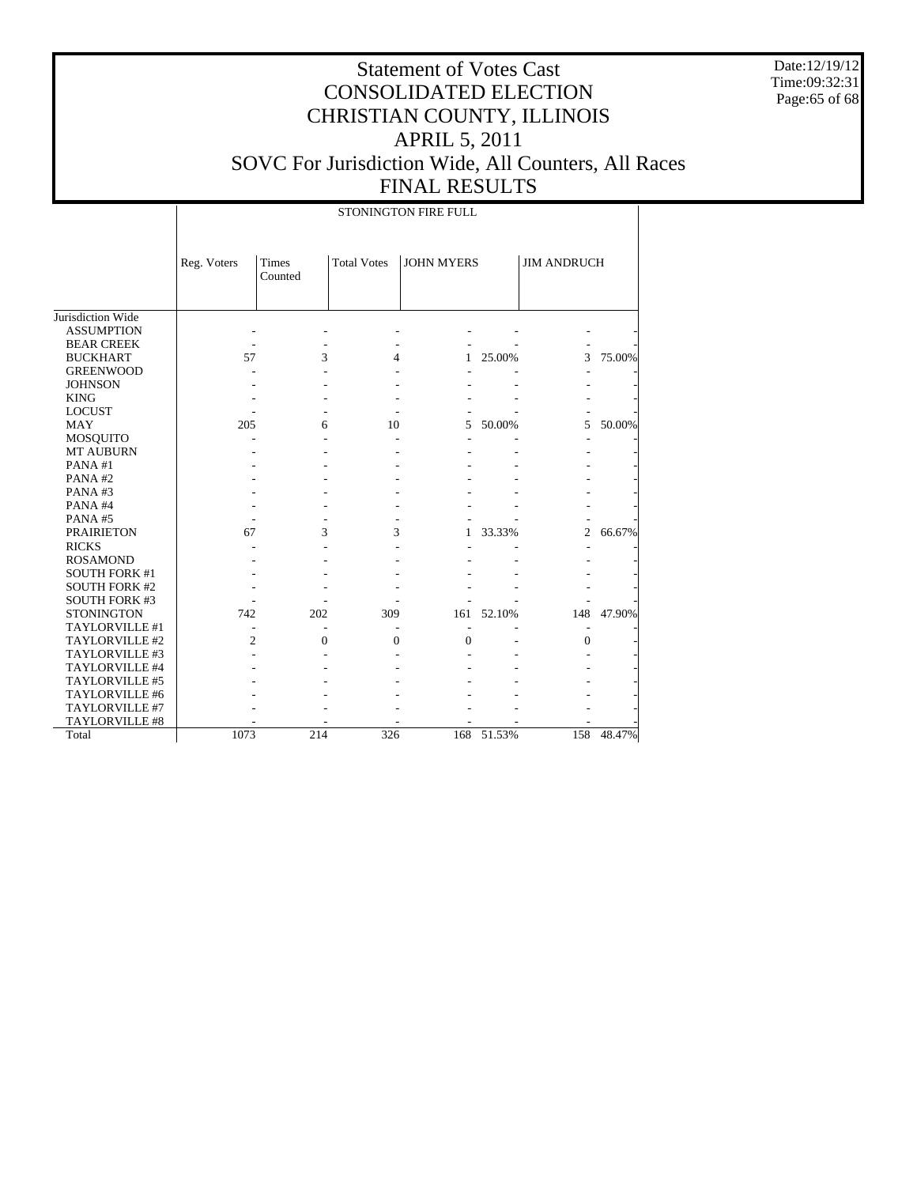Date:12/19/12 Time:09:32:31 Page:65 of 68

# Statement of Votes Cast CONSOLIDATED ELECTION CHRISTIAN COUNTY, ILLINOIS APRIL 5, 2011 SOVC For Jurisdiction Wide, All Counters, All Races FINAL RESULTS

STONINGTON FIRE FULL

|                      | Reg. Voters    | <b>Times</b><br>Counted | <b>Total Votes</b> | <b>JOHN MYERS</b> |        | <b>JIM ANDRUCH</b> |        |
|----------------------|----------------|-------------------------|--------------------|-------------------|--------|--------------------|--------|
|                      |                |                         |                    |                   |        |                    |        |
| Jurisdiction Wide    |                |                         |                    |                   |        |                    |        |
| <b>ASSUMPTION</b>    |                |                         |                    |                   |        |                    |        |
| <b>BEAR CREEK</b>    |                |                         |                    |                   |        |                    |        |
| <b>BUCKHART</b>      | 57             | 3                       | 4                  | 1                 | 25.00% | 3                  | 75.00% |
| <b>GREENWOOD</b>     |                |                         |                    |                   |        |                    |        |
| <b>JOHNSON</b>       |                |                         |                    |                   |        |                    |        |
| <b>KING</b>          |                |                         |                    |                   |        |                    |        |
| <b>LOCUST</b>        |                |                         |                    |                   |        |                    |        |
| <b>MAY</b>           | 205            | 6                       | 10                 | 5                 | 50.00% | 5                  | 50.00% |
| <b>MOSQUITO</b>      |                |                         |                    |                   |        |                    |        |
| <b>MT AUBURN</b>     |                |                         |                    |                   |        |                    |        |
| PANA#1               |                |                         |                    |                   |        |                    |        |
| PANA#2               |                |                         |                    |                   |        |                    |        |
| PANA#3               |                |                         |                    |                   |        |                    |        |
| PANA#4               |                |                         |                    |                   |        |                    |        |
| PANA#5               |                |                         |                    |                   |        |                    |        |
| <b>PRAIRIETON</b>    | 67             | 3                       | 3                  | 1.                | 33.33% | $\overline{c}$     | 66.67% |
| <b>RICKS</b>         |                |                         |                    |                   |        |                    |        |
| <b>ROSAMOND</b>      |                |                         |                    |                   |        |                    |        |
| <b>SOUTH FORK #1</b> |                |                         |                    |                   |        |                    |        |
| <b>SOUTH FORK #2</b> |                |                         |                    |                   |        |                    |        |
| <b>SOUTH FORK #3</b> |                |                         |                    |                   |        |                    |        |
| <b>STONINGTON</b>    | 742            | 202                     | 309                | 161               | 52.10% | 148                | 47.90% |
| TAYLORVILLE #1       |                |                         |                    |                   |        |                    |        |
| TAYLORVILLE #2       | $\overline{2}$ | 0                       | $\theta$           | $\mathbf{0}$      |        | $\theta$           |        |
| TAYLORVILLE #3       |                |                         |                    |                   |        |                    |        |
| TAYLORVILLE #4       |                |                         |                    |                   |        |                    |        |
| TAYLORVILLE #5       |                |                         |                    |                   |        |                    |        |
| TAYLORVILLE #6       |                |                         |                    |                   |        |                    |        |
| TAYLORVILLE #7       |                |                         |                    |                   |        |                    |        |
| TAYLORVILLE #8       |                |                         |                    |                   |        |                    |        |
| Total                | 1073           | 214                     | 326                | 168               | 51.53% | 158                | 48.47% |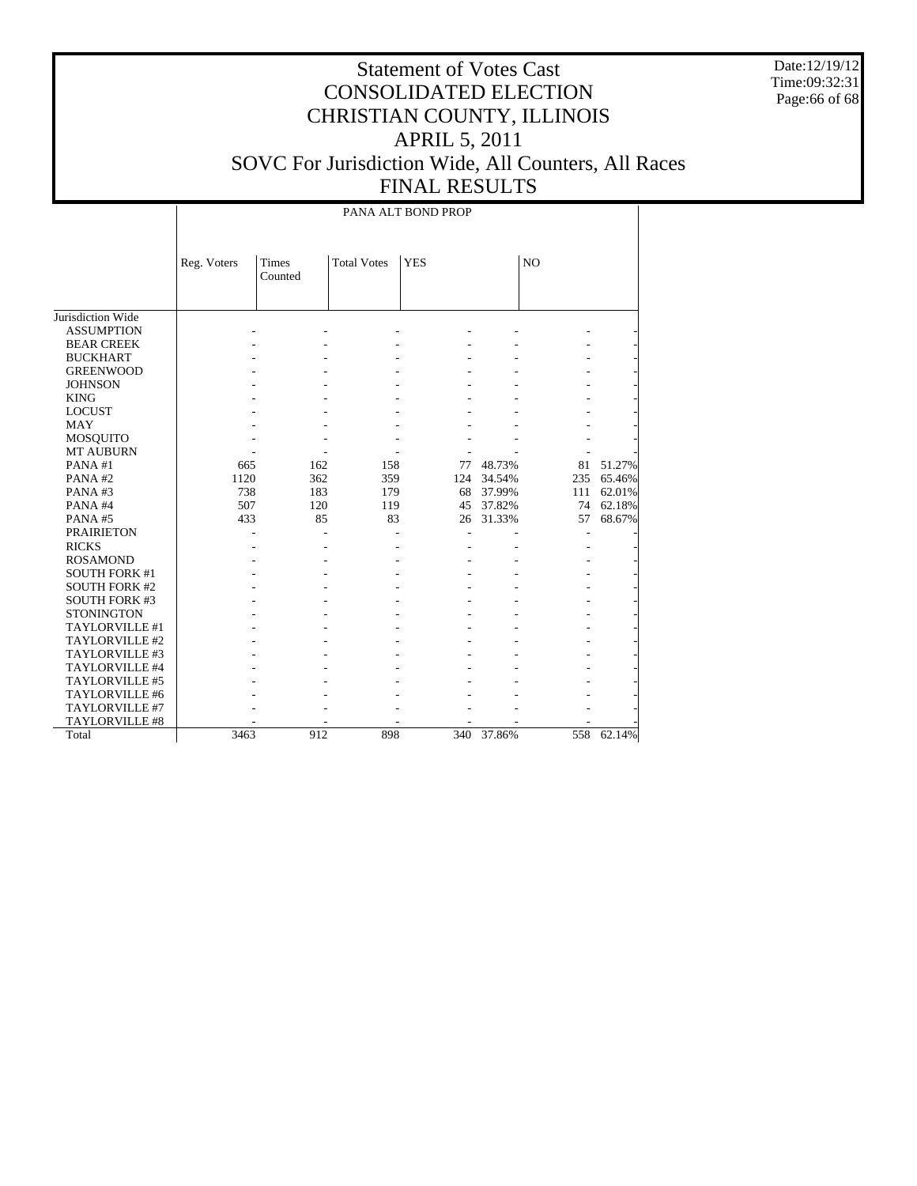Date:12/19/12 Time:09:32:31 Page:66 of 68

# Statement of Votes Cast CONSOLIDATED ELECTION CHRISTIAN COUNTY, ILLINOIS APRIL 5, 2011 SOVC For Jurisdiction Wide, All Counters, All Races FINAL RESULTS

PANA ALT BOND PROP

|                      | Reg. Voters | <b>Times</b><br>Counted | <b>Total Votes</b> | <b>YES</b> |            | N <sub>O</sub> |        |
|----------------------|-------------|-------------------------|--------------------|------------|------------|----------------|--------|
|                      |             |                         |                    |            |            |                |        |
| Jurisdiction Wide    |             |                         |                    |            |            |                |        |
| <b>ASSUMPTION</b>    |             |                         |                    |            |            |                |        |
| <b>BEAR CREEK</b>    |             |                         |                    |            |            |                |        |
| <b>BUCKHART</b>      |             |                         |                    |            |            |                |        |
| <b>GREENWOOD</b>     |             |                         |                    |            |            |                |        |
| <b>JOHNSON</b>       |             |                         |                    |            |            |                |        |
| <b>KING</b>          |             |                         |                    |            |            |                |        |
| <b>LOCUST</b>        |             |                         |                    |            |            |                |        |
| MAY                  |             |                         |                    |            |            |                |        |
| <b>MOSQUITO</b>      |             |                         |                    |            |            |                |        |
| <b>MT AUBURN</b>     |             |                         |                    |            |            |                |        |
| PANA#1               | 665         | 162                     | 158                | 77         | 48.73%     | 81             | 51.27% |
| PANA#2               | 1120        | 362                     | 359                | 124        | 34.54%     | 235            | 65.46% |
| PANA#3               | 738         | 183                     | 179                | 68         | 37.99%     | 111            | 62.01% |
| PANA#4               | 507         | 120                     | 119                | 45         | 37.82%     | 74             | 62.18% |
| PANA#5               | 433         | 85                      | 83                 | 26         | 31.33%     | 57             | 68.67% |
| <b>PRAIRIETON</b>    |             |                         |                    |            |            |                |        |
| <b>RICKS</b>         |             |                         |                    |            |            |                |        |
| <b>ROSAMOND</b>      |             |                         |                    |            |            |                |        |
| <b>SOUTH FORK #1</b> |             |                         |                    |            |            |                |        |
| <b>SOUTH FORK #2</b> |             |                         |                    |            |            |                |        |
| <b>SOUTH FORK #3</b> |             |                         |                    |            |            |                |        |
| <b>STONINGTON</b>    |             |                         |                    |            |            |                |        |
| TAYLORVILLE #1       |             |                         |                    |            |            |                |        |
| TAYLORVILLE #2       |             |                         |                    |            |            |                |        |
| TAYLORVILLE #3       |             |                         |                    |            |            |                |        |
| TAYLORVILLE #4       |             |                         |                    |            |            |                |        |
| TAYLORVILLE #5       |             |                         |                    |            |            |                |        |
| TAYLORVILLE #6       |             |                         |                    |            |            |                |        |
| TAYLORVILLE #7       |             |                         |                    |            |            |                |        |
| TAYLORVILLE #8       |             |                         |                    |            |            |                |        |
| Total                | 3463        | 912                     | 898                |            | 340 37.86% | 558            | 62.14% |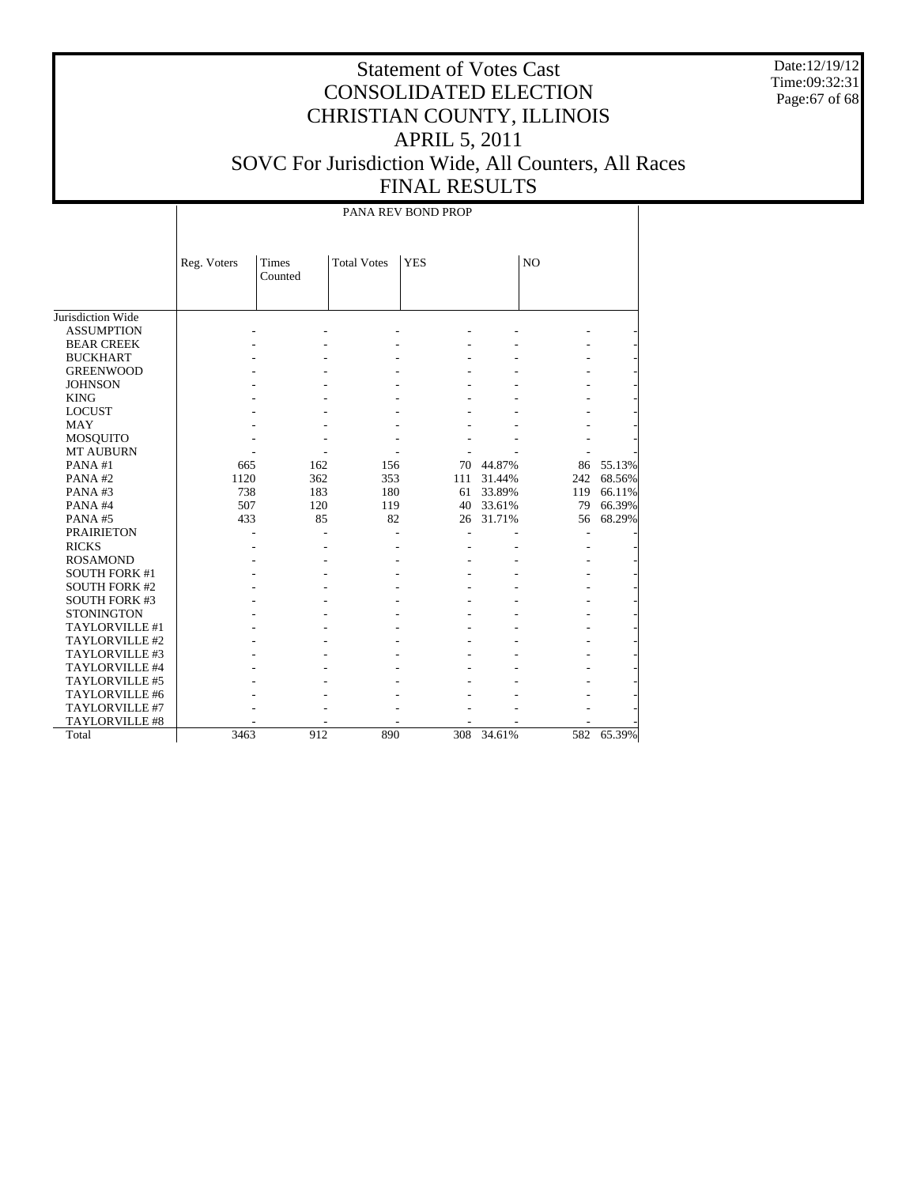Date:12/19/12 Time:09:32:31 Page:67 of 68

# Statement of Votes Cast CONSOLIDATED ELECTION CHRISTIAN COUNTY, ILLINOIS APRIL 5, 2011 SOVC For Jurisdiction Wide, All Counters, All Races FINAL RESULTS

PANA REV BOND PROP

|                                     | Reg. Voters | Times<br>Counted | <b>Total Votes</b> | <b>YES</b> |        | N <sub>O</sub> |        |
|-------------------------------------|-------------|------------------|--------------------|------------|--------|----------------|--------|
|                                     |             |                  |                    |            |        |                |        |
|                                     |             |                  |                    |            |        |                |        |
| Jurisdiction Wide                   |             |                  |                    |            |        |                |        |
| <b>ASSUMPTION</b>                   |             |                  |                    |            |        |                |        |
| <b>BEAR CREEK</b>                   |             |                  |                    |            |        |                |        |
| <b>BUCKHART</b><br><b>GREENWOOD</b> |             |                  |                    |            |        |                |        |
| <b>JOHNSON</b>                      |             |                  |                    |            |        |                |        |
|                                     |             |                  |                    |            |        |                |        |
| <b>KING</b>                         |             |                  |                    |            |        |                |        |
| <b>LOCUST</b>                       |             |                  |                    |            |        |                |        |
| <b>MAY</b>                          |             |                  |                    |            |        |                |        |
| <b>MOSQUITO</b><br><b>MT AUBURN</b> |             |                  |                    |            |        |                |        |
| PANA#1                              | 665         | 162              | 156                | 70         | 44.87% | 86             | 55.13% |
| PANA#2                              | 1120        | 362              | 353                | 111        | 31.44% | 242            | 68.56% |
| PANA#3                              | 738         | 183              | 180                | 61         | 33.89% | 119            | 66.11% |
| PANA#4                              | 507         | 120              | 119                | 40         | 33.61% | 79             | 66.39% |
| PANA#5                              | 433         | 85               | 82                 | 26         | 31.71% | 56             | 68.29% |
| <b>PRAIRIETON</b>                   |             |                  |                    |            |        |                |        |
| <b>RICKS</b>                        |             |                  |                    |            |        |                |        |
| <b>ROSAMOND</b>                     |             |                  |                    |            |        |                |        |
| <b>SOUTH FORK #1</b>                |             |                  |                    |            |        |                |        |
| <b>SOUTH FORK #2</b>                |             |                  |                    |            |        |                |        |
| <b>SOUTH FORK #3</b>                |             |                  |                    |            |        |                |        |
| <b>STONINGTON</b>                   |             |                  |                    |            |        |                |        |
| TAYLORVILLE #1                      |             |                  |                    |            |        |                |        |
| TAYLORVILLE #2                      |             |                  |                    |            |        |                |        |
| TAYLORVILLE #3                      |             |                  |                    |            |        |                |        |
| TAYLORVILLE #4                      |             |                  |                    |            |        |                |        |
| TAYLORVILLE #5                      |             |                  |                    |            |        |                |        |
| TAYLORVILLE #6                      |             |                  |                    |            |        |                |        |
| TAYLORVILLE #7                      |             |                  |                    |            |        |                |        |
| TAYLORVILLE #8                      |             |                  |                    |            |        |                |        |
| Total                               | 3463        | 912              | 890                | 308        | 34.61% | 582            | 65.39% |